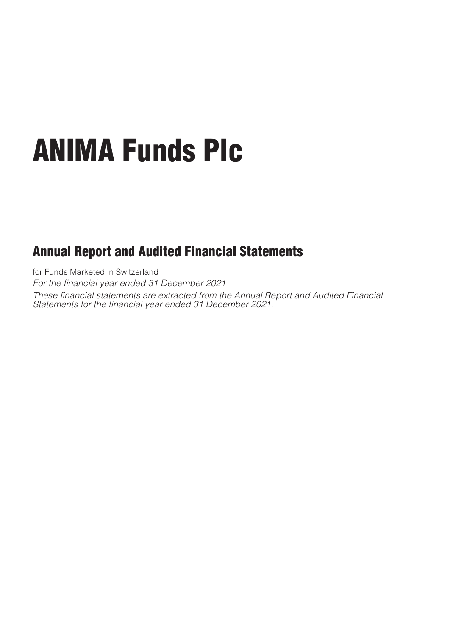# **Annual Report and Audited Financial Statements**

for Funds Marketed in Switzerland *For the financial year ended 31 December 2021*

*These financial statements are extracted from the Annual Report and Audited Financial Statements for the financial year ended 31 December 2021.*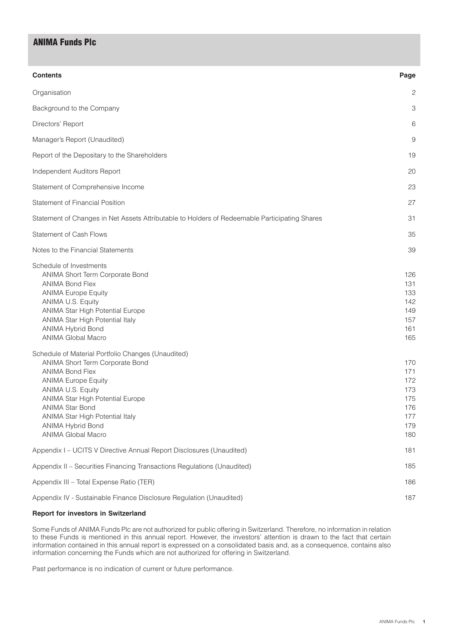| <b>Contents</b>                                                                                                                                                                                                                                                                                                       | Page                                                        |
|-----------------------------------------------------------------------------------------------------------------------------------------------------------------------------------------------------------------------------------------------------------------------------------------------------------------------|-------------------------------------------------------------|
| Organisation                                                                                                                                                                                                                                                                                                          | 2                                                           |
| Background to the Company                                                                                                                                                                                                                                                                                             | 3                                                           |
| Directors' Report                                                                                                                                                                                                                                                                                                     | 6                                                           |
| Manager's Report (Unaudited)                                                                                                                                                                                                                                                                                          | 9                                                           |
| Report of the Depositary to the Shareholders                                                                                                                                                                                                                                                                          | 19                                                          |
| Independent Auditors Report                                                                                                                                                                                                                                                                                           | 20                                                          |
| Statement of Comprehensive Income                                                                                                                                                                                                                                                                                     | 23                                                          |
| Statement of Financial Position                                                                                                                                                                                                                                                                                       | 27                                                          |
| Statement of Changes in Net Assets Attributable to Holders of Redeemable Participating Shares                                                                                                                                                                                                                         | 31                                                          |
| <b>Statement of Cash Flows</b>                                                                                                                                                                                                                                                                                        | 35                                                          |
| Notes to the Financial Statements                                                                                                                                                                                                                                                                                     | 39                                                          |
| Schedule of Investments<br>ANIMA Short Term Corporate Bond<br><b>ANIMA Bond Flex</b><br><b>ANIMA Europe Equity</b><br>ANIMA U.S. Equity<br>ANIMA Star High Potential Europe<br>ANIMA Star High Potential Italy<br>ANIMA Hybrid Bond<br><b>ANIMA Global Macro</b>                                                      | 126<br>131<br>133<br>142<br>149<br>157<br>161<br>165        |
| Schedule of Material Portfolio Changes (Unaudited)<br>ANIMA Short Term Corporate Bond<br><b>ANIMA Bond Flex</b><br><b>ANIMA Europe Equity</b><br>ANIMA U.S. Equity<br>ANIMA Star High Potential Europe<br><b>ANIMA Star Bond</b><br>ANIMA Star High Potential Italy<br>ANIMA Hybrid Bond<br><b>ANIMA Global Macro</b> | 170<br>171<br>172<br>173<br>175<br>176<br>177<br>179<br>180 |
| Appendix I - UCITS V Directive Annual Report Disclosures (Unaudited)                                                                                                                                                                                                                                                  | 181                                                         |
| Appendix II - Securities Financing Transactions Regulations (Unaudited)                                                                                                                                                                                                                                               | 185                                                         |
| Appendix III - Total Expense Ratio (TER)                                                                                                                                                                                                                                                                              | 186                                                         |
| Appendix IV - Sustainable Finance Disclosure Regulation (Unaudited)                                                                                                                                                                                                                                                   | 187                                                         |

#### **Report for investors in Switzerland**

Some Funds of ANIMA Funds Plc are not authorized for public offering in Switzerland. Therefore, no information in relation to these Funds is mentioned in this annual report. However, the investors' attention is drawn to the fact that certain information contained in this annual report is expressed on a consolidated basis and, as a consequence, contains also information concerning the Funds which are not authorized for offering in Switzerland.

Past performance is no indication of current or future performance.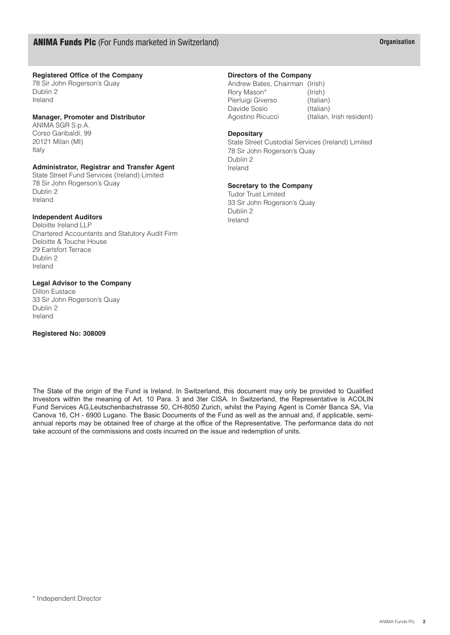#### <span id="page-2-0"></span>**Registered Office of the Company**

78 Sir John Rogerson's Quay Dublin 2 Ireland

#### **Manager, Promoter and Distributor**

ANIMA SGR S.p.A. Corso Garibaldi, 99 20121 Milan (MI) Italy

### **Administrator, Registrar and Transfer Agent**

State Street Fund Services (Ireland) Limited 78 Sir John Rogerson's Quay Dublin 2 Ireland

#### **Independent Auditors**

Deloitte Ireland LLP Chartered Accountants and Statutory Audit Firm Deloitte & Touche House 29 Earlsfort Terrace Dublin 2 Ireland

#### **Legal Advisor to the Company**

Dillon Eustace 33 Sir John Rogerson's Quay Dublin 2 Ireland

#### **Registered No: 308009**

#### **Directors of the Company**

| Andrew Bates, Chairman (Irish) |                           |
|--------------------------------|---------------------------|
| Rory Mason*                    | (Irish)                   |
| Pierluigi Giverso              | (Italian)                 |
| Davide Sosio                   | (Italian)                 |
| Agostino Ricucci               | (Italian, Irish resident) |
|                                |                           |

#### **Depositary**

State Street Custodial Services (Ireland) Limited 78 Sir John Rogerson's Quay Dublin 2 Ireland

#### **Secretary to the Company**

Tudor Trust Limited 33 Sir John Rogerson's Quay Dublin 2 Ireland

The State of the origin of the Fund is Ireland. In Switzerland, this document may only be provided to Qualified Investors within the meaning of Art. 10 Para. 3 and 3ter CISA. In Switzerland, the Representative is ACOLIN Fund Services AG,Leutschenbachstrasse 50, CH-8050 Zurich, whilst the Paying Agent is Cornèr Banca SA, Via Canova 16, CH - 6900 Lugano. The Basic Documents of the Fund as well as the annual and, if applicable, semiannual reports may be obtained free of charge at the office of the Representative. The performance data do not take account of the commissions and costs incurred on the issue and redemption of units.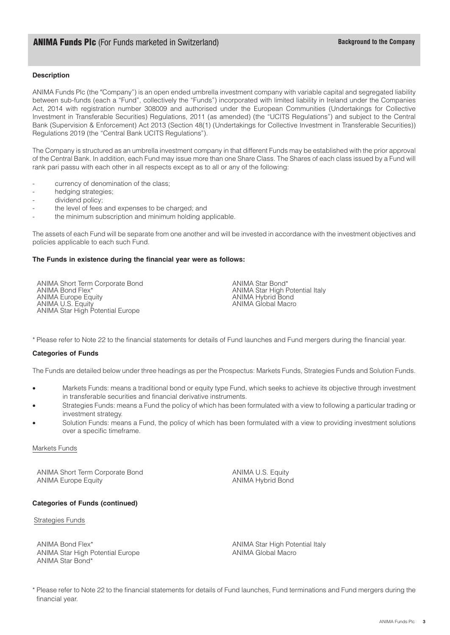#### <span id="page-3-0"></span>**Description**

ANIMA Funds Plc (the "Company") is an open ended umbrella investment company with variable capital and segregated liability between sub-funds (each a "Fund", collectively the "Funds") incorporated with limited liability in Ireland under the Companies Act, 2014 with registration number 308009 and authorised under the European Communities (Undertakings for Collective Investment in Transferable Securities) Regulations, 2011 (as amended) (the "UCITS Regulations") and subject to the Central Bank (Supervision & Enforcement) Act 2013 (Section 48(1) (Undertakings for Collective Investment in Transferable Securities)) Regulations 2019 (the "Central Bank UCITS Regulations").

The Company is structured as an umbrella investment company in that different Funds may be established with the prior approval of the Central Bank. In addition, each Fund may issue more than one Share Class. The Shares of each class issued by a Fund will rank pari passu with each other in all respects except as to all or any of the following:

- currency of denomination of the class;
- hedging strategies;
- dividend policy;
- the level of fees and expenses to be charged; and
- the minimum subscription and minimum holding applicable.

The assets of each Fund will be separate from one another and will be invested in accordance with the investment objectives and policies applicable to each such Fund.

#### **The Funds in existence during the financial year were as follows:**

ANIMA Short Term Corporate Bond ANIMA Bond Flex\* ANIMA Europe Equity ANIMA U.S. Equity ANIMA Star High Potential Europe

ANIMA Star Bond\* ANIMA Star High Potential Italy ANIMA Hybrid Bond ANIMA Global Macro

\* Please refer to Note 22 to the financial statements for details of Fund launches and Fund mergers during the financial year.

#### **Categories of Funds**

The Funds are detailed below under three headings as per the Prospectus: Markets Funds, Strategies Funds and Solution Funds.

- Markets Funds: means a traditional bond or equity type Fund, which seeks to achieve its objective through investment in transferable securities and financial derivative instruments.
- Strategies Funds: means a Fund the policy of which has been formulated with a view to following a particular trading or investment strategy.
- Solution Funds: means a Fund, the policy of which has been formulated with a view to providing investment solutions over a specific timeframe.

#### Markets Funds

ANIMA Short Term Corporate Bond ANIMA Europe Equity

ANIMA U.S. Equity ANIMA Hybrid Bond

#### **Categories of Funds (continued)**

#### Strategies Funds

ANIMA Bond Flex\* ANIMA Star High Potential Europe ANIMA Star Bond\*

ANIMA Star High Potential Italy ANIMA Global Macro

\* Please refer to Note 22 to the financial statements for details of Fund launches, Fund terminations and Fund mergers during the financial year.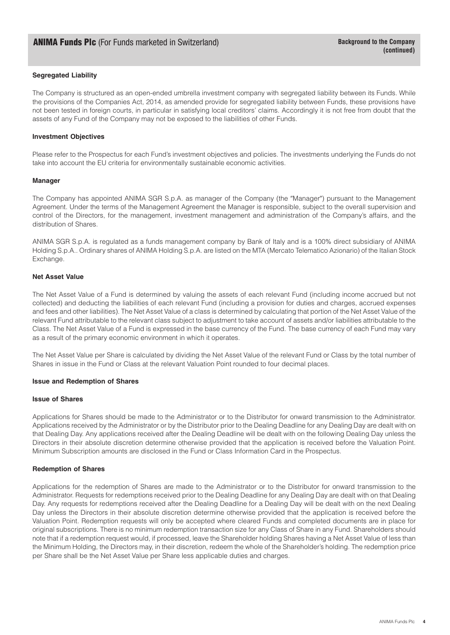#### **Segregated Liability**

The Company is structured as an open-ended umbrella investment company with segregated liability between its Funds. While the provisions of the Companies Act, 2014, as amended provide for segregated liability between Funds, these provisions have not been tested in foreign courts, in particular in satisfying local creditors' claims. Accordingly it is not free from doubt that the assets of any Fund of the Company may not be exposed to the liabilities of other Funds.

#### **Investment Objectives**

Please refer to the Prospectus for each Fund's investment objectives and policies. The investments underlying the Funds do not take into account the EU criteria for environmentally sustainable economic activities.

#### **Manager**

The Company has appointed ANIMA SGR S.p.A. as manager of the Company (the "Manager") pursuant to the Management Agreement. Under the terms of the Management Agreement the Manager is responsible, subject to the overall supervision and control of the Directors, for the management, investment management and administration of the Company's affairs, and the distribution of Shares.

ANIMA SGR S.p.A. is regulated as a funds management company by Bank of Italy and is a 100% direct subsidiary of ANIMA Holding S.p.A.. Ordinary shares of ANIMA Holding S.p.A. are listed on the MTA (Mercato Telematico Azionario) of the Italian Stock Exchange.

#### **Net Asset Value**

The Net Asset Value of a Fund is determined by valuing the assets of each relevant Fund (including income accrued but not collected) and deducting the liabilities of each relevant Fund (including a provision for duties and charges, accrued expenses and fees and other liabilities). The Net Asset Value of a class is determined by calculating that portion of the Net Asset Value of the relevant Fund attributable to the relevant class subject to adjustment to take account of assets and/or liabilities attributable to the Class. The Net Asset Value of a Fund is expressed in the base currency of the Fund. The base currency of each Fund may vary as a result of the primary economic environment in which it operates.

The Net Asset Value per Share is calculated by dividing the Net Asset Value of the relevant Fund or Class by the total number of Shares in issue in the Fund or Class at the relevant Valuation Point rounded to four decimal places.

#### **Issue and Redemption of Shares**

#### **Issue of Shares**

Applications for Shares should be made to the Administrator or to the Distributor for onward transmission to the Administrator. Applications received by the Administrator or by the Distributor prior to the Dealing Deadline for any Dealing Day are dealt with on that Dealing Day. Any applications received after the Dealing Deadline will be dealt with on the following Dealing Day unless the Directors in their absolute discretion determine otherwise provided that the application is received before the Valuation Point. Minimum Subscription amounts are disclosed in the Fund or Class Information Card in the Prospectus.

#### **Redemption of Shares**

Applications for the redemption of Shares are made to the Administrator or to the Distributor for onward transmission to the Administrator. Requests for redemptions received prior to the Dealing Deadline for any Dealing Day are dealt with on that Dealing Day. Any requests for redemptions received after the Dealing Deadline for a Dealing Day will be dealt with on the next Dealing Day unless the Directors in their absolute discretion determine otherwise provided that the application is received before the Valuation Point. Redemption requests will only be accepted where cleared Funds and completed documents are in place for original subscriptions. There is no minimum redemption transaction size for any Class of Share in any Fund. Shareholders should note that if a redemption request would, if processed, leave the Shareholder holding Shares having a Net Asset Value of less than the Minimum Holding, the Directors may, in their discretion, redeem the whole of the Shareholder's holding. The redemption price per Share shall be the Net Asset Value per Share less applicable duties and charges.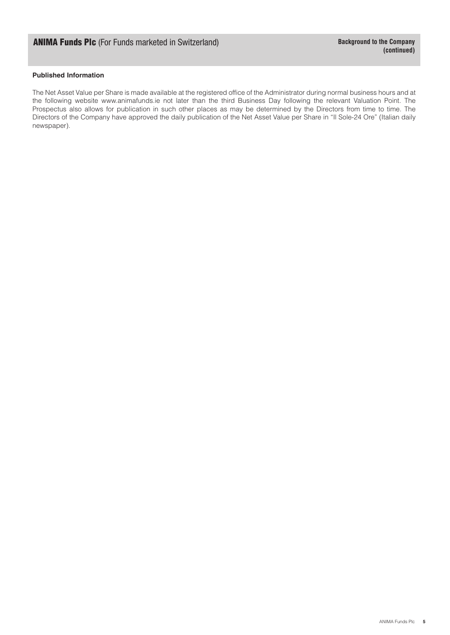#### **Published Information**

The Net Asset Value per Share is made available at the registered office of the Administrator during normal business hours and at the following website www.animafunds.ie not later than the third Business Day following the relevant Valuation Point. The Prospectus also allows for publication in such other places as may be determined by the Directors from time to time. The Directors of the Company have approved the daily publication of the Net Asset Value per Share in "Il Sole-24 Ore" (Italian daily newspaper).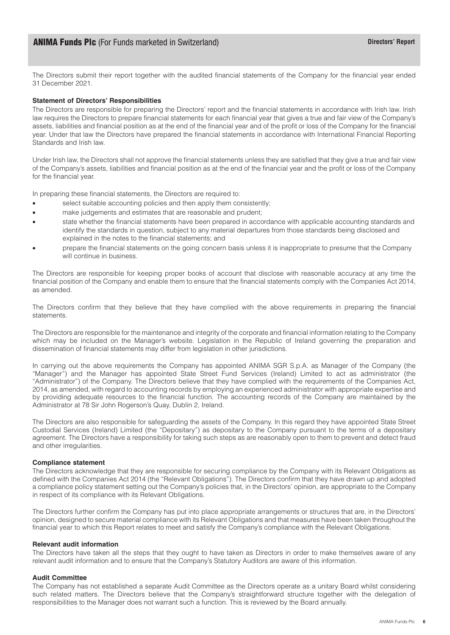<span id="page-6-0"></span>The Directors submit their report together with the audited financial statements of the Company for the financial year ended 31 December 2021.

#### **Statement of Directors' Responsibilities**

The Directors are responsible for preparing the Directors' report and the financial statements in accordance with Irish law. Irish law requires the Directors to prepare financial statements for each financial year that gives a true and fair view of the Company's assets, liabilities and financial position as at the end of the financial year and of the profit or loss of the Company for the financial year. Under that law the Directors have prepared the financial statements in accordance with International Financial Reporting Standards and Irish law.

Under Irish law, the Directors shall not approve the financial statements unless they are satisfied that they give a true and fair view of the Company's assets, liabilities and financial position as at the end of the financial year and the profit or loss of the Company for the financial year.

In preparing these financial statements, the Directors are required to:

- select suitable accounting policies and then apply them consistently;
- make judgements and estimates that are reasonable and prudent;
- state whether the financial statements have been prepared in accordance with applicable accounting standards and identify the standards in question, subject to any material departures from those standards being disclosed and explained in the notes to the financial statements; and
- prepare the financial statements on the going concern basis unless it is inappropriate to presume that the Company will continue in business.

The Directors are responsible for keeping proper books of account that disclose with reasonable accuracy at any time the financial position of the Company and enable them to ensure that the financial statements comply with the Companies Act 2014, as amended.

The Directors confirm that they believe that they have complied with the above requirements in preparing the financial statements.

The Directors are responsible for the maintenance and integrity of the corporate and financial information relating to the Company which may be included on the Manager's website. Legislation in the Republic of Ireland governing the preparation and dissemination of financial statements may differ from legislation in other jurisdictions.

In carrying out the above requirements the Company has appointed ANIMA SGR S.p.A. as Manager of the Company (the "Manager") and the Manager has appointed State Street Fund Services (Ireland) Limited to act as administrator (the "Administrator") of the Company. The Directors believe that they have complied with the requirements of the Companies Act, 2014, as amended, with regard to accounting records by employing an experienced administrator with appropriate expertise and by providing adequate resources to the financial function. The accounting records of the Company are maintained by the Administrator at 78 Sir John Rogerson's Quay, Dublin 2, Ireland.

The Directors are also responsible for safeguarding the assets of the Company. In this regard they have appointed State Street Custodial Services (Ireland) Limited (the "Depositary") as depositary to the Company pursuant to the terms of a depositary agreement. The Directors have a responsibility for taking such steps as are reasonably open to them to prevent and detect fraud and other irregularities.

#### **Compliance statement**

The Directors acknowledge that they are responsible for securing compliance by the Company with its Relevant Obligations as defined with the Companies Act 2014 (the "Relevant Obligations"). The Directors confirm that they have drawn up and adopted a compliance policy statement setting out the Company's policies that, in the Directors' opinion, are appropriate to the Company in respect of its compliance with its Relevant Obligations.

The Directors further confirm the Company has put into place appropriate arrangements or structures that are, in the Directors' opinion, designed to secure material compliance with its Relevant Obligations and that measures have been taken throughout the financial year to which this Report relates to meet and satisfy the Company's compliance with the Relevant Obligations.

#### **Relevant audit information**

The Directors have taken all the steps that they ought to have taken as Directors in order to make themselves aware of any relevant audit information and to ensure that the Company's Statutory Auditors are aware of this information.

#### **Audit Committee**

The Company has not established a separate Audit Committee as the Directors operate as a unitary Board whilst considering such related matters. The Directors believe that the Company's straightforward structure together with the delegation of responsibilities to the Manager does not warrant such a function. This is reviewed by the Board annually.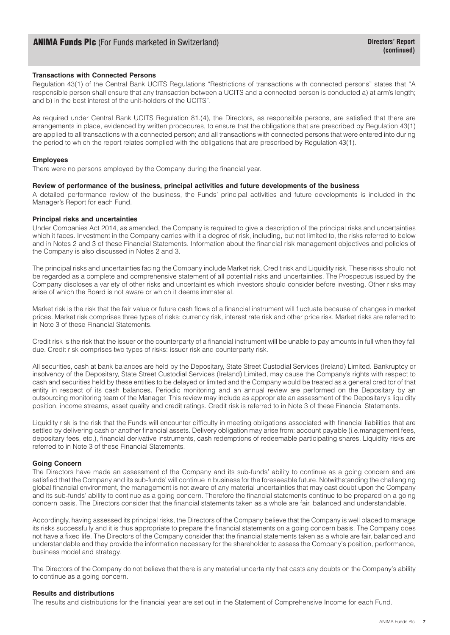#### **Transactions with Connected Persons**

Regulation 43(1) of the Central Bank UCITS Regulations "Restrictions of transactions with connected persons" states that "A responsible person shall ensure that any transaction between a UCITS and a connected person is conducted a) at arm's length; and b) in the best interest of the unit-holders of the UCITS".

As required under Central Bank UCITS Regulation 81.(4), the Directors, as responsible persons, are satisfied that there are arrangements in place, evidenced by written procedures, to ensure that the obligations that are prescribed by Regulation 43(1) are applied to all transactions with a connected person; and all transactions with connected persons that were entered into during the period to which the report relates complied with the obligations that are prescribed by Regulation 43(1).

#### **Employees**

There were no persons employed by the Company during the financial year.

#### **Review of performance of the business, principal activities and future developments of the business**

A detailed performance review of the business, the Funds' principal activities and future developments is included in the Manager's Report for each Fund.

#### **Principal risks and uncertainties**

Under Companies Act 2014, as amended, the Company is required to give a description of the principal risks and uncertainties which it faces. Investment in the Company carries with it a degree of risk, including, but not limited to, the risks referred to below and in Notes 2 and 3 of these Financial Statements. Information about the financial risk management objectives and policies of the Company is also discussed in Notes 2 and 3.

The principal risks and uncertainties facing the Company include Market risk, Credit risk and Liquidity risk. These risks should not be regarded as a complete and comprehensive statement of all potential risks and uncertainties. The Prospectus issued by the Company discloses a variety of other risks and uncertainties which investors should consider before investing. Other risks may arise of which the Board is not aware or which it deems immaterial.

Market risk is the risk that the fair value or future cash flows of a financial instrument will fluctuate because of changes in market prices. Market risk comprises three types of risks: currency risk, interest rate risk and other price risk. Market risks are referred to in Note 3 of these Financial Statements.

Credit risk is the risk that the issuer or the counterparty of a financial instrument will be unable to pay amounts in full when they fall due. Credit risk comprises two types of risks: issuer risk and counterparty risk.

All securities, cash at bank balances are held by the Depositary, State Street Custodial Services (Ireland) Limited. Bankruptcy or insolvency of the Depositary, State Street Custodial Services (Ireland) Limited, may cause the Company's rights with respect to cash and securities held by these entities to be delayed or limited and the Company would be treated as a general creditor of that entity in respect of its cash balances. Periodic monitoring and an annual review are performed on the Depositary by an outsourcing monitoring team of the Manager. This review may include as appropriate an assessment of the Depositary's liquidity position, income streams, asset quality and credit ratings. Credit risk is referred to in Note 3 of these Financial Statements.

Liquidity risk is the risk that the Funds will encounter difficulty in meeting obligations associated with financial liabilities that are settled by delivering cash or another financial assets. Delivery obligation may arise from: account payable (i.e.management fees, depositary fees, etc.), financial derivative instruments, cash redemptions of redeemable participating shares. Liquidity risks are referred to in Note 3 of these Financial Statements.

#### **Going Concern**

The Directors have made an assessment of the Company and its sub-funds' ability to continue as a going concern and are satisfied that the Company and its sub-funds' will continue in business for the foreseeable future. Notwithstanding the challenging global financial environment, the management is not aware of any material uncertainties that may cast doubt upon the Company and its sub-funds' ability to continue as a going concern. Therefore the financial statements continue to be prepared on a going concern basis. The Directors consider that the financial statements taken as a whole are fair, balanced and understandable.

Accordingly, having assessed its principal risks, the Directors of the Company believe that the Company is well placed to manage its risks successfully and it is thus appropriate to prepare the financial statements on a going concern basis. The Company does not have a fixed life. The Directors of the Company consider that the financial statements taken as a whole are fair, balanced and understandable and they provide the information necessary for the shareholder to assess the Company's position, performance, business model and strategy.

The Directors of the Company do not believe that there is any material uncertainty that casts any doubts on the Company's ability to continue as a going concern.

#### **Results and distributions**

The results and distributions for the financial year are set out in the Statement of Comprehensive Income for each Fund.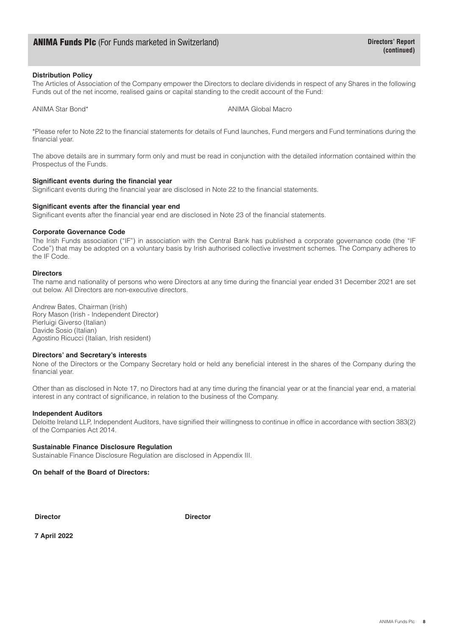## **ANIMA Funds PIc** (For Funds marketed in Switzerland) **Directors' Report** Directors' Report

#### **Distribution Policy**

The Articles of Association of the Company empower the Directors to declare dividends in respect of any Shares in the following Funds out of the net income, realised gains or capital standing to the credit account of the Fund:

ANIMA Star Bond\* **ANIMA Global Macro** ANIMA Global Macro

\*Please refer to Note 22 to the financial statements for details of Fund launches, Fund mergers and Fund terminations during the financial year.

The above details are in summary form only and must be read in conjunction with the detailed information contained within the Prospectus of the Funds.

#### **Significant events during the financial year**

Significant events during the financial year are disclosed in Note 22 to the financial statements.

#### **Significant events after the financial year end**

Significant events after the financial year end are disclosed in Note 23 of the financial statements.

#### **Corporate Governance Code**

The Irish Funds association ("IF") in association with the Central Bank has published a corporate governance code (the "IF Code") that may be adopted on a voluntary basis by Irish authorised collective investment schemes. The Company adheres to the IF Code.

#### **Directors**

The name and nationality of persons who were Directors at any time during the financial year ended 31 December 2021 are set out below. All Directors are non-executive directors.

Andrew Bates, Chairman (Irish) Rory Mason (Irish - Independent Director) Pierluigi Giverso (Italian) Davide Sosio (Italian) Agostino Ricucci (Italian, Irish resident)

#### **Directors' and Secretary's interests**

None of the Directors or the Company Secretary hold or held any beneficial interest in the shares of the Company during the financial year.

Other than as disclosed in Note 17, no Directors had at any time during the financial year or at the financial year end, a material interest in any contract of significance, in relation to the business of the Company.

#### **Independent Auditors**

Deloitte Ireland LLP, Independent Auditors, have signified their willingness to continue in office in accordance with section 383(2) of the Companies Act 2014.

#### **Sustainable Finance Disclosure Regulation**

Sustainable Finance Disclosure Regulation are disclosed in Appendix III.

#### **On behalf of the Board of Directors:**

**Director Director**

**7 April 2022**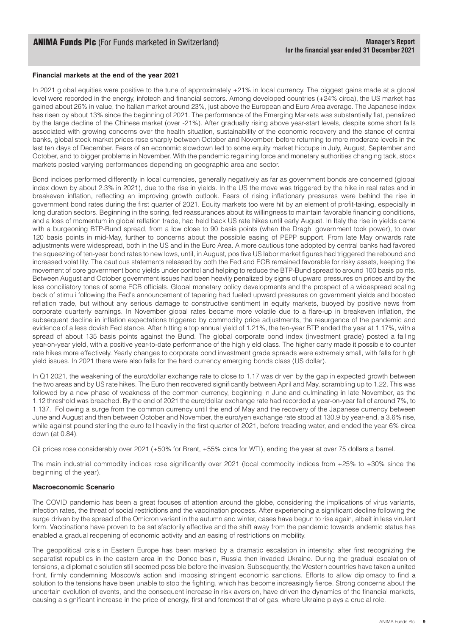#### <span id="page-9-0"></span>**Financial markets at the end of the year 2021**

In 2021 global equities were positive to the tune of approximately +21% in local currency. The biggest gains made at a global level were recorded in the energy, infotech and financial sectors. Among developed countries (+24% circa), the US market has gained about 26% in value, the Italian market around 23%, just above the European and Euro Area average. The Japanese index has risen by about 13% since the beginning of 2021. The performance of the Emerging Markets was substantially flat, penalized by the large decline of the Chinese market (over -21%). After gradually rising above year-start levels, despite some short falls associated with growing concerns over the health situation, sustainability of the economic recovery and the stance of central banks, global stock market prices rose sharply between October and November, before returning to more moderate levels in the last ten days of December. Fears of an economic slowdown led to some equity market hiccups in July, August, September and October, and to bigger problems in November. With the pandemic regaining force and monetary authorities changing tack, stock markets posted varying performances depending on geographic area and sector.

Bond indices performed differently in local currencies, generally negatively as far as government bonds are concerned (global index down by about 2.3% in 2021), due to the rise in yields. In the US the move was triggered by the hike in real rates and in breakeven inflation, reflecting an improving growth outlook. Fears of rising inflationary pressures were behind the rise in government bond rates during the first quarter of 2021. Equity markets too were hit by an element of profit-taking, especially in long duration sectors. Beginning in the spring, fed reassurances about its willingness to maintain favorable financing conditions, and a loss of momentum in global reflation trade, had held back US rate hikes until early August. In Italy the rise in yields came with a burgeoning BTP-Bund spread, from a low close to 90 basis points (when the Draghi government took power), to over 120 basis points in mid-May, further to concerns about the possible easing of PEPP support. From late May onwards rate adjustments were widespread, both in the US and in the Euro Area. A more cautious tone adopted by central banks had favored the squeezing of ten-year bond rates to new lows, until, in August, positive US labor market figures had triggered the rebound and increased volatility. The cautious statements released by both the Fed and ECB remained favorable for risky assets, keeping the movement of core government bond yields under control and helping to reduce the BTP-Bund spread to around 100 basis points. Between August and October government issues had been heavily penalized by signs of upward pressures on prices and by the less conciliatory tones of some ECB officials. Global monetary policy developments and the prospect of a widespread scaling back of stimuli following the Fed's announcement of tapering had fueled upward pressures on government yields and boosted reflation trade, but without any serious damage to constructive sentiment in equity markets, buoyed by positive news from corporate quarterly earnings. In November global rates became more volatile due to a flare-up in breakeven inflation, the subsequent decline in inflation expectations triggered by commodity price adjustments, the resurgence of the pandemic and evidence of a less dovish Fed stance. After hitting a top annual yield of 1.21%, the ten-year BTP ended the year at 1.17%, with a spread of about 135 basis points against the Bund. The global corporate bond index (investment grade) posted a falling year-on-year yield, with a positive year-to-date performance of the high yield class. The higher carry made it possible to counter rate hikes more effectively. Yearly changes to corporate bond investment grade spreads were extremely small, with falls for high yield issues. In 2021 there were also falls for the hard currency emerging bonds class (US dollar).

In Q1 2021, the weakening of the euro/dollar exchange rate to close to 1.17 was driven by the gap in expected growth between the two areas and by US rate hikes. The Euro then recovered significantly between April and May, scrambling up to 1.22. This was followed by a new phase of weakness of the common currency, beginning in June and culminating in late November, as the 1.12 threshold was breached. By the end of 2021 the euro/dollar exchange rate had recorded a year-on-year fall of around 7%, to 1.137. Following a surge from the common currency until the end of May and the recovery of the Japanese currency between June and August and then between October and November, the euro/yen exchange rate stood at 130.9 by year-end, a 3.6% rise, while against pound sterling the euro fell heavily in the first quarter of 2021, before treading water, and ended the year 6% circa down (at 0.84).

Oil prices rose considerably over 2021 (+50% for Brent, +55% circa for WTI), ending the year at over 75 dollars a barrel.

The main industrial commodity indices rose significantly over 2021 (local commodity indices from +25% to +30% since the beginning of the year).

#### **Macroeconomic Scenario**

The COVID pandemic has been a great focuses of attention around the globe, considering the implications of virus variants, infection rates, the threat of social restrictions and the vaccination process. After experiencing a significant decline following the surge driven by the spread of the Omicron variant in the autumn and winter, cases have begun to rise again, albeit in less virulent form. Vaccinations have proven to be satisfactorily effective and the shift away from the pandemic towards endemic status has enabled a gradual reopening of economic activity and an easing of restrictions on mobility.

The geopolitical crisis in Eastern Europe has been marked by a dramatic escalation in intensity: after first recognizing the separatist republics in the eastern area in the Donec basin, Russia then invaded Ukraine. During the gradual escalation of tensions, a diplomatic solution still seemed possible before the invasion. Subsequently, the Western countries have taken a united front, firmly condemning Moscow's action and imposing stringent economic sanctions. Efforts to allow diplomacy to find a solution to the tensions have been unable to stop the fighting, which has become increasingly fierce. Strong concerns about the uncertain evolution of events, and the consequent increase in risk aversion, have driven the dynamics of the financial markets, causing a significant increase in the price of energy, first and foremost that of gas, where Ukraine plays a crucial role.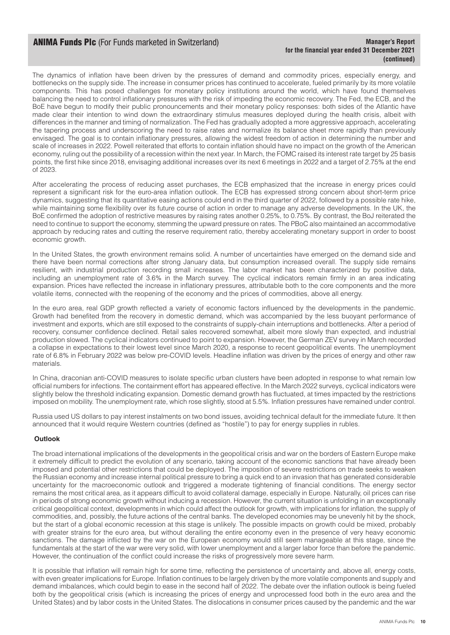## **ANIMA Funds PIC** (For Funds marketed in Switzerland) **Manager's Report** Manager's Report

# **for the financial year ended 31 December 2021 (continued)**

The dynamics of inflation have been driven by the pressures of demand and commodity prices, especially energy, and bottlenecks on the supply side. The increase in consumer prices has continued to accelerate, fueled primarily by its more volatile components. This has posed challenges for monetary policy institutions around the world, which have found themselves balancing the need to control inflationary pressures with the risk of impeding the economic recovery. The Fed, the ECB, and the BoE have begun to modify their public pronouncements and their monetary policy responses: both sides of the Atlantic have made clear their intention to wind down the extraordinary stimulus measures deployed during the health crisis, albeit with differences in the manner and timing of normalization. The Fed has gradually adopted a more aggressive approach, accelerating the tapering process and underscoring the need to raise rates and normalize its balance sheet more rapidly than previously envisaged. The goal is to contain inflationary pressures, allowing the widest freedom of action in determining the number and scale of increases in 2022. Powell reiterated that efforts to contain inflation should have no impact on the growth of the American economy, ruling out the possibility of a recession within the next year. In March, the FOMC raised its interest rate target by 25 basis points, the first hike since 2018, envisaging additional increases over its next 6 meetings in 2022 and a target of 2.75% at the end of 2023.

After accelerating the process of reducing asset purchases, the ECB emphasized that the increase in energy prices could represent a significant risk for the euro-area inflation outlook. The ECB has expressed strong concern about short-term price dynamics, suggesting that its quantitative easing actions could end in the third quarter of 2022, followed by a possible rate hike, while maintaining some flexibility over its future course of action in order to manage any adverse developments. In the UK, the BoE confirmed the adoption of restrictive measures by raising rates another 0.25%, to 0.75%. By contrast, the BoJ reiterated the need to continue to support the economy, stemming the upward pressure on rates. The PBoC also maintained an accommodative approach by reducing rates and cutting the reserve requirement ratio, thereby accelerating monetary support in order to boost economic growth.

In the United States, the growth environment remains solid. A number of uncertainties have emerged on the demand side and there have been normal corrections after strong January data, but consumption increased overall. The supply side remains resilient, with industrial production recording small increases. The labor market has been characterized by positive data, including an unemployment rate of 3.6% in the March survey. The cyclical indicators remain firmly in an area indicating expansion. Prices have reflected the increase in inflationary pressures, attributable both to the core components and the more volatile items, connected with the reopening of the economy and the prices of commodities, above all energy.

In the euro area, real GDP growth reflected a variety of economic factors influenced by the developments in the pandemic. Growth had benefited from the recovery in domestic demand, which was accompanied by the less buoyant performance of investment and exports, which are still exposed to the constraints of supply-chain interruptions and bottlenecks. After a period of recovery, consumer confidence declined. Retail sales recovered somewhat, albeit more slowly than expected, and industrial production slowed. The cyclical indicators continued to point to expansion. However, the German ZEV survey in March recorded a collapse in expectations to their lowest level since March 2020, a response to recent geopolitical events. The unemployment rate of 6.8% in February 2022 was below pre-COVID levels. Headline inflation was driven by the prices of energy and other raw materials.

In China, draconian anti-COVID measures to isolate specific urban clusters have been adopted in response to what remain low official numbers for infections. The containment effort has appeared effective. In the March 2022 surveys, cyclical indicators were slightly below the threshold indicating expansion. Domestic demand growth has fluctuated, at times impacted by the restrictions imposed on mobility. The unemployment rate, which rose slightly, stood at 5.5%. Inflation pressures have remained under control.

Russia used US dollars to pay interest instalments on two bond issues, avoiding technical default for the immediate future. It then announced that it would require Western countries (defined as "hostile") to pay for energy supplies in rubles.

#### **Outlook**

The broad international implications of the developments in the geopolitical crisis and war on the borders of Eastern Europe make it extremely difficult to predict the evolution of any scenario, taking account of the economic sanctions that have already been imposed and potential other restrictions that could be deployed. The imposition of severe restrictions on trade seeks to weaken the Russian economy and increase internal political pressure to bring a quick end to an invasion that has generated considerable uncertainty for the macroeconomic outlook and triggered a moderate tightening of financial conditions. The energy sector remains the most critical area, as it appears difficult to avoid collateral damage, especially in Europe. Naturally, oil prices can rise in periods of strong economic growth without inducing a recession. However, the current situation is unfolding in an exceptionally critical geopolitical context, developments in which could affect the outlook for growth, with implications for inflation, the supply of commodities, and, possibly, the future actions of the central banks. The developed economies may be unevenly hit by the shock, but the start of a global economic recession at this stage is unlikely. The possible impacts on growth could be mixed, probably with greater strains for the euro area, but without derailing the entire economy even in the presence of very heavy economic sanctions. The damage inflicted by the war on the European economy would still seem manageable at this stage, since the fundamentals at the start of the war were very solid, with lower unemployment and a larger labor force than before the pandemic. However, the continuation of the conflict could increase the risks of progressively more severe harm.

It is possible that inflation will remain high for some time, reflecting the persistence of uncertainty and, above all, energy costs, with even greater implications for Europe. Inflation continues to be largely driven by the more volatile components and supply and demand imbalances, which could begin to ease in the second half of 2022. The debate over the inflation outlook is being fueled both by the geopolitical crisis (which is increasing the prices of energy and unprocessed food both in the euro area and the United States) and by labor costs in the United States. The dislocations in consumer prices caused by the pandemic and the war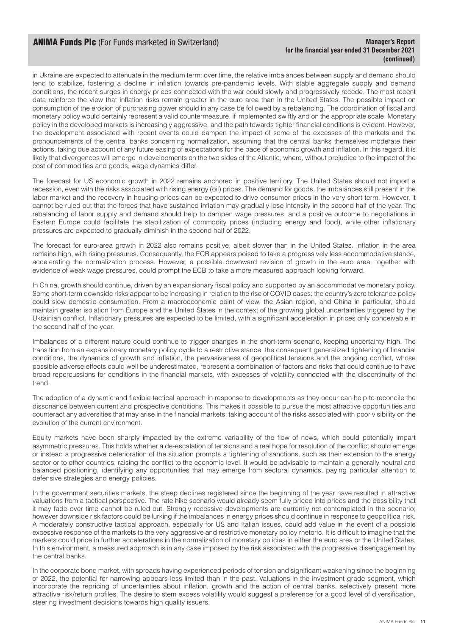## **ANIMA Funds PIC** (For Funds marketed in Switzerland) **Manager's Report** Manager's Report

# **for the financial year ended 31 December 2021 (continued)**

in Ukraine are expected to attenuate in the medium term: over time, the relative imbalances between supply and demand should tend to stabilize, fostering a decline in inflation towards pre-pandemic levels. With stable aggregate supply and demand conditions, the recent surges in energy prices connected with the war could slowly and progressively recede. The most recent data reinforce the view that inflation risks remain greater in the euro area than in the United States. The possible impact on consumption of the erosion of purchasing power should in any case be followed by a rebalancing. The coordination of fiscal and monetary policy would certainly represent a valid countermeasure, if implemented swiftly and on the appropriate scale. Monetary policy in the developed markets is increasingly aggressive, and the path towards tighter financial conditions is evident. However, the development associated with recent events could dampen the impact of some of the excesses of the markets and the pronouncements of the central banks concerning normalization, assuming that the central banks themselves moderate their actions, taking due account of any future easing of expectations for the pace of economic growth and inflation. In this regard, it is likely that divergences will emerge in developments on the two sides of the Atlantic, where, without prejudice to the impact of the cost of commodities and goods, wage dynamics differ.

The forecast for US economic growth in 2022 remains anchored in positive territory. The United States should not import a recession, even with the risks associated with rising energy (oil) prices. The demand for goods, the imbalances still present in the labor market and the recovery in housing prices can be expected to drive consumer prices in the very short term. However, it cannot be ruled out that the forces that have sustained inflation may gradually lose intensity in the second half of the year. The rebalancing of labor supply and demand should help to dampen wage pressures, and a positive outcome to negotiations in Eastern Europe could facilitate the stabilization of commodity prices (including energy and food), while other inflationary pressures are expected to gradually diminish in the second half of 2022.

The forecast for euro-area growth in 2022 also remains positive, albeit slower than in the United States. Inflation in the area remains high, with rising pressures. Consequently, the ECB appears poised to take a progressively less accommodative stance, accelerating the normalization process. However, a possible downward revision of growth in the euro area, together with evidence of weak wage pressures, could prompt the ECB to take a more measured approach looking forward.

In China, growth should continue, driven by an expansionary fiscal policy and supported by an accommodative monetary policy. Some short-term downside risks appear to be increasing in relation to the rise of COVID cases: the country's zero tolerance policy could slow domestic consumption. From a macroeconomic point of view, the Asian region, and China in particular, should maintain greater isolation from Europe and the United States in the context of the growing global uncertainties triggered by the Ukrainian conflict. Inflationary pressures are expected to be limited, with a significant acceleration in prices only conceivable in the second half of the year.

Imbalances of a different nature could continue to trigger changes in the short-term scenario, keeping uncertainty high. The transition from an expansionary monetary policy cycle to a restrictive stance, the consequent generalized tightening of financial conditions, the dynamics of growth and inflation, the pervasiveness of geopolitical tensions and the ongoing conflict, whose possible adverse effects could well be underestimated, represent a combination of factors and risks that could continue to have broad repercussions for conditions in the financial markets, with excesses of volatility connected with the discontinuity of the trend.

The adoption of a dynamic and flexible tactical approach in response to developments as they occur can help to reconcile the dissonance between current and prospective conditions. This makes it possible to pursue the most attractive opportunities and counteract any adversities that may arise in the financial markets, taking account of the risks associated with poor visibility on the evolution of the current environment.

Equity markets have been sharply impacted by the extreme variability of the flow of news, which could potentially impart asymmetric pressures. This holds whether a de-escalation of tensions and a real hope for resolution of the conflict should emerge or instead a progressive deterioration of the situation prompts a tightening of sanctions, such as their extension to the energy sector or to other countries, raising the conflict to the economic level. It would be advisable to maintain a generally neutral and balanced positioning, identifying any opportunities that may emerge from sectoral dynamics, paying particular attention to defensive strategies and energy policies.

In the government securities markets, the steep declines registered since the beginning of the year have resulted in attractive valuations from a tactical perspective. The rate hike scenario would already seem fully priced into prices and the possibility that it may fade over time cannot be ruled out. Strongly recessive developments are currently not contemplated in the scenario; however downside risk factors could be lurking if the imbalances in energy prices should continue in response to geopolitical risk. A moderately constructive tactical approach, especially for US and Italian issues, could add value in the event of a possible excessive response of the markets to the very aggressive and restrictive monetary policy rhetoric. It is difficult to imagine that the markets could price in further accelerations in the normalization of monetary policies in either the euro area or the United States. In this environment, a measured approach is in any case imposed by the risk associated with the progressive disengagement by the central banks.

In the corporate bond market, with spreads having experienced periods of tension and significant weakening since the beginning of 2022, the potential for narrowing appears less limited than in the past. Valuations in the investment grade segment, which incorporate the repricing of uncertainties about inflation, growth and the action of central banks, selectively present more attractive risk/return profiles. The desire to stem excess volatility would suggest a preference for a good level of diversification, steering investment decisions towards high quality issuers.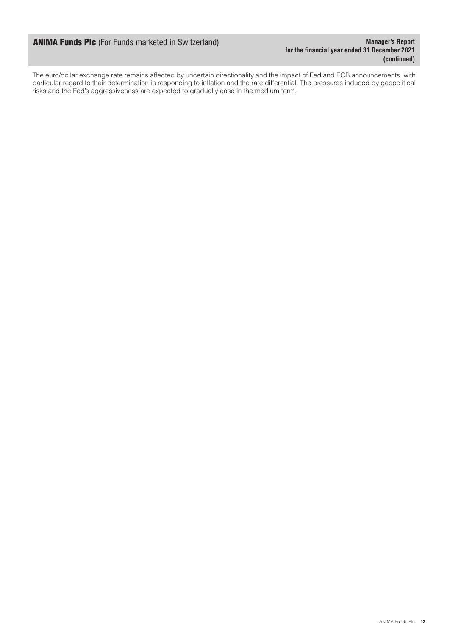The euro/dollar exchange rate remains affected by uncertain directionality and the impact of Fed and ECB announcements, with particular regard to their determination in responding to inflation and the rate differential. The pressures induced by geopolitical risks and the Fed's aggressiveness are expected to gradually ease in the medium term.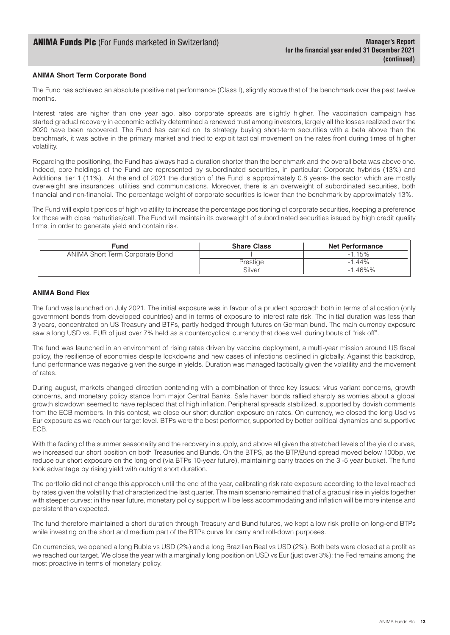#### **ANIMA Short Term Corporate Bond**

The Fund has achieved an absolute positive net performance (Class I), slightly above that of the benchmark over the past twelve months.

Interest rates are higher than one year ago, also corporate spreads are slightly higher. The vaccination campaign has started gradual recovery in economic activity determined a renewed trust among investors, largely all the losses realized over the 2020 have been recovered. The Fund has carried on its strategy buying short-term securities with a beta above than the benchmark, it was active in the primary market and tried to exploit tactical movement on the rates front during times of higher volatility.

Regarding the positioning, the Fund has always had a duration shorter than the benchmark and the overall beta was above one. Indeed, core holdings of the Fund are represented by subordinated securities, in particular: Corporate hybrids (13%) and Additional tier 1 (11%). At the end of 2021 the duration of the Fund is approximately 0.8 years- the sector which are mostly overweight are insurances, utilities and communications. Moreover, there is an overweight of subordinated securities, both financial and non-financial. The percentage weight of corporate securities is lower than the benchmark by approximately 13%.

The Fund will exploit periods of high volatility to increase the percentage positioning of corporate securities, keeping a preference for those with close maturities/call. The Fund will maintain its overweight of subordinated securities issued by high credit quality firms, in order to generate yield and contain risk.

| Fund                            | <b>Share Class</b> | <b>Net Performance</b> |
|---------------------------------|--------------------|------------------------|
| ANIMA Short Term Corporate Bond |                    | $-1.15%$               |
|                                 | Prestige           | $-1.44\%$              |
|                                 | Silver             | $-1.46\%$ %            |

#### **ANIMA Bond Flex**

The fund was launched on July 2021. The initial exposure was in favour of a prudent approach both in terms of allocation (only government bonds from developed countries) and in terms of exposure to interest rate risk. The initial duration was less than 3 years, concentrated on US Treasury and BTPs, partly hedged through futures on German bund. The main currency exposure saw a long USD vs. EUR of just over 7% held as a countercyclical currency that does well during bouts of "risk off".

The fund was launched in an environment of rising rates driven by vaccine deployment, a multi-year mission around US fiscal policy, the resilience of economies despite lockdowns and new cases of infections declined in globally. Against this backdrop, fund performance was negative given the surge in yields. Duration was managed tactically given the volatility and the movement of rates.

During august, markets changed direction contending with a combination of three key issues: virus variant concerns, growth concerns, and monetary policy stance from major Central Banks. Safe haven bonds rallied sharply as worries about a global growth slowdown seemed to have replaced that of high inflation. Peripheral spreads stabilized, supported by dovish comments from the ECB members. In this contest, we close our short duration exposure on rates. On currency, we closed the long Usd vs Eur exposure as we reach our target level. BTPs were the best performer, supported by better political dynamics and supportive ECB.

With the fading of the summer seasonality and the recovery in supply, and above all given the stretched levels of the yield curves, we increased our short position on both Treasuries and Bunds. On the BTPS, as the BTP/Bund spread moved below 100bp, we reduce our short exposure on the long end (via BTPs 10-year future), maintaining carry trades on the 3 -5 year bucket. The fund took advantage by rising yield with outright short duration.

The portfolio did not change this approach until the end of the year, calibrating risk rate exposure according to the level reached by rates given the volatility that characterized the last quarter. The main scenario remained that of a gradual rise in yields together with steeper curves: in the near future, monetary policy support will be less accommodating and inflation will be more intense and persistent than expected.

The fund therefore maintained a short duration through Treasury and Bund futures, we kept a low risk profile on long-end BTPs while investing on the short and medium part of the BTPs curve for carry and roll-down purposes.

On currencies, we opened a long Ruble vs USD (2%) and a long Brazilian Real vs USD (2%). Both bets were closed at a profit as we reached our target. We close the year with a marginally long position on USD vs Eur (just over 3%): the Fed remains among the most proactive in terms of monetary policy.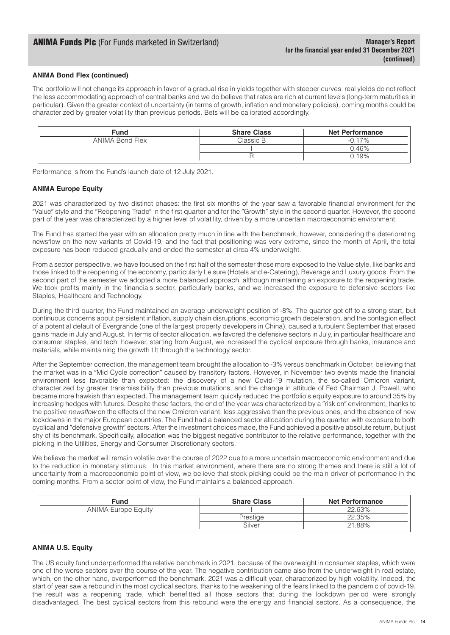#### **ANIMA Bond Flex (continued)**

The portfolio will not change its approach in favor of a gradual rise in yields together with steeper curves: real yields do not reflect the less accommodating approach of central banks and we do believe that rates are rich at current levels (long-term maturities in particular). Given the greater context of uncertainty (in terms of growth, inflation and monetary policies), coming months could be characterized by greater volatility than previous periods. Bets will be calibrated accordingly.

| Fund            | <b>Share Class</b> | <b>Net Performance</b> |
|-----------------|--------------------|------------------------|
| ANIMA Bond Flex | Classic B          | 7%                     |
|                 |                    | 7.46%                  |
|                 |                    | 0.19%                  |

Performance is from the Fund's launch date of 12 July 2021.

#### **ANIMA Europe Equity**

2021 was characterized by two distinct phases: the first six months of the year saw a favorable financial environment for the "Value" style and the "Reopening Trade" in the first quarter and for the "Growth" style in the second quarter. However, the second part of the year was characterized by a higher level of volatility, driven by a more uncertain macroeconomic environment.

The Fund has started the year with an allocation pretty much in line with the benchmark, however, considering the deteriorating newsflow on the new variants of Covid-19, and the fact that positioning was very extreme, since the month of April, the total exposure has been reduced gradually and ended the semester at circa 4% underweight.

From a sector perspective, we have focused on the first half of the semester those more exposed to the Value style, like banks and those linked to the reopening of the economy, particularly Leisure (Hotels and e-Catering), Beverage and Luxury goods. From the second part of the semester we adopted a more balanced approach, although maintaining an exposure to the reopening trade. We took profits mainly in the financials sector, particularly banks, and we increased the exposure to defensive sectors like Staples, Healthcare and Technology.

During the third quarter, the Fund maintained an average underweight position of -8%. The quarter got off to a strong start, but continuous concerns about persistent inflation, supply chain disruptions, economic growth deceleration, and the contagion effect of a potential default of Evergrande (one of the largest property developers in China), caused a turbulent September that erased gains made in July and August. In terms of sector allocation, we favored the defensive sectors in July, in particular healthcare and consumer staples, and tech; however, starting from August, we increased the cyclical exposure through banks, insurance and materials, while maintaining the growth tilt through the technology sector.

After the September correction, the management team brought the allocation to -3% versus benchmark in October, believing that the market was in a "Mid Cycle correction" caused by transitory factors. However, in November two events made the financial environment less favorable than expected: the discovery of a new Covid-19 mutation, the so-called Omicron variant, characterized by greater transmissibility than previous mutations, and the change in attitude of Fed Chairman J. Powell, who became more hawkish than expected. The management team quickly reduced the portfolio's equity exposure to around 35% by increasing hedges with futures. Despite these factors, the end of the year was characterized by a "risk on" environment, thanks to the positive *newsflow* on the effects of the new Omicron variant, less aggressive than the previous ones, and the absence of new lockdowns in the major European countries. The Fund had a balanced sector allocation during the quarter, with exposure to both cyclical and "defensive growth" sectors. After the investment choices made, the Fund achieved a positive absolute return, but just shy of its benchmark. Specifically, allocation was the biggest negative contributor to the relative performance, together with the picking in the Utilities, Energy and Consumer Discretionary sectors.

We believe the market will remain volatile over the course of 2022 due to a more uncertain macroeconomic environment and due to the reduction in monetary stimulus. In this market environment, where there are no strong themes and there is still a lot of uncertainty from a macroeconomic point of view, we believe that stock picking could be the main driver of performance in the coming months. From a sector point of view, the Fund maintains a balanced approach.

| Fund                       | <b>Share Class</b> | <b>Net Performance</b> |
|----------------------------|--------------------|------------------------|
| <b>ANIMA Europe Equity</b> |                    | 22.63%                 |
|                            | Prestige           | 22.35%                 |
|                            | Silver             | 21.88%                 |

#### **ANIMA U.S. Equity**

The US equity fund underperformed the relative benchmark in 2021, because of the overweight in consumer staples, which were one of the worse sectors over the course of the year. The negative contribution came also from the underweight in real estate, which, on the other hand, overperformed the benchmark. 2021 was a difficult year, characterized by high volatility. Indeed, the start of year saw a rebound in the most cyclical sectors, thanks to the weakening of the fears linked to the pandemic of covid-19. the result was a reopening trade, which benefitted all those sectors that during the lockdown period were strongly disadvantaged. The best cyclical sectors from this rebound were the energy and financial sectors. As a consequence, the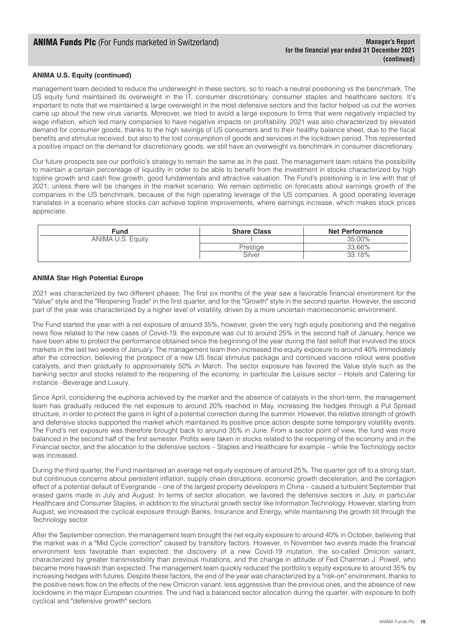#### **ANIMA U.S. Equity (continued)**

management team decided to reduce the underweight in these sectors, so to reach a neutral positioning vs the benchmark. The US equity fund maintained its overweight in the IT, consumer discretionary, consumer staples and healthcare sectors. It's important to note that we maintained a large overweight in the most defensive sectors and this factor helped us out the worries came up about the new virus variants. Moreover, we tried to avoid a large exposure to firms that were negatively impacted by wage inflation, which led many companies to have negative impacts on profitability. 2021 was also characterized by elevated demand for consumer goods, thanks to the high savings of US consumers and to their healthy balance sheet, due to the fiscal benefits and stimulus received, but also to the lost consumption of goods and services in the lockdown period. This represented a positive impact on the demand for discretionary goods. we still have an overweight vs benchmark in consumer discretionary.

Our future prospects see our portfolio's strategy to remain the same as in the past. The management team retains the possibility to maintain a certain percentage of liquidity in order to be able to benefit from the investment in stocks characterized by high topline growth and cash flow growth, good fundamentals and attractive valuation. The Fund's positioning is in line with that of 2021, unless there will be changes in the market scenario. We remain optimistic on forecasts about earnings growth of the companies in the US benchmark, because of the high operating leverage of the US companies. A good operating leverage translates in a scenario where stocks can achieve topline improvements, where earnings increase, which makes stock prices appreciate.

| <b>Fund</b>       | <b>Share Class</b> | <b>Net Performance</b> |
|-------------------|--------------------|------------------------|
| ANIMA U.S. Equity |                    | 35.00%                 |
|                   | Prestige           | 33.66%                 |
|                   | Silver             | 33.18%                 |

#### **ANIMA Star High Potential Europe**

2021 was characterized by two different phases: The first six months of the year saw a favorable financial environment for the "Value" style and the "Reopening Trade" in the first quarter, and for the "Growth" style in the second quarter. However, the second part of the year was characterized by a higher level of volatility, driven by a more uncertain macroeconomic environment.

The Fund started the year with a net exposure of around 35%, however, given the very high equity positioning and the negative news flow related to the new cases of Covid-19, the exposure was cut to around 25% in the second half of January, hence we have been able to protect the performance obtained since the beginning of the year during the fast selloff that involved the stock markets in the last two weeks of January. The management team then increased the equity exposure to around 40% immediately after the correction, believing the prospect of a new US fiscal stimulus package and continued vaccine rollout were positive catalysts, and then gradually to approximately 50% in March. The sector exposure has favored the Value style such as the banking sector and stocks related to the reopening of the economy, in particular the Leisure sector – Hotels and Catering for instance –Beverage and Luxury.

Since April, considering the euphoria achieved by the market and the absence of catalysts in the short-term, the management team has gradually reduced the net exposure to around 20% reached in May, increasing the hedges through a Put Spread structure, in order to protect the gains in light of a potential correction during the summer. However, the relative strength of growth and defensive stocks supported the market which maintained its positive price action despite some temporary volatility events. The Fund's net exposure was therefore brought back to around 35% in June. From a sector point of view, the fund was more balanced in the second half of the first semester. Profits were taken in stocks related to the reopening of the economy and in the Financial sector, and the allocation to the defensive sectors – Staples and Healthcare for example – while the Technology sector was increased.

During the third quarter, the Fund maintained an average net equity exposure of around 25%. The quarter got off to a strong start, but continuous concerns about persistent inflation, supply chain disruptions, economic growth deceleration, and the contagion effect of a potential default of Evergrande – one of the largest property developers in China – caused a turbulent September that erased gains made in July and August. In terms of sector allocation, we favored the defensive sectors in July, in particular Healthcare and Consumer Staples, in addition to the structural growth sector like Information Technology. However, starting from August, we increased the cyclical exposure through Banks, Insurance and Energy, while maintaining the growth tilt through the Technology sector.

After the September correction, the management team brought the net equity exposure to around 40% in October, believing that the market was in a "Mid Cycle correction" caused by transitory factors. However, in November two events made the financial environment less favorable than expected: the discovery of a new Covid-19 mutation, the so-called Omicron variant, characterized by greater transmissibility than previous mutations, and the change in attitude of Fed Chairman J. Powell, who became more hawkish than expected. The management team quickly reduced the portfolio's equity exposure to around 35% by increasing hedges with futures. Despite these factors, the end of the year was characterized by a "risk-on" environment, thanks to the positive news flow on the effects of the new Omicron variant, less aggressive than the previous ones, and the absence of new lockdowns in the major European countries. The und had a balanced sector allocation during the quarter, with exposure to both cyclical and "defensive growth" sectors.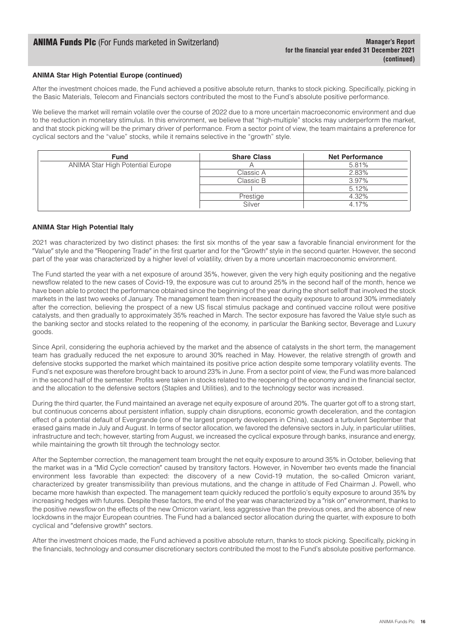#### **ANIMA Star High Potential Europe (continued)**

After the investment choices made, the Fund achieved a positive absolute return, thanks to stock picking. Specifically, picking in the Basic Materials, Telecom and Financials sectors contributed the most to the Fund's absolute positive performance.

We believe the market will remain volatile over the course of 2022 due to a more uncertain macroeconomic environment and due to the reduction in monetary stimulus. In this environment, we believe that "high-multiple" stocks may underperform the market, and that stock picking will be the primary driver of performance. From a sector point of view, the team maintains a preference for cyclical sectors and the "value" stocks, while it remains selective in the "growth" style.

| <b>Fund</b>                      | <b>Share Class</b> | <b>Net Performance</b> |
|----------------------------------|--------------------|------------------------|
| ANIMA Star High Potential Europe |                    | 5.81%                  |
|                                  | Classic A          | 2.83%                  |
|                                  | Classic B          | 3.97%                  |
|                                  |                    | 5.12%                  |
|                                  | Prestige           | 4.32%                  |
|                                  | Silver             | 4.17%                  |

#### **ANIMA Star High Potential Italy**

2021 was characterized by two distinct phases: the first six months of the year saw a favorable financial environment for the "Value" style and the "Reopening Trade" in the first quarter and for the "Growth" style in the second quarter. However, the second part of the year was characterized by a higher level of volatility, driven by a more uncertain macroeconomic environment.

The Fund started the year with a net exposure of around 35%, however, given the very high equity positioning and the negative newsflow related to the new cases of Covid-19, the exposure was cut to around 25% in the second half of the month, hence we have been able to protect the performance obtained since the beginning of the year during the short selloff that involved the stock markets in the last two weeks of January. The management team then increased the equity exposure to around 30% immediately after the correction, believing the prospect of a new US fiscal stimulus package and continued vaccine rollout were positive catalysts, and then gradually to approximately 35% reached in March. The sector exposure has favored the Value style such as the banking sector and stocks related to the reopening of the economy, in particular the Banking sector, Beverage and Luxury goods.

Since April, considering the euphoria achieved by the market and the absence of catalysts in the short term, the management team has gradually reduced the net exposure to around 30% reached in May. However, the relative strength of growth and defensive stocks supported the market which maintained its positive price action despite some temporary volatility events. The Fund's net exposure was therefore brought back to around 23% in June. From a sector point of view, the Fund was more balanced in the second half of the semester. Profits were taken in stocks related to the reopening of the economy and in the financial sector, and the allocation to the defensive sectors (Staples and Utilities), and to the technology sector was increased.

During the third quarter, the Fund maintained an average net equity exposure of around 20%. The quarter got off to a strong start, but continuous concerns about persistent inflation, supply chain disruptions, economic growth deceleration, and the contagion effect of a potential default of Evergrande (one of the largest property developers in China), caused a turbulent September that erased gains made in July and August. In terms of sector allocation, we favored the defensive sectors in July, in particular utilities, infrastructure and tech; however, starting from August, we increased the cyclical exposure through banks, insurance and energy, while maintaining the growth tilt through the technology sector.

After the September correction, the management team brought the net equity exposure to around 35% in October, believing that the market was in a "Mid Cycle correction" caused by transitory factors. However, in November two events made the financial environment less favorable than expected: the discovery of a new Covid-19 mutation, the so-called Omicron variant, characterized by greater transmissibility than previous mutations, and the change in attitude of Fed Chairman J. Powell, who became more hawkish than expected. The management team quickly reduced the portfolio's equity exposure to around 35% by increasing hedges with futures. Despite these factors, the end of the year was characterized by a "risk on" environment, thanks to the positive *newsflow* on the effects of the new Omicron variant, less aggressive than the previous ones, and the absence of new lockdowns in the major European countries. The Fund had a balanced sector allocation during the quarter, with exposure to both cyclical and "defensive growth" sectors.

After the investment choices made, the Fund achieved a positive absolute return, thanks to stock picking. Specifically, picking in the financials, technology and consumer discretionary sectors contributed the most to the Fund's absolute positive performance.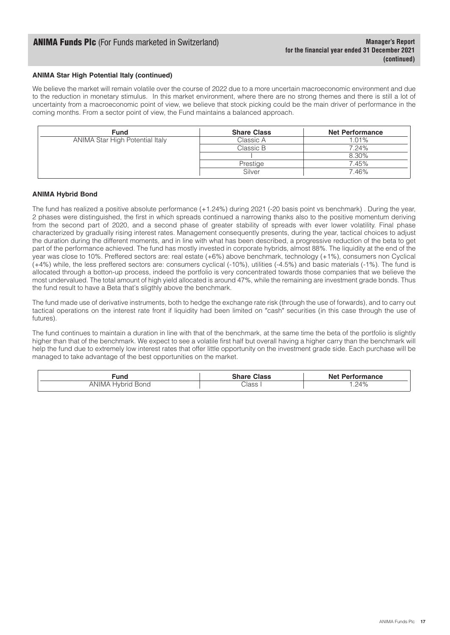#### **ANIMA Star High Potential Italy (continued)**

We believe the market will remain volatile over the course of 2022 due to a more uncertain macroeconomic environment and due to the reduction in monetary stimulus. In this market environment, where there are no strong themes and there is still a lot of uncertainty from a macroeconomic point of view, we believe that stock picking could be the main driver of performance in the coming months. From a sector point of view, the Fund maintains a balanced approach.

| <b>Fund</b>                     | <b>Share Class</b> | <b>Net Performance</b> |
|---------------------------------|--------------------|------------------------|
| ANIMA Star High Potential Italy | Classic A          | 1.01%                  |
|                                 | Classic B          | 7.24%                  |
|                                 |                    | 8.30%                  |
|                                 | Prestige           | 7.45%                  |
|                                 | Silver             | 7.46%                  |

#### **ANIMA Hybrid Bond**

The fund has realized a positive absolute performance (+1.24%) during 2021 (-20 basis point vs benchmark) . During the year, 2 phases were distinguished, the first in which spreads continued a narrowing thanks also to the positive momentum deriving from the second part of 2020, and a second phase of greater stability of spreads with ever lower volatility. Final phase characterized by gradually rising interest rates. Management consequently presents, during the year, tactical choices to adjust the duration during the different moments, and in line with what has been described, a progressive reduction of the beta to get part of the performance achieved. The fund has mostly invested in corporate hybrids, almost 88%. The liquidity at the end of the year was close to 10%. Preffered sectors are: real estate (+6%) above benchmark, technology (+1%), consumers non Cyclical (+4%) while, the less preffered sectors are: consumers cyclical (-10%), utilities (-4.5%) and basic materials (-1%). The fund is allocated through a botton-up process, indeed the portfolio is very concentrated towards those companies that we believe the most undervalued. The total amount of high yield allocated is around 47%, while the remaining are investment grade bonds. Thus the fund result to have a Beta that's sligthly above the benchmark.

The fund made use of derivative instruments, both to hedge the exchange rate risk (through the use of forwards), and to carry out tactical operations on the interest rate front if liquidity had been limited on "cash" securities (in this case through the use of futures).

The fund continues to maintain a duration in line with that of the benchmark, at the same time the beta of the portfolio is slightly higher than that of the benchmark. We expect to see a volatile first half but overall having a higher carry than the benchmark will help the fund due to extremely low interest rates that offer little opportunity on the investment grade side. Each purchase will be managed to take advantage of the best opportunities on the market.

| Eund:             | <b>Share Class</b> | <b>Net Performance</b> |
|-------------------|--------------------|------------------------|
| ANIMA Hybrid Bond | Class:             | .24%                   |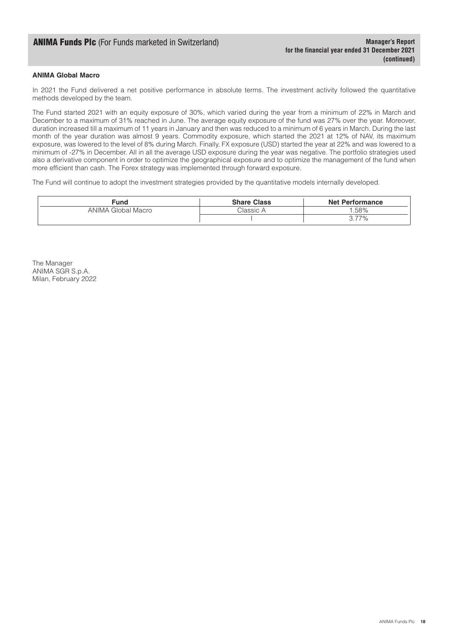## **ANIMA Funds PIC** (For Funds marketed in Switzerland) **Manager's Report** Manager's Report

#### **ANIMA Global Macro**

In 2021 the Fund delivered a net positive performance in absolute terms. The investment activity followed the quantitative methods developed by the team.

The Fund started 2021 with an equity exposure of 30%, which varied during the year from a minimum of 22% in March and December to a maximum of 31% reached in June. The average equity exposure of the fund was 27% over the year. Moreover, duration increased till a maximum of 11 years in January and then was reduced to a minimum of 6 years in March. During the last month of the year duration was almost 9 years. Commodity exposure, which started the 2021 at 12% of NAV, its maximum exposure, was lowered to the level of 8% during March. Finally, FX exposure (USD) started the year at 22% and was lowered to a minimum of -27% in December. All in all the average USD exposure during the year was negative. The portfolio strategies used also a derivative component in order to optimize the geographical exposure and to optimize the management of the fund when more efficient than cash. The Forex strategy was implemented through forward exposure.

The Fund will continue to adopt the investment strategies provided by the quantitative models internally developed.

| Fund               | <b>Share Class</b> | <b>Net Performance</b> |
|--------------------|--------------------|------------------------|
| ANIMA Global Macro | :lassic            | .58%                   |
|                    |                    | 77%                    |

The Manager ANIMA SGR S.p.A. Milan, February 2022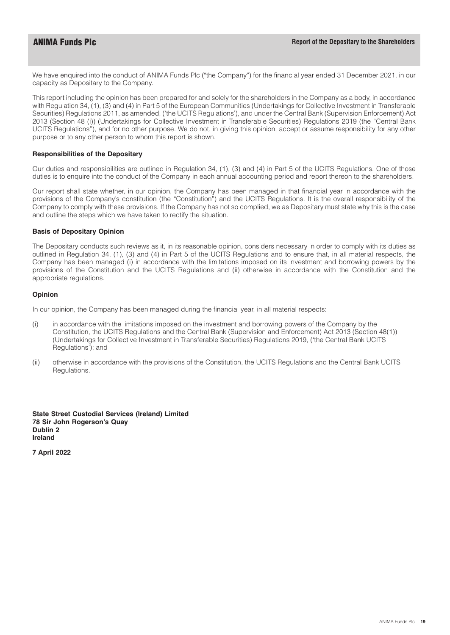<span id="page-19-0"></span>We have enquired into the conduct of ANIMA Funds Plc ("the Company") for the financial year ended 31 December 2021, in our capacity as Depositary to the Company.

This report including the opinion has been prepared for and solely for the shareholders in the Company as a body, in accordance with Regulation 34, (1), (3) and (4) in Part 5 of the European Communities (Undertakings for Collective Investment in Transferable Securities) Regulations 2011, as amended, ('the UCITS Regulations'), and under the Central Bank (Supervision Enforcement) Act 2013 (Section 48 (i)) (Undertakings for Collective Investment in Transferable Securities) Regulations 2019 (the "Central Bank UCITS Regulations"), and for no other purpose. We do not, in giving this opinion, accept or assume responsibility for any other purpose or to any other person to whom this report is shown.

#### **Responsibilities of the Depositary**

Our duties and responsibilities are outlined in Regulation 34, (1), (3) and (4) in Part 5 of the UCITS Regulations. One of those duties is to enquire into the conduct of the Company in each annual accounting period and report thereon to the shareholders.

Our report shall state whether, in our opinion, the Company has been managed in that financial year in accordance with the provisions of the Company's constitution (the "Constitution") and the UCITS Regulations. It is the overall responsibility of the Company to comply with these provisions. If the Company has not so complied, we as Depositary must state why this is the case and outline the steps which we have taken to rectify the situation.

#### **Basis of Depositary Opinion**

The Depositary conducts such reviews as it, in its reasonable opinion, considers necessary in order to comply with its duties as outlined in Regulation 34, (1), (3) and (4) in Part 5 of the UCITS Regulations and to ensure that, in all material respects, the Company has been managed (i) in accordance with the limitations imposed on its investment and borrowing powers by the provisions of the Constitution and the UCITS Regulations and (ii) otherwise in accordance with the Constitution and the appropriate regulations.

#### **Opinion**

In our opinion, the Company has been managed during the financial year, in all material respects:

- (i) in accordance with the limitations imposed on the investment and borrowing powers of the Company by the Constitution, the UCITS Regulations and the Central Bank (Supervision and Enforcement) Act 2013 (Section 48(1)) (Undertakings for Collective Investment in Transferable Securities) Regulations 2019, ('the Central Bank UCITS Regulations'); and
- (ii) otherwise in accordance with the provisions of the Constitution, the UCITS Regulations and the Central Bank UCITS Regulations.

**State Street Custodial Services (Ireland) Limited 78 Sir John Rogerson's Quay Dublin 2 Ireland**

**7 April 2022**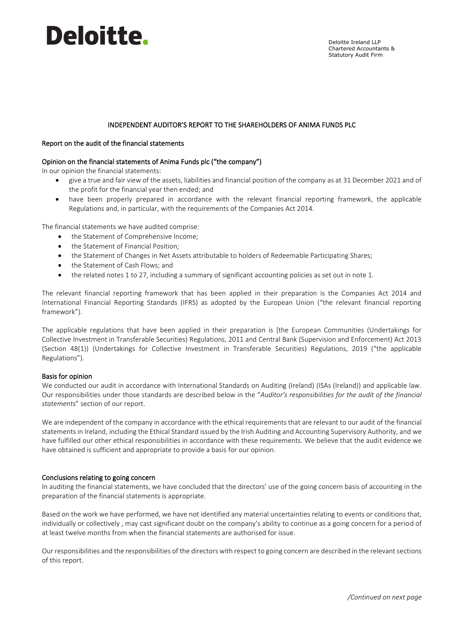# Deloitte.

#### INDEPENDENT AUDITOR'S REPORT TO THE SHAREHOLDERS OF ANIMA FUNDS PLC

#### Report on the audit of the financial statements

#### Opinion on the financial statements of Anima Funds plc ("the company")

In our opinion the financial statements:

- give a true and fair view of the assets, liabilities and financial position of the company as at 31 December 2021 and of the profit for the financial year then ended; and
- have been properly prepared in accordance with the relevant financial reporting framework, the applicable Regulations and, in particular, with the requirements of the Companies Act 2014.

The financial statements we have audited comprise:

- the Statement of Comprehensive Income;
- the Statement of Financial Position;
- the Statement of Changes in Net Assets attributable to holders of Redeemable Participating Shares;
- the Statement of Cash Flows; and
- the related notes 1 to 27, including a summary of significant accounting policies as set out in note 1.

The relevant financial reporting framework that has been applied in their preparation is the Companies Act 2014 and International Financial Reporting Standards (IFRS) as adopted by the European Union ("the relevant financial reporting framework").

The applicable regulations that have been applied in their preparation is [the European Communities (Undertakings for Collective Investment in Transferable Securities) Regulations, 2011 and Central Bank (Supervision and Enforcement) Act 2013 (Section 48(1)) (Undertakings for Collective Investment in Transferable Securities) Regulations, 2019 ("the applicable Regulations").

#### Basis for opinion

We conducted our audit in accordance with International Standards on Auditing (Ireland) (ISAs (Ireland)) and applicable law. Our responsibilities under those standards are described below in the "*Auditor's responsibilities for the audit of the financial statements*" section of our report.

We are independent of the company in accordance with the ethical requirements that are relevant to our audit of the financial statements in Ireland, including the Ethical Standard issued by the Irish Auditing and Accounting Supervisory Authority, and we have fulfilled our other ethical responsibilities in accordance with these requirements. We believe that the audit evidence we have obtained is sufficient and appropriate to provide a basis for our opinion.

#### Conclusions relating to going concern

In auditing the financial statements, we have concluded that the directors' use of the going concern basis of accounting in the preparation of the financial statements is appropriate.

Based on the work we have performed, we have not identified any material uncertainties relating to events or conditions that, individually or collectively , may cast significant doubt on the company's ability to continue as a going concern for a period of at least twelve months from when the financial statements are authorised for issue.

Our responsibilities and the responsibilities of the directors with respect to going concern are described in the relevant sections of this report.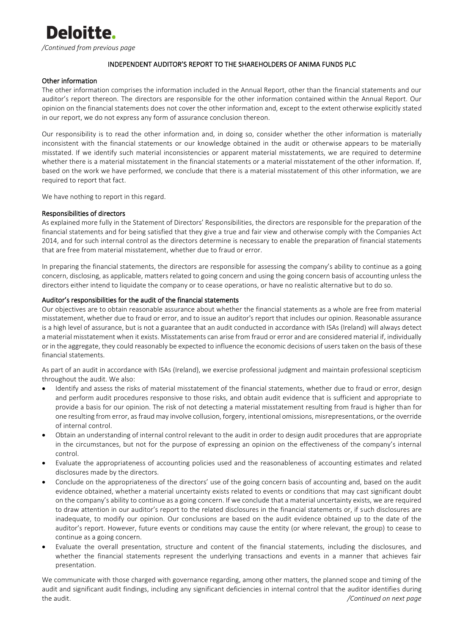

*/Continued from previous page* 

#### INDEPENDENT AUDITOR'S REPORT TO THE SHAREHOLDERS OF ANIMA FUNDS PLC

#### Other information

The other information comprises the information included in the Annual Report, other than the financial statements and our auditor's report thereon. The directors are responsible for the other information contained within the Annual Report. Our opinion on the financial statements does not cover the other information and, except to the extent otherwise explicitly stated in our report, we do not express any form of assurance conclusion thereon.

Our responsibility is to read the other information and, in doing so, consider whether the other information is materially inconsistent with the financial statements or our knowledge obtained in the audit or otherwise appears to be materially misstated. If we identify such material inconsistencies or apparent material misstatements, we are required to determine whether there is a material misstatement in the financial statements or a material misstatement of the other information. If, based on the work we have performed, we conclude that there is a material misstatement of this other information, we are required to report that fact.

We have nothing to report in this regard.

#### Responsibilities of directors

As explained more fully in the Statement of Directors' Responsibilities, the directors are responsible for the preparation of the financial statements and for being satisfied that they give a true and fair view and otherwise comply with the Companies Act 2014, and for such internal control as the directors determine is necessary to enable the preparation of financial statements that are free from material misstatement, whether due to fraud or error.

In preparing the financial statements, the directors are responsible for assessing the company's ability to continue as a going concern, disclosing, as applicable, matters related to going concern and using the going concern basis of accounting unless the directors either intend to liquidate the company or to cease operations, or have no realistic alternative but to do so.

#### Auditor's responsibilities for the audit of the financial statements

Our objectives are to obtain reasonable assurance about whether the financial statements as a whole are free from material misstatement, whether due to fraud or error, and to issue an auditor's report that includes our opinion. Reasonable assurance is a high level of assurance, but is not a guarantee that an audit conducted in accordance with ISAs (Ireland) will always detect a material misstatement when it exists. Misstatements can arise from fraud or error and are considered material if, individually or in the aggregate, they could reasonably be expected to influence the economic decisions of users taken on the basis of these financial statements.

As part of an audit in accordance with ISAs (Ireland), we exercise professional judgment and maintain professional scepticism throughout the audit. We also:

- Identify and assess the risks of material misstatement of the financial statements, whether due to fraud or error, design and perform audit procedures responsive to those risks, and obtain audit evidence that is sufficient and appropriate to provide a basis for our opinion. The risk of not detecting a material misstatement resulting from fraud is higher than for one resulting from error, as fraud may involve collusion, forgery, intentional omissions, misrepresentations, or the override of internal control.
- Obtain an understanding of internal control relevant to the audit in order to design audit procedures that are appropriate in the circumstances, but not for the purpose of expressing an opinion on the effectiveness of the company's internal control.
- Evaluate the appropriateness of accounting policies used and the reasonableness of accounting estimates and related disclosures made by the directors.
- Conclude on the appropriateness of the directors' use of the going concern basis of accounting and, based on the audit evidence obtained, whether a material uncertainty exists related to events or conditions that may cast significant doubt on the company's ability to continue as a going concern. If we conclude that a material uncertainty exists, we are required to draw attention in our auditor's report to the related disclosures in the financial statements or, if such disclosures are inadequate, to modify our opinion. Our conclusions are based on the audit evidence obtained up to the date of the auditor's report. However, future events or conditions may cause the entity (or where relevant, the group) to cease to continue as a going concern.
- Evaluate the overall presentation, structure and content of the financial statements, including the disclosures, and whether the financial statements represent the underlying transactions and events in a manner that achieves fair presentation.

We communicate with those charged with governance regarding, among other matters, the planned scope and timing of the audit and significant audit findings, including any significant deficiencies in internal control that the auditor identifies during the audit. */Continued on next page*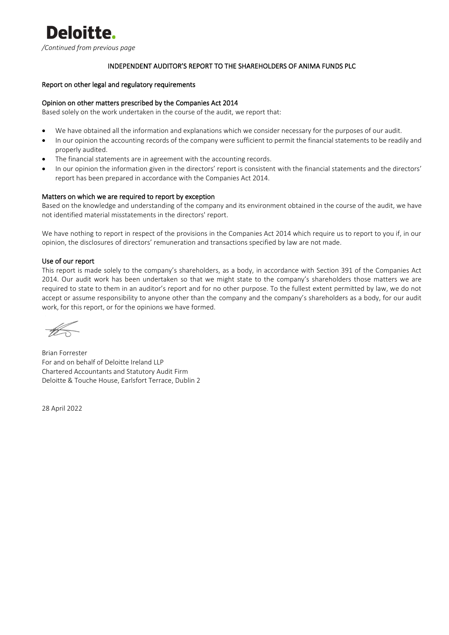

#### INDEPENDENT AUDITOR'S REPORT TO THE SHAREHOLDERS OF ANIMA FUNDS PLC

#### Report on other legal and regulatory requirements

#### Opinion on other matters prescribed by the Companies Act 2014

Based solely on the work undertaken in the course of the audit, we report that:

- We have obtained all the information and explanations which we consider necessary for the purposes of our audit.
- In our opinion the accounting records of the company were sufficient to permit the financial statements to be readily and properly audited.
- The financial statements are in agreement with the accounting records.
- In our opinion the information given in the directors' report is consistent with the financial statements and the directors' report has been prepared in accordance with the Companies Act 2014.

#### Matters on which we are required to report by exception

Based on the knowledge and understanding of the company and its environment obtained in the course of the audit, we have not identified material misstatements in the directors' report.

We have nothing to report in respect of the provisions in the Companies Act 2014 which require us to report to you if, in our opinion, the disclosures of directors' remuneration and transactions specified by law are not made.

#### Use of our report

This report is made solely to the company's shareholders, as a body, in accordance with Section 391 of the Companies Act 2014. Our audit work has been undertaken so that we might state to the company's shareholders those matters we are required to state to them in an auditor's report and for no other purpose. To the fullest extent permitted by law, we do not accept or assume responsibility to anyone other than the company and the company's shareholders as a body, for our audit work, for this report, or for the opinions we have formed.

Brian Forrester For and on behalf of Deloitte Ireland LLP Chartered Accountants and Statutory Audit Firm Deloitte & Touche House, Earlsfort Terrace, Dublin 2

28 April 2022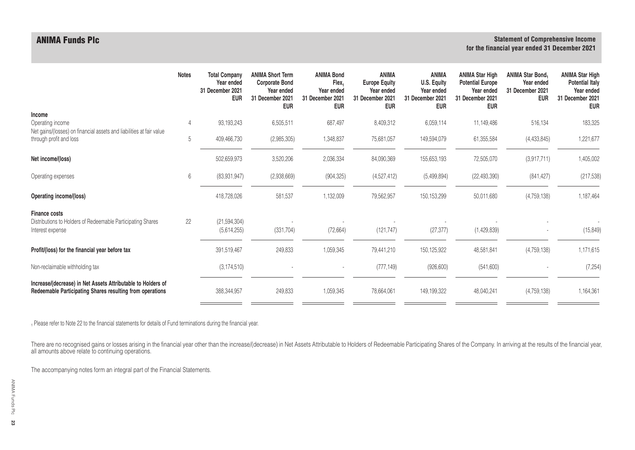# **Statement of Comprehensive Income**

**for the financial year ended 31 December 2021**

|                                                                                                                           | <b>Notes</b> | <b>Total Company</b><br>Year ended<br>31 December 2021<br><b>EUR</b> | <b>ANIMA Short Term</b><br><b>Corporate Bond</b><br>Year ended<br>31 December 2021<br><b>EUR</b> | <b>ANIMA Bond</b><br>$Flex_{1}$<br>Year ended<br>31 December 2021<br><b>EUR</b> | <b>ANIMA</b><br><b>Europe Equity</b><br>Year ended<br>31 December 2021<br><b>EUR</b> | ANIMA<br><b>U.S. Equity</b><br>Year ended<br>31 December 2021<br><b>EUR</b> | <b>ANIMA Star High</b><br><b>Potential Europe</b><br>Year ended<br>31 December 2021<br><b>EUR</b> | <b>ANIMA Star Bond,</b><br>Year ended<br>31 December 2021<br><b>EUR</b> | <b>ANIMA Star High</b><br><b>Potential Italy</b><br>Year ended<br>31 December 2021<br><b>EUR</b> |
|---------------------------------------------------------------------------------------------------------------------------|--------------|----------------------------------------------------------------------|--------------------------------------------------------------------------------------------------|---------------------------------------------------------------------------------|--------------------------------------------------------------------------------------|-----------------------------------------------------------------------------|---------------------------------------------------------------------------------------------------|-------------------------------------------------------------------------|--------------------------------------------------------------------------------------------------|
| Income                                                                                                                    |              |                                                                      |                                                                                                  |                                                                                 |                                                                                      |                                                                             |                                                                                                   |                                                                         |                                                                                                  |
| Operating income                                                                                                          |              | 93, 193, 243                                                         | 6,505,511                                                                                        | 687,497                                                                         | 8,409,312                                                                            | 6,059,114                                                                   | 11,149,486                                                                                        | 516,134                                                                 | 183,325                                                                                          |
| Net gains/(losses) on financial assets and liabilities at fair value<br>through profit and loss                           | 5            | 409,466,730                                                          | (2,985,305)                                                                                      | 1,348,837                                                                       | 75,681,057                                                                           | 149,594,079                                                                 | 61,355,584                                                                                        | (4,433,845)                                                             | 1,221,677                                                                                        |
| Net income/(loss)                                                                                                         |              | 502,659,973                                                          | 3,520,206                                                                                        | 2,036,334                                                                       | 84,090,369                                                                           | 155,653,193                                                                 | 72,505,070                                                                                        | (3,917,711)                                                             | 1,405,002                                                                                        |
| Operating expenses                                                                                                        | 6            | (83,931,947)                                                         | (2,938,669)                                                                                      | (904, 325)                                                                      | (4,527,412)                                                                          | (5,499,894)                                                                 | (22, 493, 390)                                                                                    | (841, 427)                                                              | (217, 538)                                                                                       |
| Operating income/(loss)                                                                                                   |              | 418,728,026                                                          | 581,537                                                                                          | 1,132,009                                                                       | 79,562,957                                                                           | 150, 153, 299                                                               | 50,011,680                                                                                        | (4,759,138)                                                             | 1,187,464                                                                                        |
| <b>Finance costs</b><br>Distributions to Holders of Redeemable Participating Shares<br>Interest expense                   | 22           | (21, 594, 304)<br>(5,614,255)                                        | (331, 704)                                                                                       | (72, 664)                                                                       | (121, 747)                                                                           | (27, 377)                                                                   | (1,429,839)                                                                                       |                                                                         | (15, 849)                                                                                        |
| Profit/(loss) for the financial year before tax                                                                           |              | 391,519,467                                                          | 249,833                                                                                          | 1,059,345                                                                       | 79,441,210                                                                           | 150, 125, 922                                                               | 48,581,841                                                                                        | (4,759,138)                                                             | 1,171,615                                                                                        |
| Non-reclaimable withholding tax                                                                                           |              | (3, 174, 510)                                                        |                                                                                                  |                                                                                 | (777, 149)                                                                           | (926, 600)                                                                  | (541,600)                                                                                         |                                                                         | (7, 254)                                                                                         |
| Increase/(decrease) in Net Assets Attributable to Holders of<br>Redeemable Participating Shares resulting from operations |              | 388,344,957                                                          | 249,833                                                                                          | 1,059,345                                                                       | 78,664,061                                                                           | 149,199,322                                                                 | 48,040,241                                                                                        | (4,759,138)                                                             | 1,164,361                                                                                        |

1 Please refer to Note 22 to the financial statements for details of Fund terminations during the financial year.

There are no recognised gains or losses arising in the financial year other than the increase/(decrease) in Net Assets Attributable to Holders of Redeemable Participating Shares of the Company. In arriving at the results o all amounts above relate to continuing operations.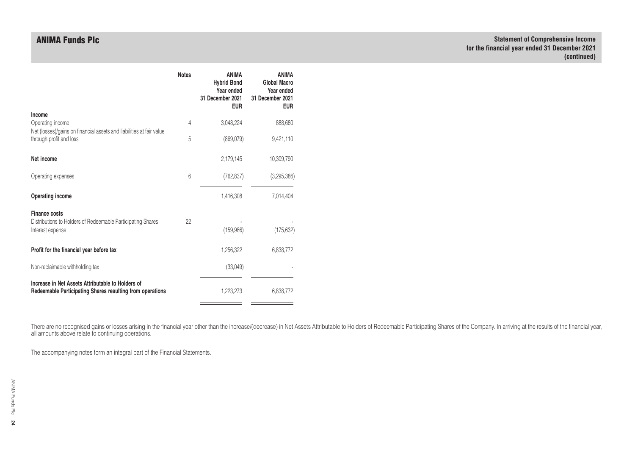|                                                                                                                | <b>Notes</b> | <b>ANIMA</b><br><b>Hybrid Bond</b><br>Year ended<br>31 December 2021<br><b>EUR</b> | <b>ANIMA</b><br>Global Macro<br>Year ended<br>31 December 2021<br><b>EUR</b> |
|----------------------------------------------------------------------------------------------------------------|--------------|------------------------------------------------------------------------------------|------------------------------------------------------------------------------|
| Income<br>Operating income<br>Net (losses)/gains on financial assets and liabilities at fair value             | 4            | 3,048,224                                                                          | 888,680                                                                      |
| through profit and loss                                                                                        | 5            | (869,079)                                                                          | 9,421,110                                                                    |
| Net income                                                                                                     |              | 2,179,145                                                                          | 10,309,790                                                                   |
| Operating expenses                                                                                             | 6            | (762, 837)                                                                         | (3,295,386)                                                                  |
| <b>Operating income</b>                                                                                        |              | 1,416,308                                                                          | 7,014,404                                                                    |
| <b>Finance costs</b><br>Distributions to Holders of Redeemable Participating Shares<br>Interest expense        | 22           | (159, 986)                                                                         | (175, 632)                                                                   |
| Profit for the financial year before tax                                                                       |              | 1,256,322                                                                          | 6,838,772                                                                    |
| Non-reclaimable withholding tax                                                                                |              | (33,049)                                                                           |                                                                              |
| Increase in Net Assets Attributable to Holders of<br>Redeemable Participating Shares resulting from operations |              | 1,223,273                                                                          | 6,838,772                                                                    |

There are no recognised gains or losses arising in the financial year other than the increase/(decrease) in Net Assets Attributable to Holders of Redeemable Participating Shares of the Company. In arriving at the results o all amounts above relate to continuing operations.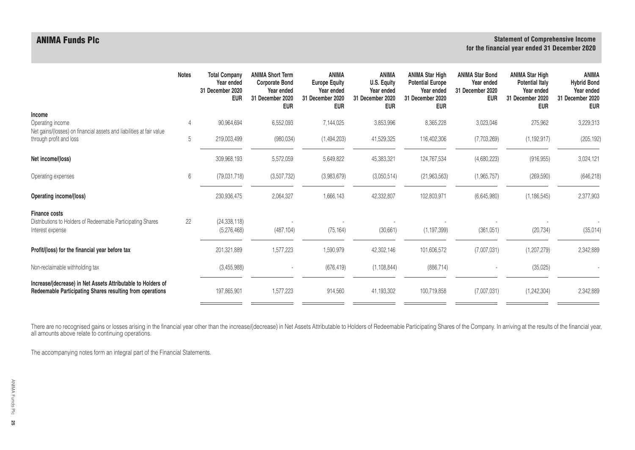#### **Statement of Comprehensive Income for the financial year ended 31 December 2020**

|                                                                                                                           | <b>Notes</b> | <b>Total Company</b><br>Year ended<br>31 December 2020<br><b>EUR</b> | <b>ANIMA Short Term</b><br><b>Corporate Bond</b><br>Year ended<br>31 December 2020<br><b>EUR</b> | <b>ANIMA</b><br><b>Europe Equity</b><br>Year ended<br>31 December 2020<br><b>EUR</b> | <b>ANIMA</b><br>U.S. Equity<br>Year ended<br>31 December 2020<br><b>EUR</b> | <b>ANIMA Star High</b><br><b>Potential Europe</b><br>Year ended<br>31 December 2020<br><b>EUR</b> | <b>ANIMA Star Bond</b><br>Year ended<br>31 December 2020<br><b>EUR</b> | <b>ANIMA Star High</b><br><b>Potential Italy</b><br>Year ended<br>31 December 2020<br><b>EUR</b> | <b>ANIMA</b><br><b>Hybrid Bond</b><br>Year ended<br>31 December 2020<br><b>EUR</b> |
|---------------------------------------------------------------------------------------------------------------------------|--------------|----------------------------------------------------------------------|--------------------------------------------------------------------------------------------------|--------------------------------------------------------------------------------------|-----------------------------------------------------------------------------|---------------------------------------------------------------------------------------------------|------------------------------------------------------------------------|--------------------------------------------------------------------------------------------------|------------------------------------------------------------------------------------|
| Income                                                                                                                    |              |                                                                      |                                                                                                  |                                                                                      |                                                                             |                                                                                                   |                                                                        |                                                                                                  |                                                                                    |
| Operating income<br>Net gains/(losses) on financial assets and liabilities at fair value                                  |              | 90,964,694                                                           | 6,552,093                                                                                        | 7,144,025                                                                            | 3,853,996                                                                   | 8,365,228                                                                                         | 3,023,046                                                              | 275,962                                                                                          | 3,229,313                                                                          |
| through profit and loss                                                                                                   | 5            | 219,003,499                                                          | (980, 034)                                                                                       | (1,494,203)                                                                          | 41,529,325                                                                  | 116,402,306                                                                                       | (7,703,269)                                                            | (1, 192, 917)                                                                                    | (205, 192)                                                                         |
| Net income/(loss)                                                                                                         |              | 309,968,193                                                          | 5,572,059                                                                                        | 5,649,822                                                                            | 45,383,321                                                                  | 124,767,534                                                                                       | (4,680,223)                                                            | (916, 955)                                                                                       | 3,024,121                                                                          |
| Operating expenses                                                                                                        | 6            | (79,031,718)                                                         | (3,507,732)                                                                                      | (3,983,679)                                                                          | (3,050,514)                                                                 | (21,963,563)                                                                                      | (1,965,757)                                                            | (269, 590)                                                                                       | (646, 218)                                                                         |
| Operating income/(loss)                                                                                                   |              | 230,936,475                                                          | 2,064,327                                                                                        | 1,666,143                                                                            | 42,332,807                                                                  | 102,803,971                                                                                       | (6,645,980)                                                            | (1, 186, 545)                                                                                    | 2,377,903                                                                          |
| <b>Finance costs</b><br>Distributions to Holders of Redeemable Participating Shares<br>Interest expense                   | 22           | (24, 338, 118)<br>(5,276,468)                                        | (487, 104)                                                                                       | (75, 164)                                                                            | (30,661)                                                                    | (1, 197, 399)                                                                                     | (361,051)                                                              | (20, 734)                                                                                        | (35, 014)                                                                          |
| Profit/(loss) for the financial year before tax                                                                           |              | 201,321,889                                                          | 1,577,223                                                                                        | 1,590,979                                                                            | 42,302,146                                                                  | 101,606,572                                                                                       | (7,007,031)                                                            | (1,207,279)                                                                                      | 2,342,889                                                                          |
| Non-reclaimable withholding tax                                                                                           |              | (3,455,988)                                                          |                                                                                                  | (676, 419)                                                                           | (1, 108, 844)                                                               | (886, 714)                                                                                        |                                                                        | (35,025)                                                                                         |                                                                                    |
| Increase/(decrease) in Net Assets Attributable to Holders of<br>Redeemable Participating Shares resulting from operations |              | 197,865,901                                                          | 1,577,223                                                                                        | 914,560                                                                              | 41,193,302                                                                  | 100,719,858                                                                                       | (7,007,031)                                                            | (1,242,304)                                                                                      | 2,342,889                                                                          |

There are no recognised gains or losses arising in the financial year other than the increase/(decrease) in Net Assets Attributable to Holders of Redeemable Participating Shares of the Company. In arriving at the results o all amounts above relate to continuing operations.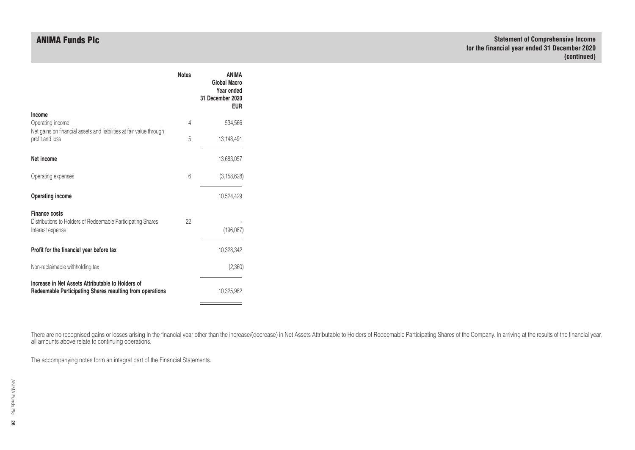|                                                                                                                | <b>Notes</b> | ANIMA<br><b>Global Macro</b><br>Year ended<br>31 December 2020<br><b>EUR</b> |
|----------------------------------------------------------------------------------------------------------------|--------------|------------------------------------------------------------------------------|
| Income<br>Operating income<br>Net gains on financial assets and liabilities at fair value through              | 4            | 534,566                                                                      |
| profit and loss                                                                                                | 5            | 13,148,491                                                                   |
| Net income                                                                                                     |              | 13,683,057                                                                   |
| Operating expenses                                                                                             | 6            | (3, 158, 628)                                                                |
| <b>Operating income</b>                                                                                        |              | 10,524,429                                                                   |
| <b>Finance costs</b><br>Distributions to Holders of Redeemable Participating Shares<br>Interest expense        | 22           | (196,087)                                                                    |
| Profit for the financial year before tax                                                                       |              | 10,328,342                                                                   |
| Non-reclaimable withholding tax                                                                                |              | (2,360)                                                                      |
| Increase in Net Assets Attributable to Holders of<br>Redeemable Participating Shares resulting from operations |              | 10,325,982                                                                   |

There are no recognised gains or losses arising in the financial year other than the increase/(decrease) in Net Assets Attributable to Holders of Redeemable Participating Shares of the Company. In arriving at the results o all amounts above relate to continuing operations.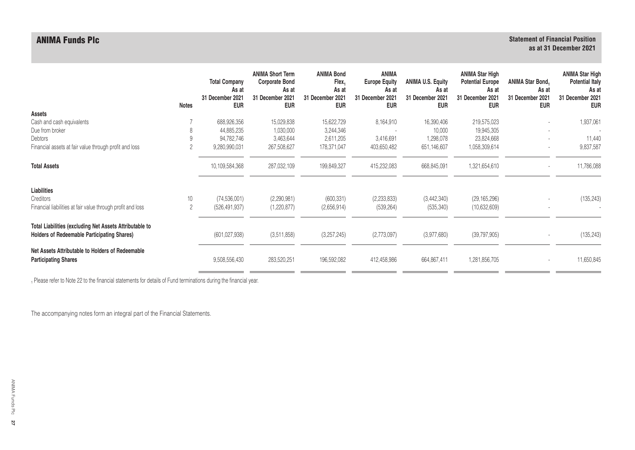#### **Statement of Financial Position as at 31 December 2021**

|                                                                                                               | <b>Notes</b> | <b>Total Company</b><br>As at<br>31 December 2021<br><b>EUR</b> | <b>ANIMA Short Term</b><br><b>Corporate Bond</b><br>As at<br>31 December 2021<br><b>EUR</b> | <b>ANIMA Bond</b><br>$Flex_{1}$<br>As at<br>31 December 2021<br><b>EUR</b> | <b>ANIMA</b><br><b>Europe Equity</b><br>As at<br>31 December 2021<br><b>EUR</b> | <b>ANIMA U.S. Equity</b><br>As at<br>31 December 2021<br><b>EUR</b> | <b>ANIMA Star High</b><br><b>Potential Europe</b><br>As at<br>31 December 2021<br><b>EUR</b> | <b>ANIMA Star Bond</b><br>As at<br>31 December 2021<br><b>EUR</b> | <b>ANIMA Star High</b><br><b>Potential Italy</b><br>As at<br>31 December 2021<br><b>EUR</b> |
|---------------------------------------------------------------------------------------------------------------|--------------|-----------------------------------------------------------------|---------------------------------------------------------------------------------------------|----------------------------------------------------------------------------|---------------------------------------------------------------------------------|---------------------------------------------------------------------|----------------------------------------------------------------------------------------------|-------------------------------------------------------------------|---------------------------------------------------------------------------------------------|
| Assets                                                                                                        |              |                                                                 |                                                                                             |                                                                            |                                                                                 |                                                                     |                                                                                              |                                                                   |                                                                                             |
| Cash and cash equivalents                                                                                     |              | 688,926,356                                                     | 15,029,838                                                                                  | 15,622,729                                                                 | 8,164,910                                                                       | 16,390,406                                                          | 219,575,023                                                                                  |                                                                   | 1,937,061                                                                                   |
| Due from broker                                                                                               |              | 44,885,235                                                      | 1,030,000                                                                                   | 3,244,346                                                                  |                                                                                 | 10,000                                                              | 19,945,305                                                                                   |                                                                   |                                                                                             |
| Debtors                                                                                                       |              | 94,782,746                                                      | 3,463,644                                                                                   | 2,611,205                                                                  | 3,416,691                                                                       | 1,298,078                                                           | 23,824,668                                                                                   |                                                                   | 11,440                                                                                      |
| Financial assets at fair value through profit and loss                                                        |              | 9,280,990,031                                                   | 267,508,627                                                                                 | 178,371,047                                                                | 403,650,482                                                                     | 651,146,607                                                         | 1,058,309,614                                                                                |                                                                   | 9,837,587                                                                                   |
| <b>Total Assets</b>                                                                                           |              | 10,109,584,368                                                  | 287,032,109                                                                                 | 199,849,327                                                                | 415,232,083                                                                     | 668,845,091                                                         | 1,321,654,610                                                                                |                                                                   | 11,786,088                                                                                  |
| <b>Liabilities</b>                                                                                            |              |                                                                 |                                                                                             |                                                                            |                                                                                 |                                                                     |                                                                                              |                                                                   |                                                                                             |
| Creditors<br>Financial liabilities at fair value through profit and loss                                      | 10           | (74, 536, 001)<br>(526, 491, 937)                               | (2,290,981)<br>(1,220,877)                                                                  | (600, 331)<br>(2,656,914)                                                  | (2,233,833)<br>(539, 264)                                                       | (3,442,340)<br>(535, 340)                                           | (29, 165, 296)<br>(10,632,609)                                                               |                                                                   | (135, 243)                                                                                  |
| Total Liabilities (excluding Net Assets Attributable to<br><b>Holders of Redeemable Participating Shares)</b> |              | (601, 027, 938)                                                 | (3,511,858)                                                                                 | (3,257,245)                                                                | (2,773,097)                                                                     | (3,977,680)                                                         | (39,797,905)                                                                                 |                                                                   | (135, 243)                                                                                  |
| Net Assets Attributable to Holders of Redeemable<br><b>Participating Shares</b>                               |              | 9,508,556,430                                                   | 283,520,251                                                                                 | 196,592,082                                                                | 412,458,986                                                                     | 664,867,411                                                         | 1,281,856,705                                                                                |                                                                   | 11,650,845                                                                                  |

1 Please refer to Note 22 to the financial statements for details of Fund terminations during the financial year.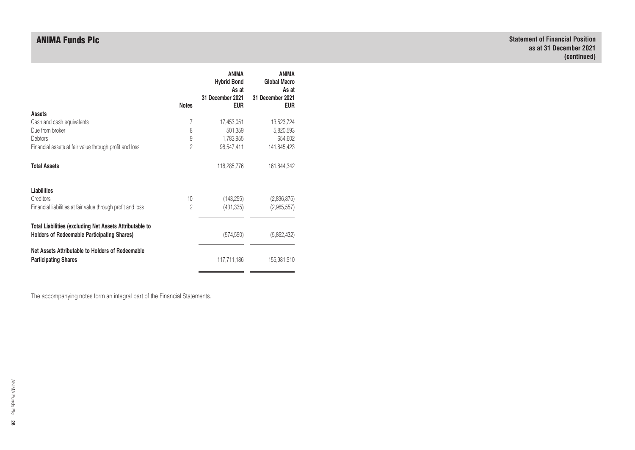|                                                                                                               | <b>Notes</b>   | <b>ANIMA</b><br><b>Hybrid Bond</b><br>As at<br>31 December 2021<br><b>EUR</b> | <b>ANIMA</b><br>Global Macro<br>As at<br>31 December 2021<br><b>EUR</b> |
|---------------------------------------------------------------------------------------------------------------|----------------|-------------------------------------------------------------------------------|-------------------------------------------------------------------------|
| <b>Assets</b>                                                                                                 |                |                                                                               |                                                                         |
| Cash and cash equivalents                                                                                     | 7              | 17,453,051                                                                    | 13,523,724                                                              |
| Due from broker                                                                                               | 8              | 501,359                                                                       | 5,820,593                                                               |
| Debtors                                                                                                       | 9              | 1,783,955                                                                     | 654,602                                                                 |
| Financial assets at fair value through profit and loss                                                        | $\overline{2}$ | 98,547,411                                                                    | 141,845,423                                                             |
| <b>Total Assets</b>                                                                                           |                | 118,285,776                                                                   | 161,844,342                                                             |
| Liabilities                                                                                                   |                |                                                                               |                                                                         |
| Creditors                                                                                                     | 10             | (143, 255)                                                                    | (2,896,875)                                                             |
| Financial liabilities at fair value through profit and loss                                                   | $\overline{c}$ | (431, 335)                                                                    | (2,965,557)                                                             |
| Total Liabilities (excluding Net Assets Attributable to<br><b>Holders of Redeemable Participating Shares)</b> |                | (574, 590)                                                                    | (5,862,432)                                                             |
| Net Assets Attributable to Holders of Redeemable<br><b>Participating Shares</b>                               |                | 117,711,186                                                                   | 155,981,910                                                             |
|                                                                                                               |                |                                                                               |                                                                         |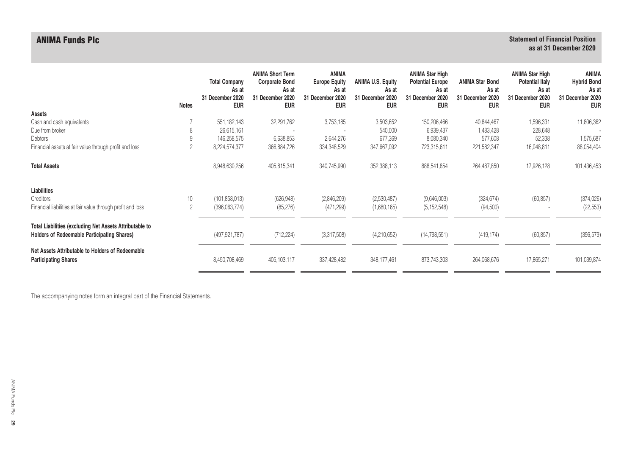#### **Statement of Financial Position as at 31 December 2020**

|                                                                                                        | <b>Notes</b>   | <b>Total Company</b><br>As at<br>31 December 2020<br><b>EUR</b> | <b>ANIMA Short Term</b><br><b>Corporate Bond</b><br>As at<br>31 December 2020<br><b>EUR</b> | <b>ANIMA</b><br><b>Europe Equity</b><br>As at<br>31 December 2020<br><b>EUR</b> | <b>ANIMA U.S. Equity</b><br>As at<br>31 December 2020<br><b>EUR</b> | <b>ANIMA Star High</b><br><b>Potential Europe</b><br>As at<br>31 December 2020<br><b>EUR</b> | <b>ANIMA Star Bond</b><br>As at<br>31 December 2020<br><b>EUR</b> | <b>ANIMA Star High</b><br><b>Potential Italy</b><br>As at<br>31 December 2020<br><b>EUR</b> | <b>ANIMA</b><br><b>Hybrid Bond</b><br>As at<br>31 December 2020<br><b>EUR</b> |
|--------------------------------------------------------------------------------------------------------|----------------|-----------------------------------------------------------------|---------------------------------------------------------------------------------------------|---------------------------------------------------------------------------------|---------------------------------------------------------------------|----------------------------------------------------------------------------------------------|-------------------------------------------------------------------|---------------------------------------------------------------------------------------------|-------------------------------------------------------------------------------|
| Assets                                                                                                 |                |                                                                 |                                                                                             |                                                                                 |                                                                     |                                                                                              |                                                                   |                                                                                             |                                                                               |
| Cash and cash equivalents                                                                              |                | 551, 182, 143                                                   | 32,291,762                                                                                  | 3,753,185                                                                       | 3,503,652                                                           | 150,206,466                                                                                  | 40,844,467                                                        | 1,596,331                                                                                   | 11,806,362                                                                    |
| Due from broker                                                                                        |                | 26,615,161                                                      |                                                                                             |                                                                                 | 540,000                                                             | 6,939,437                                                                                    | 1,483,428                                                         | 228,648                                                                                     |                                                                               |
| Debtors                                                                                                |                | 146,258,575                                                     | 6,638,853                                                                                   | 2,644,276                                                                       | 677,369                                                             | 8,080,340                                                                                    | 577,608                                                           | 52,338                                                                                      | 1,575,687                                                                     |
| Financial assets at fair value through profit and loss                                                 |                | 8,224,574,377                                                   | 366,884,726                                                                                 | 334,348,529                                                                     | 347,667,092                                                         | 723,315,611                                                                                  | 221,582,347                                                       | 16,048,811                                                                                  | 88,054,404                                                                    |
| <b>Total Assets</b>                                                                                    |                | 8,948,630,256                                                   | 405,815,341                                                                                 | 340,745,990                                                                     | 352,388,113                                                         | 888,541,854                                                                                  | 264,487,850                                                       | 17,926,128                                                                                  | 101,436,453                                                                   |
| Liabilities<br>Creditors<br>Financial liabilities at fair value through profit and loss                | 10<br>$\Omega$ | (101, 858, 013)<br>(396,063,774)                                | (626, 948)<br>(85, 276)                                                                     | (2,846,209)<br>(471, 299)                                                       | (2,530,487)<br>(1,680,165)                                          | (9,646,003)<br>(5, 152, 548)                                                                 | (324, 674)<br>(94, 500)                                           | (60, 857)                                                                                   | (374, 026)<br>(22, 553)                                                       |
| Total Liabilities (excluding Net Assets Attributable to<br>Holders of Redeemable Participating Shares) |                | (497, 921, 787)                                                 | (712, 224)                                                                                  | (3,317,508)                                                                     | (4,210,652)                                                         | (14, 798, 551)                                                                               | (419, 174)                                                        | (60, 857)                                                                                   | (396, 579)                                                                    |
| Net Assets Attributable to Holders of Redeemable<br><b>Participating Shares</b>                        |                | 8,450,708,469                                                   | 405, 103, 117                                                                               | 337,428,482                                                                     | 348, 177, 461                                                       | 873,743,303                                                                                  | 264,068,676                                                       | 17,865,271                                                                                  | 101,039,874                                                                   |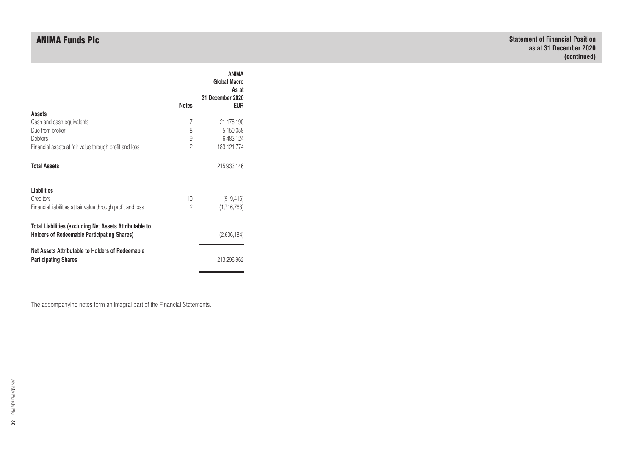| <b>Assets</b>                                                                                                 | <b>Notes</b>         | <b>ANIMA</b><br><b>Global Macro</b><br>As at<br>31 December 2020<br><b>EUR</b> |
|---------------------------------------------------------------------------------------------------------------|----------------------|--------------------------------------------------------------------------------|
| Cash and cash equivalents                                                                                     | 7                    | 21,178,190                                                                     |
| Due from broker                                                                                               | 8                    | 5,150,058                                                                      |
| Debtors                                                                                                       | 9                    | 6,483,124                                                                      |
| Financial assets at fair value through profit and loss                                                        | $\overline{2}$       | 183, 121, 774                                                                  |
| <b>Total Assets</b>                                                                                           |                      | 215,933,146                                                                    |
| Liabilities<br>Creditors<br>Financial liabilities at fair value through profit and loss                       | 10<br>$\overline{c}$ | (919, 416)<br>(1,716,768)                                                      |
| Total Liabilities (excluding Net Assets Attributable to<br><b>Holders of Redeemable Participating Shares)</b> |                      | (2,636,184)                                                                    |
| Net Assets Attributable to Holders of Redeemable<br><b>Participating Shares</b>                               |                      | 213,296,962                                                                    |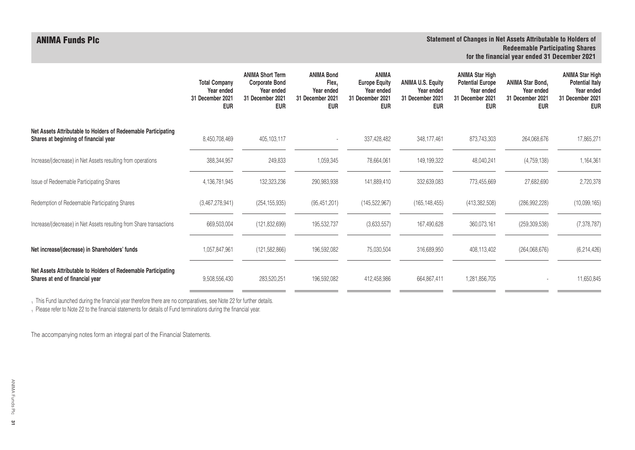#### **Statement of Changes in Net Assets Attributable to Holders of Redeemable Participating Shares**

**for the financial year ended 31 December 2021**

|                                                                                                         | <b>Total Company</b><br>Year ended<br>31 December 2021<br><b>EUR</b> | <b>ANIMA Short Term</b><br><b>Corporate Bond</b><br>Year ended<br>31 December 2021<br><b>EUR</b> | <b>ANIMA Bond</b><br>Flex,<br>Year ended<br>31 December 2021<br><b>EUR</b> | ANIMA<br><b>Europe Equity</b><br>Year ended<br>31 December 2021<br><b>EUR</b> | <b>ANIMA U.S. Equity</b><br>Year ended<br>31 December 2021<br><b>EUR</b> | <b>ANIMA Star High</b><br><b>Potential Europe</b><br>Year ended<br>31 December 2021<br><b>EUR</b> | <b>ANIMA Star Bond,</b><br>Year ended<br>31 December 2021<br><b>EUR</b> | <b>ANIMA Star High</b><br><b>Potential Italy</b><br>Year ended<br>31 December 2021<br><b>EUR</b> |
|---------------------------------------------------------------------------------------------------------|----------------------------------------------------------------------|--------------------------------------------------------------------------------------------------|----------------------------------------------------------------------------|-------------------------------------------------------------------------------|--------------------------------------------------------------------------|---------------------------------------------------------------------------------------------------|-------------------------------------------------------------------------|--------------------------------------------------------------------------------------------------|
| Net Assets Attributable to Holders of Redeemable Participating<br>Shares at beginning of financial year | 8,450,708,469                                                        | 405, 103, 117                                                                                    |                                                                            | 337,428,482                                                                   | 348, 177, 461                                                            | 873,743,303                                                                                       | 264,068,676                                                             | 17,865,271                                                                                       |
| Increase/(decrease) in Net Assets resulting from operations                                             | 388,344,957                                                          | 249,833                                                                                          | 1,059,345                                                                  | 78,664,061                                                                    | 149,199,322                                                              | 48,040,241                                                                                        | (4,759,138)                                                             | 1,164,361                                                                                        |
| Issue of Redeemable Participating Shares                                                                | 4,136,781,945                                                        | 132,323,236                                                                                      | 290,983,938                                                                | 141,889,410                                                                   | 332,639,083                                                              | 773,455,669                                                                                       | 27,682,690                                                              | 2,720,378                                                                                        |
| Redemption of Redeemable Participating Shares                                                           | (3,467,278,941)                                                      | (254, 155, 935)                                                                                  | (95, 451, 201)                                                             | (145, 522, 967)                                                               | (165, 148, 455)                                                          | (413,382,508)                                                                                     | (286, 992, 228)                                                         | (10,099,165)                                                                                     |
| Increase/(decrease) in Net Assets resulting from Share transactions                                     | 669,503,004                                                          | (121, 832, 699)                                                                                  | 195,532,737                                                                | (3,633,557)                                                                   | 167,490,628                                                              | 360,073,161                                                                                       | (259, 309, 538)                                                         | (7, 378, 787)                                                                                    |
| Net increase/(decrease) in Shareholders' funds                                                          | 1,057,847,961                                                        | (121, 582, 866)                                                                                  | 196,592,082                                                                | 75,030,504                                                                    | 316,689,950                                                              | 408,113,402                                                                                       | (264,068,676)                                                           | (6,214,426)                                                                                      |
| Net Assets Attributable to Holders of Redeemable Participating<br>Shares at end of financial year       | 9,508,556,430                                                        | 283,520,251                                                                                      | 196,592,082                                                                | 412,458,986                                                                   | 664,867,411                                                              | 1,281,856,705                                                                                     |                                                                         | 11,650,845                                                                                       |

1 This Fund launched during the financial year therefore there are no comparatives, see Note 22 for further details.

<sub>1</sub> Please refer to Note 22 to the financial statements for details of Fund terminations during the financial year.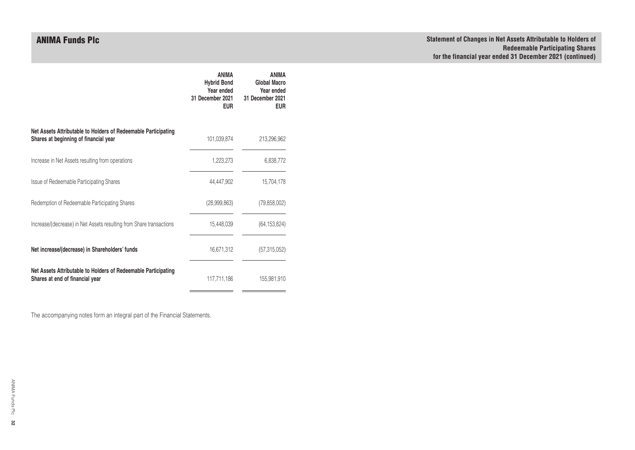#### **Statement of Changes in Net Assets Attributable to Holders of Redeemable Participating Shares for the financial year ended 31 December 2021 (continued)**

|                                                                                                         | <b>ANIMA</b><br><b>Hybrid Bond</b><br>Year ended<br>31 December 2021<br><b>EUR</b> | <b>ANIMA</b><br><b>Global Macro</b><br>Year ended<br>31 December 2021<br><b>EUR</b> |
|---------------------------------------------------------------------------------------------------------|------------------------------------------------------------------------------------|-------------------------------------------------------------------------------------|
| Net Assets Attributable to Holders of Redeemable Participating<br>Shares at beginning of financial year | 101,039,874                                                                        | 213,296,962                                                                         |
| Increase in Net Assets resulting from operations                                                        | 1,223,273                                                                          | 6,838,772                                                                           |
| Issue of Redeemable Participating Shares                                                                | 44,447,902                                                                         | 15,704,178                                                                          |
| Redemption of Redeemable Participating Shares                                                           | (28,999,863)                                                                       | (79,858,002)                                                                        |
| Increase/(decrease) in Net Assets resulting from Share transactions                                     | 15,448,039                                                                         | (64, 153, 824)                                                                      |
| Net increase/(decrease) in Shareholders' funds                                                          | 16,671,312                                                                         | (57, 315, 052)                                                                      |
| Net Assets Attributable to Holders of Redeemable Participating<br>Shares at end of financial year       | 117,711,186                                                                        | 155,981,910                                                                         |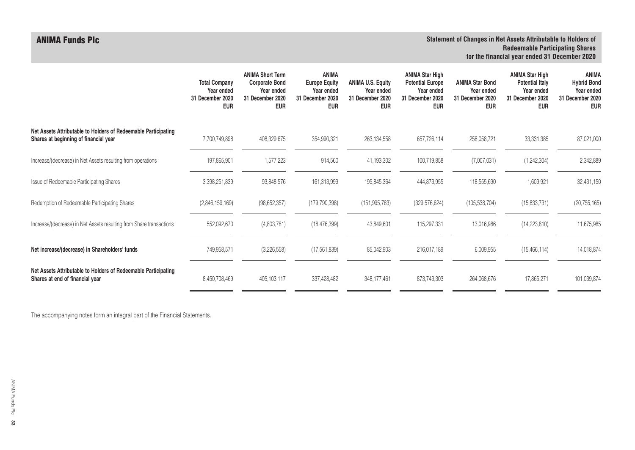#### **Statement of Changes in Net Assets Attributable to Holders of Redeemable Participating Shares**

**for the financial year ended 31 December 2020**

|                                                                                                         | <b>Total Company</b><br>Year ended<br>31 December 2020<br><b>EUR</b> | <b>ANIMA Short Term</b><br><b>Corporate Bond</b><br>Year ended<br>31 December 2020<br><b>EUR</b> | ANIMA<br><b>Europe Equity</b><br>Year ended<br>31 December 2020<br><b>EUR</b> | <b>ANIMA U.S. Equity</b><br>Year ended<br>31 December 2020<br><b>EUR</b> | <b>ANIMA Star High</b><br><b>Potential Europe</b><br>Year ended<br>31 December 2020<br><b>EUR</b> | <b>ANIMA Star Bond</b><br>Year ended<br>31 December 2020<br><b>EUR</b> | <b>ANIMA Star High</b><br><b>Potential Italy</b><br>Year ended<br>31 December 2020<br><b>EUR</b> | <b>ANIMA</b><br><b>Hybrid Bond</b><br>Year ended<br>31 December 2020<br><b>EUR</b> |
|---------------------------------------------------------------------------------------------------------|----------------------------------------------------------------------|--------------------------------------------------------------------------------------------------|-------------------------------------------------------------------------------|--------------------------------------------------------------------------|---------------------------------------------------------------------------------------------------|------------------------------------------------------------------------|--------------------------------------------------------------------------------------------------|------------------------------------------------------------------------------------|
| Net Assets Attributable to Holders of Redeemable Participating<br>Shares at beginning of financial year | 7,700,749,898                                                        | 408,329,675                                                                                      | 354,990,321                                                                   | 263, 134, 558                                                            | 657,726,114                                                                                       | 258,058,721                                                            | 33,331,385                                                                                       | 87,021,000                                                                         |
| Increase/(decrease) in Net Assets resulting from operations                                             | 197,865,901                                                          | 1,577,223                                                                                        | 914,560                                                                       | 41,193,302                                                               | 100,719,858                                                                                       | (7,007,031)                                                            | (1, 242, 304)                                                                                    | 2,342,889                                                                          |
| Issue of Redeemable Participating Shares                                                                | 3,398,251,839                                                        | 93,848,576                                                                                       | 161,313,999                                                                   | 195,845,364                                                              | 444,873,955                                                                                       | 118,555,690                                                            | 1,609,921                                                                                        | 32,431,150                                                                         |
| Redemption of Redeemable Participating Shares                                                           | (2,846,159,169)                                                      | (98, 652, 357)                                                                                   | (179, 790, 398)                                                               | (151, 995, 763)                                                          | (329, 576, 624)                                                                                   | (105, 538, 704)                                                        | (15,833,731)                                                                                     | (20, 755, 165)                                                                     |
| Increase/(decrease) in Net Assets resulting from Share transactions                                     | 552,092,670                                                          | (4,803,781)                                                                                      | (18, 476, 399)                                                                | 43,849,601                                                               | 115,297,331                                                                                       | 13,016,986                                                             | (14, 223, 810)                                                                                   | 11,675,985                                                                         |
| Net increase/(decrease) in Shareholders' funds                                                          | 749,958,571                                                          | (3,226,558)                                                                                      | (17, 561, 839)                                                                | 85,042,903                                                               | 216,017,189                                                                                       | 6,009,955                                                              | (15, 466, 114)                                                                                   | 14,018,874                                                                         |
| Net Assets Attributable to Holders of Redeemable Participating<br>Shares at end of financial year       | 8,450,708,469                                                        | 405, 103, 117                                                                                    | 337,428,482                                                                   | 348, 177, 461                                                            | 873,743,303                                                                                       | 264,068,676                                                            | 17,865,271                                                                                       | 101,039,874                                                                        |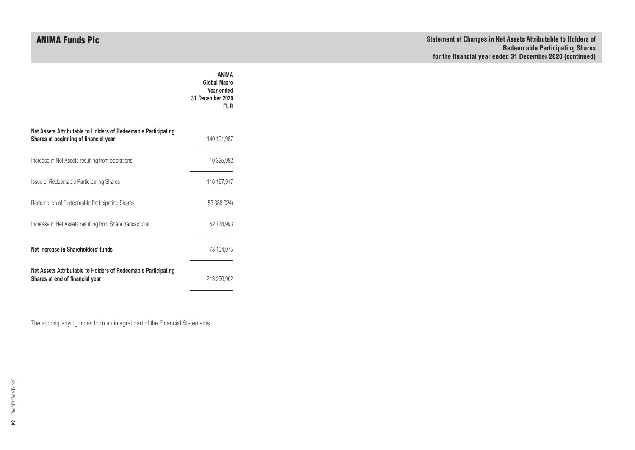|                                                                                                         | <b>ANIMA</b><br><b>Global Macro</b><br>Year ended<br>31 December 2020<br><b>EUR</b> |  |
|---------------------------------------------------------------------------------------------------------|-------------------------------------------------------------------------------------|--|
| Net Assets Attributable to Holders of Redeemable Participating<br>Shares at beginning of financial year | 140, 191, 987                                                                       |  |
| Increase in Net Assets resulting from operations                                                        | 10,325,982                                                                          |  |
| Issue of Redeemable Participating Shares                                                                | 116, 167, 917                                                                       |  |
| Redemption of Redeemable Participating Shares                                                           | (53,388,924)                                                                        |  |
| Increase in Net Assets resulting from Share transactions                                                | 62,778,993                                                                          |  |
| Net increase in Shareholders' funds                                                                     | 73,104,975                                                                          |  |
| Net Assets Attributable to Holders of Redeemable Participating<br>Shares at end of financial year       | 213,296,962                                                                         |  |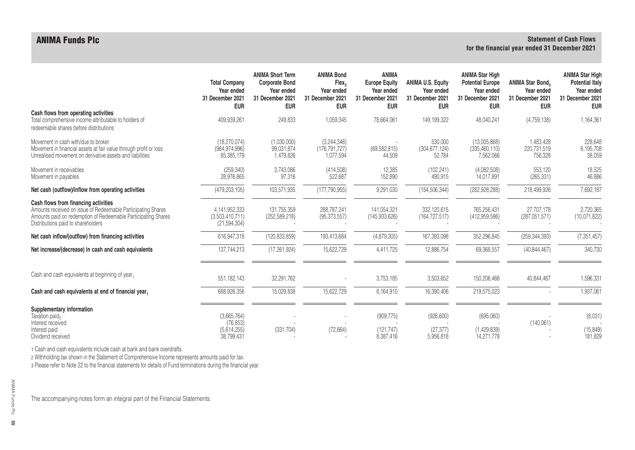## **Statement of Cash Flows**

**for the financial year ended 31 December 2021**

|                                                                                                                                                                                                             | <b>Total Company</b><br>Year ended<br>31 December 2021<br><b>EUR</b> | <b>ANIMA Short Term</b><br><b>Corporate Bond</b><br>Year ended<br>31 December 2021<br><b>EUR</b> | <b>ANIMA Bond</b><br>$Flex_{2}$<br>Year ended<br>31 December 2021<br><b>EUR</b> | <b>ANIMA</b><br><b>Europe Equity</b><br>Year ended<br>31 December 2021<br><b>EUR</b> | <b>ANIMA U.S. Equity</b><br>Year ended<br>31 December 2021<br><b>EUR</b> | <b>ANIMA Star High</b><br><b>Potential Europe</b><br>Year ended<br>31 December 2021<br><b>EUR</b> | <b>ANIMA Star Bond</b><br>Year ended<br>31 December 2021<br><b>EUR</b> | <b>ANIMA Star High</b><br><b>Potential Italy</b><br>Year ended<br>31 December 2021<br><b>EUR</b> |
|-------------------------------------------------------------------------------------------------------------------------------------------------------------------------------------------------------------|----------------------------------------------------------------------|--------------------------------------------------------------------------------------------------|---------------------------------------------------------------------------------|--------------------------------------------------------------------------------------|--------------------------------------------------------------------------|---------------------------------------------------------------------------------------------------|------------------------------------------------------------------------|--------------------------------------------------------------------------------------------------|
| Cash flows from operating activities<br>Total comprehensive income attributable to holders of<br>redeemable shares before distributions                                                                     | 409,939,261                                                          | 249,833                                                                                          | 1,059,345                                                                       | 78,664,061                                                                           | 149, 199, 322                                                            | 48,040,241                                                                                        | (4,759,138)                                                            | 1,164,361                                                                                        |
| Movement in cash with/due to broker<br>Movement in financial assets at fair value through profit or loss<br>Unrealised movement on derivative assets and liabilities                                        | (18, 270, 074)<br>(984, 974, 996)<br>85,385,179                      | (1,030,000)<br>99,031,874<br>1,479,826                                                           | (3,244,346)<br>(176, 791, 727)<br>1,077,594                                     | (69, 582, 815)<br>44,509                                                             | 530,000<br>(304, 677, 124)<br>52,784                                     | (13,005,868)<br>(335, 460, 110)<br>7,562,066                                                      | 1,483,428<br>220,731,519<br>756,328                                    | 228.648<br>6,195,708<br>38,059                                                                   |
| Movement in receivables<br>Movement in payables                                                                                                                                                             | (259, 340)<br>28,976,865                                             | 3,743,086<br>97,316                                                                              | (414, 508)<br>522,687                                                           | 12,385<br>152,890                                                                    | (102, 241)<br>490,915                                                    | (4,082,508)<br>14,017,891                                                                         | 553,120<br>(265, 331)                                                  | 18,525<br>46,886                                                                                 |
| Net cash (outflow)/inflow from operating activities                                                                                                                                                         | (479, 203, 105)                                                      | 103,571,935                                                                                      | (177, 790, 955)                                                                 | 9,291,030                                                                            | (154, 506, 344)                                                          | (282, 928, 288)                                                                                   | 218,499,926                                                            | 7,692,187                                                                                        |
| Cash flows from financing activities<br>Amounts received on issue of Redeemable Participating Shares<br>Amounts paid on redemption of Redeemable Participating Shares<br>Distributions paid to shareholders | 4,141,952,333<br>(3,503,410,711)<br>(21, 594, 304)                   | 131,755,359<br>(252, 589, 218)                                                                   | 288.787.241<br>(95, 373, 557)                                                   | 141,054,321<br>(145, 933, 626)                                                       | 332.120.615<br>(164, 727, 517)                                           | 765.256.431<br>(412,959,586)                                                                      | 27.707.178<br>(287,051,571)                                            | 2,720,365<br>(10,071,822)                                                                        |
| Net cash inflow/(outflow) from financing activities                                                                                                                                                         | 616,947,318                                                          | (120, 833, 859)                                                                                  | 193,413,684                                                                     | (4,879,305)                                                                          | 167,393,098                                                              | 352,296,845                                                                                       | (259, 344, 393)                                                        | (7, 351, 457)                                                                                    |
| Net increase/(decrease) in cash and cash equivalents                                                                                                                                                        | 137,744,213                                                          | (17, 261, 924)                                                                                   | 15,622,729                                                                      | 4,411,725                                                                            | 12,886,754                                                               | 69,368,557                                                                                        | (40,844,467)                                                           | 340,730                                                                                          |
| Cash and cash equivalents at beginning of year,                                                                                                                                                             | 551, 182, 143                                                        | 32,291,762                                                                                       |                                                                                 | 3,753,185                                                                            | 3,503,652                                                                | 150,206,466                                                                                       | 40,844,467                                                             | 1,596,331                                                                                        |
| Cash and cash equivalents at end of financial year,                                                                                                                                                         | 688,926,356                                                          | 15,029,838                                                                                       | 15,622,729                                                                      | 8,164,910                                                                            | 16,390,406                                                               | 219,575,023                                                                                       |                                                                        | 1,937,061                                                                                        |
| Supplementary information<br>Taxation paid <sub>2</sub><br>Interest received<br>Interest paid<br>Dividend received                                                                                          | (3,665,764)<br>(76, 853)<br>(5,614,255)<br>38,799,431                | (331, 704)                                                                                       | (72, 664)                                                                       | (909, 775)<br>(121.747)<br>8.387.416                                                 | (926, 600)<br>(27, 377)<br>5.956.818                                     | (695,060)<br>(1,429,839)<br>14.271.778                                                            | (140,061)                                                              | (8,031)<br>(15, 849)<br>181,829                                                                  |

1 Cash and cash equivalents include cash at bank and bank overdrafts.

2 Withholding tax shown in the Statement of Comprehensive Income represents amounts paid for tax.

3 Please refer to Note 22 to the financial statements for details of Fund terminations during the financial year.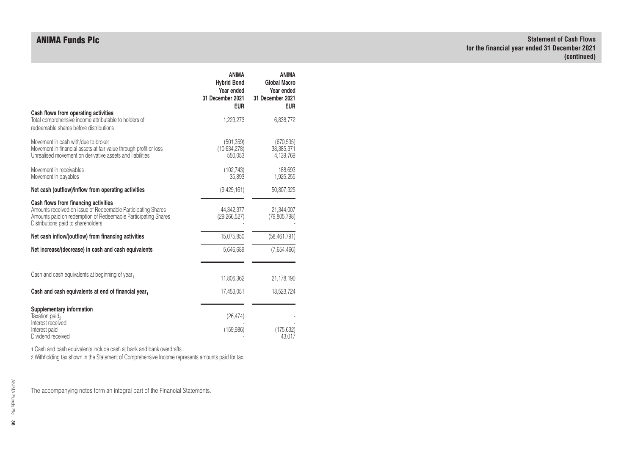|                                                                                                                                                                                                             | <b>ANIMA</b><br><b>Hybrid Bond</b><br>Year ended<br>31 December 2021<br><b>EUR</b> | <b>ANIMA</b><br><b>Global Macro</b><br>Year ended<br>31 December 2021<br><b>EUR</b> |
|-------------------------------------------------------------------------------------------------------------------------------------------------------------------------------------------------------------|------------------------------------------------------------------------------------|-------------------------------------------------------------------------------------|
| Cash flows from operating activities<br>Total comprehensive income attributable to holders of<br>redeemable shares before distributions                                                                     | 1,223,273                                                                          | 6,838,772                                                                           |
| Movement in cash with/due to broker<br>Movement in financial assets at fair value through profit or loss<br>Unrealised movement on derivative assets and liabilities                                        | (501, 359)<br>(10,634,278)<br>550.053                                              | (670, 535)<br>38,385,371<br>4,139,769                                               |
| Movement in receivables<br>Movement in payables                                                                                                                                                             | (102, 743)<br>35,893                                                               | 188,693<br>1,925,255                                                                |
| Net cash (outflow)/inflow from operating activities                                                                                                                                                         | (9,429,161)                                                                        | 50,807,325                                                                          |
| Cash flows from financing activities<br>Amounts received on issue of Redeemable Participating Shares<br>Amounts paid on redemption of Redeemable Participating Shares<br>Distributions paid to shareholders | 44,342,377<br>(29, 266, 527)                                                       | 21,344,007<br>(79,805,798)                                                          |
| Net cash inflow/(outflow) from financing activities                                                                                                                                                         | 15,075,850                                                                         | (58, 461, 791)                                                                      |
| Net increase/(decrease) in cash and cash equivalents                                                                                                                                                        | 5,646,689                                                                          | (7,654,466)                                                                         |
| Cash and cash equivalents at beginning of year,                                                                                                                                                             | 11,806,362                                                                         | 21,178,190                                                                          |
| Cash and cash equivalents at end of financial year,                                                                                                                                                         | 17,453,051                                                                         | 13,523,724                                                                          |
| <b>Supplementary information</b><br>Taxation paid <sub>2</sub><br>Interest received<br>Interest paid<br>Dividend received                                                                                   | (26, 474)<br>(159, 986)                                                            | (175, 632)<br>43,017                                                                |

1 Cash and cash equivalents include cash at bank and bank overdrafts.

2 Withholding tax shown in the Statement of Comprehensive Income represents amounts paid for tax.

The accompanying notes form an integral part of the Financial Statements.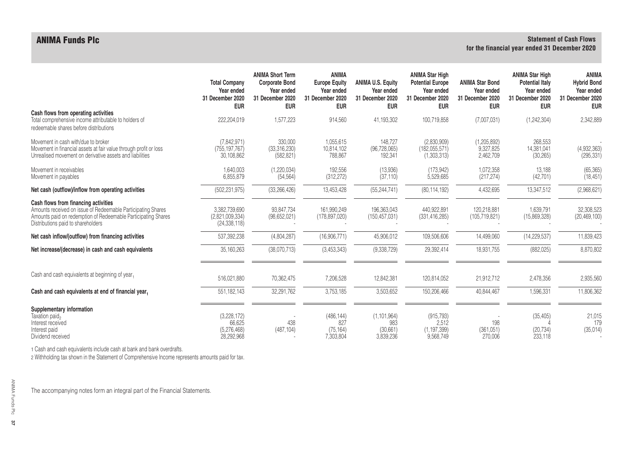# **ANIMA Funds Plc**

# **Statement of Cash Flows**

**for the financial year ended 31 December 2020**

|                                                                                                                                                                                                             | <b>Total Company</b><br>Year ended<br>31 December 2020<br><b>EUR</b> | <b>ANIMA Short Term</b><br><b>Corporate Bond</b><br>Year ended<br>31 December 2020<br><b>EUR</b> | <b>ANIMA</b><br><b>Europe Equity</b><br>Year ended<br>31 December 2020<br><b>EUR</b> | <b>ANIMA U.S. Equity</b><br>Year ended<br>.2020<br>31 December<br><b>EUR</b> | <b>ANIMA Star High</b><br><b>Potential Europe</b><br>Year ended<br>31 December 2020<br><b>EUR</b> | <b>ANIMA Star Bond</b><br>Year ended<br>31 December 2020<br><b>EUR</b> | <b>ANIMA Star High</b><br><b>Potential Italy</b><br>Year ended<br>31 December 2020<br><b>EUR</b> | <b>ANIMA</b><br><b>Hybrid Bond</b><br>Year ended<br>31 December 2020<br><b>EUR</b> |
|-------------------------------------------------------------------------------------------------------------------------------------------------------------------------------------------------------------|----------------------------------------------------------------------|--------------------------------------------------------------------------------------------------|--------------------------------------------------------------------------------------|------------------------------------------------------------------------------|---------------------------------------------------------------------------------------------------|------------------------------------------------------------------------|--------------------------------------------------------------------------------------------------|------------------------------------------------------------------------------------|
| Cash flows from operating activities<br>Total comprehensive income attributable to holders of<br>redeemable shares before distributions                                                                     | 222,204,019                                                          | 1,577,223                                                                                        | 914,560                                                                              | 41,193,302                                                                   | 100,719,858                                                                                       | (7,007,031)                                                            | (1,242,304)                                                                                      | 2,342,889                                                                          |
| Movement in cash with/due to broker<br>Movement in financial assets at fair value through profit or loss<br>Unrealised movement on derivative assets and liabilities                                        | (7,842,971)<br>(755, 197, 767)<br>30,108,862                         | 330,000<br>(33,316,230)<br>(582, 821)                                                            | 1,055,615<br>10,814,102<br>788,867                                                   | 148,727<br>(96, 728, 065)<br>192,341                                         | (2,830,909)<br>(182, 055, 571)<br>(1,303,313)                                                     | (1,205,892)<br>9,327,825<br>2,462,709                                  | 268.553<br>14.381.041<br>(30, 265)                                                               | (4,932,363)<br>(295, 331)                                                          |
| Movement in receivables<br>Movement in payables                                                                                                                                                             | 1,640,003<br>6,855,879                                               | (1,220,034)<br>(54, 564)                                                                         | 192,556<br>(312, 272)                                                                | (13,936)<br>(37, 110)                                                        | (173, 942)<br>5,529,685                                                                           | 1,072,358<br>(217, 274)                                                | 13,188<br>(42, 701)                                                                              | (65, 365)<br>(18, 451)                                                             |
| Net cash (outflow)/inflow from operating activities                                                                                                                                                         | (502, 231, 975)                                                      | (33, 266, 426)                                                                                   | 13,453,428                                                                           | (55, 244, 741)                                                               | (80, 114, 192)                                                                                    | 4,432,695                                                              | 13,347,512                                                                                       | (2,968,621)                                                                        |
| Cash flows from financing activities<br>Amounts received on issue of Redeemable Participating Shares<br>Amounts paid on redemption of Redeemable Participating Shares<br>Distributions paid to shareholders | 3.382.739.690<br>(2,821,009,334)<br>(24, 338, 118)                   | 93.847.734<br>(98, 652, 021)                                                                     | 161,990,249<br>(178, 897, 020)                                                       | 196,363,043<br>(150, 457, 031)                                               | 440.922.891<br>(331, 416, 285)                                                                    | 120.218.881<br>(105, 719, 821)                                         | 1,639,791<br>(15,869,328)                                                                        | 32.308.523<br>(20, 469, 100)                                                       |
| Net cash inflow/(outflow) from financing activities                                                                                                                                                         | 537,392,238                                                          | (4,804,287)                                                                                      | (16,906,771)                                                                         | 45,906,012                                                                   | 109,506,606                                                                                       | 14,499,060                                                             | (14, 229, 537)                                                                                   | 11,839,423                                                                         |
| Net increase/(decrease) in cash and cash equivalents                                                                                                                                                        | 35,160,263                                                           | (38,070,713)                                                                                     | (3,453,343)                                                                          | (9,338,729)                                                                  | 29,392,414                                                                                        | 18,931,755                                                             | (882, 025)                                                                                       | 8,870,802                                                                          |
| Cash and cash equivalents at beginning of year1                                                                                                                                                             | 516,021,880                                                          | 70,362,475                                                                                       | 7,206,528                                                                            | 12,842,381                                                                   | 120,814,052                                                                                       | 21,912,712                                                             | 2,478,356                                                                                        | 2,935,560                                                                          |
| Cash and cash equivalents at end of financial year,                                                                                                                                                         | 551, 182, 143                                                        | 32,291,762                                                                                       | 3,753,185                                                                            | 3,503,652                                                                    | 150,206,466                                                                                       | 40,844,467                                                             | 1,596,331                                                                                        | 11,806,362                                                                         |
| Supplementary information<br>Taxation paid <sub>2</sub><br>Interest received<br>Interest paid<br>Dividend received                                                                                          | (3,228,172)<br>66,625<br>(5,276,468)<br>28.292.968                   | 438<br>(487, 104)                                                                                | (486, 144)<br>827<br>(75, 164)<br>7,303,804                                          | (1, 101, 964)<br>983<br>(30,661)<br>3,839,236                                | (915, 793)<br>2,512<br>(1, 197, 399)<br>9.568.749                                                 | 198<br>(361,051)<br>270.006                                            | (35, 405)<br>(20, 734)<br>233.118                                                                | 21,015<br>179<br>(35, 014)                                                         |

1 Cash and cash equivalents include cash at bank and bank overdrafts.

2 Withholding tax shown in the Statement of Comprehensive Income represents amounts paid for tax.

ANIMA Funds Plc ANIMA Funds Plc **37**

The accompanying notes form an integral part of the Financial Statements.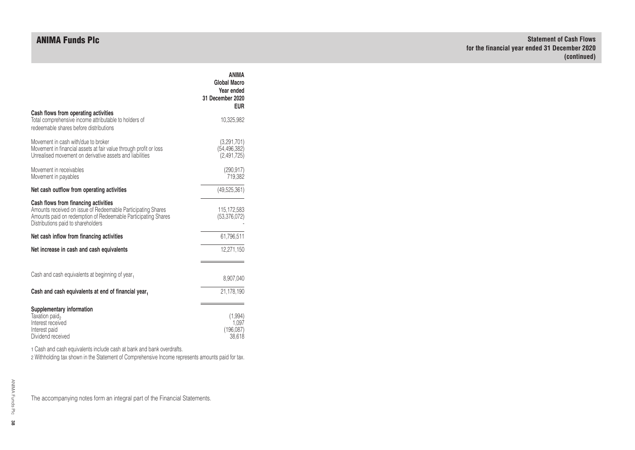|                                                                                                                                                                                                             | ANIMA<br><b>Global Macro</b><br>Year ended<br>31 December 2020<br><b>EUR</b> |
|-------------------------------------------------------------------------------------------------------------------------------------------------------------------------------------------------------------|------------------------------------------------------------------------------|
| Cash flows from operating activities<br>Total comprehensive income attributable to holders of<br>redeemable shares before distributions                                                                     | 10,325,982                                                                   |
| Movement in cash with/due to broker<br>Movement in financial assets at fair value through profit or loss<br>Unrealised movement on derivative assets and liabilities                                        | (3,291,701)<br>(54, 496, 382)<br>(2,491,725)                                 |
| Movement in receivables<br>Movement in payables                                                                                                                                                             | (290, 917)<br>719,382                                                        |
| Net cash outflow from operating activities                                                                                                                                                                  | (49, 525, 361)                                                               |
| Cash flows from financing activities<br>Amounts received on issue of Redeemable Participating Shares<br>Amounts paid on redemption of Redeemable Participating Shares<br>Distributions paid to shareholders | 115, 172, 583<br>(53, 376, 072)                                              |
| Net cash inflow from financing activities                                                                                                                                                                   | 61,796,511                                                                   |
| Net increase in cash and cash equivalents                                                                                                                                                                   | 12.271.150                                                                   |
| Cash and cash equivalents at beginning of year1                                                                                                                                                             | 8,907,040                                                                    |
| Cash and cash equivalents at end of financial year,                                                                                                                                                         | 21,178,190                                                                   |
| <b>Supplementary information</b><br>Taxation paid <sub>2</sub><br>Interest received<br>Interest paid<br>Dividend received                                                                                   | (1,994)<br>1.097<br>(196,087)<br>38,618                                      |

1 Cash and cash equivalents include cash at bank and bank overdrafts.

2 Withholding tax shown in the Statement of Comprehensive Income represents amounts paid for tax.

The accompanying notes form an integral part of the Financial Statements.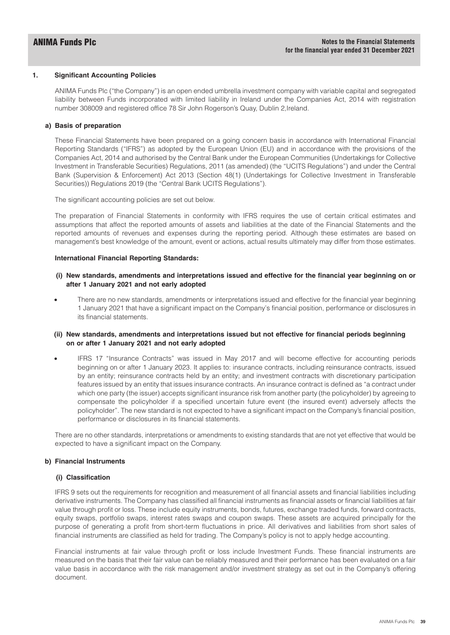## **1. Significant Accounting Policies**

ANIMA Funds Plc ("the Company") is an open ended umbrella investment company with variable capital and segregated liability between Funds incorporated with limited liability in Ireland under the Companies Act, 2014 with registration number 308009 and registered office 78 Sir John Rogerson's Quay, Dublin 2,Ireland.

### **a) Basis of preparation**

These Financial Statements have been prepared on a going concern basis in accordance with International Financial Reporting Standards ("IFRS") as adopted by the European Union (EU) and in accordance with the provisions of the Companies Act, 2014 and authorised by the Central Bank under the European Communities (Undertakings for Collective Investment in Transferable Securities) Regulations, 2011 (as amended) (the "UCITS Regulations") and under the Central Bank (Supervision & Enforcement) Act 2013 (Section 48(1) (Undertakings for Collective Investment in Transferable Securities)) Regulations 2019 (the "Central Bank UCITS Regulations").

The significant accounting policies are set out below.

The preparation of Financial Statements in conformity with IFRS requires the use of certain critical estimates and assumptions that affect the reported amounts of assets and liabilities at the date of the Financial Statements and the reported amounts of revenues and expenses during the reporting period. Although these estimates are based on management's best knowledge of the amount, event or actions, actual results ultimately may differ from those estimates.

#### **International Financial Reporting Standards:**

- **(i) New standards, amendments and interpretations issued and effective for the financial year beginning on or after 1 January 2021 and not early adopted**
- There are no new standards, amendments or interpretations issued and effective for the financial year beginning 1 January 2021 that have a significant impact on the Company's financial position, performance or disclosures in its financial statements.

## **(ii) New standards, amendments and interpretations issued but not effective for financial periods beginning on or after 1 January 2021 and not early adopted**

• IFRS 17 "Insurance Contracts" was issued in May 2017 and will become effective for accounting periods beginning on or after 1 January 2023. It applies to: insurance contracts, including reinsurance contracts, issued by an entity; reinsurance contracts held by an entity; and investment contracts with discretionary participation features issued by an entity that issues insurance contracts. An insurance contract is defined as "a contract under which one party (the issuer) accepts significant insurance risk from another party (the policyholder) by agreeing to compensate the policyholder if a specified uncertain future event (the insured event) adversely affects the policyholder". The new standard is not expected to have a significant impact on the Company's financial position, performance or disclosures in its financial statements.

There are no other standards, interpretations or amendments to existing standards that are not yet effective that would be expected to have a significant impact on the Company.

#### **b) Financial Instruments**

#### **(i) Classification**

IFRS 9 sets out the requirements for recognition and measurement of all financial assets and financial liabilities including derivative instruments. The Company has classified all financial instruments as financial assets or financial liabilities at fair value through profit or loss. These include equity instruments, bonds, futures, exchange traded funds, forward contracts, equity swaps, portfolio swaps, interest rates swaps and coupon swaps. These assets are acquired principally for the purpose of generating a profit from short-term fluctuations in price. All derivatives and liabilities from short sales of financial instruments are classified as held for trading. The Company's policy is not to apply hedge accounting.

Financial instruments at fair value through profit or loss include Investment Funds. These financial instruments are measured on the basis that their fair value can be reliably measured and their performance has been evaluated on a fair value basis in accordance with the risk management and/or investment strategy as set out in the Company's offering document.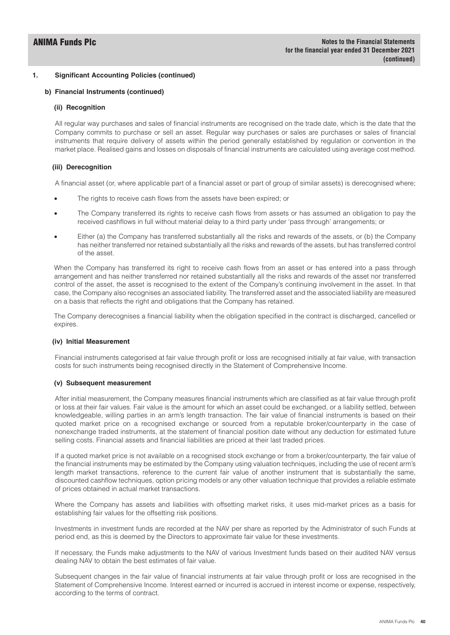## **b) Financial Instruments (continued)**

## **(ii) Recognition**

All regular way purchases and sales of financial instruments are recognised on the trade date, which is the date that the Company commits to purchase or sell an asset. Regular way purchases or sales are purchases or sales of financial instruments that require delivery of assets within the period generally established by regulation or convention in the market place. Realised gains and losses on disposals of financial instruments are calculated using average cost method.

## **(iii) Derecognition**

A financial asset (or, where applicable part of a financial asset or part of group of similar assets) is derecognised where;

- The rights to receive cash flows from the assets have been expired; or
- The Company transferred its rights to receive cash flows from assets or has assumed an obligation to pay the received cashflows in full without material delay to a third party under 'pass through' arrangements; or
- Either (a) the Company has transferred substantially all the risks and rewards of the assets, or (b) the Company has neither transferred nor retained substantially all the risks and rewards of the assets, but has transferred control of the asset.

When the Company has transferred its right to receive cash flows from an asset or has entered into a pass through arrangement and has neither transferred nor retained substantially all the risks and rewards of the asset nor transferred control of the asset, the asset is recognised to the extent of the Company's continuing involvement in the asset. In that case, the Company also recognises an associated liability. The transferred asset and the associated liability are measured on a basis that reflects the right and obligations that the Company has retained.

The Company derecognises a financial liability when the obligation specified in the contract is discharged, cancelled or expires.

## **(iv) Initial Measurement**

Financial instruments categorised at fair value through profit or loss are recognised initially at fair value, with transaction costs for such instruments being recognised directly in the Statement of Comprehensive Income.

#### **(v) Subsequent measurement**

After initial measurement, the Company measures financial instruments which are classified as at fair value through profit or loss at their fair values. Fair value is the amount for which an asset could be exchanged, or a liability settled, between knowledgeable, willing parties in an arm's length transaction. The fair value of financial instruments is based on their quoted market price on a recognised exchange or sourced from a reputable broker/counterparty in the case of nonexchange traded instruments, at the statement of financial position date without any deduction for estimated future selling costs. Financial assets and financial liabilities are priced at their last traded prices.

If a quoted market price is not available on a recognised stock exchange or from a broker/counterparty, the fair value of the financial instruments may be estimated by the Company using valuation techniques, including the use of recent arm's length market transactions, reference to the current fair value of another instrument that is substantially the same, discounted cashflow techniques, option pricing models or any other valuation technique that provides a reliable estimate of prices obtained in actual market transactions.

Where the Company has assets and liabilities with offsetting market risks, it uses mid-market prices as a basis for establishing fair values for the offsetting risk positions.

Investments in investment funds are recorded at the NAV per share as reported by the Administrator of such Funds at period end, as this is deemed by the Directors to approximate fair value for these investments.

If necessary, the Funds make adjustments to the NAV of various Investment funds based on their audited NAV versus dealing NAV to obtain the best estimates of fair value.

Subsequent changes in the fair value of financial instruments at fair value through profit or loss are recognised in the Statement of Comprehensive Income. Interest earned or incurred is accrued in interest income or expense, respectively, according to the terms of contract.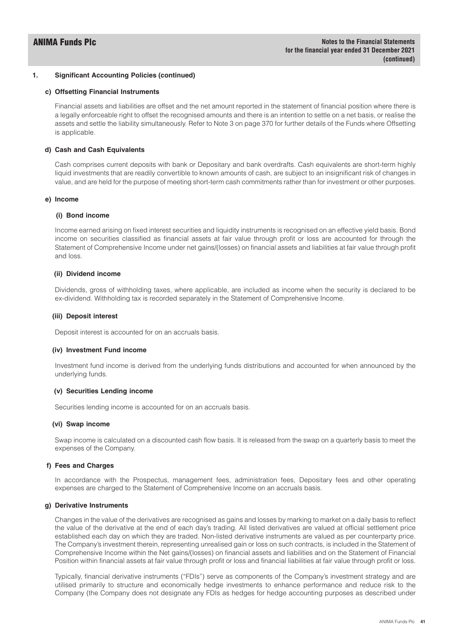## **c) Offsetting Financial Instruments**

Financial assets and liabilities are offset and the net amount reported in the statement of financial position where there is a legally enforceable right to offset the recognised amounts and there is an intention to settle on a net basis, or realise the assets and settle the liability simultaneously. Refer to Note 3 on page 370 for further details of the Funds where Offsetting is applicable.

## **d) Cash and Cash Equivalents**

Cash comprises current deposits with bank or Depositary and bank overdrafts. Cash equivalents are short-term highly liquid investments that are readily convertible to known amounts of cash, are subject to an insignificant risk of changes in value, and are held for the purpose of meeting short-term cash commitments rather than for investment or other purposes.

## **e) Income**

## **(i) Bond income**

Income earned arising on fixed interest securities and liquidity instruments is recognised on an effective yield basis. Bond income on securities classified as financial assets at fair value through profit or loss are accounted for through the Statement of Comprehensive Income under net gains/(losses) on financial assets and liabilities at fair value through profit and loss.

## **(ii) Dividend income**

Dividends, gross of withholding taxes, where applicable, are included as income when the security is declared to be ex-dividend. Withholding tax is recorded separately in the Statement of Comprehensive Income.

## **(iii) Deposit interest**

Deposit interest is accounted for on an accruals basis.

#### **(iv) Investment Fund income**

Investment fund income is derived from the underlying funds distributions and accounted for when announced by the underlying funds.

#### **(v) Securities Lending income**

Securities lending income is accounted for on an accruals basis.

#### **(vi) Swap income**

Swap income is calculated on a discounted cash flow basis. It is released from the swap on a quarterly basis to meet the expenses of the Company.

## **f) Fees and Charges**

In accordance with the Prospectus, management fees, administration fees, Depositary fees and other operating expenses are charged to the Statement of Comprehensive Income on an accruals basis.

## **g) Derivative Instruments**

Changes in the value of the derivatives are recognised as gains and losses by marking to market on a daily basis to reflect the value of the derivative at the end of each day's trading. All listed derivatives are valued at official settlement price established each day on which they are traded. Non-listed derivative instruments are valued as per counterparty price. The Company's investment therein, representing unrealised gain or loss on such contracts, is included in the Statement of Comprehensive Income within the Net gains/(losses) on financial assets and liabilities and on the Statement of Financial Position within financial assets at fair value through profit or loss and financial liabilities at fair value through profit or loss.

Typically, financial derivative instruments ("FDIs") serve as components of the Company's investment strategy and are utilised primarily to structure and economically hedge investments to enhance performance and reduce risk to the Company (the Company does not designate any FDIs as hedges for hedge accounting purposes as described under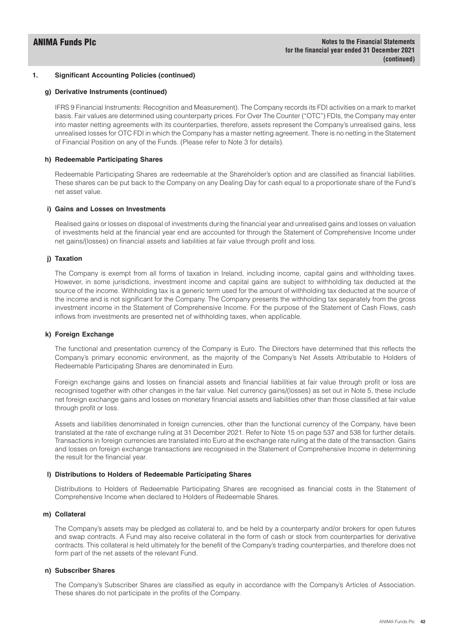## **g) Derivative Instruments (continued)**

IFRS 9 Financial Instruments: Recognition and Measurement). The Company records its FDI activities on a mark to market basis. Fair values are determined using counterparty prices. For Over The Counter ("OTC") FDIs, the Company may enter into master netting agreements with its counterparties, therefore, assets represent the Company's unrealised gains, less unrealised losses for OTC FDI in which the Company has a master netting agreement. There is no netting in the Statement of Financial Position on any of the Funds. (Please refer to Note 3 for details).

## **h) Redeemable Participating Shares**

Redeemable Participating Shares are redeemable at the Shareholder's option and are classified as financial liabilities. These shares can be put back to the Company on any Dealing Day for cash equal to a proportionate share of the Fund's net asset value.

## **i) Gains and Losses on Investments**

Realised gains or losses on disposal of investments during the financial year and unrealised gains and losses on valuation of investments held at the financial year end are accounted for through the Statement of Comprehensive Income under net gains/(losses) on financial assets and liabilities at fair value through profit and loss.

## **j) Taxation**

The Company is exempt from all forms of taxation in Ireland, including income, capital gains and withholding taxes. However, in some jurisdictions, investment income and capital gains are subject to withholding tax deducted at the source of the income. Withholding tax is a generic term used for the amount of withholding tax deducted at the source of the income and is not significant for the Company. The Company presents the withholding tax separately from the gross investment income in the Statement of Comprehensive Income. For the purpose of the Statement of Cash Flows, cash inflows from investments are presented net of withholding taxes, when applicable.

## **k) Foreign Exchange**

The functional and presentation currency of the Company is Euro. The Directors have determined that this reflects the Company's primary economic environment, as the majority of the Company's Net Assets Attributable to Holders of Redeemable Participating Shares are denominated in Euro.

Foreign exchange gains and losses on financial assets and financial liabilities at fair value through profit or loss are recognised together with other changes in the fair value. Net currency gains/(losses) as set out in Note 5, these include net foreign exchange gains and losses on monetary financial assets and liabilities other than those classified at fair value through profit or loss.

Assets and liabilities denominated in foreign currencies, other than the functional currency of the Company, have been translated at the rate of exchange ruling at 31 December 2021. Refer to Note 15 on page 537 and 538 for further details. Transactions in foreign currencies are translated into Euro at the exchange rate ruling at the date of the transaction. Gains and losses on foreign exchange transactions are recognised in the Statement of Comprehensive Income in determining the result for the financial year.

## **l) Distributions to Holders of Redeemable Participating Shares**

Distributions to Holders of Redeemable Participating Shares are recognised as financial costs in the Statement of Comprehensive Income when declared to Holders of Redeemable Shares.

#### **m) Collateral**

The Company's assets may be pledged as collateral to, and be held by a counterparty and/or brokers for open futures and swap contracts. A Fund may also receive collateral in the form of cash or stock from counterparties for derivative contracts. This collateral is held ultimately for the benefit of the Company's trading counterparties, and therefore does not form part of the net assets of the relevant Fund.

## **n) Subscriber Shares**

The Company's Subscriber Shares are classified as equity in accordance with the Company's Articles of Association. These shares do not participate in the profits of the Company.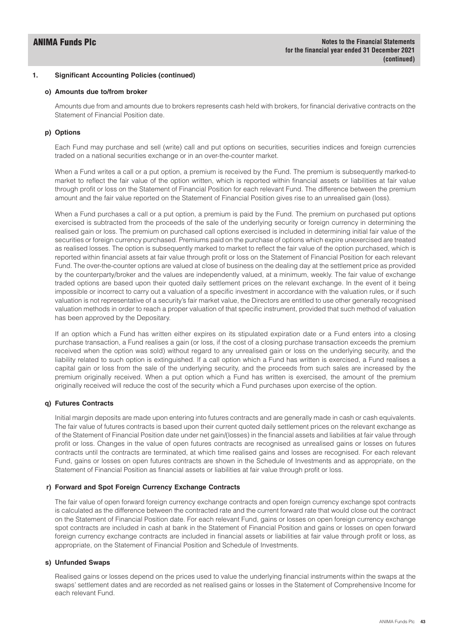## **o) Amounts due to/from broker**

Amounts due from and amounts due to brokers represents cash held with brokers, for financial derivative contracts on the Statement of Financial Position date.

## **p) Options**

Each Fund may purchase and sell (write) call and put options on securities, securities indices and foreign currencies traded on a national securities exchange or in an over-the-counter market.

When a Fund writes a call or a put option, a premium is received by the Fund. The premium is subsequently marked-to market to reflect the fair value of the option written, which is reported within financial assets or liabilities at fair value through profit or loss on the Statement of Financial Position for each relevant Fund. The difference between the premium amount and the fair value reported on the Statement of Financial Position gives rise to an unrealised gain (loss).

When a Fund purchases a call or a put option, a premium is paid by the Fund. The premium on purchased put options exercised is subtracted from the proceeds of the sale of the underlying security or foreign currency in determining the realised gain or loss. The premium on purchased call options exercised is included in determining initial fair value of the securities or foreign currency purchased. Premiums paid on the purchase of options which expire unexercised are treated as realised losses. The option is subsequently marked to market to reflect the fair value of the option purchased, which is reported within financial assets at fair value through profit or loss on the Statement of Financial Position for each relevant Fund. The over-the-counter options are valued at close of business on the dealing day at the settlement price as provided by the counterparty/broker and the values are independently valued, at a minimum, weekly. The fair value of exchange traded options are based upon their quoted daily settlement prices on the relevant exchange. In the event of it being impossible or incorrect to carry out a valuation of a specific investment in accordance with the valuation rules, or if such valuation is not representative of a security's fair market value, the Directors are entitled to use other generally recognised valuation methods in order to reach a proper valuation of that specific instrument, provided that such method of valuation has been approved by the Depositary.

If an option which a Fund has written either expires on its stipulated expiration date or a Fund enters into a closing purchase transaction, a Fund realises a gain (or loss, if the cost of a closing purchase transaction exceeds the premium received when the option was sold) without regard to any unrealised gain or loss on the underlying security, and the liability related to such option is extinguished. If a call option which a Fund has written is exercised, a Fund realises a capital gain or loss from the sale of the underlying security, and the proceeds from such sales are increased by the premium originally received. When a put option which a Fund has written is exercised, the amount of the premium originally received will reduce the cost of the security which a Fund purchases upon exercise of the option.

## **q) Futures Contracts**

Initial margin deposits are made upon entering into futures contracts and are generally made in cash or cash equivalents. The fair value of futures contracts is based upon their current quoted daily settlement prices on the relevant exchange as of the Statement of Financial Position date under net gain/(losses) in the financial assets and liabilities at fair value through profit or loss. Changes in the value of open futures contracts are recognised as unrealised gains or losses on futures contracts until the contracts are terminated, at which time realised gains and losses are recognised. For each relevant Fund, gains or losses on open futures contracts are shown in the Schedule of Investments and as appropriate, on the Statement of Financial Position as financial assets or liabilities at fair value through profit or loss.

#### **r) Forward and Spot Foreign Currency Exchange Contracts**

The fair value of open forward foreign currency exchange contracts and open foreign currency exchange spot contracts is calculated as the difference between the contracted rate and the current forward rate that would close out the contract on the Statement of Financial Position date. For each relevant Fund, gains or losses on open foreign currency exchange spot contracts are included in cash at bank in the Statement of Financial Position and gains or losses on open forward foreign currency exchange contracts are included in financial assets or liabilities at fair value through profit or loss, as appropriate, on the Statement of Financial Position and Schedule of Investments.

#### **s) Unfunded Swaps**

Realised gains or losses depend on the prices used to value the underlying financial instruments within the swaps at the swaps' settlement dates and are recorded as net realised gains or losses in the Statement of Comprehensive Income for each relevant Fund.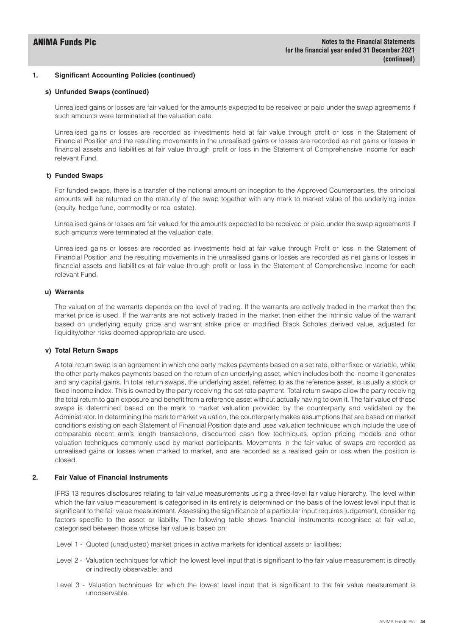## **s) Unfunded Swaps (continued)**

Unrealised gains or losses are fair valued for the amounts expected to be received or paid under the swap agreements if such amounts were terminated at the valuation date.

Unrealised gains or losses are recorded as investments held at fair value through profit or loss in the Statement of Financial Position and the resulting movements in the unrealised gains or losses are recorded as net gains or losses in financial assets and liabilities at fair value through profit or loss in the Statement of Comprehensive Income for each relevant Fund.

## **t) Funded Swaps**

For funded swaps, there is a transfer of the notional amount on inception to the Approved Counterparties, the principal amounts will be returned on the maturity of the swap together with any mark to market value of the underlying index (equity, hedge fund, commodity or real estate).

Unrealised gains or losses are fair valued for the amounts expected to be received or paid under the swap agreements if such amounts were terminated at the valuation date.

Unrealised gains or losses are recorded as investments held at fair value through Profit or loss in the Statement of Financial Position and the resulting movements in the unrealised gains or losses are recorded as net gains or losses in financial assets and liabilities at fair value through profit or loss in the Statement of Comprehensive Income for each relevant Fund.

## **u) Warrants**

The valuation of the warrants depends on the level of trading. If the warrants are actively traded in the market then the market price is used. If the warrants are not actively traded in the market then either the intrinsic value of the warrant based on underlying equity price and warrant strike price or modified Black Scholes derived value, adjusted for liquidity/other risks deemed appropriate are used.

## **v) Total Return Swaps**

A total return swap is an agreement in which one party makes payments based on a set rate, either fixed or variable, while the other party makes payments based on the return of an underlying asset, which includes both the income it generates and any capital gains. In total return swaps, the underlying asset, referred to as the reference asset, is usually a stock or fixed income index. This is owned by the party receiving the set rate payment. Total return swaps allow the party receiving the total return to gain exposure and benefit from a reference asset without actually having to own it. The fair value of these swaps is determined based on the mark to market valuation provided by the counterparty and validated by the Administrator. In determining the mark to market valuation, the counterparty makes assumptions that are based on market conditions existing on each Statement of Financial Position date and uses valuation techniques which include the use of comparable recent arm's length transactions, discounted cash flow techniques, option pricing models and other valuation techniques commonly used by market participants. Movements in the fair value of swaps are recorded as unrealised gains or losses when marked to market, and are recorded as a realised gain or loss when the position is closed.

## **2. Fair Value of Financial Instruments**

IFRS 13 requires disclosures relating to fair value measurements using a three-level fair value hierarchy. The level within which the fair value measurement is categorised in its entirety is determined on the basis of the lowest level input that is significant to the fair value measurement. Assessing the significance of a particular input requires judgement, considering factors specific to the asset or liability. The following table shows financial instruments recognised at fair value, categorised between those whose fair value is based on:

- Level 1 Quoted (unadjusted) market prices in active markets for identical assets or liabilities;
- Level 2 Valuation techniques for which the lowest level input that is significant to the fair value measurement is directly or indirectly observable; and
- Level 3 Valuation techniques for which the lowest level input that is significant to the fair value measurement is unobservable.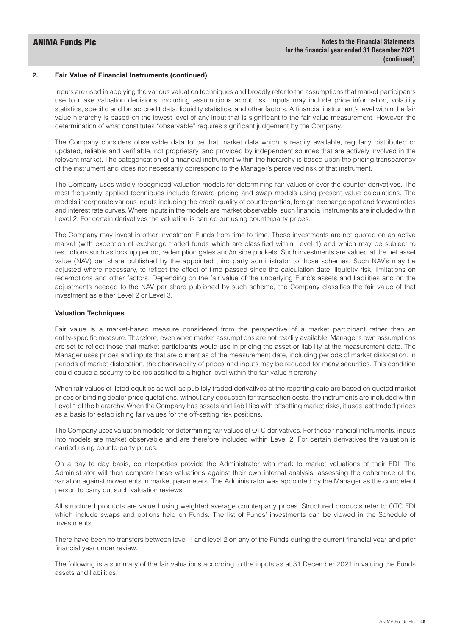Inputs are used in applying the various valuation techniques and broadly refer to the assumptions that market participants use to make valuation decisions, including assumptions about risk. Inputs may include price information, volatility statistics, specific and broad credit data, liquidity statistics, and other factors. A financial instrument's level within the fair value hierarchy is based on the lowest level of any input that is significant to the fair value measurement. However, the determination of what constitutes "observable" requires significant judgement by the Company.

The Company considers observable data to be that market data which is readily available, regularly distributed or updated, reliable and verifiable, not proprietary, and provided by independent sources that are actively involved in the relevant market. The categorisation of a financial instrument within the hierarchy is based upon the pricing transparency of the instrument and does not necessarily correspond to the Manager's perceived risk of that instrument.

The Company uses widely recognised valuation models for determining fair values of over the counter derivatives. The most frequently applied techniques include forward pricing and swap models using present value calculations. The models incorporate various inputs including the credit quality of counterparties, foreign exchange spot and forward rates and interest rate curves. Where inputs in the models are market observable, such financial instruments are included within Level 2. For certain derivatives the valuation is carried out using counterparty prices.

The Company may invest in other Investment Funds from time to time. These investments are not quoted on an active market (with exception of exchange traded funds which are classified within Level 1) and which may be subject to restrictions such as lock up period, redemption gates and/or side pockets. Such investments are valued at the net asset value (NAV) per share published by the appointed third party administrator to those schemes. Such NAV's may be adjusted where necessary, to reflect the effect of time passed since the calculation date, liquidity risk, limitations on redemptions and other factors. Depending on the fair value of the underlying Fund's assets and liabilities and on the adjustments needed to the NAV per share published by such scheme, the Company classifies the fair value of that investment as either Level 2 or Level 3.

## **Valuation Techniques**

Fair value is a market-based measure considered from the perspective of a market participant rather than an entity-specific measure. Therefore, even when market assumptions are not readily available, Manager's own assumptions are set to reflect those that market participants would use in pricing the asset or liability at the measurement date. The Manager uses prices and inputs that are current as of the measurement date, including periods of market dislocation. In periods of market dislocation, the observability of prices and inputs may be reduced for many securities. This condition could cause a security to be reclassified to a higher level within the fair value hierarchy.

When fair values of listed equities as well as publicly traded derivatives at the reporting date are based on quoted market prices or binding dealer price quotations, without any deduction for transaction costs, the instruments are included within Level 1 of the hierarchy. When the Company has assets and liabilities with offsetting market risks, it uses last traded prices as a basis for establishing fair values for the off-setting risk positions.

The Company uses valuation models for determining fair values of OTC derivatives. For these financial instruments, inputs into models are market observable and are therefore included within Level 2. For certain derivatives the valuation is carried using counterparty prices.

On a day to day basis, counterparties provide the Administrator with mark to market valuations of their FDI. The Administrator will then compare these valuations against their own internal analysis, assessing the coherence of the variation against movements in market parameters. The Administrator was appointed by the Manager as the competent person to carry out such valuation reviews.

All structured products are valued using weighted average counterparty prices. Structured products refer to OTC FDI which include swaps and options held on Funds. The list of Funds' investments can be viewed in the Schedule of Investments.

There have been no transfers between level 1 and level 2 on any of the Funds during the current financial year and prior financial year under review.

The following is a summary of the fair valuations according to the inputs as at 31 December 2021 in valuing the Funds assets and liabilities: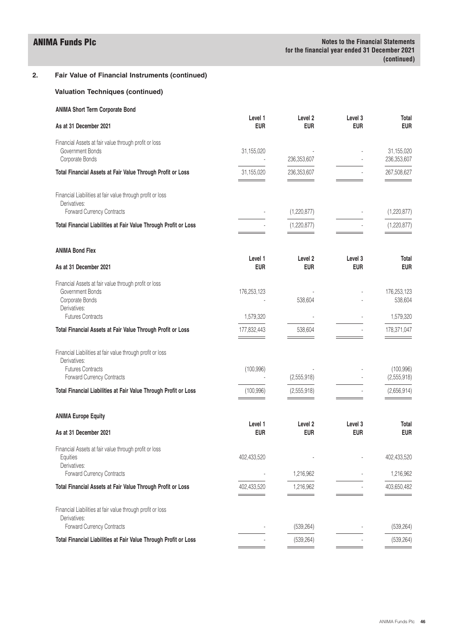## **Valuation Techniques (continued)**

| <b>ANIMA Short Term Corporate Bond</b>                                     |                       |                                  |                       |                           |
|----------------------------------------------------------------------------|-----------------------|----------------------------------|-----------------------|---------------------------|
| As at 31 December 2021                                                     | Level 1<br><b>EUR</b> | Level <sub>2</sub><br><b>EUR</b> | Level 3<br><b>EUR</b> | Total<br><b>EUR</b>       |
| Financial Assets at fair value through profit or loss                      |                       |                                  |                       |                           |
| Government Bonds<br>Corporate Bonds                                        | 31,155,020            | 236,353,607                      |                       | 31,155,020<br>236,353,607 |
| Total Financial Assets at Fair Value Through Profit or Loss                | 31,155,020            | 236,353,607                      |                       | 267,508,627               |
| Financial Liabilities at fair value through profit or loss<br>Derivatives: |                       |                                  |                       |                           |
| Forward Currency Contracts                                                 |                       | (1,220,877)                      |                       | (1,220,877)               |
| Total Financial Liabilities at Fair Value Through Profit or Loss           |                       | (1,220,877)                      |                       | (1,220,877)               |
| <b>ANIMA Bond Flex</b>                                                     |                       |                                  |                       |                           |
| As at 31 December 2021                                                     | Level 1<br><b>EUR</b> | Level 2<br><b>EUR</b>            | Level 3<br><b>EUR</b> | Total<br><b>EUR</b>       |
| Financial Assets at fair value through profit or loss                      |                       |                                  |                       |                           |
| Government Bonds<br>Corporate Bonds                                        | 176,253,123           | 538,604                          |                       | 176,253,123<br>538,604    |
| Derivatives:                                                               |                       |                                  |                       |                           |
| <b>Futures Contracts</b>                                                   | 1,579,320             |                                  |                       | 1,579,320                 |
| Total Financial Assets at Fair Value Through Profit or Loss                | 177,832,443           | 538,604                          |                       | 178,371,047               |
| Financial Liabilities at fair value through profit or loss<br>Derivatives: |                       |                                  |                       |                           |
| <b>Futures Contracts</b><br>Forward Currency Contracts                     | (100, 996)            | (2,555,918)                      |                       | (100, 996)<br>(2,555,918) |
| Total Financial Liabilities at Fair Value Through Profit or Loss           | (100, 996)            | (2,555,918)                      |                       | (2,656,914)               |
| <b>ANIMA Europe Equity</b>                                                 |                       |                                  |                       |                           |
| As at 31 December 2021                                                     | Level 1<br><b>EUR</b> | Level 2<br><b>EUR</b>            | Level 3<br><b>EUR</b> | Total<br><b>EUR</b>       |
| Financial Assets at fair value through profit or loss<br>Equities          | 402,433,520           |                                  |                       | 402,433,520               |
| Derivatives:<br>Forward Currency Contracts                                 |                       | 1,216,962                        |                       | 1,216,962                 |
| Total Financial Assets at Fair Value Through Profit or Loss                | 402,433,520           | 1,216,962                        |                       | 403,650,482               |
| Financial Liabilities at fair value through profit or loss<br>Derivatives: |                       |                                  |                       |                           |
| Forward Currency Contracts                                                 |                       | (539, 264)                       |                       | (539, 264)                |
| Total Financial Liabilities at Fair Value Through Profit or Loss           |                       | (539, 264)                       |                       | (539, 264)                |
|                                                                            |                       |                                  |                       |                           |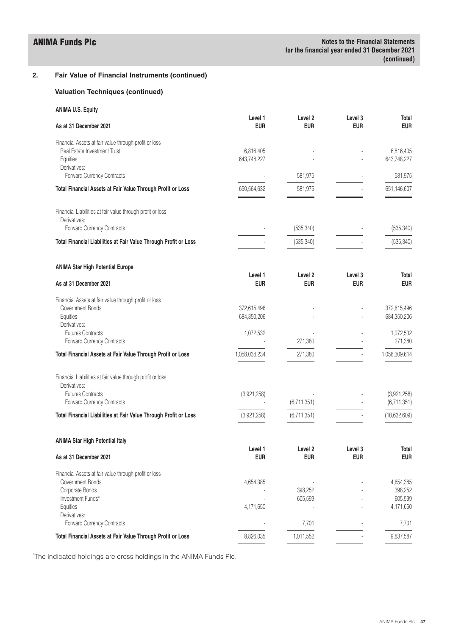# **Valuation Techniques (continued)**

| <b>ANIMA U.S. Equity</b>                                                                                                                      |                            |                       |                       |                                              |
|-----------------------------------------------------------------------------------------------------------------------------------------------|----------------------------|-----------------------|-----------------------|----------------------------------------------|
| As at 31 December 2021                                                                                                                        | Level 1<br><b>EUR</b>      | Level 2<br><b>EUR</b> | Level 3<br><b>EUR</b> | Total<br><b>EUR</b>                          |
| Financial Assets at fair value through profit or loss<br><b>Real Estate Investment Trust</b><br>Equities<br>Derivatives:                      | 6,816,405<br>643,748,227   |                       |                       | 6,816,405<br>643,748,227                     |
| Forward Currency Contracts                                                                                                                    |                            | 581,975               |                       | 581,975                                      |
| Total Financial Assets at Fair Value Through Profit or Loss                                                                                   | 650,564,632                | 581,975               |                       | 651,146,607                                  |
| Financial Liabilities at fair value through profit or loss<br>Derivatives:                                                                    |                            |                       |                       |                                              |
| Forward Currency Contracts                                                                                                                    |                            | (535, 340)            |                       | (535, 340)                                   |
| Total Financial Liabilities at Fair Value Through Profit or Loss                                                                              |                            | (535, 340)            |                       | (535, 340)                                   |
| <b>ANIMA Star High Potential Europe</b>                                                                                                       |                            |                       |                       |                                              |
| As at 31 December 2021                                                                                                                        | Level 1<br><b>EUR</b>      | Level 2<br><b>EUR</b> | Level 3<br><b>EUR</b> | Total<br><b>EUR</b>                          |
| Financial Assets at fair value through profit or loss<br>Government Bonds<br>Equities<br>Derivatives:                                         | 372,615,496<br>684,350,206 |                       |                       | 372,615,496<br>684,350,206                   |
| <b>Futures Contracts</b><br>Forward Currency Contracts                                                                                        | 1,072,532                  | 271,380               |                       | 1,072,532<br>271,380                         |
| Total Financial Assets at Fair Value Through Profit or Loss                                                                                   | 1,058,038,234              | 271,380               |                       | 1,058,309,614                                |
| Financial Liabilities at fair value through profit or loss<br>Derivatives:                                                                    |                            |                       |                       |                                              |
| <b>Futures Contracts</b><br>Forward Currency Contracts                                                                                        | (3,921,258)                | (6,711,351)           |                       | (3,921,258)<br>(6,711,351)                   |
| Total Financial Liabilities at Fair Value Through Profit or Loss                                                                              | (3,921,258)                | (6,711,351)           |                       | (10,632,609)                                 |
| <b>ANIMA Star High Potential Italy</b>                                                                                                        |                            |                       |                       |                                              |
| As at 31 December 2021                                                                                                                        | Level 1<br><b>EUR</b>      | Level 2<br><b>EUR</b> | Level 3<br><b>EUR</b> | <b>Total</b><br><b>EUR</b>                   |
| Financial Assets at fair value through profit or loss<br>Government Bonds<br>Corporate Bonds<br>Investment Funds*<br>Equities<br>Derivatives: | 4,654,385<br>4,171,650     | 398,252<br>605,599    |                       | 4,654,385<br>398,252<br>605,599<br>4,171,650 |
| Forward Currency Contracts                                                                                                                    |                            | 7,701                 |                       | 7,701                                        |
| Total Financial Assets at Fair Value Through Profit or Loss                                                                                   | 8,826,035                  | 1,011,552             |                       | 9,837,587                                    |

\* The indicated holdings are cross holdings in the ANIMA Funds Plc.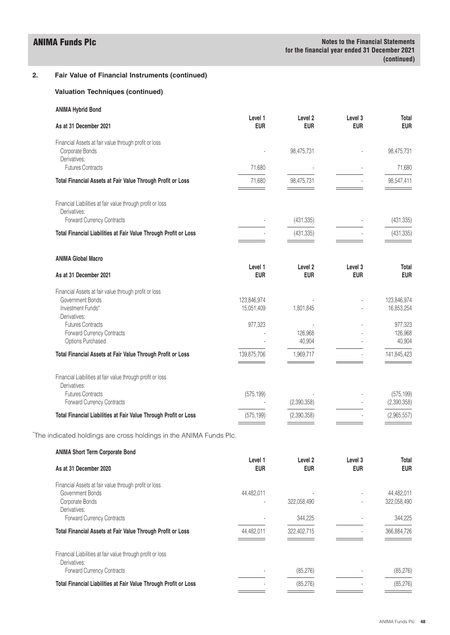# **Valuation Techniques (continued)**

| <b>ANIMA Hybrid Bond</b>                                                   |                       |                                  |                                  |                            |
|----------------------------------------------------------------------------|-----------------------|----------------------------------|----------------------------------|----------------------------|
| As at 31 December 2021                                                     | Level 1<br><b>EUR</b> | Level <sub>2</sub><br><b>EUR</b> | Level 3<br><b>EUR</b>            | Total<br><b>EUR</b>        |
| Financial Assets at fair value through profit or loss<br>Corporate Bonds   |                       | 98,475,731                       |                                  | 98,475,731                 |
| Derivatives:                                                               |                       |                                  |                                  |                            |
| <b>Futures Contracts</b>                                                   | 71,680                |                                  |                                  | 71,680                     |
| Total Financial Assets at Fair Value Through Profit or Loss                | 71,680                | 98,475,731                       |                                  | 98,547,411                 |
| Financial Liabilities at fair value through profit or loss<br>Derivatives: |                       |                                  |                                  |                            |
| Forward Currency Contracts                                                 |                       | (431, 335)                       |                                  | (431, 335)                 |
| Total Financial Liabilities at Fair Value Through Profit or Loss           |                       | (431, 335)                       |                                  | (431, 335)                 |
| <b>ANIMA Global Macro</b>                                                  |                       |                                  |                                  |                            |
| As at 31 December 2021                                                     | Level 1<br><b>EUR</b> | Level <sub>2</sub><br><b>EUR</b> | Level <sub>3</sub><br><b>EUR</b> | <b>Total</b><br><b>EUR</b> |
| Financial Assets at fair value through profit or loss                      |                       |                                  |                                  |                            |
| Government Bonds                                                           | 123,846,974           |                                  |                                  | 123,846,974                |
| Investment Funds*<br>Derivatives:                                          | 15,051,409            | 1,801,845                        |                                  | 16,853,254                 |
| <b>Futures Contracts</b>                                                   | 977,323               |                                  |                                  | 977,323                    |
| Forward Currency Contracts<br>Options Purchased                            |                       | 126,968<br>40,904                |                                  | 126,968<br>40,904          |
|                                                                            |                       |                                  |                                  |                            |

| Total Financial Assets at Fair Value Through Profit or Loss                   | 139.875.706                           | .969.717                                | $\overline{\phantom{a}}$ | 141,845,423               |
|-------------------------------------------------------------------------------|---------------------------------------|-----------------------------------------|--------------------------|---------------------------|
| Financial Liabilities at fair value through profit or loss                    |                                       |                                         |                          |                           |
| Derivatives:<br><b>Futures Contracts</b><br><b>Forward Currency Contracts</b> | (575.199)<br>$\overline{\phantom{a}}$ | $\overline{\phantom{a}}$<br>(2,390,358) | -<br>-                   | (575, 199)<br>(2,390,358) |

**Total Financial Liabilities at Fair Value Through Profit or Loss** (575,199) (2,390,358) - (2,965,557)

\* The indicated holdings are cross holdings in the ANIMA Funds Plc.

| <b>ANIMA Short Term Corporate Bond</b>                                     |                       |                       |                       |                     |
|----------------------------------------------------------------------------|-----------------------|-----------------------|-----------------------|---------------------|
| As at 31 December 2020                                                     | Level 1<br><b>EUR</b> | Level 2<br><b>EUR</b> | Level 3<br><b>EUR</b> | Total<br><b>EUR</b> |
| Financial Assets at fair value through profit or loss                      |                       |                       |                       |                     |
| Government Bonds                                                           | 44,482,011            |                       |                       | 44,482,011          |
| Corporate Bonds                                                            |                       | 322,058,490           |                       | 322,058,490         |
| Derivatives:                                                               |                       |                       |                       |                     |
| <b>Forward Currency Contracts</b>                                          |                       | 344,225               |                       | 344,225             |
| Total Financial Assets at Fair Value Through Profit or Loss                | 44,482,011            | 322,402,715           |                       | 366,884,726         |
| Financial Liabilities at fair value through profit or loss<br>Derivatives: |                       |                       |                       |                     |
| <b>Forward Currency Contracts</b>                                          |                       | (85, 276)             |                       | (85, 276)           |
| Total Financial Liabilities at Fair Value Through Profit or Loss           |                       | (85, 276)             |                       | (85, 276)           |
|                                                                            |                       |                       |                       |                     |

 $\overline{\phantom{a}}$ 

-

 $\equiv$ 

 $\equiv$ 

 $=$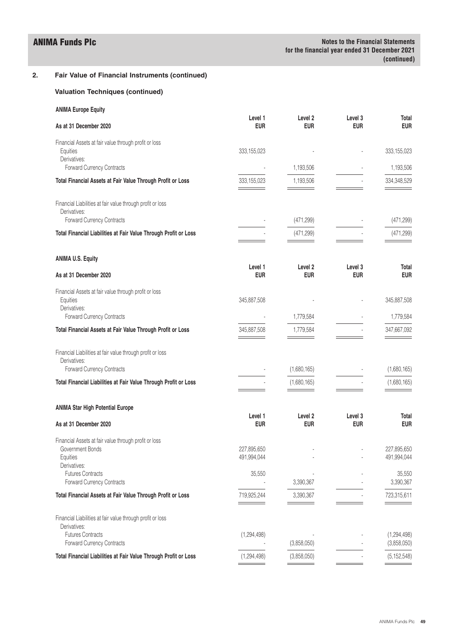# **Valuation Techniques (continued)**

| <b>ANIMA Europe Equity</b>                                                                            |                            |                                  |                       |                              |
|-------------------------------------------------------------------------------------------------------|----------------------------|----------------------------------|-----------------------|------------------------------|
| As at 31 December 2020                                                                                | Level 1<br><b>EUR</b>      | Level <sub>2</sub><br><b>EUR</b> | Level 3<br><b>EUR</b> | Total<br><b>EUR</b>          |
| Financial Assets at fair value through profit or loss<br>Equities<br>Derivatives:                     | 333, 155, 023              |                                  |                       | 333, 155, 023                |
| Forward Currency Contracts                                                                            |                            | 1,193,506                        |                       | 1,193,506                    |
| Total Financial Assets at Fair Value Through Profit or Loss                                           | 333, 155, 023              | 1,193,506                        |                       | 334, 348, 529                |
| Financial Liabilities at fair value through profit or loss<br>Derivatives:                            |                            |                                  |                       |                              |
| Forward Currency Contracts                                                                            |                            | (471, 299)                       |                       | (471, 299)                   |
| Total Financial Liabilities at Fair Value Through Profit or Loss                                      |                            | (471, 299)                       |                       | (471, 299)                   |
| <b>ANIMA U.S. Equity</b>                                                                              |                            |                                  |                       |                              |
| As at 31 December 2020                                                                                | Level 1<br><b>EUR</b>      | Level 2<br><b>EUR</b>            | Level 3<br><b>EUR</b> | Total<br><b>EUR</b>          |
| Financial Assets at fair value through profit or loss<br>Equities<br>Derivatives:                     | 345,887,508                |                                  |                       | 345,887,508                  |
| Forward Currency Contracts                                                                            |                            | 1,779,584                        |                       | 1,779,584                    |
| Total Financial Assets at Fair Value Through Profit or Loss                                           | 345,887,508                | 1,779,584                        |                       | 347,667,092                  |
| Financial Liabilities at fair value through profit or loss<br>Derivatives:                            |                            |                                  |                       |                              |
| Forward Currency Contracts                                                                            |                            | (1,680,165)                      |                       | (1,680,165)                  |
| Total Financial Liabilities at Fair Value Through Profit or Loss                                      |                            | (1,680,165)                      |                       | (1,680,165)                  |
| <b>ANIMA Star High Potential Europe</b>                                                               |                            |                                  |                       |                              |
| As at 31 December 2020                                                                                | Level 1<br><b>EUR</b>      | Level 2<br><b>EUR</b>            | Level 3<br><b>EUR</b> | Total<br><b>EUR</b>          |
| Financial Assets at fair value through profit or loss<br>Government Bonds<br>Equities<br>Derivatives: | 227,895,650<br>491,994,044 |                                  |                       | 227,895,650<br>491,994,044   |
| <b>Futures Contracts</b><br>Forward Currency Contracts                                                | 35,550                     | 3,390,367                        |                       | 35,550<br>3,390,367          |
| Total Financial Assets at Fair Value Through Profit or Loss                                           | 719,925,244                | 3,390,367                        |                       | 723,315,611                  |
| Financial Liabilities at fair value through profit or loss<br>Derivatives:                            |                            |                                  |                       |                              |
| <b>Futures Contracts</b><br>Forward Currency Contracts                                                | (1, 294, 498)              | (3,858,050)                      |                       | (1, 294, 498)<br>(3,858,050) |
| Total Financial Liabilities at Fair Value Through Profit or Loss                                      | (1, 294, 498)              | (3,858,050)                      |                       | (5, 152, 548)                |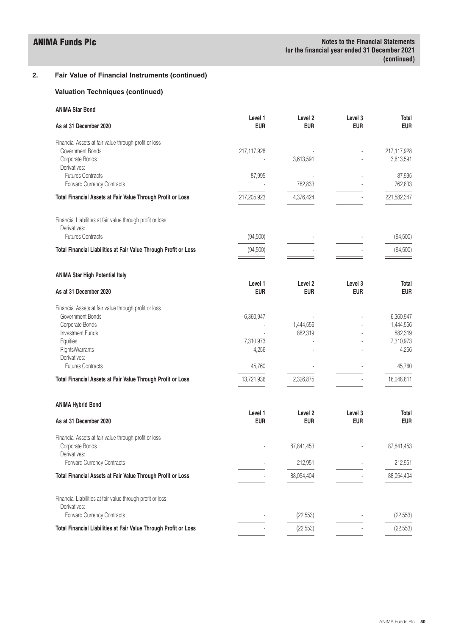# **Valuation Techniques (continued)**

| <b>ANIMA Star Bond</b>                                                                                                                                                                                                                                     |                                                         |                                   |                       |                                                                                 |
|------------------------------------------------------------------------------------------------------------------------------------------------------------------------------------------------------------------------------------------------------------|---------------------------------------------------------|-----------------------------------|-----------------------|---------------------------------------------------------------------------------|
| As at 31 December 2020                                                                                                                                                                                                                                     | Level 1<br><b>EUR</b>                                   | Level <sub>2</sub><br><b>EUR</b>  | Level 3<br><b>EUR</b> | Total<br><b>EUR</b>                                                             |
| Financial Assets at fair value through profit or loss<br>Government Bonds<br>Corporate Bonds<br>Derivatives:                                                                                                                                               | 217, 117, 928                                           | 3,613,591                         |                       | 217, 117, 928<br>3,613,591                                                      |
| <b>Futures Contracts</b><br>Forward Currency Contracts                                                                                                                                                                                                     | 87,995                                                  | 762,833                           |                       | 87,995<br>762,833                                                               |
| Total Financial Assets at Fair Value Through Profit or Loss                                                                                                                                                                                                | 217,205,923                                             | 4,376,424                         |                       | 221,582,347                                                                     |
| Financial Liabilities at fair value through profit or loss<br>Derivatives:<br><b>Futures Contracts</b>                                                                                                                                                     |                                                         |                                   |                       |                                                                                 |
| Total Financial Liabilities at Fair Value Through Profit or Loss                                                                                                                                                                                           | (94, 500)<br>(94, 500)                                  |                                   |                       | (94, 500)<br>(94, 500)                                                          |
| <b>ANIMA Star High Potential Italy</b>                                                                                                                                                                                                                     |                                                         |                                   |                       |                                                                                 |
| As at 31 December 2020                                                                                                                                                                                                                                     | Level 1<br><b>EUR</b>                                   | Level 2<br><b>EUR</b>             | Level 3<br><b>EUR</b> | Total<br><b>EUR</b>                                                             |
| Financial Assets at fair value through profit or loss<br>Government Bonds<br>Corporate Bonds<br>Investment Funds<br>Equities<br>Rights/Warrants<br>Derivatives:<br><b>Futures Contracts</b><br>Total Financial Assets at Fair Value Through Profit or Loss | 6,360,947<br>7,310,973<br>4,256<br>45,760<br>13,721,936 | 1,444,556<br>882,319<br>2,326,875 |                       | 6,360,947<br>1,444,556<br>882,319<br>7,310,973<br>4,256<br>45,760<br>16,048,811 |
|                                                                                                                                                                                                                                                            |                                                         |                                   |                       |                                                                                 |
| <b>ANIMA Hybrid Bond</b><br>As at 31 December 2020                                                                                                                                                                                                         | Level 1<br><b>EUR</b>                                   | Level <sub>2</sub><br><b>EUR</b>  | Level 3<br><b>EUR</b> | Total<br><b>EUR</b>                                                             |
| Financial Assets at fair value through profit or loss<br>Corporate Bonds<br>Derivatives:                                                                                                                                                                   |                                                         | 87,841,453                        |                       | 87,841,453                                                                      |
| Forward Currency Contracts                                                                                                                                                                                                                                 |                                                         | 212,951                           |                       | 212,951                                                                         |
| Total Financial Assets at Fair Value Through Profit or Loss                                                                                                                                                                                                |                                                         | 88,054,404                        |                       | 88,054,404                                                                      |
| Financial Liabilities at fair value through profit or loss<br>Derivatives:                                                                                                                                                                                 |                                                         |                                   |                       |                                                                                 |
| Forward Currency Contracts                                                                                                                                                                                                                                 |                                                         | (22, 553)                         |                       | (22, 553)                                                                       |
| Total Financial Liabilities at Fair Value Through Profit or Loss                                                                                                                                                                                           |                                                         | (22, 553)                         |                       | (22, 553)                                                                       |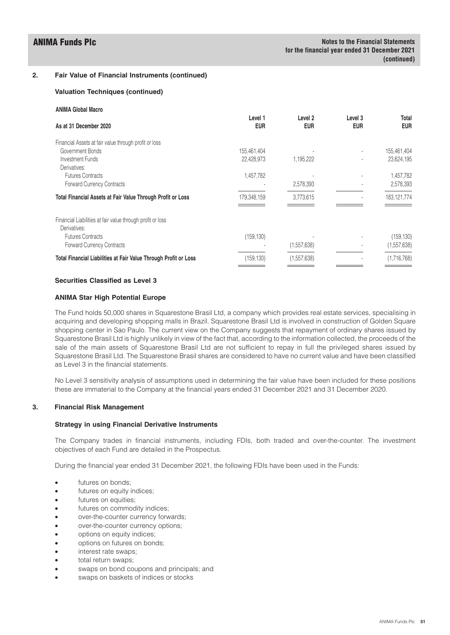## **Valuation Techniques (continued)**

| <b>ANIMA Global Macro</b>                                                  |                       |                       |                          |                     |  |  |  |
|----------------------------------------------------------------------------|-----------------------|-----------------------|--------------------------|---------------------|--|--|--|
| As at 31 December 2020                                                     | Level 1<br><b>EUR</b> | Level 2<br><b>EUR</b> | Level 3<br><b>EUR</b>    | Total<br><b>EUR</b> |  |  |  |
| Financial Assets at fair value through profit or loss                      |                       |                       |                          |                     |  |  |  |
| Government Bonds                                                           | 155,461,404           |                       | ٠                        | 155,461,404         |  |  |  |
| Investment Funds                                                           | 22,428,973            | 1,195,222             |                          | 23,624,195          |  |  |  |
| Derivatives:                                                               |                       |                       |                          |                     |  |  |  |
| <b>Futures Contracts</b>                                                   | 1,457,782             |                       |                          | 1,457,782           |  |  |  |
| <b>Forward Currency Contracts</b>                                          |                       | 2,578,393             | ٠                        | 2,578,393           |  |  |  |
| Total Financial Assets at Fair Value Through Profit or Loss                | 179,348,159           | 3,773,615             | $\overline{\phantom{a}}$ | 183, 121, 774       |  |  |  |
| Financial Liabilities at fair value through profit or loss<br>Derivatives: |                       |                       |                          |                     |  |  |  |
| <b>Futures Contracts</b>                                                   | (159, 130)            |                       |                          | (159, 130)          |  |  |  |
| <b>Forward Currency Contracts</b>                                          |                       | (1,557,638)           | ٠                        | (1,557,638)         |  |  |  |
| Total Financial Liabilities at Fair Value Through Profit or Loss           | (159, 130)            | (1,557,638)           |                          | (1,716,768)         |  |  |  |
|                                                                            |                       |                       |                          |                     |  |  |  |

## **Securities Classified as Level 3**

## **ANIMA Star High Potential Europe**

The Fund holds 50,000 shares in Squarestone Brasil Ltd, a company which provides real estate services, specialising in acquiring and developing shopping malls in Brazil. Squarestone Brasil Ltd is involved in construction of Golden Square shopping center in Sao Paulo. The current view on the Company suggests that repayment of ordinary shares issued by Squarestone Brasil Ltd is highly unlikely in view of the fact that, according to the information collected, the proceeds of the sale of the main assets of Squarestone Brasil Ltd are not sufficient to repay in full the privileged shares issued by Squarestone Brasil Ltd. The Squarestone Brasil shares are considered to have no current value and have been classified as Level 3 in the financial statements.

No Level 3 sensitivity analysis of assumptions used in determining the fair value have been included for these positions these are immaterial to the Company at the financial years ended 31 December 2021 and 31 December 2020.

## **3. Financial Risk Management**

## **Strategy in using Financial Derivative Instruments**

The Company trades in financial instruments, including FDIs, both traded and over-the-counter. The investment objectives of each Fund are detailed in the Prospectus.

During the financial year ended 31 December 2021, the following FDIs have been used in the Funds:

- futures on bonds;
- futures on equity indices;
- futures on equities;
- futures on commodity indices;
- over-the-counter currency forwards:
- over-the-counter currency options;
- options on equity indices;
- options on futures on bonds;
- interest rate swaps;
- total return swaps;
- swaps on bond coupons and principals; and
- swaps on baskets of indices or stocks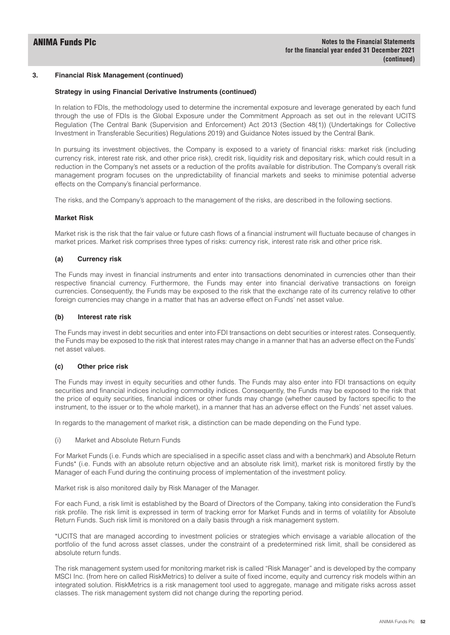#### **Strategy in using Financial Derivative Instruments (continued)**

In relation to FDIs, the methodology used to determine the incremental exposure and leverage generated by each fund through the use of FDIs is the Global Exposure under the Commitment Approach as set out in the relevant UCITS Regulation (The Central Bank (Supervision and Enforcement) Act 2013 (Section 48(1)) (Undertakings for Collective Investment in Transferable Securities) Regulations 2019) and Guidance Notes issued by the Central Bank.

In pursuing its investment objectives, the Company is exposed to a variety of financial risks: market risk (including currency risk, interest rate risk, and other price risk), credit risk, liquidity risk and depositary risk, which could result in a reduction in the Company's net assets or a reduction of the profits available for distribution. The Company's overall risk management program focuses on the unpredictability of financial markets and seeks to minimise potential adverse effects on the Company's financial performance.

The risks, and the Company's approach to the management of the risks, are described in the following sections.

#### **Market Risk**

Market risk is the risk that the fair value or future cash flows of a financial instrument will fluctuate because of changes in market prices. Market risk comprises three types of risks: currency risk, interest rate risk and other price risk.

#### **(a) Currency risk**

The Funds may invest in financial instruments and enter into transactions denominated in currencies other than their respective financial currency. Furthermore, the Funds may enter into financial derivative transactions on foreign currencies. Consequently, the Funds may be exposed to the risk that the exchange rate of its currency relative to other foreign currencies may change in a matter that has an adverse effect on Funds' net asset value.

#### **(b) Interest rate risk**

The Funds may invest in debt securities and enter into FDI transactions on debt securities or interest rates. Consequently, the Funds may be exposed to the risk that interest rates may change in a manner that has an adverse effect on the Funds' net asset values.

#### **(c) Other price risk**

The Funds may invest in equity securities and other funds. The Funds may also enter into FDI transactions on equity securities and financial indices including commodity indices. Consequently, the Funds may be exposed to the risk that the price of equity securities, financial indices or other funds may change (whether caused by factors specific to the instrument, to the issuer or to the whole market), in a manner that has an adverse effect on the Funds' net asset values.

In regards to the management of market risk, a distinction can be made depending on the Fund type.

(i) Market and Absolute Return Funds

For Market Funds (i.e. Funds which are specialised in a specific asset class and with a benchmark) and Absolute Return Funds\* (i.e. Funds with an absolute return objective and an absolute risk limit), market risk is monitored firstly by the Manager of each Fund during the continuing process of implementation of the investment policy.

Market risk is also monitored daily by Risk Manager of the Manager.

For each Fund, a risk limit is established by the Board of Directors of the Company, taking into consideration the Fund's risk profile. The risk limit is expressed in term of tracking error for Market Funds and in terms of volatility for Absolute Return Funds. Such risk limit is monitored on a daily basis through a risk management system.

\*UCITS that are managed according to investment policies or strategies which envisage a variable allocation of the portfolio of the fund across asset classes, under the constraint of a predetermined risk limit, shall be considered as absolute return funds.

The risk management system used for monitoring market risk is called "Risk Manager" and is developed by the company MSCI Inc. (from here on called RiskMetrics) to deliver a suite of fixed income, equity and currency risk models within an integrated solution. RiskMetrics is a risk management tool used to aggregate, manage and mitigate risks across asset classes. The risk management system did not change during the reporting period.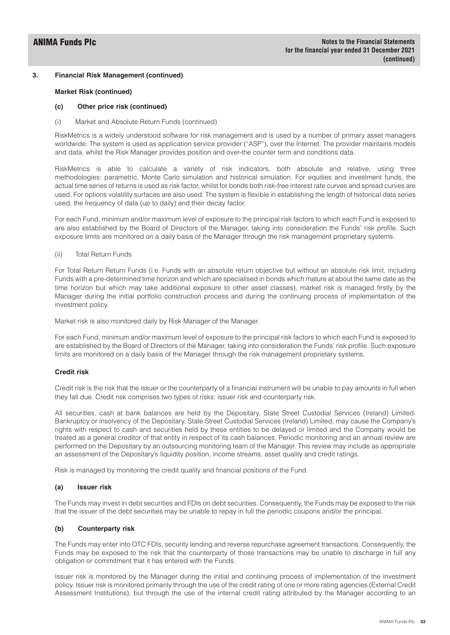## **Market Risk (continued)**

## **(c) Other price risk (continued)**

### (i) Market and Absolute Return Funds (continued)

RiskMetrics is a widely understood software for risk management and is used by a number of primary asset managers worldwide. The system is used as application service provider ("ASP"), over the Internet. The provider maintains models and data, whilst the Risk Manager provides position and over-the counter term and conditions data.

RiskMetrics is able to calculate a variety of risk indicators, both absolute and relative, using three methodologies: parametric, Monte Carlo simulation and historical simulation. For equities and investment funds, the actual time series of returns is used as risk factor, whilst for bonds both risk-free interest rate curves and spread curves are used. For options volatility surfaces are also used. The system is flexible in establishing the length of historical data series used, the frequency of data (up to daily) and their decay factor.

For each Fund, minimum and/or maximum level of exposure to the principal risk factors to which each Fund is exposed to are also established by the Board of Directors of the Manager, taking into consideration the Funds' risk profile. Such exposure limits are monitored on a daily basis of the Manager through the risk management proprietary systems.

## (ii) Total Return Funds

For Total Return Return Funds (i.e. Funds with an absolute return objective but without an absolute risk limit, including Funds with a pre-determined time horizon and which are specialised in bonds which mature at about the same date as the time horizon but which may take additional exposure to other asset classes), market risk is managed firstly by the Manager during the initial portfolio construction process and during the continuing process of implementation of the investment policy.

Market risk is also monitored daily by Risk Manager of the Manager.

For each Fund, minimum and/or maximum level of exposure to the principal risk factors to which each Fund is exposed to are established by the Board of Directors of the Manager, taking into consideration the Funds' risk profile. Such exposure limits are monitored on a daily basis of the Manager through the risk management proprietary systems.

## **Credit risk**

Credit risk is the risk that the issuer or the counterparty of a financial instrument will be unable to pay amounts in full when they fall due. Credit risk comprises two types of risks: issuer risk and counterparty risk.

All securities, cash at bank balances are held by the Depositary, State Street Custodial Services (Ireland) Limited. Bankruptcy or insolvency of the Depositary, State Street Custodial Services (Ireland) Limited, may cause the Company's rights with respect to cash and securities held by these entities to be delayed or limited and the Company would be treated as a general creditor of that entity in respect of its cash balances. Periodic monitoring and an annual review are performed on the Depositary by an outsourcing monitoring team of the Manager. This review may include as appropriate an assessment of the Depositary's liquidity position, income streams, asset quality and credit ratings.

Risk is managed by monitoring the credit quality and financial positions of the Fund.

## **(a) Issuer risk**

The Funds may invest in debt securities and FDIs on debt securities. Consequently, the Funds may be exposed to the risk that the issuer of the debt securities may be unable to repay in full the periodic coupons and/or the principal.

## **(b) Counterparty risk**

The Funds may enter into OTC FDIs, security lending and reverse repurchase agreement transactions. Consequently, the Funds may be exposed to the risk that the counterparty of those transactions may be unable to discharge in full any obligation or commitment that it has entered with the Funds.

Issuer risk is monitored by the Manager during the initial and continuing process of implementation of the investment policy. Issuer risk is monitored primarily through the use of the credit rating of one or more rating agencies (External Credit Assessment Institutions), but through the use of the internal credit rating attributed by the Manager according to an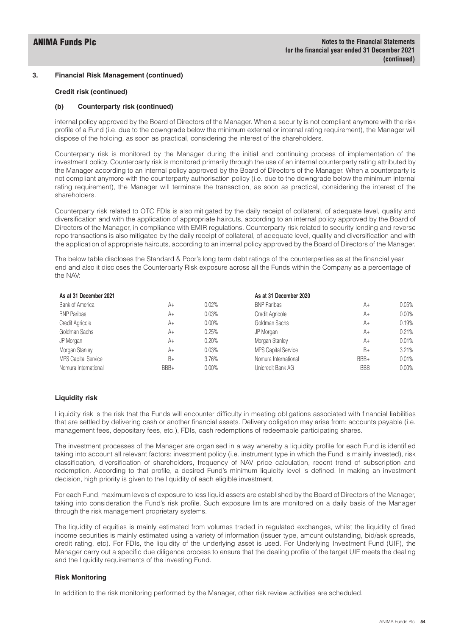### **Credit risk (continued)**

## **(b) Counterparty risk (continued)**

internal policy approved by the Board of Directors of the Manager. When a security is not compliant anymore with the risk profile of a Fund (i.e. due to the downgrade below the minimum external or internal rating requirement), the Manager will dispose of the holding, as soon as practical, considering the interest of the shareholders.

Counterparty risk is monitored by the Manager during the initial and continuing process of implementation of the investment policy. Counterparty risk is monitored primarily through the use of an internal counterparty rating attributed by the Manager according to an internal policy approved by the Board of Directors of the Manager. When a counterparty is not compliant anymore with the counterparty authorisation policy (i.e. due to the downgrade below the minimum internal rating requirement), the Manager will terminate the transaction, as soon as practical, considering the interest of the shareholders.

Counterparty risk related to OTC FDIs is also mitigated by the daily receipt of collateral, of adequate level, quality and diversification and with the application of appropriate haircuts, according to an internal policy approved by the Board of Directors of the Manager, in compliance with EMIR regulations. Counterparty risk related to security lending and reverse repo transactions is also mitigated by the daily receipt of collateral, of adequate level, quality and diversification and with the application of appropriate haircuts, according to an internal policy approved by the Board of Directors of the Manager.

The below table discloses the Standard & Poor's long term debt ratings of the counterparties as at the financial year end and also it discloses the Counterparty Risk exposure across all the Funds within the Company as a percentage of the NAV:

| As at 31 December 2021     |      |       | As at 31 December 2020     |            |       |
|----------------------------|------|-------|----------------------------|------------|-------|
| Bank of America            | A+   | 0.02% | <b>BNP Paribas</b>         | A+         | 0.05% |
| <b>BNP Paribas</b>         | A+   | 0.03% | Credit Agricole            | A+         | 0.00% |
| Credit Agricole            | A+   | 0.00% | Goldman Sachs              | A+         | 0.19% |
| Goldman Sachs              | A+   | 0.25% | JP Morgan                  | A+         | 0.21% |
| JP Morgan                  | A+   | 0.20% | Morgan Stanley             | A+         | 0.01% |
| Morgan Stanley             | A+   | 0.03% | <b>MPS Capital Service</b> | B+         | 3.21% |
| <b>MPS Capital Service</b> | B+   | 3.76% | Nomura International       | BBB+       | 0.01% |
| Nomura International       | BBB+ | 0.00% | Unicredit Bank AG          | <b>BBB</b> | 0.00% |

## **Liquidity risk**

Liquidity risk is the risk that the Funds will encounter difficulty in meeting obligations associated with financial liabilities that are settled by delivering cash or another financial assets. Delivery obligation may arise from: accounts payable (i.e. management fees, depositary fees, etc.), FDIs, cash redemptions of redeemable participating shares.

The investment processes of the Manager are organised in a way whereby a liquidity profile for each Fund is identified taking into account all relevant factors: investment policy (i.e. instrument type in which the Fund is mainly invested), risk classification, diversification of shareholders, frequency of NAV price calculation, recent trend of subscription and redemption. According to that profile, a desired Fund's minimum liquidity level is defined. In making an investment decision, high priority is given to the liquidity of each eligible investment.

For each Fund, maximum levels of exposure to less liquid assets are established by the Board of Directors of the Manager, taking into consideration the Fund's risk profile. Such exposure limits are monitored on a daily basis of the Manager through the risk management proprietary systems.

The liquidity of equities is mainly estimated from volumes traded in regulated exchanges, whilst the liquidity of fixed income securities is mainly estimated using a variety of information (issuer type, amount outstanding, bid/ask spreads, credit rating, etc). For FDIs, the liquidity of the underlying asset is used. For Underlying Investment Fund (UIF), the Manager carry out a specific due diligence process to ensure that the dealing profile of the target UIF meets the dealing and the liquidity requirements of the investing Fund.

#### **Risk Monitoring**

In addition to the risk monitoring performed by the Manager, other risk review activities are scheduled.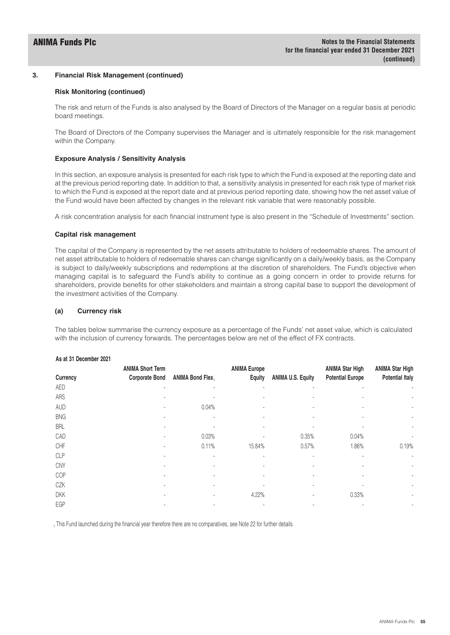## **Risk Monitoring (continued)**

The risk and return of the Funds is also analysed by the Board of Directors of the Manager on a regular basis at periodic board meetings.

The Board of Directors of the Company supervises the Manager and is ultimately responsible for the risk management within the Company.

## **Exposure Analysis / Sensitivity Analysis**

In this section, an exposure analysis is presented for each risk type to which the Fund is exposed at the reporting date and at the previous period reporting date. In addition to that, a sensitivity analysis in presented for each risk type of market risk to which the Fund is exposed at the report date and at previous period reporting date, showing how the net asset value of the Fund would have been affected by changes in the relevant risk variable that were reasonably possible.

A risk concentration analysis for each financial instrument type is also present in the "Schedule of Investments" section.

## **Capital risk management**

The capital of the Company is represented by the net assets attributable to holders of redeemable shares. The amount of net asset attributable to holders of redeemable shares can change significantly on a daily/weekly basis, as the Company is subject to daily/weekly subscriptions and redemptions at the discretion of shareholders. The Fund's objective when managing capital is to safeguard the Fund's ability to continue as a going concern in order to provide returns for shareholders, provide benefits for other stakeholders and maintain a strong capital base to support the development of the investment activities of the Company.

## **(a) Currency risk**

The tables below summarise the currency exposure as a percentage of the Funds' net asset value, which is calculated with the inclusion of currency forwards. The percentages below are net of the effect of FX contracts.

|  | As at 31 December 2021 |  |
|--|------------------------|--|
|--|------------------------|--|

|            | <b>ANIMA Short Term</b> |                          | <b>ANIMA Europe</b>      |                          | <b>ANIMA Star High</b>  | <b>ANIMA Star High</b>   |
|------------|-------------------------|--------------------------|--------------------------|--------------------------|-------------------------|--------------------------|
| Currency   | <b>Corporate Bond</b>   | ANIMA Bond Flex,         | Equity                   | <b>ANIMA U.S. Equity</b> | <b>Potential Europe</b> | <b>Potential Italy</b>   |
| AED        |                         |                          | ٠                        |                          |                         | $\overline{\phantom{a}}$ |
| ARS        |                         |                          |                          |                          |                         |                          |
| AUD        |                         | 0.04%                    |                          |                          |                         | $\overline{\phantom{a}}$ |
| <b>BNG</b> |                         |                          |                          |                          |                         | $\overline{\phantom{a}}$ |
| <b>BRL</b> |                         | ٠                        |                          |                          |                         | $\overline{\phantom{a}}$ |
| CAD        |                         | 0.03%                    |                          | 0.35%                    | 0.04%                   |                          |
| <b>CHF</b> |                         | 0.11%                    | 15.84%                   | 0.57%                    | 1.86%                   | 0.19%                    |
| <b>CLP</b> |                         |                          |                          |                          |                         | $\overline{\phantom{a}}$ |
| <b>CNY</b> |                         | $\overline{\phantom{a}}$ |                          |                          |                         | $\overline{\phantom{a}}$ |
| COP        |                         |                          |                          |                          |                         | $\blacksquare$           |
| CZK        | ٠                       | $\overline{\phantom{a}}$ | $\overline{\phantom{a}}$ |                          |                         | $\overline{\phantom{a}}$ |
| <b>DKK</b> |                         |                          | 4.22%                    |                          | 0.33%                   |                          |
| EGP        |                         |                          |                          |                          |                         |                          |

1 This Fund launched during the financial year therefore there are no comparatives, see Note 22 for further details.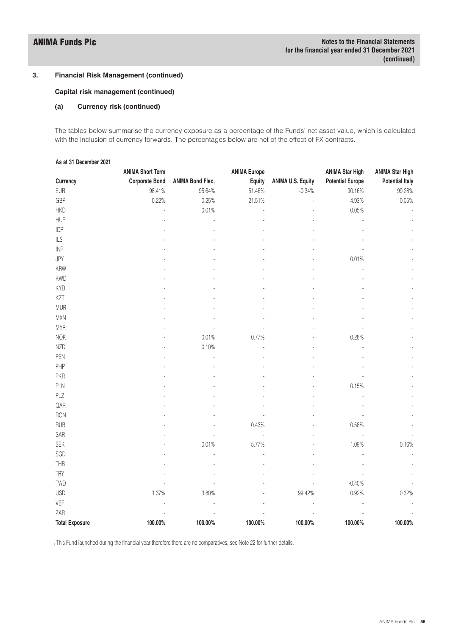## **Capital risk management (continued)**

# **(a) Currency risk (continued)**

The tables below summarise the currency exposure as a percentage of the Funds' net asset value, which is calculated with the inclusion of currency forwards. The percentages below are net of the effect of FX contracts.

| As at 31 December 2021      |                         |                          |                     |                          |                         |                          |
|-----------------------------|-------------------------|--------------------------|---------------------|--------------------------|-------------------------|--------------------------|
|                             | <b>ANIMA Short Term</b> |                          | <b>ANIMA Europe</b> |                          | <b>ANIMA Star High</b>  | <b>ANIMA Star High</b>   |
| Currency                    | <b>Corporate Bond</b>   | <b>ANIMA Bond Flex</b> 1 | Equity              | <b>ANIMA U.S. Equity</b> | <b>Potential Europe</b> | <b>Potential Italy</b>   |
| <b>EUR</b>                  | 98.41%                  | 95.64%                   | 51.46%              | $-0.34%$                 | 90.16%                  | 99.28%                   |
| GBP                         | 0.22%                   | 0.25%                    | 21.51%              | ÷,                       | 4.93%                   | 0.05%                    |
| <b>HKD</b>                  |                         | 0.01%                    |                     |                          | 0.05%                   | $\overline{\phantom{a}}$ |
| <b>HUF</b>                  |                         |                          |                     |                          |                         |                          |
| IDR                         |                         |                          |                     |                          |                         |                          |
| $\mathsf{ILS}\xspace$       |                         |                          |                     |                          |                         |                          |
| $\ensuremath{\mathsf{INR}}$ |                         |                          |                     |                          |                         |                          |
| JPY                         |                         |                          |                     |                          | 0.01%                   |                          |
| <b>KRW</b>                  |                         |                          |                     |                          |                         |                          |
| <b>KWD</b>                  |                         |                          |                     |                          |                         |                          |
| <b>KYD</b>                  |                         |                          |                     |                          |                         |                          |
| KZT                         |                         |                          |                     |                          |                         |                          |
| <b>MUR</b>                  |                         |                          |                     |                          |                         |                          |
| <b>MXN</b>                  |                         |                          |                     |                          |                         |                          |
| <b>MYR</b>                  |                         |                          |                     |                          |                         |                          |
| <b>NOK</b>                  |                         | 0.01%                    | 0.77%               |                          | 0.28%                   |                          |
| <b>NZD</b>                  |                         | 0.10%                    |                     |                          |                         |                          |
| PEN                         |                         |                          |                     |                          |                         |                          |
| PHP                         |                         |                          |                     |                          |                         |                          |
| <b>PKR</b>                  |                         |                          |                     |                          |                         |                          |
| PLN                         |                         |                          |                     |                          | 0.15%                   |                          |
| PLZ                         |                         |                          |                     |                          |                         |                          |
| QAR                         |                         |                          |                     |                          |                         |                          |
| RON                         |                         |                          |                     |                          |                         |                          |
| <b>RUB</b>                  |                         |                          | 0.43%               |                          | 0.58%                   |                          |
| SAR                         |                         |                          | L,                  |                          |                         |                          |
| $\ensuremath{\mathsf{SEK}}$ |                         | 0.01%                    | 5.77%               |                          | 1.09%                   | 0.16%                    |
| SGD                         |                         |                          |                     |                          |                         | $\blacksquare$           |
| THB                         |                         |                          |                     |                          |                         |                          |
| <b>TRY</b>                  |                         |                          |                     |                          |                         |                          |
| TWD                         |                         |                          |                     |                          | $-0.40%$                |                          |
| <b>USD</b>                  | 1.37%                   | 3.80%                    |                     | 99.42%                   | 0.92%                   | 0.32%                    |
| VEF                         |                         |                          |                     |                          |                         |                          |
| ZAR                         |                         |                          |                     |                          |                         |                          |
| <b>Total Exposure</b>       | 100.00%                 | 100.00%                  | 100.00%             | 100.00%                  | 100.00%                 | 100.00%                  |

1 This Fund launched during the financial year therefore there are no comparatives, see Note 22 for further details.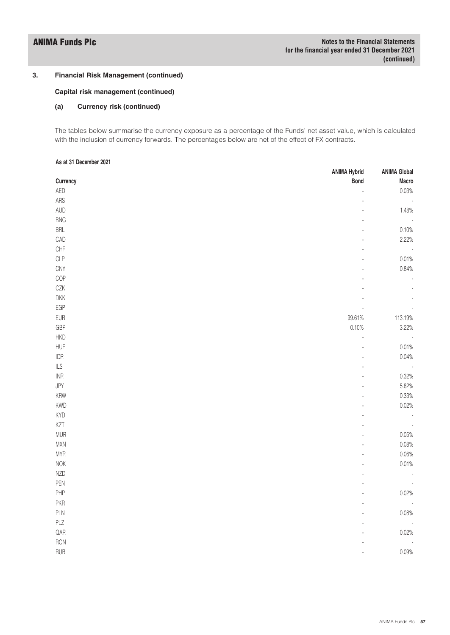## **Capital risk management (continued)**

# **(a) Currency risk (continued)**

The tables below summarise the currency exposure as a percentage of the Funds' net asset value, which is calculated with the inclusion of currency forwards. The percentages below are net of the effect of FX contracts.

|                                  | <b>ANIMA Hybrid</b> | <b>ANIMA Global</b>      |
|----------------------------------|---------------------|--------------------------|
| Currency                         | <b>Bond</b>         | <b>Macro</b>             |
| $\mathsf{AED}$                   | $\overline{a}$      | 0.03%                    |
| ARS                              |                     | ÷,                       |
| $\mathsf{A}\mathsf{U}\mathsf{D}$ |                     | 1.48%                    |
| <b>BNG</b>                       | L                   | $\overline{\phantom{a}}$ |
| <b>BRL</b>                       |                     | 0.10%                    |
| CAD                              |                     | 2.22%                    |
| CHF                              |                     | ÷,                       |
| CLP                              |                     | 0.01%                    |
| $\mathsf{C}\mathsf{N}\mathsf{Y}$ |                     | 0.84%                    |
| COP                              |                     | ÷                        |
| CZK                              |                     | $\overline{\phantom{a}}$ |
| DKK                              |                     | ÷,                       |
| EGP                              | l,                  | ŀ                        |
| <b>EUR</b>                       | 99.61%              | 113.19%                  |
| GBP                              | 0.10%               | 3.22%                    |
| ${\sf HKD}$                      | L,                  | Ŷ,                       |
| <b>HUF</b>                       | L,                  | 0.01%                    |
| $\mathsf{IDR}$                   |                     | 0.04%                    |
| $\mathsf{ILS}\xspace$            |                     | ŀ,                       |
| $\ensuremath{\mathsf{INR}}$      |                     | 0.32%                    |
| JPY                              |                     | 5.82%                    |
| KRW                              |                     | 0.33%                    |
| <b>KWD</b>                       |                     | 0.02%                    |
| KYD                              |                     | ÷,                       |
| KZT                              |                     | $\mathbb{Z}$             |
| <b>MUR</b>                       |                     | 0.05%                    |
| $\textsf{MXN}$                   |                     | 0.08%                    |
| ${\sf M}{\sf Y}{\sf R}$          |                     | 0.06%                    |
| $\sf{NOK}$                       |                     | 0.01%                    |
| NZD                              |                     | ÷,                       |
| PEN                              |                     | $\ddot{\phantom{a}}$     |
| PHP                              |                     | 0.02%                    |
| PKR                              |                     | $\ddot{\phantom{0}}$     |
| PLN                              |                     | 0.08%                    |
| PLZ                              |                     | l,                       |
| $\sf QAR$                        |                     | 0.02%                    |
| RON                              |                     | l,                       |
| <b>RUB</b>                       |                     | 0.09%                    |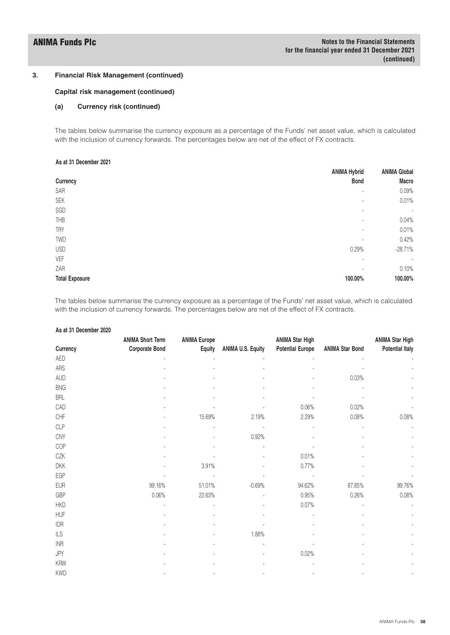## **Capital risk management (continued)**

# **(a) Currency risk (continued)**

The tables below summarise the currency exposure as a percentage of the Funds' net asset value, which is calculated with the inclusion of currency forwards. The percentages below are net of the effect of FX contracts.

## **As at 31 December 2021**

|                       | <b>ANIMA Hybrid</b>      | <b>ANIMA Global</b>      |
|-----------------------|--------------------------|--------------------------|
| Currency              | <b>Bond</b>              | <b>Macro</b>             |
| SAR                   | ٠                        | 0.09%                    |
| <b>SEK</b>            | ٠                        | 0.01%                    |
| SGD                   | $\overline{\phantom{a}}$ | $\overline{\phantom{a}}$ |
| THB                   | ٠                        | 0.04%                    |
| <b>TRY</b>            | ٠                        | 0.01%                    |
| TWD                   | ٠                        | 0.42%                    |
| <b>USD</b>            | 0.29%                    | $-28.71%$                |
| VEF                   | ٠                        | ٠                        |
| ZAR                   | ٠                        | 0.10%                    |
| <b>Total Exposure</b> | 100.00%                  | 100.00%                  |

The tables below summarise the currency exposure as a percentage of the Funds' net asset value, which is calculated with the inclusion of currency forwards. The percentages below are net of the effect of FX contracts.

|                             | <b>ANIMA Short Term</b> | <b>ANIMA Europe</b> |                          | <b>ANIMA Star High</b>  |                        | <b>ANIMA Star High</b> |
|-----------------------------|-------------------------|---------------------|--------------------------|-------------------------|------------------------|------------------------|
| Currency                    | <b>Corporate Bond</b>   | Equity              | <b>ANIMA U.S. Equity</b> | <b>Potential Europe</b> | <b>ANIMA Star Bond</b> | <b>Potential Italy</b> |
| AED                         |                         |                     |                          |                         |                        |                        |
| ARS                         |                         |                     |                          |                         |                        |                        |
| AUD                         |                         |                     |                          |                         | 0.03%                  |                        |
| <b>BNG</b>                  |                         |                     |                          |                         |                        |                        |
| <b>BRL</b>                  |                         |                     |                          |                         |                        |                        |
| CAD                         |                         |                     |                          | 0.06%                   | 0.02%                  | $\blacksquare$         |
| $\mathsf{CHF}$              |                         | 15.69%              | 2.19%                    | 2.29%                   | 0.08%                  | 0.08%                  |
| CLP                         |                         |                     |                          |                         |                        | $\frac{1}{2}$          |
| CNY                         |                         |                     | 0.92%                    |                         |                        |                        |
| COP                         |                         |                     |                          |                         |                        |                        |
| CZK                         |                         |                     |                          | 0.01%                   |                        |                        |
| DKK                         |                         | 3.91%               |                          | 0.77%                   |                        |                        |
| EGP                         |                         |                     |                          |                         |                        |                        |
| <b>EUR</b>                  | 99.16%                  | 51.01%              | $-0.69%$                 | 94.62%                  | 87.85%                 | 99.76%                 |
| GBP                         | 0.06%                   | 22.63%              |                          | 0.95%                   | 0.26%                  | 0.08%                  |
| <b>HKD</b>                  |                         |                     |                          | 0.07%                   |                        |                        |
| <b>HUF</b>                  |                         |                     |                          |                         |                        |                        |
| $\mathsf{IDR}$              |                         |                     |                          |                         |                        |                        |
| $\mathsf{ILS}\xspace$       |                         |                     | 1.88%                    |                         |                        |                        |
| $\ensuremath{\mathsf{INR}}$ |                         |                     |                          |                         |                        |                        |
| JPY                         |                         |                     |                          | 0.02%                   |                        |                        |
| KRW                         |                         |                     |                          |                         |                        |                        |
| <b>KWD</b>                  |                         |                     |                          |                         |                        |                        |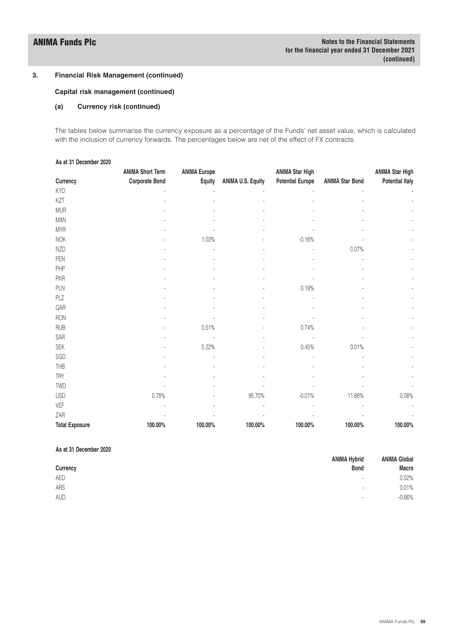## **Capital risk management (continued)**

# **(a) Currency risk (continued)**

The tables below summarise the currency exposure as a percentage of the Funds' net asset value, which is calculated with the inclusion of currency forwards. The percentages below are net of the effect of FX contracts.

## **As at 31 December 2020**

|                             | <b>ANIMA Short Term</b> | <b>ANIMA Europe</b> |                          | <b>ANIMA Star High</b>   |                        | <b>ANIMA Star High</b> |
|-----------------------------|-------------------------|---------------------|--------------------------|--------------------------|------------------------|------------------------|
| Currency                    | <b>Corporate Bond</b>   | Equity              | <b>ANIMA U.S. Equity</b> | <b>Potential Europe</b>  | <b>ANIMA Star Bond</b> | <b>Potential Italy</b> |
| <b>KYD</b>                  |                         |                     |                          |                          |                        |                        |
| KZT                         |                         |                     |                          |                          |                        |                        |
| <b>MUR</b>                  |                         |                     |                          |                          |                        |                        |
| $\textsf{MXN}$              |                         |                     |                          |                          |                        |                        |
| <b>MYR</b>                  |                         |                     |                          |                          |                        |                        |
| <b>NOK</b>                  |                         | 1.03%               |                          | $-0.16%$                 |                        |                        |
| <b>NZD</b>                  |                         |                     |                          |                          | 0.07%                  |                        |
| PEN                         |                         |                     |                          |                          |                        |                        |
| PHP                         |                         |                     |                          |                          |                        |                        |
| PKR                         |                         |                     |                          |                          |                        |                        |
| $\ensuremath{\mathsf{PLN}}$ |                         |                     |                          | 0.19%                    |                        |                        |
| PLZ                         |                         |                     |                          |                          |                        |                        |
| $\sf QAR$                   |                         |                     |                          |                          |                        |                        |
| RON                         |                         |                     |                          |                          |                        |                        |
| RUB                         |                         | 0.51%               |                          | 0.74%                    |                        |                        |
| SAR                         |                         | ÷,                  |                          | $\overline{\phantom{a}}$ |                        |                        |
| $\ensuremath{\mathsf{SEK}}$ |                         | 5.22%               |                          | 0.45%                    | 0.01%                  |                        |
| SGD                         |                         |                     |                          |                          |                        |                        |
| THB                         |                         |                     |                          |                          |                        |                        |
| TRY                         |                         |                     |                          |                          |                        |                        |
| TWD                         |                         |                     |                          |                          |                        |                        |
| <b>USD</b>                  | 0.78%                   |                     | 95.70%                   | $-0.01%$                 | 11.68%                 | 0.08%                  |
| VEF                         |                         |                     |                          |                          |                        |                        |
| ZAR                         |                         |                     |                          |                          |                        |                        |
| <b>Total Exposure</b>       | 100.00%                 | 100.00%             | 100.00%                  | 100.00%                  | 100.00%                | 100.00%                |

| As at 31 December 2020 |                          |                     |
|------------------------|--------------------------|---------------------|
|                        | <b>ANIMA Hybrid</b>      | <b>ANIMA Global</b> |
| Currency               | <b>Bond</b>              | <b>Macro</b>        |
| AED                    | $\sim$                   | 0.02%               |
| ARS                    | $\overline{\phantom{0}}$ | 0.01%               |
| <b>AUD</b>             | $\overline{\phantom{a}}$ | $-0.66%$            |
|                        |                          |                     |

#### ANIMA Funds Plc **59**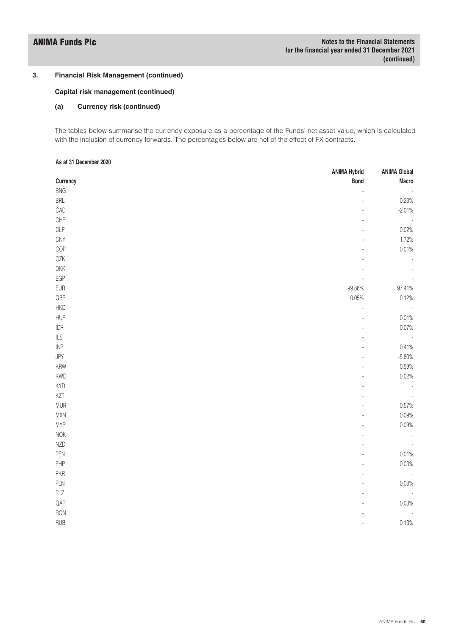## **Capital risk management (continued)**

# **(a) Currency risk (continued)**

The tables below summarise the currency exposure as a percentage of the Funds' net asset value, which is calculated with the inclusion of currency forwards. The percentages below are net of the effect of FX contracts.

|                             | <b>ANIMA Hybrid</b> | <b>ANIMA Global</b>      |
|-----------------------------|---------------------|--------------------------|
| Currency                    | <b>Bond</b>         | Macro                    |
| <b>BNG</b>                  | ä,                  | $\overline{\phantom{a}}$ |
| BRL                         |                     | 0.23%                    |
| CAD                         |                     | $-2.01%$                 |
| CHF                         |                     | $\overline{\phantom{a}}$ |
| CLP                         |                     | 0.02%                    |
| CNY                         |                     | 1.72%                    |
| COP                         |                     | 0.01%                    |
| CZK                         |                     | ÷                        |
| DKK                         |                     | ÷,                       |
| EGP                         |                     | $\Box$                   |
| EUR                         | 99.86%              | 97.41%                   |
| GBP                         | 0.05%               | 0.12%                    |
| <b>HKD</b>                  | L.                  | $\overline{\phantom{a}}$ |
| <b>HUF</b>                  |                     | 0.01%                    |
| $\mathsf{IDR}$              |                     | 0.07%                    |
| $\mathsf{ILS}\xspace$       |                     | Ĭ.                       |
| $\ensuremath{\mathsf{INR}}$ |                     | 0.41%                    |
| JPY                         |                     | $-5.80%$                 |
| KRW                         |                     | 0.59%                    |
| KWD                         |                     | 0.02%                    |
| KYD                         |                     | $\overline{\phantom{a}}$ |
| KZT                         |                     | ł,                       |
| <b>MUR</b>                  |                     | 0.57%                    |
| $\textsf{MXN}$              |                     | 0.09%                    |
| <b>MYR</b>                  |                     | 0.09%                    |
| $\ensuremath{\mathsf{NOK}}$ |                     | $\overline{\phantom{a}}$ |
| <b>NZD</b>                  |                     | $\mathbb{Z}$             |
| PEN                         |                     | 0.01%                    |
| PHP                         |                     | 0.03%                    |
| PKR                         |                     | k,                       |
| $\ensuremath{\mathsf{PLN}}$ |                     | 0.08%                    |
| PLZ                         |                     | $\overline{\phantom{a}}$ |
| QAR                         |                     | 0.03%                    |
| RON                         |                     | ÷,                       |
| <b>RUB</b>                  |                     | 0.13%                    |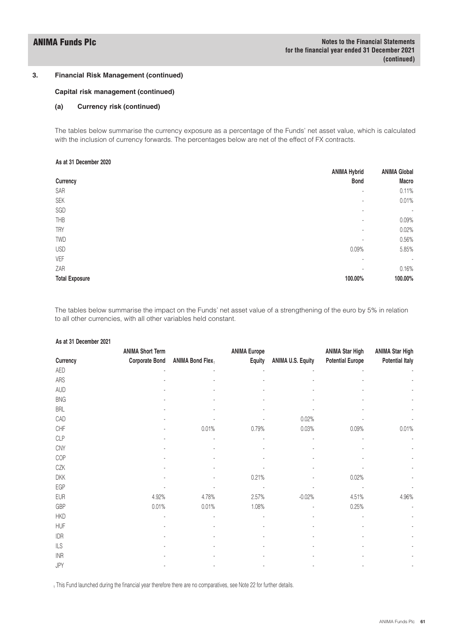## **Capital risk management (continued)**

# **(a) Currency risk (continued)**

The tables below summarise the currency exposure as a percentage of the Funds' net asset value, which is calculated with the inclusion of currency forwards. The percentages below are net of the effect of FX contracts.

## **As at 31 December 2020**

|                       | <b>ANIMA Hybrid</b>      | <b>ANIMA Global</b>      |
|-----------------------|--------------------------|--------------------------|
| Currency              | <b>Bond</b>              | <b>Macro</b>             |
| SAR                   | ٠                        | 0.11%                    |
| <b>SEK</b>            | $\overline{\phantom{a}}$ | 0.01%                    |
| SGD                   | ٠                        | ٠                        |
| <b>THB</b>            | ٠                        | 0.09%                    |
| <b>TRY</b>            | ٠                        | 0.02%                    |
| <b>TWD</b>            | $\overline{\phantom{a}}$ | 0.56%                    |
| <b>USD</b>            | 0.09%                    | 5.85%                    |
| VEF                   | ٠                        | $\overline{\phantom{a}}$ |
| ZAR                   | $\overline{\phantom{a}}$ | 0.16%                    |
| <b>Total Exposure</b> | 100.00%                  | 100.00%                  |

The tables below summarise the impact on the Funds' net asset value of a strengthening of the euro by 5% in relation to all other currencies, with all other variables held constant.

#### **As at 31 December 2021**

|                       | <b>ANIMA Short Term</b> |                                     | <b>ANIMA Europe</b>      |                          | <b>ANIMA Star High</b>  | <b>ANIMA Star High</b>   |
|-----------------------|-------------------------|-------------------------------------|--------------------------|--------------------------|-------------------------|--------------------------|
| Currency              | <b>Corporate Bond</b>   | <b>ANIMA Bond Flex</b> <sub>1</sub> | Equity                   | <b>ANIMA U.S. Equity</b> | <b>Potential Europe</b> | <b>Potential Italy</b>   |
| AED                   |                         |                                     | ä,                       |                          |                         |                          |
| ARS                   |                         |                                     |                          |                          |                         | $\overline{\phantom{a}}$ |
| AUD                   |                         |                                     |                          |                          |                         |                          |
| <b>BNG</b>            |                         |                                     |                          |                          |                         |                          |
| <b>BRL</b>            |                         |                                     |                          |                          |                         | ä,                       |
| CAD                   |                         |                                     |                          | 0.02%                    |                         | $\omega$                 |
| $\mathsf{CHF}$        |                         | 0.01%                               | 0.79%                    | 0.03%                    | 0.09%                   | 0.01%                    |
| CLP                   |                         |                                     |                          |                          |                         | ÷,                       |
| CNY                   |                         |                                     |                          |                          |                         |                          |
| COP                   |                         |                                     |                          |                          |                         |                          |
| CZK                   |                         |                                     |                          |                          |                         | $\blacksquare$           |
| DKK                   |                         |                                     | 0.21%                    |                          | 0.02%                   |                          |
| EGP                   |                         |                                     | $\overline{\phantom{a}}$ |                          |                         | ä,                       |
| <b>EUR</b>            | 4.92%                   | 4.78%                               | 2.57%                    | $-0.02%$                 | 4.51%                   | 4.96%                    |
| GBP                   | 0.01%                   | 0.01%                               | 1.08%                    |                          | 0.25%                   | $\frac{1}{2}$            |
| <b>HKD</b>            |                         |                                     |                          |                          |                         |                          |
| <b>HUF</b>            |                         |                                     |                          |                          |                         | ÷.                       |
| IDR                   |                         |                                     |                          |                          |                         |                          |
| $\mathsf{ILS}\xspace$ |                         |                                     |                          |                          |                         | ä,                       |
| ${\sf INR}$           |                         |                                     |                          |                          |                         |                          |
| JPY                   |                         |                                     |                          |                          |                         |                          |

1 This Fund launched during the financial year therefore there are no comparatives, see Note 22 for further details.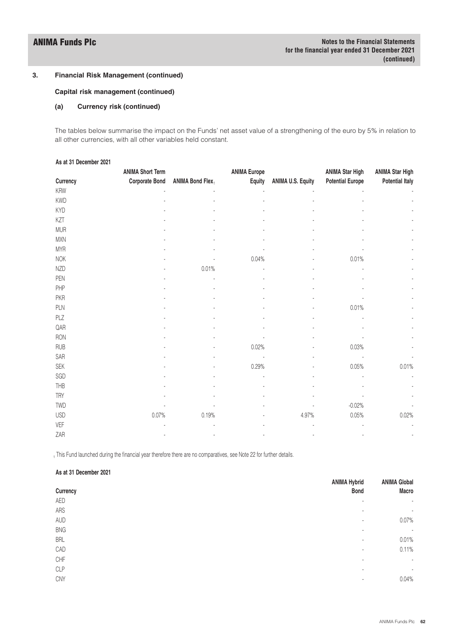## **Capital risk management (continued)**

# **(a) Currency risk (continued)**

The tables below summarise the impact on the Funds' net asset value of a strengthening of the euro by 5% in relation to all other currencies, with all other variables held constant.

| As at 31 December 2021 |                         |                                     |                          |                          |                         |                        |
|------------------------|-------------------------|-------------------------------------|--------------------------|--------------------------|-------------------------|------------------------|
|                        | <b>ANIMA Short Term</b> |                                     | <b>ANIMA Europe</b>      |                          | <b>ANIMA Star High</b>  | <b>ANIMA Star High</b> |
| Currency               | <b>Corporate Bond</b>   | <b>ANIMA Bond Flex</b> <sub>1</sub> | Equity                   | <b>ANIMA U.S. Equity</b> | <b>Potential Europe</b> | <b>Potential Italy</b> |
| <b>KRW</b>             |                         |                                     | $\overline{\phantom{a}}$ | J.                       |                         |                        |
| <b>KWD</b>             |                         |                                     |                          |                          |                         | $\mathbf{r}$           |
| <b>KYD</b>             |                         |                                     |                          |                          |                         |                        |
| KZT                    |                         |                                     |                          |                          |                         | $\blacksquare$         |
| <b>MUR</b>             |                         |                                     |                          |                          |                         |                        |
| $\textsf{MXN}$         |                         |                                     |                          |                          |                         | $\frac{1}{2}$          |
| <b>MYR</b>             |                         |                                     |                          |                          |                         | ä,                     |
| <b>NOK</b>             |                         |                                     | 0.04%                    |                          | 0.01%                   | ä,                     |
| <b>NZD</b>             |                         | 0.01%                               |                          |                          |                         |                        |
| PEN                    |                         |                                     |                          |                          |                         |                        |
| PHP                    |                         |                                     |                          |                          |                         | ÷,                     |
| PKR                    |                         |                                     |                          |                          |                         | ÷,                     |
| PLN                    |                         |                                     |                          |                          | 0.01%                   |                        |
| PLZ                    |                         |                                     |                          |                          |                         | L.                     |
| $\sf QAR$              |                         |                                     |                          |                          |                         |                        |
| RON                    |                         |                                     |                          |                          |                         |                        |
| RUB                    |                         |                                     | 0.02%                    |                          | 0.03%                   | ÷                      |
| SAR                    |                         |                                     | ÷.                       |                          | ä,                      | ä,                     |
| SEK                    |                         |                                     | 0.29%                    |                          | 0.05%                   | 0.01%                  |
| SGD                    |                         |                                     |                          |                          |                         | ÷,                     |
| THB                    |                         |                                     |                          |                          |                         |                        |
| TRY                    |                         |                                     |                          |                          |                         | ÷,                     |
| TWD                    |                         |                                     |                          |                          | $-0.02%$                | $\mathcal{L}$          |
| <b>USD</b>             | 0.07%                   | 0.19%                               |                          | 4.97%                    | 0.05%                   | 0.02%                  |
| VEF                    |                         |                                     |                          |                          |                         |                        |
| ZAR                    |                         |                                     |                          |                          |                         |                        |

1 This Fund launched during the financial year therefore there are no comparatives, see Note 22 for further details.

|                | <b>ANIMA Hybrid</b>      | <b>ANIMA Global</b>      |
|----------------|--------------------------|--------------------------|
| Currency       | <b>Bond</b>              | <b>Macro</b>             |
| AED            | $\sim$                   | $\sim$                   |
| ARS            | ٠                        | $\overline{\phantom{a}}$ |
| AUD            | ۰                        | 0.07%                    |
| <b>BNG</b>     | $\overline{\phantom{a}}$ | $\overline{\phantom{a}}$ |
| <b>BRL</b>     | ٠                        | 0.01%                    |
| CAD            | ٠                        | 0.11%                    |
| $\mathbb{CHF}$ | ۰                        | ٠                        |
| <b>CLP</b>     | ۰                        | $\overline{a}$           |
| <b>CNY</b>     | ٠                        | 0.04%                    |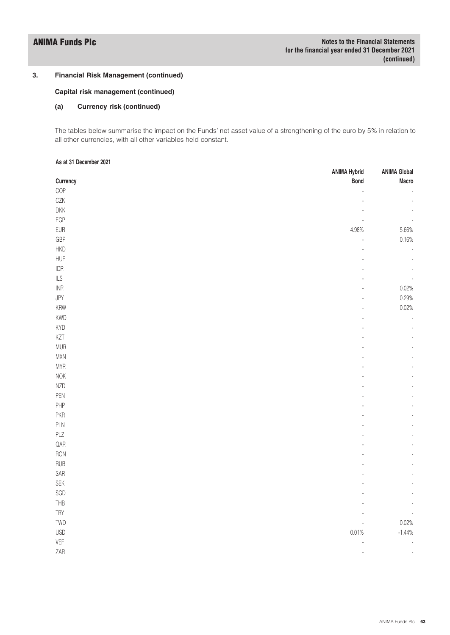## **Capital risk management (continued)**

# **(a) Currency risk (continued)**

The tables below summarise the impact on the Funds' net asset value of a strengthening of the euro by 5% in relation to all other currencies, with all other variables held constant.

| <b>ANIMA Hybrid</b>         | <b>ANIMA Global</b>      |
|-----------------------------|--------------------------|
| <b>Bond</b><br>Currency     | Macro                    |
| COP<br>ł,                   | $\overline{a}$           |
| CZK                         | $\overline{a}$           |
| DKK                         | ä,                       |
| EGP                         | L.                       |
| EUR<br>4.98%                | 5.66%                    |
| GBP<br>÷,                   | 0.16%                    |
| ${\sf HKD}$                 | ÷,                       |
| <b>HUF</b>                  | $\blacksquare$           |
| IDR                         | $\overline{\phantom{a}}$ |
| $ILS$                       | Ĭ.                       |
| $\ensuremath{\mathsf{INR}}$ | 0.02%                    |
| JPY                         | 0.29%                    |
| KRW<br>ä,                   | 0.02%                    |
| <b>KWD</b>                  | Ĭ.                       |
| <b>KYD</b>                  | L,                       |
| KZT                         | $\overline{a}$           |
| <b>MUR</b>                  | ä,                       |
| $\textsf{MXN}$              | $\overline{a}$           |
| <b>MYR</b>                  | L,                       |
| $\ensuremath{\mathsf{NOK}}$ |                          |
| <b>NZD</b>                  |                          |
| PEN                         | ä,                       |
| PHP                         |                          |
| $\mathsf{PKR}$              | L.                       |
| $\ensuremath{\mathsf{PLN}}$ |                          |
| PLZ                         | L.                       |
| $\sf QAR$                   | $\overline{a}$           |
| RON                         |                          |
| RUB                         |                          |
| $\ensuremath{\mathsf{SAR}}$ |                          |
| $\ensuremath{\mathsf{SEK}}$ |                          |
| SGD                         |                          |
| THB                         | ä,                       |
| TRY                         | ÷,                       |
| TWD<br>ł,                   | 0.02%                    |
| <b>USD</b><br>0.01%         | $-1.44%$                 |
| VEF<br>Ĭ.                   | $\blacksquare$           |
| ZAR<br>L.                   | ÷.                       |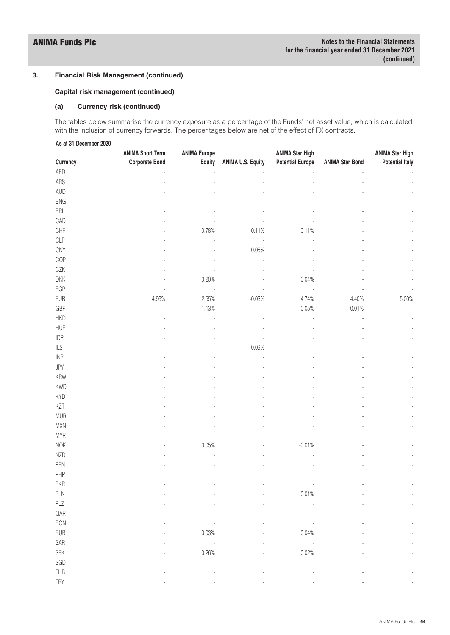## **Capital risk management (continued)**

# **(a) Currency risk (continued)**

The tables below summarise the currency exposure as a percentage of the Funds' net asset value, which is calculated with the inclusion of currency forwards. The percentages below are net of the effect of FX contracts.

| <b>ANIMA Short Term</b>          |                       | <b>ANIMA Europe</b> |                          | <b>ANIMA Star High</b>  | <b>ANIMA Star High</b> |                        |
|----------------------------------|-----------------------|---------------------|--------------------------|-------------------------|------------------------|------------------------|
| Currency                         | <b>Corporate Bond</b> | Equity              | <b>ANIMA U.S. Equity</b> | <b>Potential Europe</b> | <b>ANIMA Star Bond</b> | <b>Potential Italy</b> |
| AED                              |                       |                     | ä,                       |                         |                        |                        |
| ARS                              |                       |                     |                          |                         |                        |                        |
| $\mathsf{A}\mathsf{U}\mathsf{D}$ |                       |                     |                          |                         |                        | $\bar{z}$              |
| ${\sf BNG}$                      |                       |                     |                          |                         |                        | ä,                     |
| $\ensuremath{\mathsf{BRL}}$      |                       |                     |                          |                         |                        |                        |
| ${\sf CAD}$                      |                       |                     |                          |                         |                        |                        |
| CHF                              |                       | 0.78%               | 0.11%                    | 0.11%                   |                        | ÷,                     |
| CLP                              |                       | L,                  | $\overline{\phantom{a}}$ |                         |                        |                        |
| $\mathsf{C}\mathsf{N}\mathsf{Y}$ |                       |                     | 0.05%                    |                         |                        |                        |
| COP                              |                       |                     | L,                       |                         |                        |                        |
| CZK                              |                       | l,                  |                          |                         |                        |                        |
| DKK                              |                       | 0.20%               |                          | 0.04%                   |                        |                        |
| EGP                              |                       | $\bar{\phantom{a}}$ |                          | $\ddot{\phantom{a}}$    |                        |                        |
| <b>EUR</b>                       | 4.96%                 | 2.55%               | $-0.03%$                 | 4.74%                   | 4.40%                  | 5.00%                  |
| GBP                              |                       | 1.13%               | L                        | 0.05%                   | 0.01%                  | ÷,                     |
| ${\sf HKD}$                      |                       | ä,                  |                          | Ĭ.                      |                        |                        |
| <b>HUF</b>                       |                       |                     |                          |                         |                        |                        |
| $\mathsf{IDR}$                   |                       |                     | ÷,                       |                         |                        |                        |
| $\mathsf{ILS}\xspace$            |                       |                     | 0.09%                    |                         |                        |                        |
| ${\sf INR}$                      |                       |                     | Ĭ.                       |                         |                        |                        |
| JPY                              |                       |                     |                          |                         |                        |                        |
| KRW                              |                       |                     |                          |                         |                        |                        |
| <b>KWD</b>                       |                       |                     |                          |                         |                        |                        |
| <b>KYD</b>                       |                       |                     |                          |                         |                        |                        |
| KZT                              |                       |                     |                          |                         |                        |                        |
| <b>MUR</b>                       |                       |                     |                          |                         |                        |                        |
| $\textsf{MXN}$                   |                       |                     |                          |                         |                        | ä,                     |
| <b>MYR</b>                       |                       |                     |                          |                         |                        | ä,                     |
| $\ensuremath{\mathsf{NOK}}$      |                       | 0.05%               |                          | $-0.01%$                |                        |                        |
| <b>NZD</b>                       |                       |                     |                          |                         |                        |                        |
| PEN                              |                       |                     |                          |                         |                        |                        |
| PHP                              |                       |                     |                          |                         |                        |                        |
| PKR                              |                       |                     |                          |                         |                        |                        |
| PLN                              |                       |                     |                          | 0.01%                   |                        |                        |
| PLZ                              |                       |                     |                          |                         |                        |                        |
| $\sf QAR$                        |                       |                     |                          |                         |                        |                        |
| RON                              |                       |                     |                          |                         |                        |                        |
| <b>RUB</b>                       |                       | 0.03%               |                          | 0.04%                   |                        |                        |
| $\ensuremath{\mathsf{SAR}}$      |                       | $\sim$ $-$          |                          | $\ddot{\phantom{a}}$    |                        |                        |
| $\ensuremath{\mathsf{SEK}}$      |                       | 0.26%               |                          | 0.02%                   |                        |                        |
| $\operatorname{\mathsf{SGD}}$    |                       |                     |                          |                         |                        |                        |
| THB                              |                       |                     |                          |                         |                        |                        |
| TRY                              |                       |                     |                          |                         |                        |                        |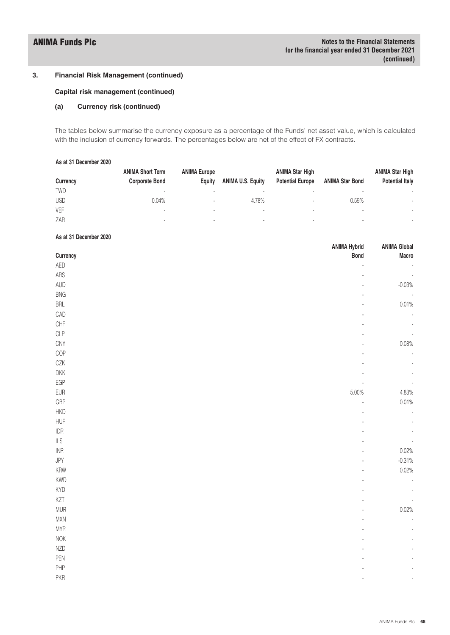## **Capital risk management (continued)**

# **(a) Currency risk (continued)**

The tables below summarise the currency exposure as a percentage of the Funds' net asset value, which is calculated with the inclusion of currency forwards. The percentages below are net of the effect of FX contracts.

## **As at 31 December 2020**

|            | <b>ANIMA Short Term</b> | <b>ANIMA Europe</b> |                          | <b>ANIMA Star High</b>  |                        | <b>ANIMA Star High</b> |
|------------|-------------------------|---------------------|--------------------------|-------------------------|------------------------|------------------------|
| Currency   | <b>Corporate Bond</b>   | Eauity              | <b>ANIMA U.S. Equity</b> | <b>Potential Europe</b> | <b>ANIMA Star Bond</b> | <b>Potential Italy</b> |
| <b>TWD</b> |                         |                     |                          |                         |                        |                        |
| <b>USD</b> | 0.04%                   |                     | 4.78%                    |                         | 0.59%                  |                        |
| VEF        |                         |                     | -                        |                         |                        |                        |
| ZAR        |                         |                     | $\overline{\phantom{a}}$ |                         |                        |                        |

| Currency                         | <b>ANIMA Hybrid</b><br><b>Bond</b> | <b>ANIMA Global</b><br>Macro |
|----------------------------------|------------------------------------|------------------------------|
| $\mathsf{AED}$                   | ÷,                                 | ÷                            |
| ${\sf ARS}$                      | ÷.                                 | $\overline{\phantom{a}}$     |
| AUD                              |                                    | $-0.03%$                     |
| $\mathsf{BNG}$                   |                                    | $\overline{\phantom{a}}$     |
| $\ensuremath{\mathsf{BRL}}$      |                                    | 0.01%                        |
| CAD                              |                                    | $\blacksquare$               |
| $\mathbb{CHF}$                   |                                    | $\overline{\phantom{a}}$     |
| CLP                              |                                    | $\overline{\phantom{a}}$     |
| CNY                              |                                    | 0.08%                        |
| COP                              |                                    | ÷,                           |
| $CZK$                            |                                    |                              |
| ${\sf DKK}$                      |                                    |                              |
| EGP                              |                                    | L.                           |
| ${\sf EUR}$                      | 5.00%                              | 4.83%                        |
| GBP                              | ÷,                                 | 0.01%                        |
| ${\sf HKD}$                      |                                    | ÷                            |
| ${\sf HUF}$                      |                                    | $\overline{\phantom{a}}$     |
| $\ensuremath{\mathsf{IDR}}$      |                                    | ÷,                           |
| $\mathsf{ILS}\xspace$            |                                    | $\Box$                       |
| $\ensuremath{\mathsf{INR}}$      |                                    | 0.02%                        |
| $\mathsf{J}\mathsf{P}\mathsf{Y}$ |                                    | $-0.31%$                     |
| KRW                              |                                    | 0.02%                        |
| <b>KWD</b>                       |                                    | $\overline{\phantom{a}}$     |
| KYD                              |                                    | $\overline{\phantom{a}}$     |
| KZT                              |                                    | L.                           |
| $\ensuremath{\mathsf{MUR}}$      |                                    | 0.02%                        |
| <b>MXN</b>                       |                                    | ÷,                           |
| ${\sf M}{\sf Y}{\sf R}$          |                                    | ÷.                           |
| $\sf{NOK}$                       |                                    |                              |
| $\ensuremath{\mathsf{NZD}}$      |                                    |                              |
| $\ensuremath{\mathsf{PEN}}$      |                                    |                              |
| PHP                              |                                    |                              |
| <b>PKR</b>                       |                                    | ÷.                           |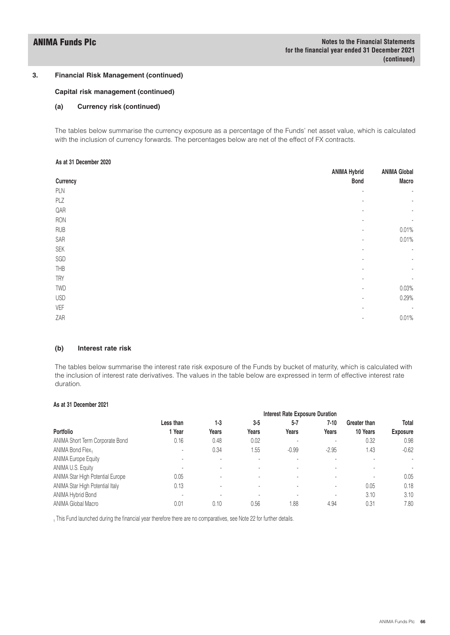## **Capital risk management (continued)**

## **(a) Currency risk (continued)**

The tables below summarise the currency exposure as a percentage of the Funds' net asset value, which is calculated with the inclusion of currency forwards. The percentages below are net of the effect of FX contracts.

## **As at 31 December 2020**

|            | <b>ANIMA Hybrid</b>          | <b>ANIMA Global</b>      |
|------------|------------------------------|--------------------------|
| Currency   | <b>Bond</b>                  | <b>Macro</b>             |
| PLN        | ٠                            | $\overline{\phantom{a}}$ |
| PLZ        | ٠                            | $\overline{\phantom{a}}$ |
| $\sf QAR$  | ٠                            | ۰                        |
| RON        | ٠                            | $\overline{\phantom{a}}$ |
| RUB        | $\blacksquare$               | 0.01%                    |
| SAR        | $\sim$                       | 0.01%                    |
| SEK        | ٠                            | $\sim$                   |
| SGD        | ٠                            | $\overline{\phantom{a}}$ |
| $THB$      | ٠                            | ۰                        |
| <b>TRY</b> | ٠                            | $\overline{\phantom{a}}$ |
| TWD        | $\qquad \qquad \blacksquare$ | 0.03%                    |
| <b>USD</b> | $\overline{\phantom{a}}$     | 0.29%                    |
| VEF        | ٠                            | $\sim$                   |
| ZAR        | ٠                            | 0.01%                    |
|            |                              |                          |

## **(b) Interest rate risk**

The tables below summarise the interest rate risk exposure of the Funds by bucket of maturity, which is calculated with the inclusion of interest rate derivatives. The values in the table below are expressed in term of effective interest rate duration.

### **As at 31 December 2021**

|                                  | <b>Interest Rate Exposure Duration</b> |                          |                |                          |                          |                          |                 |  |
|----------------------------------|----------------------------------------|--------------------------|----------------|--------------------------|--------------------------|--------------------------|-----------------|--|
|                                  | Less than                              | 1-3                      | $3 - 5$        | $5 - 7$                  | 7-10                     | Greater than             | Total           |  |
| Portfolio                        | 1 Year                                 | Years                    | Years          | Years                    | Years                    | 10 Years                 | <b>Exposure</b> |  |
| ANIMA Short Term Corporate Bond  | 0.16                                   | 0.48                     | 0.02           | $\overline{\phantom{a}}$ | ٠                        | 0.32                     | 0.98            |  |
| ANIMA Bond Flex <sub>1</sub>     | $\overline{a}$                         | 0.34                     | 1.55           | $-0.99$                  | $-2.95$                  | 1.43                     | $-0.62$         |  |
| <b>ANIMA Europe Equity</b>       |                                        |                          |                |                          |                          |                          | $\sim$          |  |
| ANIMA U.S. Equity                |                                        |                          |                | $\overline{\phantom{a}}$ | ٠                        |                          |                 |  |
| ANIMA Star High Potential Europe | 0.05                                   |                          |                | $\overline{\phantom{a}}$ | $\overline{\phantom{a}}$ | $\overline{\phantom{a}}$ | 0.05            |  |
| ANIMA Star High Potential Italy  | 0.13                                   | $\overline{\phantom{a}}$ | $\overline{a}$ | ۰                        | ٠                        | 0.05                     | 0.18            |  |
| ANIMA Hybrid Bond                |                                        | $\overline{\phantom{a}}$ |                | $\overline{\phantom{a}}$ | $\sim$                   | 3.10                     | 3.10            |  |
| ANIMA Global Macro               | 0.01                                   | 0.10                     | 0.56           | 1.88                     | 4.94                     | 0.31                     | 7.80            |  |

1 This Fund launched during the financial year therefore there are no comparatives, see Note 22 for further details.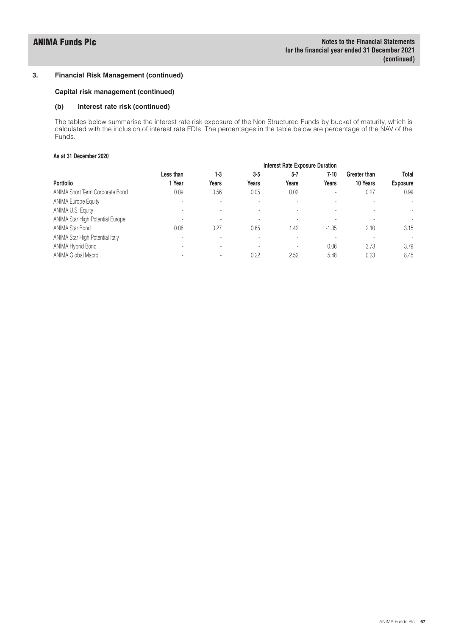### **Capital risk management (continued)**

# **(b) Interest rate risk (continued)**

The tables below summarise the interest rate risk exposure of the Non Structured Funds by bucket of maturity, which is calculated with the inclusion of interest rate FDIs. The percentages in the table below are percentage of the NAV of the Funds.

|                                  | <b>Interest Rate Exposure Duration</b> |       |         |                          |                          |                          |                 |
|----------------------------------|----------------------------------------|-------|---------|--------------------------|--------------------------|--------------------------|-----------------|
|                                  | Less than                              | $1-3$ | $3 - 5$ | $5 - 7$                  | $7 - 10$                 | Greater than             | <b>Total</b>    |
| <b>Portfolio</b>                 | Year                                   | Years | Years   | Years                    | Years                    | 10 Years                 | <b>Exposure</b> |
| ANIMA Short Term Corporate Bond  | 0.09                                   | 0.56  | 0.05    | 0.02                     | $\overline{\phantom{a}}$ | 0.27                     | 0.99            |
| <b>ANIMA Europe Equity</b>       | ٠                                      |       | ٠       | $\overline{a}$           |                          | $\overline{\phantom{a}}$ | ٠               |
| ANIMA U.S. Equity                |                                        |       |         |                          |                          |                          | ٠               |
| ANIMA Star High Potential Europe | $\overline{\phantom{a}}$               |       |         | $\overline{a}$           | $\overline{\phantom{a}}$ | ٠                        | ٠               |
| ANIMA Star Bond                  | 0.06                                   | 0.27  | 0.65    | 1.42                     | $-1.35$                  | 2.10                     | 3.15            |
| ANIMA Star High Potential Italy  | $\sim$                                 |       | ٠       | $\overline{a}$           | ٠                        | ٠                        | $\sim$          |
| ANIMA Hybrid Bond                | ٠                                      |       |         | $\overline{\phantom{a}}$ | 0.06                     | 3.73                     | 3.79            |
| ANIMA Global Macro               |                                        |       | 0.22    | 2.52                     | 5.48                     | 0.23                     | 8.45            |
|                                  |                                        |       |         |                          |                          |                          |                 |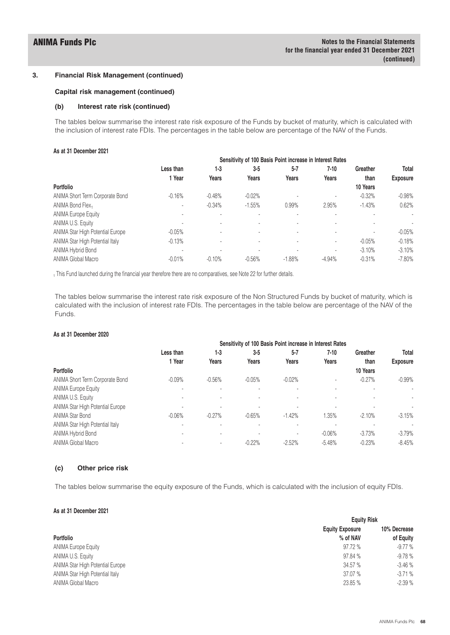## **Capital risk management (continued)**

## **(b) Interest rate risk (continued)**

The tables below summarise the interest rate risk exposure of the Funds by bucket of maturity, which is calculated with the inclusion of interest rate FDIs. The percentages in the table below are percentage of the NAV of the Funds.

#### **As at 31 December 2021**

|                                  | Sensitivity of 100 Basis Point increase in Interest Rates |          |          |                          |          |                |                 |  |
|----------------------------------|-----------------------------------------------------------|----------|----------|--------------------------|----------|----------------|-----------------|--|
|                                  | Less than                                                 | $1-3$    | $3 - 5$  | $5 - 7$                  | 7-10     | Greather       | <b>Total</b>    |  |
|                                  | 1 Year                                                    | Years    | Years    | Years                    | Years    | than           | <b>Exposure</b> |  |
| <b>Portfolio</b>                 |                                                           |          |          |                          |          | 10 Years       |                 |  |
| ANIMA Short Term Corporate Bond  | $-0.16%$                                                  | $-0.48%$ | $-0.02%$ |                          | ٠        | $-0.32%$       | $-0.98%$        |  |
| ANIMA Bond Flex <sub>1</sub>     | $\sim$                                                    | $-0.34%$ | $-1.55%$ | 0.99%                    | 2.95%    | $-1.43%$       | 0.62%           |  |
| <b>ANIMA Europe Equity</b>       |                                                           |          |          |                          |          |                | $\sim$          |  |
| ANIMA U.S. Equity                | $\overline{a}$                                            |          |          |                          |          |                | ٠               |  |
| ANIMA Star High Potential Europe | $-0.05%$                                                  |          | ٠        | $\overline{\phantom{a}}$ |          | $\overline{a}$ | $-0.05%$        |  |
| ANIMA Star High Potential Italy  | $-0.13%$                                                  |          |          |                          | ٠        | $-0.05%$       | $-0.18%$        |  |
| ANIMA Hybrid Bond                |                                                           |          |          |                          | ٠        | $-3.10%$       | $-3.10%$        |  |
| ANIMA Global Macro               | $-0.01%$                                                  | $-0.10%$ | $-0.56%$ | $-1.88%$                 | $-4.94%$ | $-0.31%$       | $-7.80%$        |  |

1 This Fund launched during the financial year therefore there are no comparatives, see Note 22 for further details.

The tables below summarise the interest rate risk exposure of the Non Structured Funds by bucket of maturity, which is calculated with the inclusion of interest rate FDIs. The percentages in the table below are percentage of the NAV of the Funds.

#### **As at 31 December 2020**

|                                  | Sensitivity of 100 Basis Point increase in Interest Rates |                          |                          |          |          |                |                 |
|----------------------------------|-----------------------------------------------------------|--------------------------|--------------------------|----------|----------|----------------|-----------------|
|                                  | Less than                                                 | $1-3$                    | $3 - 5$                  | $5 - 7$  | 7-10     | Greather       | <b>Total</b>    |
|                                  | 1 Year                                                    | Years                    | Years                    | Years    | Years    | than           | <b>Exposure</b> |
| <b>Portfolio</b>                 |                                                           |                          |                          |          |          | 10 Years       |                 |
| ANIMA Short Term Corporate Bond  | $-0.09%$                                                  | $-0.56%$                 | $-0.05%$                 | $-0.02%$ | ٠        | $-0.27%$       | $-0.99\%$       |
| <b>ANIMA Europe Equity</b>       |                                                           |                          | $\overline{\phantom{a}}$ | ٠        |          | $\overline{a}$ | $\sim$          |
| ANIMA U.S. Equity                |                                                           |                          |                          |          |          |                |                 |
| ANIMA Star High Potential Europe |                                                           |                          |                          |          |          |                |                 |
| ANIMA Star Bond                  | $-0.06%$                                                  | $-0.27%$                 | $-0.65%$                 | $-1.42%$ | 1.35%    | $-2.10%$       | $-3.15%$        |
| ANIMA Star High Potential Italy  |                                                           |                          |                          |          |          |                |                 |
| ANIMA Hybrid Bond                |                                                           |                          |                          | ٠        | $-0.06%$ | $-3.73%$       | $-3.79%$        |
| ANIMA Global Macro               |                                                           | $\overline{\phantom{a}}$ | $-0.22%$                 | $-2.52%$ | $-5.48%$ | $-0.23%$       | $-8.45%$        |

## **(c) Other price risk**

The tables below summarise the equity exposure of the Funds, which is calculated with the inclusion of equity FDIs.

|                                  | <b>Equity Risk</b>     |              |  |
|----------------------------------|------------------------|--------------|--|
|                                  | <b>Equity Exposure</b> | 10% Decrease |  |
| Portfolio                        | % of NAV               | of Equity    |  |
| <b>ANIMA Europe Equity</b>       | 97.72 %                | $-9.77%$     |  |
| ANIMA U.S. Equity                | 97.84 %                | $-9.78%$     |  |
| ANIMA Star High Potential Europe | 34.57 %                | $-3.46%$     |  |
| ANIMA Star High Potential Italy  | 37.07 %                | $-3.71%$     |  |
| ANIMA Global Macro               | 23.85 %                | $-2.39%$     |  |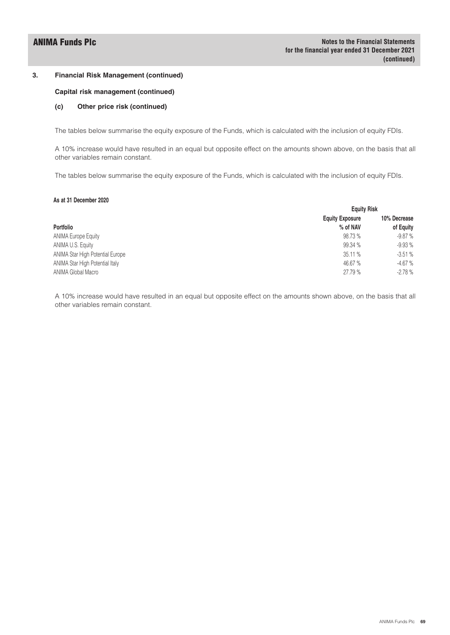## **Capital risk management (continued)**

# **(c) Other price risk (continued)**

The tables below summarise the equity exposure of the Funds, which is calculated with the inclusion of equity FDIs.

A 10% increase would have resulted in an equal but opposite effect on the amounts shown above, on the basis that all other variables remain constant.

The tables below summarise the equity exposure of the Funds, which is calculated with the inclusion of equity FDIs.

## **As at 31 December 2020**

|                                  | <b>Equity Risk</b>     |              |  |
|----------------------------------|------------------------|--------------|--|
|                                  | <b>Equity Exposure</b> | 10% Decrease |  |
| Portfolio                        | % of NAV               | of Equity    |  |
| ANIMA Europe Equity              | 98.73 %                | $-9.87%$     |  |
| ANIMA U.S. Equity                | 99.34 %                | $-9.93%$     |  |
| ANIMA Star High Potential Europe | 35.11 %                | $-3.51%$     |  |
| ANIMA Star High Potential Italy  | 46.67 %                | $-4.67%$     |  |
| ANIMA Global Macro               | 27.79 %                | $-2.78%$     |  |

A 10% increase would have resulted in an equal but opposite effect on the amounts shown above, on the basis that all other variables remain constant.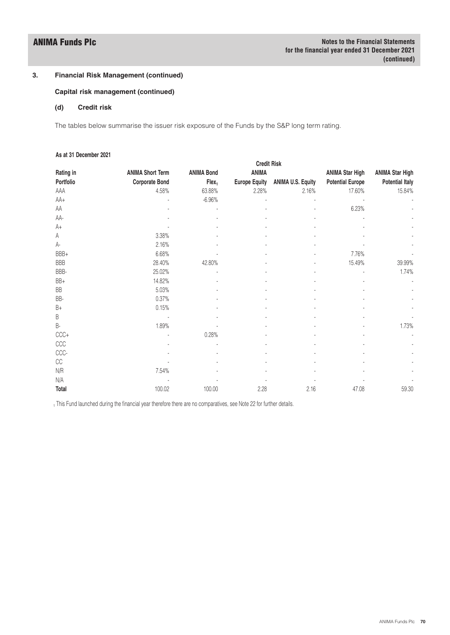## **Capital risk management (continued)**

# **(d) Credit risk**

The tables below summarise the issuer risk exposure of the Funds by the S&P long term rating.

# **As at 31 December 2021**

| Rating in                                                       | <b>Credit Risk</b>      |                   |                      |                          |                         |                        |  |
|-----------------------------------------------------------------|-------------------------|-------------------|----------------------|--------------------------|-------------------------|------------------------|--|
|                                                                 | <b>ANIMA Short Term</b> | <b>ANIMA Bond</b> | ANIMA                |                          | <b>ANIMA Star High</b>  | <b>ANIMA Star High</b> |  |
| Portfolio                                                       | <b>Corporate Bond</b>   | $Flex_1$          | <b>Europe Equity</b> | <b>ANIMA U.S. Equity</b> | <b>Potential Europe</b> | <b>Potential Italy</b> |  |
| AAA                                                             | 4.58%                   | 63.88%            | 2.28%                | 2.16%                    | 17.60%                  | 15.84%                 |  |
| $AA+$                                                           |                         | $-6.96%$          |                      |                          |                         |                        |  |
| AA                                                              |                         |                   |                      |                          | 6.23%                   |                        |  |
| AA-                                                             |                         |                   |                      |                          |                         |                        |  |
| $A+$                                                            |                         |                   |                      |                          |                         |                        |  |
| Α                                                               | 3.38%                   |                   |                      |                          |                         |                        |  |
| $\mathbb{A}\text{-}$                                            | 2.16%                   |                   |                      |                          |                         |                        |  |
| BBB+                                                            | 6.68%                   |                   |                      |                          | 7.76%                   |                        |  |
| <b>BBB</b>                                                      | 28.40%                  | 42.80%            |                      |                          | 15.49%                  | 39.99%                 |  |
| BBB-                                                            | 25.02%                  |                   |                      |                          |                         | 1.74%                  |  |
| BB+                                                             | 14.82%                  |                   |                      |                          |                         |                        |  |
| BB                                                              | 5.03%                   |                   |                      |                          |                         |                        |  |
| BB-                                                             | 0.37%                   |                   |                      |                          |                         |                        |  |
| $B+$                                                            | 0.15%                   |                   |                      |                          |                         |                        |  |
| B                                                               |                         |                   |                      |                          |                         |                        |  |
| <b>B-</b>                                                       | 1.89%                   |                   |                      |                          |                         | 1.73%                  |  |
| $CCC +$                                                         |                         | 0.28%             |                      |                          |                         |                        |  |
| CCC                                                             |                         |                   |                      |                          |                         |                        |  |
| $CCC -$                                                         |                         |                   |                      |                          |                         |                        |  |
| $\mathbb{C}\mathbb{C}$                                          |                         |                   |                      |                          |                         |                        |  |
| $\ensuremath{\mathsf{N}}\xspace/\ensuremath{\mathsf{R}}\xspace$ | 7.54%                   |                   |                      |                          |                         |                        |  |
| N/A                                                             |                         |                   |                      |                          |                         |                        |  |
| Total                                                           | 100.02                  | 100.00            | 2.28                 | 2.16                     | 47.08                   | 59.30                  |  |

1 This Fund launched during the financial year therefore there are no comparatives, see Note 22 for further details.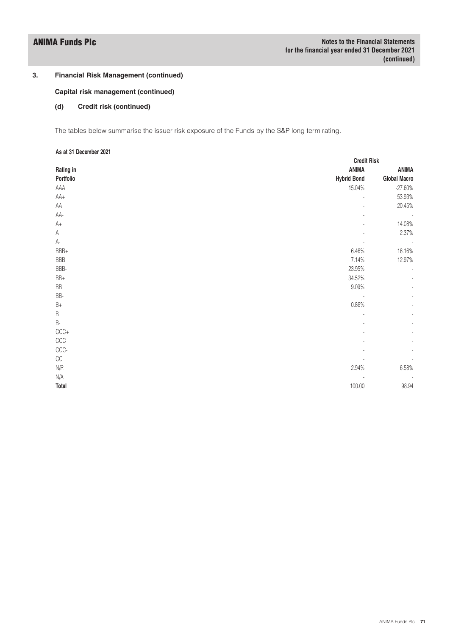# **Capital risk management (continued)**

# **(d) Credit risk (continued)**

The tables below summarise the issuer risk exposure of the Funds by the S&P long term rating.

| As at 31 December 2021                                          |                    |                     |  |
|-----------------------------------------------------------------|--------------------|---------------------|--|
|                                                                 | <b>Credit Risk</b> |                     |  |
| Rating in                                                       | ANIMA              | <b>ANIMA</b>        |  |
| Portfolio                                                       | <b>Hybrid Bond</b> | <b>Global Macro</b> |  |
| AAA                                                             | 15.04%             | $-27.60%$           |  |
| $AA+$                                                           |                    | 53.93%              |  |
| ${\sf AA}$                                                      |                    | 20.45%              |  |
| $AA-$                                                           |                    | $\sim$              |  |
| $\mathbb{A}+$                                                   |                    | 14.08%              |  |
| A                                                               |                    | 2.37%               |  |
| $\mathbb{A}\text{-}$                                            |                    | ÷,                  |  |
| BBB+                                                            | 6.46%              | 16.16%              |  |
| <b>BBB</b>                                                      | 7.14%              | 12.97%              |  |
| BBB-                                                            | 23.95%             | $\bar{a}$           |  |
| $\mathsf{BB}+$                                                  | 34.52%             | ÷,                  |  |
| BB                                                              | 9.09%              |                     |  |
| BB-                                                             |                    | ÷,                  |  |
| $\mathsf{B}+$                                                   | 0.86%              |                     |  |
| B                                                               |                    |                     |  |
| $\mathsf B\text{-}$                                             |                    |                     |  |
| $CCC +$                                                         |                    |                     |  |
| $\mathop{\rm CC}$                                               |                    |                     |  |
| $CCC -$                                                         |                    | ÷,                  |  |
| $\mathbb{C}\mathbb{C}$                                          |                    | ä,                  |  |
| $\ensuremath{\mathsf{N}}\xspace/\ensuremath{\mathsf{R}}\xspace$ | 2.94%              | 6.58%               |  |
| $\mathsf{N}/\mathsf{A}$                                         |                    | $\sim$              |  |
| Total                                                           | 100.00             | 98.94               |  |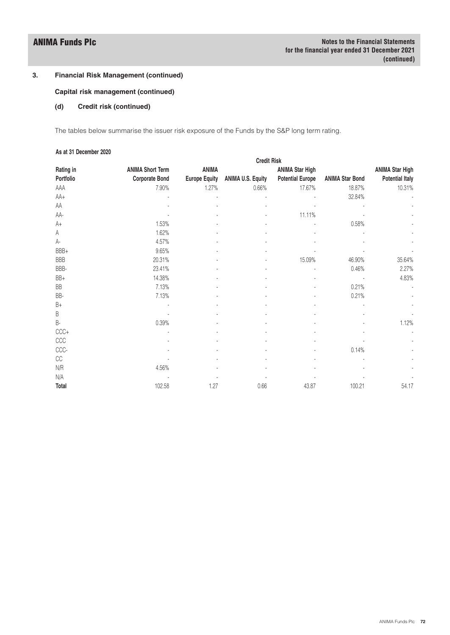#### **Capital risk management (continued)**

### **(d) Credit risk (continued)**

The tables below summarise the issuer risk exposure of the Funds by the S&P long term rating.

#### **As at 31 December 2020**

|                         | <b>Credit Risk</b>      |                      |                          |                         |                        |                        |  |  |
|-------------------------|-------------------------|----------------------|--------------------------|-------------------------|------------------------|------------------------|--|--|
| Rating in               | <b>ANIMA Short Term</b> | <b>ANIMA</b>         |                          | <b>ANIMA Star High</b>  |                        | <b>ANIMA Star High</b> |  |  |
| Portfolio               | <b>Corporate Bond</b>   | <b>Europe Equity</b> | <b>ANIMA U.S. Equity</b> | <b>Potential Europe</b> | <b>ANIMA Star Bond</b> | <b>Potential Italy</b> |  |  |
| AAA                     | 7.90%                   | 1.27%                | 0.66%                    | 17.67%                  | 18.87%                 | 10.31%                 |  |  |
| $AA+$                   |                         |                      |                          |                         | 32.84%                 |                        |  |  |
| ΑA                      |                         |                      |                          |                         |                        |                        |  |  |
| AA-                     |                         |                      |                          | 11.11%                  |                        |                        |  |  |
| $A+$                    | 1.53%                   |                      |                          |                         | 0.58%                  |                        |  |  |
| А                       | 1.62%                   |                      |                          |                         |                        |                        |  |  |
| A-                      | 4.57%                   |                      |                          |                         |                        |                        |  |  |
| BBB+                    | 9.65%                   |                      |                          |                         |                        |                        |  |  |
| <b>BBB</b>              | 20.31%                  |                      |                          | 15.09%                  | 46.90%                 | 35.64%                 |  |  |
| BBB-                    | 23.41%                  |                      |                          |                         | 0.46%                  | 2.27%                  |  |  |
| BB+                     | 14.38%                  |                      |                          |                         |                        | 4.83%                  |  |  |
| BB                      | 7.13%                   |                      |                          |                         | 0.21%                  |                        |  |  |
| BB-                     | 7.13%                   |                      |                          |                         | 0.21%                  |                        |  |  |
| B+                      |                         |                      |                          |                         |                        |                        |  |  |
| B                       |                         |                      |                          |                         |                        |                        |  |  |
| B-                      | 0.39%                   |                      |                          |                         |                        | 1.12%                  |  |  |
| $CCC +$                 |                         |                      |                          |                         |                        |                        |  |  |
| CCC                     |                         |                      |                          |                         |                        |                        |  |  |
| CCC-                    |                         |                      |                          |                         | 0.14%                  |                        |  |  |
| CC                      |                         |                      |                          |                         |                        |                        |  |  |
| N/R                     | 4.56%                   |                      |                          |                         |                        |                        |  |  |
| $\mathsf{N}/\mathsf{A}$ |                         |                      |                          |                         |                        |                        |  |  |
| Total                   | 102.58                  | 1.27                 | 0.66                     | 43.87                   | 100.21                 | 54.17                  |  |  |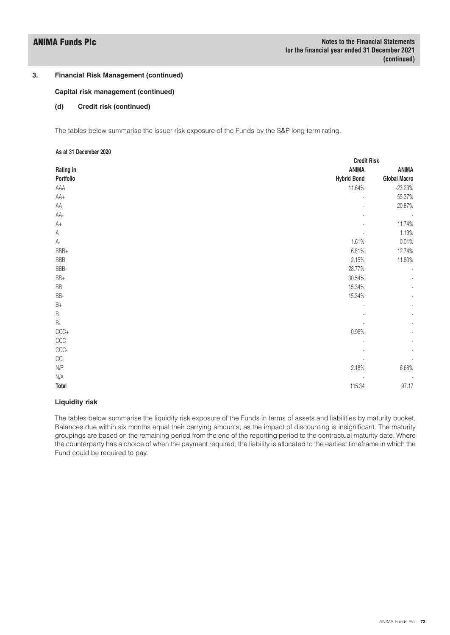#### **Capital risk management (continued)**

#### **(d) Credit risk (continued)**

The tables below summarise the issuer risk exposure of the Funds by the S&P long term rating.

| As at 31 December 2020                                          |                    |                          |  |  |  |
|-----------------------------------------------------------------|--------------------|--------------------------|--|--|--|
|                                                                 | <b>Credit Risk</b> |                          |  |  |  |
| Rating in                                                       | ANIMA              | <b>ANIMA</b>             |  |  |  |
| Portfolio                                                       | <b>Hybrid Bond</b> | <b>Global Macro</b>      |  |  |  |
| AAA                                                             | 11.64%             | $-23.23%$                |  |  |  |
| $AA+$                                                           |                    | 55.37%                   |  |  |  |
| AA                                                              |                    | 20.87%                   |  |  |  |
| $AA-$                                                           |                    | $\overline{\phantom{a}}$ |  |  |  |
| $A+$                                                            |                    | 11.74%                   |  |  |  |
| $\mathsf A$                                                     |                    | 1.19%                    |  |  |  |
| $\mathbb{A}\text{-}$                                            | 1.61%              | 0.01%                    |  |  |  |
| BBB+                                                            | 6.81%              | 12.74%                   |  |  |  |
| <b>BBB</b>                                                      | 2.15%              | 11.80%                   |  |  |  |
| BBB-                                                            | 28.77%             | $\frac{1}{2}$            |  |  |  |
| BB+                                                             | 30.54%             | $\ddot{\phantom{1}}$     |  |  |  |
| BB                                                              | 15.34%             | ٠                        |  |  |  |
| BB-                                                             | 15.34%             |                          |  |  |  |
| $\mathsf{B}+$                                                   |                    | $\bar{a}$                |  |  |  |
| B                                                               |                    |                          |  |  |  |
| $\mathsf B\text{-}$                                             |                    | $\bar{a}$                |  |  |  |
| $CCC +$                                                         | 0.96%              |                          |  |  |  |
| $\mathop{\rm CC}$                                               |                    | ÷,                       |  |  |  |
| $\mathsf{CCC}\text{-}$                                          |                    | ä,                       |  |  |  |
| $\mathbb{C}\mathbb{C}$                                          |                    | $\blacksquare$           |  |  |  |
| $\ensuremath{\mathsf{N}}\xspace/\ensuremath{\mathsf{R}}\xspace$ | 2.18%              | 6.68%                    |  |  |  |
| $\mathsf{N}/\mathsf{A}$                                         |                    | $\overline{\phantom{a}}$ |  |  |  |
| Total                                                           | 115.34             | 97.17                    |  |  |  |

#### **Liquidity risk**

The tables below summarise the liquidity risk exposure of the Funds in terms of assets and liabilities by maturity bucket. Balances due within six months equal their carrying amounts, as the impact of discounting is insignificant. The maturity groupings are based on the remaining period from the end of the reporting period to the contractual maturity date. Where the counterparty has a choice of when the payment required, the liability is allocated to the earliest timeframe in which the Fund could be required to pay.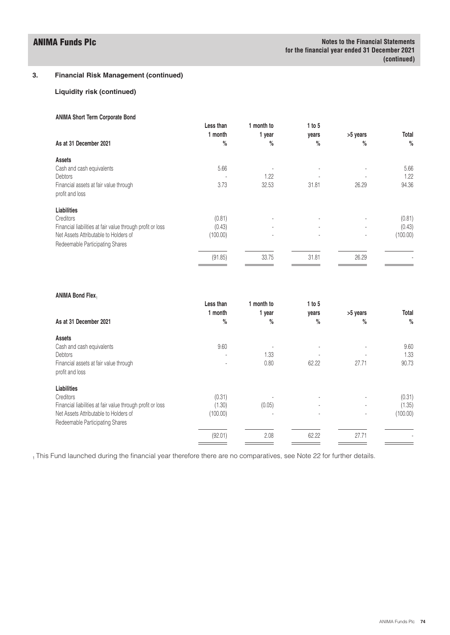#### **3. Financial Risk Management (continued)**

### **Liquidity risk (continued)**

| <b>ANIMA Short Term Corporate Bond</b>                     |           |            |        |          |              |
|------------------------------------------------------------|-----------|------------|--------|----------|--------------|
|                                                            | Less than | 1 month to | 1 to 5 |          |              |
|                                                            | 1 month   | 1 year     | years  | >5 years | <b>Total</b> |
| As at 31 December 2021                                     | $\%$      | $\%$       | $\%$   | %        | $\%$         |
| Assets                                                     |           |            |        |          |              |
| Cash and cash equivalents                                  | 5.66      | ÷          |        |          | 5.66         |
| Debtors                                                    |           | 1.22       |        |          | 1.22         |
| Financial assets at fair value through                     | 3.73      | 32.53      | 31.81  | 26.29    | 94.36        |
| profit and loss                                            |           |            |        |          |              |
| <b>Liabilities</b>                                         |           |            |        |          |              |
| Creditors                                                  | (0.81)    | ä,         |        |          | (0.81)       |
| Financial liabilities at fair value through profit or loss | (0.43)    | ٠          |        | ۰        | (0.43)       |
| Net Assets Attributable to Holders of                      | (100.00)  | ٠          |        |          | (100.00)     |
| Redeemable Participating Shares                            |           |            |        |          |              |
|                                                            | (91.85)   | 33.75      | 31.81  | 26.29    |              |
|                                                            |           |            |        |          |              |
|                                                            |           |            |        |          |              |

| <b>ANIMA Bond Flex</b>                                                   | Less than<br>1 month | 1 month to<br>1 year | 1 to $5$<br>years        | >5 years | Total    |
|--------------------------------------------------------------------------|----------------------|----------------------|--------------------------|----------|----------|
| As at 31 December 2021                                                   | %                    | %                    | $\%$                     | $\%$     | $\%$     |
| Assets                                                                   |                      |                      |                          |          |          |
| Cash and cash equivalents                                                | 9.60                 |                      | $\overline{\phantom{a}}$ |          | 9.60     |
| Debtors                                                                  | $\sim$               | 1.33                 | ٠                        |          | 1.33     |
| Financial assets at fair value through                                   | $\sim$               | 0.80                 | 62.22                    | 27.71    | 90.73    |
| profit and loss                                                          |                      |                      |                          |          |          |
| <b>Liabilities</b>                                                       |                      |                      |                          |          |          |
| Creditors                                                                | (0.31)               |                      | ٠                        |          | (0.31)   |
| Financial liabilities at fair value through profit or loss               | (1.30)               | (0.05)               | $\overline{\phantom{a}}$ |          | (1.35)   |
| Net Assets Attributable to Holders of<br>Redeemable Participating Shares | (100.00)             | ٠                    |                          |          | (100.00) |
|                                                                          | (92.01)              | 2.08                 | 62.22                    | 27.71    |          |

1 This Fund launched during the financial year therefore there are no comparatives, see Note 22 for further details.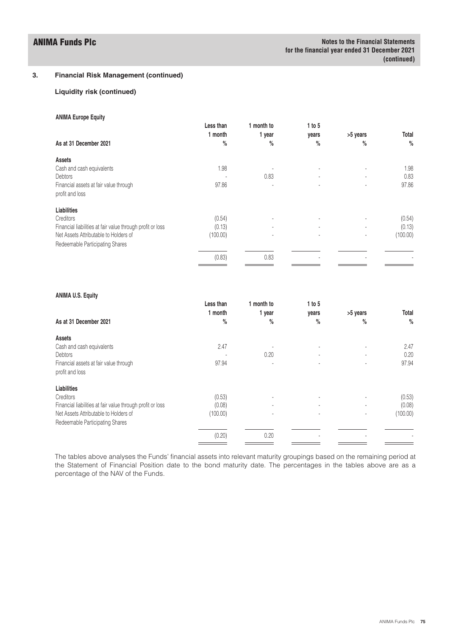#### **Liquidity risk (continued)**

| Total<br>$\%$ |
|---------------|
| 1.98          |
| 0.83          |
| 97.86         |
|               |
| (0.54)        |
| (0.13)        |
| (100.00)      |
|               |
|               |

### **ANIMA U.S. Equity**

| Less than | 1 month to               | 1 to 5         |                          | Total    |
|-----------|--------------------------|----------------|--------------------------|----------|
| $\%$      | $\%$                     | %              | $\%$                     | $\%$     |
|           |                          |                |                          |          |
| 2.47      | ٠                        | $\overline{a}$ | $\overline{\phantom{a}}$ | 2.47     |
|           | 0.20                     | ٠              |                          | 0.20     |
| 97.94     |                          |                |                          | 97.94    |
|           |                          |                |                          |          |
|           |                          |                |                          |          |
| (0.53)    | $\overline{\phantom{a}}$ | ÷.             |                          | (0.53)   |
| (0.08)    | $\overline{\phantom{a}}$ | ٠              |                          | (0.08)   |
| (100.00)  | $\overline{\phantom{a}}$ | ٠              |                          | (100.00) |
|           |                          |                |                          |          |
| (0.20)    | 0.20                     |                |                          |          |
|           | 1 month                  | 1 year         | years                    | >5 years |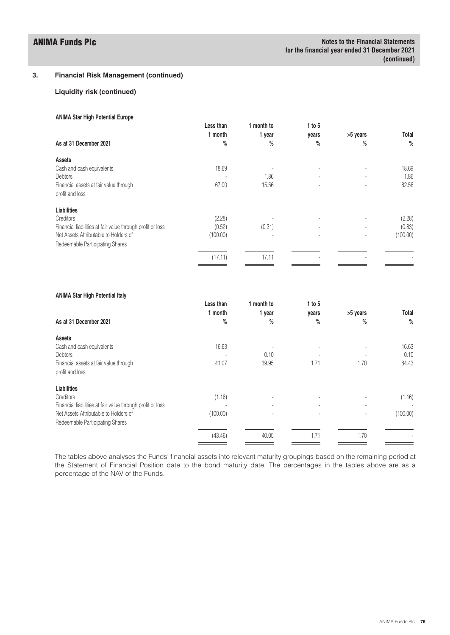#### **Liquidity risk (continued)**

**ANIMA Star High Potential Europe**

|                                                                                                     | Less than<br>1 month | month to<br>1 year | 1 to 5<br>years | >5 years                 | Total<br>$\%$      |
|-----------------------------------------------------------------------------------------------------|----------------------|--------------------|-----------------|--------------------------|--------------------|
| As at 31 December 2021                                                                              | $\%$                 | $\%$               | $\%$            | %                        |                    |
| <b>Assets</b>                                                                                       |                      |                    |                 |                          |                    |
| Cash and cash equivalents                                                                           | 18.69                |                    |                 |                          | 18.69              |
| Debtors                                                                                             |                      | 1.86               |                 |                          | 1.86               |
| Financial assets at fair value through<br>profit and loss                                           | 67.00                | 15.56              |                 | $\overline{\phantom{a}}$ | 82.56              |
| <b>Liabilities</b>                                                                                  |                      |                    |                 |                          |                    |
| Creditors                                                                                           | (2.28)               |                    | ÷               |                          | (2.28)             |
| Financial liabilities at fair value through profit or loss<br>Net Assets Attributable to Holders of | (0.52)               | (0.31)             |                 |                          | (0.83)<br>(100.00) |
| Redeemable Participating Shares                                                                     | (100.00)             | ٠                  |                 |                          |                    |
|                                                                                                     | (17.11)              | 17.11              |                 |                          |                    |

#### **ANIMA Star High Potential Italy**

| Less than | month to<br>1 year<br>$\%$ | 1 to 5<br>years<br>$\%$  | >5 years<br>$\%$ | <b>Total</b><br>$\%$ |
|-----------|----------------------------|--------------------------|------------------|----------------------|
| %         |                            |                          |                  |                      |
|           |                            |                          |                  |                      |
| 16.63     |                            | $\overline{\phantom{a}}$ | ٠                | 16.63                |
|           | 0.10                       | $\overline{\phantom{a}}$ | ٠                | 0.10                 |
| 41.07     | 39.95                      | 1.71                     | 1.70             | 84.43                |
|           |                            |                          |                  |                      |
|           |                            |                          |                  |                      |
| (1.16)    | $\overline{\phantom{a}}$   | $\overline{\phantom{a}}$ |                  | (1.16)               |
|           | ٠                          | ٠                        | ٠                |                      |
| (100.00)  | ٠                          | $\overline{\phantom{a}}$ | ٠                | (100.00)             |
|           |                            |                          |                  |                      |
| (43.46)   | 40.05                      | 1.71                     | 1.70             |                      |
|           | 1 month                    |                          |                  |                      |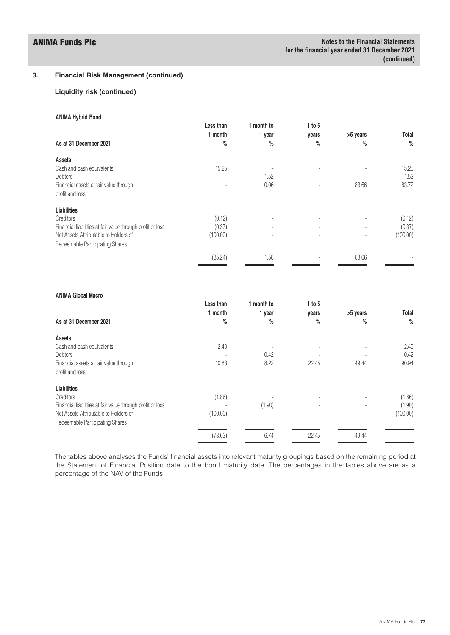#### **Liquidity risk (continued)**

#### **ANIMA Hybrid Bond**

|                                                            | Less than<br>1 month | month to<br>1 year | 1 to $5$<br>years | >5 years<br>$\%$ | Total<br>$\%$ |
|------------------------------------------------------------|----------------------|--------------------|-------------------|------------------|---------------|
| As at 31 December 2021                                     | $\%$                 | $\%$               | $\%$              |                  |               |
| <b>Assets</b>                                              |                      |                    |                   |                  |               |
| Cash and cash equivalents                                  | 15.25                |                    |                   |                  | 15.25         |
| Debtors                                                    |                      | 1.52               |                   |                  | 1.52          |
| Financial assets at fair value through                     |                      | 0.06               |                   | 83.66            | 83.72         |
| profit and loss                                            |                      |                    |                   |                  |               |
| <b>Liabilities</b>                                         |                      |                    |                   |                  |               |
| Creditors                                                  | (0.12)               | ٠                  |                   |                  | (0.12)        |
| Financial liabilities at fair value through profit or loss | (0.37)               | ٠                  |                   |                  | (0.37)        |
| Net Assets Attributable to Holders of                      | (100.00)             |                    |                   |                  | (100.00)      |
| Redeemable Participating Shares                            |                      |                    |                   |                  |               |
|                                                            | (85.24)              | 1.58               |                   | 83.66            |               |
|                                                            |                      |                    |                   |                  |               |

#### **ANIMA Global Macro**

| Less than | month to                 | 1 to 5 |       |              |
|-----------|--------------------------|--------|-------|--------------|
|           |                          |        |       | <b>Total</b> |
| %         | %                        | %      | $\%$  | $\%$         |
|           |                          |        |       |              |
| 12.40     | ٠                        |        |       | 12.40        |
|           | 0.42                     |        |       | 0.42         |
| 10.83     | 8.22                     | 22.45  | 49.44 | 90.94        |
|           |                          |        |       |              |
|           |                          |        |       |              |
| (1.86)    |                          |        |       | (1.86)       |
|           | (1.90)                   |        |       | (1.90)       |
| (100.00)  | $\overline{\phantom{a}}$ |        | ٠     | (100.00)     |
|           |                          |        |       |              |
| (78.63)   | 6.74                     | 22.45  | 49.44 |              |
|           | 1 month                  | 1 year | years | >5 years     |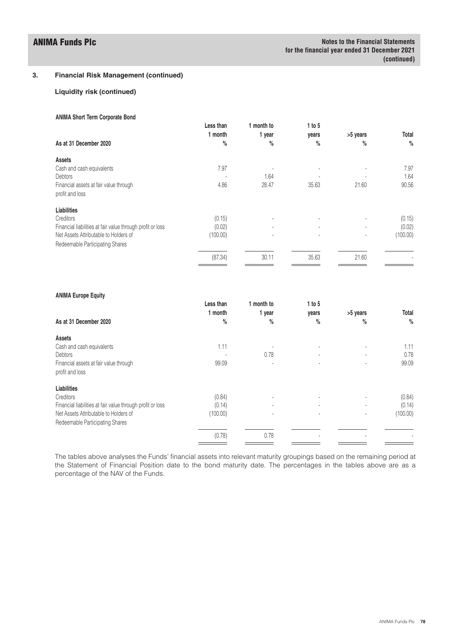### **Liquidity risk (continued)**

|                                                            | Less than | 1 month to     | 1 to $5$ |          |          |
|------------------------------------------------------------|-----------|----------------|----------|----------|----------|
|                                                            | 1 month   | 1 year         | years    | >5 years | Total    |
| As at 31 December 2020                                     | %         | $\%$           | %        | $\%$     | $\%$     |
| Assets                                                     |           |                |          |          |          |
| Cash and cash equivalents                                  | 7.97      |                |          |          | 7.97     |
| Debtors                                                    |           | 1.64           |          |          | 1.64     |
| Financial assets at fair value through                     | 4.86      | 28.47          | 35.63    | 21.60    | 90.56    |
| profit and loss                                            |           |                |          |          |          |
| <b>Liabilities</b>                                         |           |                |          |          |          |
| Creditors                                                  | (0.15)    | ٠              | ٠        |          | (0.15)   |
| Financial liabilities at fair value through profit or loss | (0.02)    | $\overline{a}$ |          |          | (0.02)   |
| Net Assets Attributable to Holders of                      | (100.00)  | ٠              |          |          | (100.00) |
| Redeemable Participating Shares                            |           |                |          |          |          |
|                                                            | (87.34)   | 30.11          | 35.63    | 21.60    |          |
|                                                            |           |                |          |          |          |

#### **ANIMA Europe Equity**

|                                                            | Less than | month to | 1 to 5<br>years          | >5 years                 | <b>Total</b> |
|------------------------------------------------------------|-----------|----------|--------------------------|--------------------------|--------------|
|                                                            | 1 month   | 1 year   |                          |                          |              |
| As at 31 December 2020                                     | %         | $\%$     | $\%$                     | %                        | $\%$         |
| Assets                                                     |           |          |                          |                          |              |
| Cash and cash equivalents                                  | 1.11      | ٠        | $\overline{\phantom{a}}$ | $\overline{\phantom{a}}$ | 1.11         |
| Debtors                                                    |           | 0.78     | $\overline{\phantom{a}}$ | $\overline{\phantom{a}}$ | 0.78         |
| Financial assets at fair value through                     | 99.09     | ٠        |                          | ٠                        | 99.09        |
| profit and loss                                            |           |          |                          |                          |              |
| <b>Liabilities</b>                                         |           |          |                          |                          |              |
| Creditors                                                  | (0.84)    | ٠        |                          |                          | (0.84)       |
| Financial liabilities at fair value through profit or loss | (0.14)    | ٠        |                          | ٠                        | (0.14)       |
| Net Assets Attributable to Holders of                      | (100.00)  |          |                          | ٠                        | (100.00)     |
| Redeemable Participating Shares                            |           |          |                          |                          |              |
|                                                            | (0.78)    | 0.78     |                          | $\overline{\phantom{a}}$ |              |
|                                                            |           |          |                          |                          |              |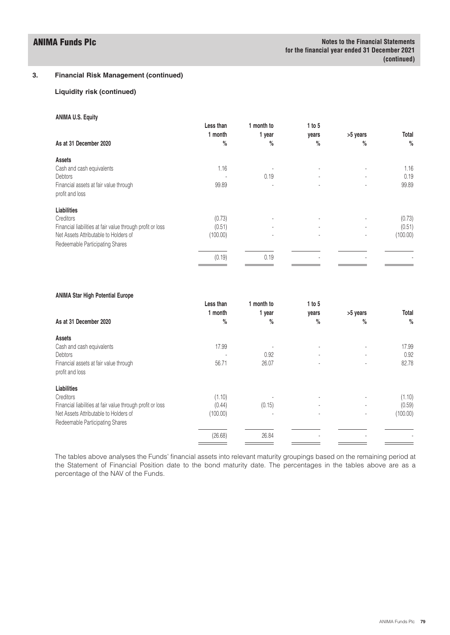#### **Liquidity risk (continued)**

**ANIMA U.S. Equity**

| As at 31 December 2020                                                   | Less than<br>1 month<br>$\%$ | month to<br>1 year<br>$\%$    | 1 to 5<br>years<br>$\%$  | >5 years<br>% | Total<br>$\%$    |
|--------------------------------------------------------------------------|------------------------------|-------------------------------|--------------------------|---------------|------------------|
| <b>Assets</b>                                                            |                              |                               |                          |               |                  |
| Cash and cash equivalents                                                | 1.16                         |                               | $\overline{\phantom{a}}$ |               | 1.16             |
| Debtors                                                                  |                              | 0.19                          |                          |               | 0.19             |
| Financial assets at fair value through<br>profit and loss                | 99.89                        | ٠                             |                          |               | 99.89            |
| <b>Liabilities</b>                                                       |                              |                               |                          |               |                  |
| Creditors<br>Financial liabilities at fair value through profit or loss  | (0.73)<br>(0.51)             | ٠<br>$\overline{\phantom{a}}$ | $\overline{\phantom{a}}$ |               | (0.73)<br>(0.51) |
| Net Assets Attributable to Holders of<br>Redeemable Participating Shares | (100.00)                     | ٠                             | ٠                        |               | (100.00)         |
|                                                                          | (0.19)                       | 0.19                          |                          |               |                  |

#### **ANIMA Star High Potential Europe**

|                                                            | Less than<br>1 month | 1 month to<br>1 year | 1 to 5<br>years | >5 years                 | Total    |
|------------------------------------------------------------|----------------------|----------------------|-----------------|--------------------------|----------|
| As at 31 December 2020                                     | $\%$                 | $\%$                 | $\%$            | $\%$                     | $\%$     |
| Assets                                                     |                      |                      |                 |                          |          |
| Cash and cash equivalents                                  | 17.99                |                      | ٠               | $\overline{\phantom{a}}$ | 17.99    |
| Debtors                                                    |                      | 0.92                 | ٠               | $\overline{\phantom{a}}$ | 0.92     |
| Financial assets at fair value through                     | 56.71                | 26.07                |                 |                          | 82.78    |
| profit and loss                                            |                      |                      |                 |                          |          |
| <b>Liabilities</b>                                         |                      |                      |                 |                          |          |
| Creditors                                                  | (1.10)               |                      | $\overline{a}$  |                          | (1.10)   |
| Financial liabilities at fair value through profit or loss | (0.44)               | (0.15)               | ٠               |                          | (0.59)   |
| Net Assets Attributable to Holders of                      | (100.00)             | ٠                    | ٠               |                          | (100.00) |
| Redeemable Participating Shares                            |                      |                      |                 |                          |          |
|                                                            | (26.68)              | 26.84                |                 |                          |          |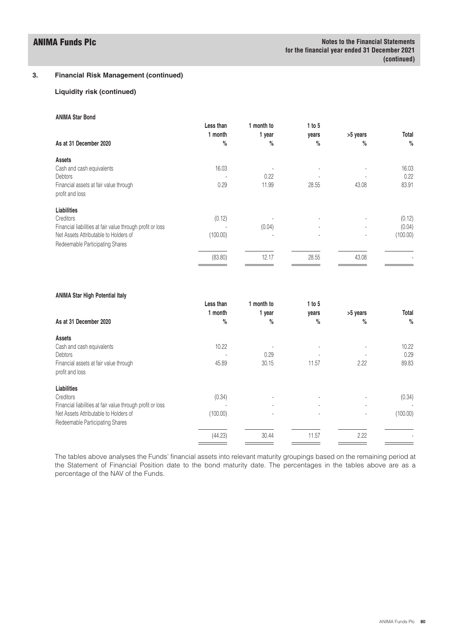#### **Liquidity risk (continued)**

|  | <b>ANIMA Star Bond</b> |  |  |
|--|------------------------|--|--|
|--|------------------------|--|--|

| As at 31 December 2020                                                                                                                                                    | Less than<br>1 month<br>$\%$  | month to<br>1 year<br>% | 1 to 5<br>years<br>$\%$ | >5 years<br>$\%$ | <b>Total</b><br>$\%$         |
|---------------------------------------------------------------------------------------------------------------------------------------------------------------------------|-------------------------------|-------------------------|-------------------------|------------------|------------------------------|
| <b>Assets</b><br>Cash and cash equivalents<br>Debtors<br>Financial assets at fair value through<br>profit and loss                                                        | 16.03<br>0.29                 | 0.22<br>11.99           | ٠<br>28.55              | 43.08            | 16.03<br>0.22<br>83.91       |
| <b>Liabilities</b><br>Creditors<br>Financial liabilities at fair value through profit or loss<br>Net Assets Attributable to Holders of<br>Redeemable Participating Shares | (0.12)<br>(100.00)<br>(83.80) | (0.04)<br>٠<br>12.17    | ٠<br>28.55              | 43.08            | (0.12)<br>(0.04)<br>(100.00) |

#### **ANIMA Star High Potential Italy**

|                                                            | Less than<br>1 month | month to<br>1 year | 1 to 5<br>years          | >5 years                 | Total    |
|------------------------------------------------------------|----------------------|--------------------|--------------------------|--------------------------|----------|
| As at 31 December 2020                                     | %                    | $\%$               | $\%$                     | $\%$                     | $\%$     |
| Assets                                                     |                      |                    |                          |                          |          |
| Cash and cash equivalents                                  | 10.22                | ٠                  | $\overline{\phantom{a}}$ |                          | 10.22    |
| Debtors                                                    |                      | 0.29               | $\overline{\phantom{a}}$ | ٠                        | 0.29     |
| Financial assets at fair value through                     | 45.89                | 30.15              | 11.57                    | 2.22                     | 89.83    |
| profit and loss                                            |                      |                    |                          |                          |          |
| <b>Liabilities</b>                                         |                      |                    |                          |                          |          |
| Creditors                                                  | (0.34)               | ٠                  | $\overline{\phantom{a}}$ |                          | (0.34)   |
| Financial liabilities at fair value through profit or loss |                      | ۰                  |                          | $\overline{\phantom{a}}$ |          |
| Net Assets Attributable to Holders of                      | (100.00)             |                    |                          |                          | (100.00) |
| Redeemable Participating Shares                            |                      |                    |                          |                          |          |
|                                                            | (44.23)              | 30.44              | 11.57                    | 2.22                     |          |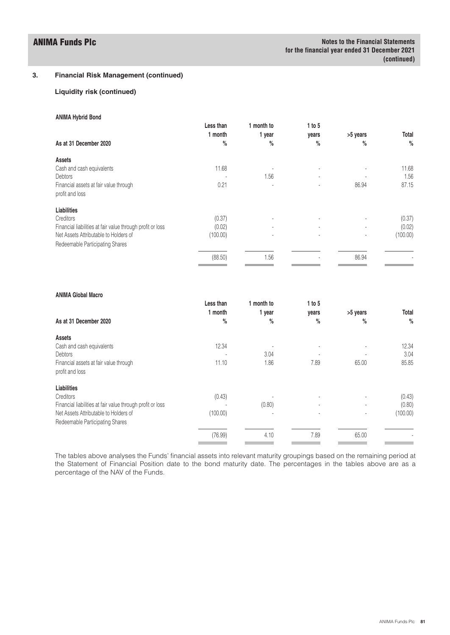### **Liquidity risk (continued)**

| <b>ANIMA Hybrid Bond</b> |  |  |
|--------------------------|--|--|
|                          |  |  |

| As at 31 December 2020                                                                                                                                                    | Less than<br>1 month<br>$\%$ | month to<br>1 year<br>% | 1 to 5<br>years<br>$\%$            | >5 years<br>$\%$ | <b>Total</b><br>$\%$         |
|---------------------------------------------------------------------------------------------------------------------------------------------------------------------------|------------------------------|-------------------------|------------------------------------|------------------|------------------------------|
| <b>Assets</b><br>Cash and cash equivalents<br>Debtors<br>Financial assets at fair value through<br>profit and loss                                                        | 11.68<br>0.21                | ٠<br>1.56               | ٠<br>$\overline{\phantom{a}}$<br>٠ | 86.94            | 11.68<br>1.56<br>87.15       |
| <b>Liabilities</b><br>Creditors<br>Financial liabilities at fair value through profit or loss<br>Net Assets Attributable to Holders of<br>Redeemable Participating Shares | (0.37)<br>(0.02)<br>(100.00) | ٠<br>٠<br>÷,            | $\overline{\phantom{a}}$           |                  | (0.37)<br>(0.02)<br>(100.00) |
|                                                                                                                                                                           | (88.50)                      | 1.56                    |                                    | 86.94            |                              |

| <b>ANIMA Global Macro</b> |  |  |
|---------------------------|--|--|
|---------------------------|--|--|

|                                                            | Less than<br>1 month | month to<br>1 year       | $1$ to 5<br>years | >5 years                 | <b>Total</b> |
|------------------------------------------------------------|----------------------|--------------------------|-------------------|--------------------------|--------------|
| As at 31 December 2020                                     | $\%$                 | $\%$                     | $\%$              | %                        | $\%$         |
| <b>Assets</b>                                              |                      |                          |                   |                          |              |
| Cash and cash equivalents                                  | 12.34                | $\overline{\phantom{a}}$ |                   | ٠                        | 12.34        |
| Debtors                                                    |                      | 3.04                     |                   | $\overline{\phantom{a}}$ | 3.04         |
| Financial assets at fair value through                     | 11.10                | 1.86                     | 7.89              | 65.00                    | 85.85        |
| profit and loss                                            |                      |                          |                   |                          |              |
| <b>Liabilities</b>                                         |                      |                          |                   |                          |              |
| Creditors                                                  | (0.43)               |                          |                   |                          | (0.43)       |
| Financial liabilities at fair value through profit or loss |                      | (0.80)                   |                   | ٠                        | (0.80)       |
| Net Assets Attributable to Holders of                      | (100.00)             | ٠                        |                   | ٠                        | (100.00)     |
| Redeemable Participating Shares                            |                      |                          |                   |                          |              |
|                                                            | (76.99)              | 4.10                     | 7.89              | 65.00                    |              |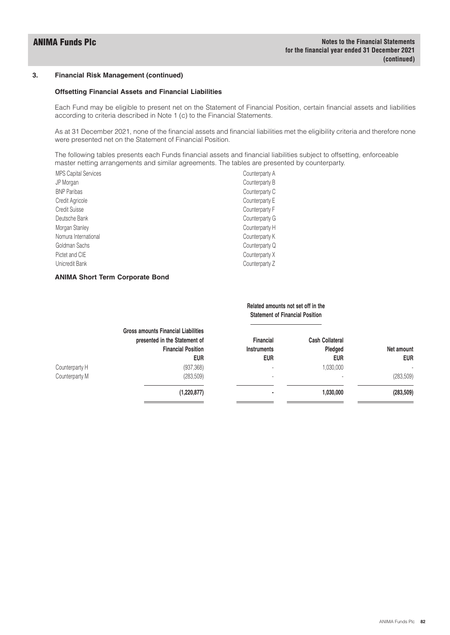#### **Offsetting Financial Assets and Financial Liabilities**

Each Fund may be eligible to present net on the Statement of Financial Position, certain financial assets and liabilities according to criteria described in Note 1 (c) to the Financial Statements.

As at 31 December 2021, none of the financial assets and financial liabilities met the eligibility criteria and therefore none were presented net on the Statement of Financial Position.

The following tables presents each Funds financial assets and financial liabilities subject to offsetting, enforceable master netting arrangements and similar agreements. The tables are presented by counterparty.

| <b>MPS Capital Services</b> | Counterparty A |
|-----------------------------|----------------|
| JP Morgan                   | Counterparty B |
| <b>BNP Paribas</b>          | Counterparty C |
| Credit Agricole             | Counterparty E |
| <b>Credit Suisse</b>        | Counterparty F |
| Deutsche Bank               | Counterparty G |
| Morgan Stanley              | Counterparty H |
| Nomura International        | Counterparty K |
| Goldman Sachs               | Counterparty Q |
| Pictet and CIE              | Counterparty X |
| Unicredit Bank              | Counterparty Z |
|                             |                |

#### **ANIMA Short Term Corporate Bond**

|                | <b>Gross amounts Financial Liabilities</b><br>presented in the Statement of | <b>Financial</b>   | <b>Cash Collateral</b>   |                |
|----------------|-----------------------------------------------------------------------------|--------------------|--------------------------|----------------|
|                | <b>Financial Position</b>                                                   | <b>Instruments</b> | Pledged                  | Net amount     |
|                | <b>EUR</b>                                                                  | <b>EUR</b>         | <b>EUR</b>               | <b>EUR</b>     |
| Counterparty H | (937, 368)                                                                  |                    | 1,030,000                | $\overline{a}$ |
| Counterparty M | (283, 509)                                                                  | $\overline{a}$     | $\overline{\phantom{a}}$ | (283, 509)     |

**Related amounts not set off in the Statement of Financial Position**

**(1,220,877) - 1,030,000 (283,509)**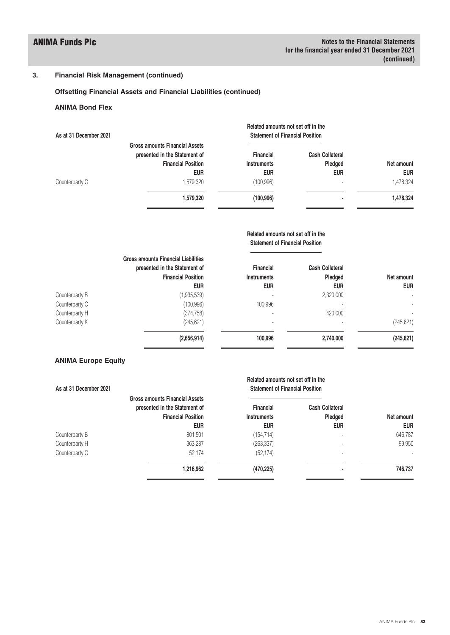#### **Offsetting Financial Assets and Financial Liabilities (continued)**

#### **ANIMA Bond Flex**

| As at 31 December 2021 | Related amounts not set off in the<br><b>Statement of Financial Position</b>                               |                                                      |                                                 |                          |
|------------------------|------------------------------------------------------------------------------------------------------------|------------------------------------------------------|-------------------------------------------------|--------------------------|
|                        | <b>Gross amounts Financial Assets</b><br>presented in the Statement of<br><b>Financial Position</b><br>eur | <b>Financial</b><br><b>Instruments</b><br><b>EUR</b> | <b>Cash Collateral</b><br>Pledged<br><b>EUR</b> | Net amount<br><b>EUR</b> |
| Counterparty C         | 1,579,320                                                                                                  | (100, 996)                                           |                                                 | 1,478,324                |
|                        | 1,579,320                                                                                                  | (100, 996)                                           |                                                 | 1,478,324                |

#### **Related amounts not set off in the Statement of Financial Position**

|                | <b>Gross amounts Financial Liabilities</b>                 |                                        | <b>Cash Collateral</b> |            |
|----------------|------------------------------------------------------------|----------------------------------------|------------------------|------------|
|                | presented in the Statement of<br><b>Financial Position</b> | <b>Financial</b><br><b>Instruments</b> | Pledged                | Net amount |
|                | eur                                                        | <b>EUR</b>                             | <b>EUR</b>             | <b>EUR</b> |
| Counterparty B | (1,935,539)                                                |                                        | 2,320,000              |            |
| Counterparty C | (100.996)                                                  | 100.996                                |                        |            |
| Counterparty H | (374, 758)                                                 | ٠                                      | 420,000                |            |
| Counterparty K | (245, 621)                                                 | ۰                                      |                        | (245, 621) |
|                | (2,656,914)                                                | 100,996                                | 2,740,000              | (245, 621) |

#### **ANIMA Europe Equity**

|                        |                                                                        | Related amounts not set off in the     |                          |            |
|------------------------|------------------------------------------------------------------------|----------------------------------------|--------------------------|------------|
| As at 31 December 2021 |                                                                        | <b>Statement of Financial Position</b> |                          |            |
|                        | <b>Gross amounts Financial Assets</b><br>presented in the Statement of | <b>Financial</b>                       | <b>Cash Collateral</b>   |            |
|                        | <b>Financial Position</b>                                              | <b>Instruments</b>                     | Pledged                  | Net amount |
|                        | eur                                                                    | <b>EUR</b>                             | <b>EUR</b>               | <b>EUR</b> |
| Counterparty B         | 801,501                                                                | (154, 714)                             | $\overline{\phantom{a}}$ | 646,787    |
| Counterparty H         | 363,287                                                                | (263, 337)                             |                          | 99,950     |
| Counterparty Q         | 52.174                                                                 | (52, 174)                              |                          |            |
|                        | 1,216,962                                                              | (470, 225)                             |                          | 746,737    |
|                        |                                                                        |                                        |                          |            |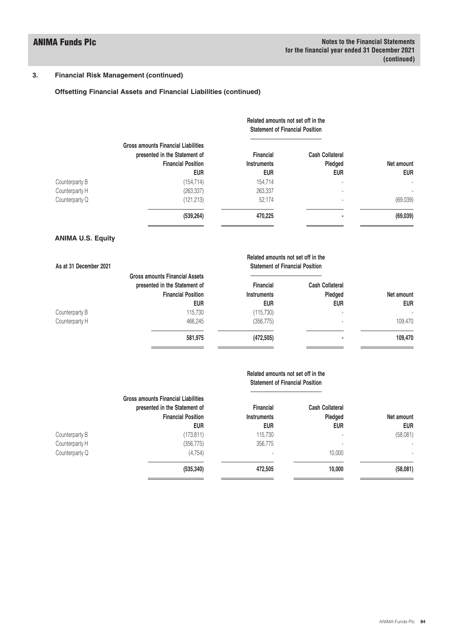#### **Offsetting Financial Assets and Financial Liabilities (continued)**

|                          |                                                                             | Related amounts not set off in the<br><b>Statement of Financial Position</b> |                        |            |
|--------------------------|-----------------------------------------------------------------------------|------------------------------------------------------------------------------|------------------------|------------|
|                          | <b>Gross amounts Financial Liabilities</b><br>presented in the Statement of | <b>Financial</b>                                                             | <b>Cash Collateral</b> |            |
|                          | <b>Financial Position</b>                                                   | <b>Instruments</b>                                                           | Pledged                | Net amount |
|                          | <b>EUR</b>                                                                  | <b>EUR</b>                                                                   | <b>EUR</b>             | <b>EUR</b> |
| Counterparty B           | (154, 714)                                                                  | 154,714                                                                      | ٠                      | ÷          |
| Counterparty H           | (263, 337)                                                                  | 263,337                                                                      |                        | ٠          |
| Counterparty Q           | (121, 213)                                                                  | 52,174                                                                       |                        | (69, 039)  |
|                          | (539, 264)                                                                  | 470,225                                                                      |                        | (69, 039)  |
| <b>ANIMA U.S. Equity</b> |                                                                             |                                                                              |                        |            |

| As at 31 December 2021 | Related amounts not set off in the<br><b>Statement of Financial Position</b> |                    |                        |            |
|------------------------|------------------------------------------------------------------------------|--------------------|------------------------|------------|
|                        | <b>Gross amounts Financial Assets</b><br>presented in the Statement of       | <b>Financial</b>   | <b>Cash Collateral</b> |            |
|                        | <b>Financial Position</b>                                                    | <b>Instruments</b> | Pledged                | Net amount |
|                        | eur                                                                          | <b>EUR</b>         | <b>EUR</b>             | <b>EUR</b> |
| Counterparty B         | 115,730                                                                      | (115, 730)         | ۰                      |            |
| Counterparty H         | 466.245                                                                      | (356, 775)         |                        | 109,470    |
|                        | 581,975                                                                      | (472, 505)         |                        | 109,470    |
|                        |                                                                              |                    |                        |            |

#### **Related amounts not set off in the Statement of Financial Position**

|                | <b>Gross amounts Financial Liabilities</b> |                    |                        |            |
|----------------|--------------------------------------------|--------------------|------------------------|------------|
|                | presented in the Statement of              | <b>Financial</b>   | <b>Cash Collateral</b> |            |
|                | <b>Financial Position</b>                  | <b>Instruments</b> | Pledged                | Net amount |
|                | <b>EUR</b>                                 | EUR                | <b>EUR</b>             | <b>EUR</b> |
| Counterparty B | (173, 811)                                 | 115,730            |                        | (58,081)   |
| Counterparty H | (356, 775)                                 | 356,775            |                        |            |
| Counterparty Q | (4,754)                                    | $\overline{a}$     | 10.000                 |            |
|                | (535, 340)                                 | 472,505            | 10,000                 | (58,081)   |
|                |                                            |                    |                        |            |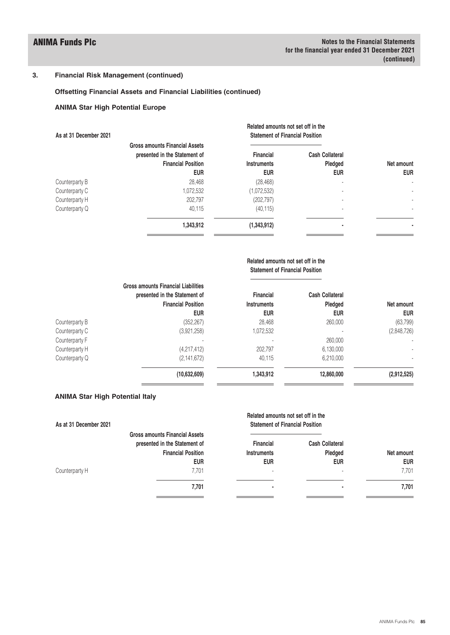#### **Offsetting Financial Assets and Financial Liabilities (continued)**

#### **ANIMA Star High Potential Europe**

| As at 31 December 2021 |                                                                                                     | Related amounts not set off in the<br><b>Statement of Financial Position</b> |                                   |            |
|------------------------|-----------------------------------------------------------------------------------------------------|------------------------------------------------------------------------------|-----------------------------------|------------|
|                        | <b>Gross amounts Financial Assets</b><br>presented in the Statement of<br><b>Financial Position</b> | <b>Financial</b><br><b>Instruments</b>                                       | <b>Cash Collateral</b><br>Pledged | Net amount |
|                        | <b>EUR</b>                                                                                          | <b>EUR</b>                                                                   | <b>EUR</b>                        | <b>EUR</b> |
| Counterparty B         | 28.468                                                                                              | (28, 468)                                                                    |                                   |            |
| Counterparty C         | 1,072,532                                                                                           | (1,072,532)                                                                  |                                   |            |
| Counterparty H         | 202.797                                                                                             | (202,797)                                                                    |                                   |            |
| Counterparty Q         | 40.115                                                                                              | (40, 115)                                                                    |                                   |            |
|                        | 1,343,912                                                                                           | (1,343,912)                                                                  |                                   |            |
|                        |                                                                                                     |                                                                              |                                   |            |

|                                            | <b>Statement of Financial Position</b> |                  |                                                                         |
|--------------------------------------------|----------------------------------------|------------------|-------------------------------------------------------------------------|
| <b>Gross amounts Financial Liabilities</b> |                                        |                  |                                                                         |
| <b>Financial Position</b>                  | <b>Instruments</b>                     |                  | Net amount                                                              |
| eur                                        | <b>EUR</b>                             | <b>EUR</b>       | <b>EUR</b>                                                              |
| (352, 267)                                 | 28.468                                 | 260,000          | (63, 799)                                                               |
| (3,921,258)                                | 1,072,532                              |                  | (2,848,726)                                                             |
|                                            |                                        | 260,000          |                                                                         |
| (4,217,412)                                | 202,797                                | 6,130,000        |                                                                         |
| (2, 141, 672)                              | 40,115                                 | 6,210,000        |                                                                         |
| (10,632,609)                               | 1,343,912                              | 12,860,000       | (2,912,525)                                                             |
|                                            | presented in the Statement of          | <b>Financial</b> | Related amounts not set off in the<br><b>Cash Collateral</b><br>Pledged |

#### **ANIMA Star High Potential Italy**

|                        |                                        | <b>Related alliquites flut set on in the</b> |                        |            |  |
|------------------------|----------------------------------------|----------------------------------------------|------------------------|------------|--|
| As at 31 December 2021 | <b>Statement of Financial Position</b> |                                              |                        |            |  |
|                        | <b>Gross amounts Financial Assets</b>  |                                              |                        |            |  |
|                        | presented in the Statement of          | Financial                                    | <b>Cash Collateral</b> |            |  |
|                        | <b>Financial Position</b>              | <b>Instruments</b>                           | Pledaed                | Net amount |  |
|                        | <b>EUR</b>                             | <b>EUR</b>                                   | <b>EUR</b>             | <b>EUR</b> |  |
| Counterparty H         | 7.701                                  | $\overline{\phantom{a}}$                     |                        | 7,701      |  |
|                        | 7.701                                  |                                              |                        | 7.701      |  |

# **Related amounts not set off in the**

| ent of<br>sition<br><b>EUR</b><br>7.701 | <b>Financial</b><br><b>Instruments</b><br><b>EUR</b><br>٠ | <b>Cash Collateral</b><br>Pledged<br><b>EUR</b><br>٠ | Net amount<br><b>EUR</b><br>7,701 |
|-----------------------------------------|-----------------------------------------------------------|------------------------------------------------------|-----------------------------------|
| 7,701                                   | $\blacksquare$                                            | $\blacksquare$                                       | 7,701                             |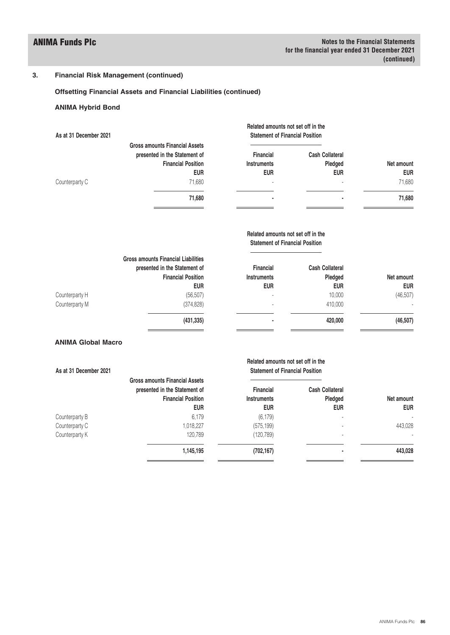### **Offsetting Financial Assets and Financial Liabilities (continued)**

#### **ANIMA Hybrid Bond**

| As at 31 December 2021    |                                                                             | Related amounts not set off in the<br><b>Statement of Financial Position</b> |                        |            |
|---------------------------|-----------------------------------------------------------------------------|------------------------------------------------------------------------------|------------------------|------------|
|                           | <b>Gross amounts Financial Assets</b><br>presented in the Statement of      | <b>Financial</b>                                                             | <b>Cash Collateral</b> |            |
|                           | <b>Financial Position</b>                                                   | <b>Instruments</b>                                                           | Pledged                | Net amount |
|                           | <b>EUR</b>                                                                  | <b>EUR</b>                                                                   | <b>EUR</b>             | <b>EUR</b> |
| Counterparty C            | 71,680                                                                      |                                                                              |                        | 71,680     |
|                           | 71,680                                                                      |                                                                              |                        | 71,680     |
|                           | <b>Gross amounts Financial Liabilities</b><br>presented in the Statement of | <b>Statement of Financial Position</b><br><b>Financial</b>                   | <b>Cash Collateral</b> |            |
|                           | <b>Financial Position</b>                                                   | <b>Instruments</b>                                                           | Pledged                | Net amount |
|                           | <b>EUR</b>                                                                  | <b>EUR</b>                                                                   | <b>EUR</b>             | <b>EUR</b> |
| Counterparty H            | (56, 507)                                                                   |                                                                              | 10,000                 | (46, 507)  |
| Counterparty M            | (374, 828)                                                                  |                                                                              | 410,000                |            |
|                           | (431, 335)                                                                  | ٠                                                                            | 420,000                | (46, 507)  |
| <b>ANIMA Global Macro</b> |                                                                             |                                                                              |                        |            |

| As at 31 December 2021 | <b>Statement of Financial Position</b>                                 |                    |                          |            |
|------------------------|------------------------------------------------------------------------|--------------------|--------------------------|------------|
|                        | <b>Gross amounts Financial Assets</b><br>presented in the Statement of | <b>Financial</b>   | <b>Cash Collateral</b>   |            |
|                        | <b>Financial Position</b>                                              | <b>Instruments</b> | Pledged                  | Net amount |
|                        | <b>EUR</b>                                                             | EUR                | <b>EUR</b>               | <b>EUR</b> |
| Counterparty B         | 6.179                                                                  | (6, 179)           | $\overline{\phantom{a}}$ |            |
| Counterparty C         | 1,018,227                                                              | (575, 199)         |                          | 443,028    |
| Counterparty K         | 120,789                                                                | (120, 789)         |                          |            |
|                        | 1,145,195                                                              | (702, 167)         |                          | 443,028    |

**Related amounts not set off in the**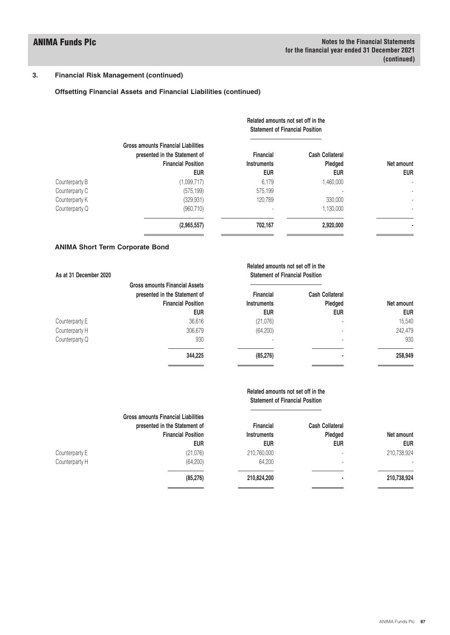#### **Offsetting Financial Assets and Financial Liabilities (continued)**

| <b>Gross amounts Financial Liabilities</b><br>presented in the Statement of | <b>Financial</b>   | <b>Cash Collateral</b> |                                        |
|-----------------------------------------------------------------------------|--------------------|------------------------|----------------------------------------|
| <b>Financial Position</b>                                                   | <b>Instruments</b> | Pledged                | Net amount                             |
| <b>EUR</b>                                                                  | <b>EUR</b>         | <b>EUR</b>             | <b>EUR</b>                             |
| (1,099,717)                                                                 | 6,179              | 1,460,000              |                                        |
| (575, 199)                                                                  | 575,199            |                        |                                        |
| (329, 931)                                                                  | 120,789            | 330,000                | ٠                                      |
| (960, 710)                                                                  |                    | 1,130,000              | ٠                                      |
| (2,965,557)                                                                 | 702,167            | 2,920,000              |                                        |
|                                                                             |                    |                        | <b>Statement of Financial Position</b> |

### **ANIMA Short Term Corporate Bond**

| As at 31 December 2020 |                                                                        | <b>Statement of Financial Position</b> |                        |            |
|------------------------|------------------------------------------------------------------------|----------------------------------------|------------------------|------------|
|                        | <b>Gross amounts Financial Assets</b><br>presented in the Statement of | <b>Financial</b>                       | <b>Cash Collateral</b> |            |
|                        | <b>Financial Position</b>                                              | <b>Instruments</b>                     | Pledged                | Net amount |
|                        | <b>EUR</b>                                                             | <b>EUR</b>                             | <b>EUR</b>             | <b>EUR</b> |
| Counterparty E         | 36,616                                                                 | (21,076)                               |                        | 15,540     |
| Counterparty H         | 306,679                                                                | (64,200)                               |                        | 242,479    |
| Counterparty Q         | 930                                                                    |                                        |                        | 930        |
|                        | 344,225                                                                | (85, 276)                              |                        | 258,949    |
|                        |                                                                        |                                        |                        |            |

| Related amounts not set off in the     |  |
|----------------------------------------|--|
| <b>Statement of Financial Position</b> |  |

**Related amounts not set off in the**

**Related amounts not set off in the**

|                | Gross amounts Financial Liabilities<br>presented in the Statement of<br><b>Financial Position</b> | <b>Financial</b><br><b>Instruments</b> | <b>Cash Collateral</b><br>Pledged | Net amount  |
|----------------|---------------------------------------------------------------------------------------------------|----------------------------------------|-----------------------------------|-------------|
|                | eur                                                                                               | <b>EUR</b>                             | <b>EUR</b>                        | <b>EUR</b>  |
| Counterparty E | (21,076)                                                                                          | 210,760,000                            |                                   | 210,738,924 |
| Counterparty H | (64,200)                                                                                          | 64,200                                 |                                   |             |
|                | (85, 276)                                                                                         | 210,824,200                            |                                   | 210,738,924 |
|                |                                                                                                   |                                        |                                   |             |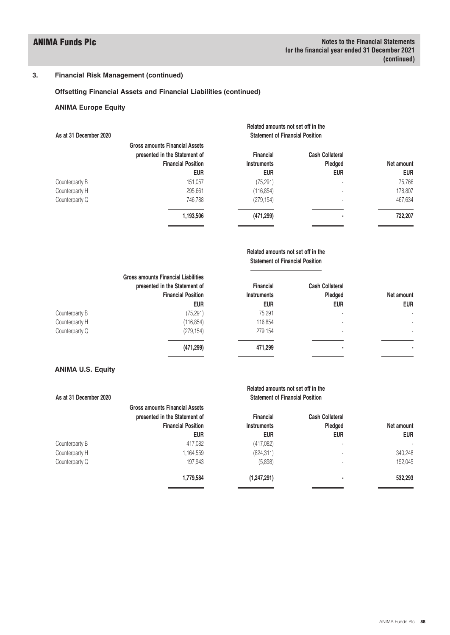#### **Offsetting Financial Assets and Financial Liabilities (continued)**

#### **ANIMA Europe Equity**

| As at 31 December 2020 | Related amounts not set off in the<br><b>Statement of Financial Position</b> |                    |                          |            |
|------------------------|------------------------------------------------------------------------------|--------------------|--------------------------|------------|
|                        | <b>Gross amounts Financial Assets</b><br>presented in the Statement of       | <b>Financial</b>   | <b>Cash Collateral</b>   |            |
|                        | <b>Financial Position</b>                                                    | <b>Instruments</b> | Pledged                  | Net amount |
|                        | <b>EUR</b>                                                                   | <b>EUR</b>         | <b>EUR</b>               | <b>EUR</b> |
| Counterparty B         | 151.057                                                                      | (75, 291)          | $\overline{\phantom{a}}$ | 75,766     |
| Counterparty H         | 295.661                                                                      | (116.854)          |                          | 178,807    |
| Counterparty Q         | 746.788                                                                      | (279, 154)         |                          | 467,634    |
|                        | 1,193,506                                                                    | (471, 299)         |                          | 722,207    |
|                        |                                                                              |                    |                          |            |

|                | <b>Gross amounts Financial Liabilities</b><br>presented in the Statement of<br><b>Financial Position</b> | <b>Financial</b><br><b>Instruments</b> | <b>Cash Collateral</b><br>Pledged | Net amount               |
|----------------|----------------------------------------------------------------------------------------------------------|----------------------------------------|-----------------------------------|--------------------------|
|                | <b>EUR</b>                                                                                               | <b>EUR</b>                             | <b>EUR</b>                        | <b>EUR</b>               |
| Counterparty B | (75, 291)                                                                                                | 75,291                                 |                                   | $\overline{\phantom{a}}$ |
| Counterparty H | (116, 854)                                                                                               | 116,854                                |                                   | $\overline{\phantom{a}}$ |
| Counterparty Q | (279, 154)                                                                                               | 279,154                                |                                   | ٠                        |
|                | (471, 299)                                                                                               | 471,299                                |                                   |                          |
|                |                                                                                                          |                                        |                                   |                          |

#### **ANIMA U.S. Equity**

| As at 31 December 2020 |                                                                                            | <b>Statement of Financial Position</b> |            |            |
|------------------------|--------------------------------------------------------------------------------------------|----------------------------------------|------------|------------|
|                        | <b>Gross amounts Financial Assets</b><br>presented in the Statement of<br><b>Financial</b> | <b>Cash Collateral</b>                 |            |            |
|                        | <b>Financial Position</b>                                                                  | <b>Instruments</b>                     | Pledged    | Net amount |
|                        | eur                                                                                        | EUR                                    | <b>EUR</b> | <b>EUR</b> |
| Counterparty B         | 417,082                                                                                    | (417,082)                              |            |            |
| Counterparty H         | 1,164,559                                                                                  | (824, 311)                             |            | 340,248    |
| Counterparty Q         | 197.943                                                                                    | (5,898)                                |            | 192,045    |
|                        | 1,779,584                                                                                  | (1,247,291)                            |            | 532,293    |

#### **Related amounts not set off in the State Position**

**Related amounts not set off in the Statement of Financial Position**

| Net amount<br><b>EUR</b> | <b>Cash Collateral</b><br>Pledged<br><b>EUR</b> | <b>Financial</b><br><b>Instruments</b><br><b>EUR</b> | tement of<br><b>Position</b><br><b>EUR</b> |
|--------------------------|-------------------------------------------------|------------------------------------------------------|--------------------------------------------|
|                          | ٠                                               | (417,082)                                            | 417,082                                    |
| 340,248                  | ٠                                               | (824.311)                                            | 1,164,559                                  |
| 192,045                  | ٠                                               | (5,898)                                              | 197.943                                    |
| 532,293                  | ٠                                               | (1,247,291)                                          | 1,779,584                                  |
|                          |                                                 |                                                      |                                            |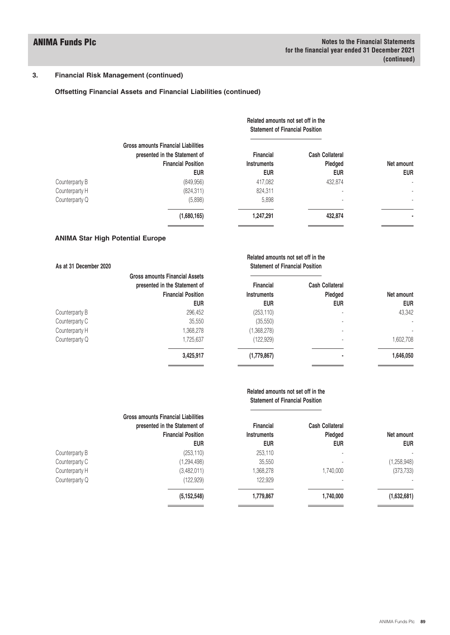#### **Offsetting Financial Assets and Financial Liabilities (continued)**

|                |                                            | <b>Statement of Financial Position</b> |                        |                          |
|----------------|--------------------------------------------|----------------------------------------|------------------------|--------------------------|
|                | <b>Gross amounts Financial Liabilities</b> |                                        |                        |                          |
|                | presented in the Statement of              | <b>Financial</b>                       | <b>Cash Collateral</b> |                          |
|                | <b>Financial Position</b>                  | <b>Instruments</b>                     | Pledged                | Net amount               |
|                | <b>EUR</b>                                 | <b>EUR</b>                             | <b>EUR</b>             | <b>EUR</b>               |
| Counterparty B | (849, 956)                                 | 417,082                                | 432,874                | ٠                        |
| Counterparty H | (824, 311)                                 | 824,311                                |                        | $\overline{\phantom{a}}$ |
| Counterparty Q | (5,898)                                    | 5.898                                  | ٠                      | $\overline{\phantom{a}}$ |
|                | (1,680,165)                                | 1,247,291                              | 432,874                |                          |
|                |                                            |                                        |                        |                          |

#### **ANIMA Star High Potential Europe**

| As at 31 December 2020 |                                |
|------------------------|--------------------------------|
|                        | Gross amounts Financial Assets |
|                        | presented in the Statement of  |
|                        | <b>Financial Position</b>      |
|                        | <b>EUR</b>                     |
| Counterparty B         | 296.452                        |
| Counterparty C         | 35.550                         |
| Counterparty H         | 1,368,278                      |
| Counterparty Q         | 1,725,637                      |
|                        | 3.425.917                      |

| Related amounts not set off in the     |
|----------------------------------------|
| <b>Statement of Financial Position</b> |

**Related amounts not set off in the**

|                | presented in the Statement of | <b>Financial</b>   | <b>Cash Collateral</b> |            |
|----------------|-------------------------------|--------------------|------------------------|------------|
|                | <b>Financial Position</b>     | <b>Instruments</b> | Pledged                | Net amount |
|                | <b>EUR</b>                    | <b>EUR</b>         | <b>EUR</b>             | <b>EUR</b> |
| Counterparty B | 296,452                       | (253, 110)         |                        | 43,342     |
| Counterparty C | 35,550                        | (35,550)           |                        | $\sim$     |
| Counterparty H | 1,368,278                     | (1,368,278)        |                        |            |
| Counterparty Q | 1,725,637                     | (122.929)          |                        | 1,602,708  |
|                | 3,425,917                     | (1,779,867)        |                        | 1,646,050  |
|                |                               |                    |                        |            |

#### **Related amounts not set off in the Statement of Financial Position**

|                | <b>Gross amounts Financial Liabilities</b> |                    |                          |             |
|----------------|--------------------------------------------|--------------------|--------------------------|-------------|
|                | presented in the Statement of              | <b>Financial</b>   | <b>Cash Collateral</b>   |             |
|                | <b>Financial Position</b>                  | <b>Instruments</b> | Pledged                  | Net amount  |
|                | <b>EUR</b>                                 | <b>EUR</b>         | <b>EUR</b>               | <b>EUR</b>  |
| Counterparty B | (253, 110)                                 | 253,110            |                          |             |
| Counterparty C | (1, 294, 498)                              | 35,550             |                          | (1,258,948) |
| Counterparty H | (3,482,011)                                | 1,368,278          | 1,740,000                | (373,733)   |
| Counterparty Q | (122.929)                                  | 122,929            | $\overline{\phantom{a}}$ |             |
|                | (5, 152, 548)                              | 1,779,867          | 1,740,000                | (1,632,681) |
|                |                                            |                    |                          |             |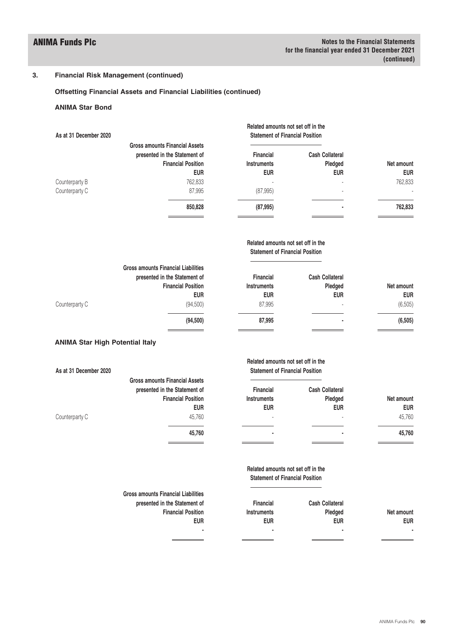### **Offsetting Financial Assets and Financial Liabilities (continued)**

#### **ANIMA Star Bond**

| As at 31 December 2020 |                                                                                                     | Related amounts not set off in the<br><b>Statement of Financial Position</b> |                                   |            |  |  |
|------------------------|-----------------------------------------------------------------------------------------------------|------------------------------------------------------------------------------|-----------------------------------|------------|--|--|
|                        | <b>Gross amounts Financial Assets</b><br>presented in the Statement of<br><b>Financial Position</b> | <b>Financial</b><br><b>Instruments</b>                                       | <b>Cash Collateral</b><br>Pledged | Net amount |  |  |
|                        | <b>EUR</b>                                                                                          | <b>EUR</b>                                                                   | <b>EUR</b>                        | <b>EUR</b> |  |  |
| Counterparty B         | 762,833                                                                                             |                                                                              | $\overline{\phantom{a}}$          | 762,833    |  |  |
| Counterparty C         | 87,995                                                                                              | (87,995)                                                                     | $\overline{\phantom{a}}$          | ٠          |  |  |
|                        | 850,828                                                                                             | (87,995)                                                                     | ٠                                 | 762,833    |  |  |
|                        |                                                                                                     |                                                                              |                                   |            |  |  |

| Related amounts not set off in the |                                        |  |  |
|------------------------------------|----------------------------------------|--|--|
|                                    | <b>Statement of Financial Position</b> |  |  |

|                | <b>Gross amounts Financial Liabilities</b> |                    |                          |            |
|----------------|--------------------------------------------|--------------------|--------------------------|------------|
|                | presented in the Statement of              | <b>Financial</b>   | <b>Cash Collateral</b>   |            |
|                | <b>Financial Position</b>                  | <b>Instruments</b> | Pledged                  | Net amount |
|                | <b>EUR</b>                                 | <b>EUR</b>         | <b>EUR</b>               | <b>EUR</b> |
| Counterparty C | (94,500)                                   | 87.995             | ۰                        | (6, 505)   |
|                | (94, 500)                                  | 87,995             | $\overline{\phantom{0}}$ | (6, 505)   |

#### **ANIMA Star High Potential Italy**

| As at 31 December 2020 |                                                                                                     | Related amounts not set off in the<br><b>Statement of Financial Position</b> |                                   |                          |
|------------------------|-----------------------------------------------------------------------------------------------------|------------------------------------------------------------------------------|-----------------------------------|--------------------------|
|                        | <b>Gross amounts Financial Assets</b><br>presented in the Statement of<br><b>Financial Position</b> | <b>Financial</b><br><b>Instruments</b>                                       | <b>Cash Collateral</b><br>Pledged | Net amount               |
| Counterparty C         | <b>EUR</b><br>45,760                                                                                | <b>EUR</b>                                                                   | <b>EUR</b>                        | <b>EUR</b><br>45,760     |
|                        | 45,760                                                                                              |                                                                              | ٠                                 | 45,760                   |
|                        |                                                                                                     | Related amounts not set off in the<br><b>Statement of Financial Position</b> |                                   |                          |
|                        | <b>Gross amounts Financial Liabilities</b><br>presented in the Statement of                         | <b>Financial</b>                                                             | <b>Cash Collateral</b>            |                          |
|                        | <b>Financial Position</b><br><b>EUR</b>                                                             | <b>Instruments</b><br><b>EUR</b>                                             | Pledged<br><b>EUR</b>             | Net amount<br><b>EUR</b> |
|                        |                                                                                                     |                                                                              |                                   |                          |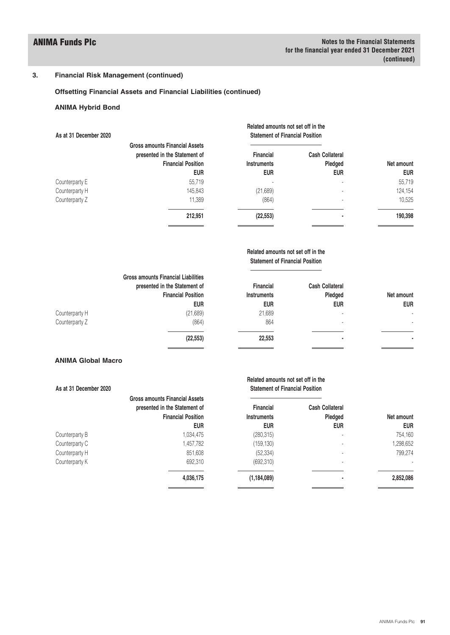#### **Offsetting Financial Assets and Financial Liabilities (continued)**

#### **ANIMA Hybrid Bond**

| As at 31 December 2020 |                                                                        | Related amounts not set off in the<br><b>Statement of Financial Position</b> |                          |            |
|------------------------|------------------------------------------------------------------------|------------------------------------------------------------------------------|--------------------------|------------|
|                        | <b>Gross amounts Financial Assets</b><br>presented in the Statement of | <b>Financial</b>                                                             | <b>Cash Collateral</b>   |            |
|                        | <b>Financial Position</b>                                              | <b>Instruments</b>                                                           | Pledged                  | Net amount |
|                        | <b>EUR</b>                                                             | <b>EUR</b>                                                                   | <b>EUR</b>               | <b>EUR</b> |
| Counterparty E         | 55,719                                                                 |                                                                              | $\overline{\phantom{a}}$ | 55,719     |
| Counterparty H         | 145,843                                                                | (21, 689)                                                                    | ٠                        | 124,154    |
| Counterparty Z         | 11,389                                                                 | (864)                                                                        |                          | 10,525     |
|                        | 212,951                                                                | (22, 553)                                                                    |                          | 190,398    |
|                        |                                                                        |                                                                              |                          |            |

|                |                                            | <b>Statement of Financial Position</b> |                          |            |
|----------------|--------------------------------------------|----------------------------------------|--------------------------|------------|
|                | <b>Gross amounts Financial Liabilities</b> |                                        |                          |            |
|                | presented in the Statement of              | <b>Financial</b>                       | <b>Cash Collateral</b>   |            |
|                | <b>Financial Position</b>                  | <b>Instruments</b>                     | Pledged                  | Net amount |
|                | eur                                        | <b>EUR</b>                             | <b>EUR</b>               | <b>EUR</b> |
| Counterparty H | (21,689)                                   | 21,689                                 |                          |            |
| Counterparty Z | (864)                                      | 864                                    | $\overline{\phantom{a}}$ | ٠          |
|                | (22, 553)                                  | 22,553                                 | ٠                        |            |
|                |                                            |                                        |                          |            |

#### **ANIMA Global Macro**

| As at 31 December 2020 |                                       |
|------------------------|---------------------------------------|
|                        | <b>Gross amounts Financial Assets</b> |
|                        | presented in the Statement of         |
|                        | <b>Financial Position</b>             |
|                        | eur                                   |
| Counterparty B         | 1,034,475                             |
| Counterparty C         | 1,457,782                             |
| Counterparty H         | 851,608                               |
| Counterparty K         | 692,310                               |
|                        | 4,036,175                             |

#### **Related amounts not set off in the Statement of Financial Position**

**Related amounts not set off in the**

|                | presented in the Statement of | <b>Financial</b>   | <b>Cash Collateral</b> |            |
|----------------|-------------------------------|--------------------|------------------------|------------|
|                | <b>Financial Position</b>     | <b>Instruments</b> | Pledged                | Net amount |
|                | eur                           | <b>EUR</b>         | <b>EUR</b>             | <b>EUR</b> |
| Counterparty B | 1,034,475                     | (280, 315)         |                        | 754,160    |
| Counterparty C | 1,457,782                     | (159, 130)         |                        | 1,298,652  |
| Counterparty H | 851,608                       | (52, 334)          |                        | 799,274    |
| Counterparty K | 692,310                       | (692,310)          | ۰                      | ٠          |
|                | 4,036,175                     | (1, 184, 089)      |                        | 2,852,086  |
|                |                               |                    |                        |            |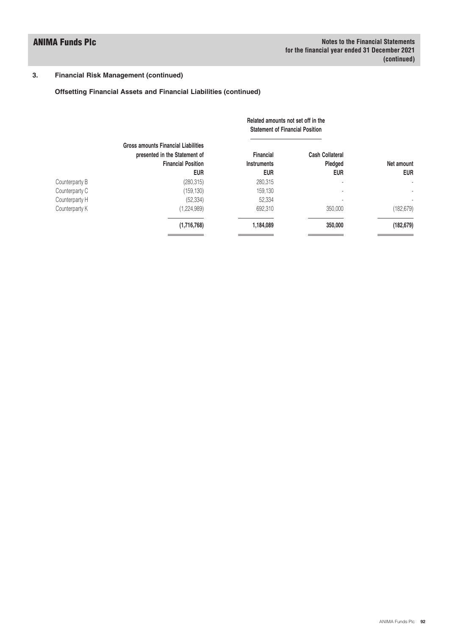### **Offsetting Financial Assets and Financial Liabilities (continued)**

|                |                                                                             | Related amounts not set off in the<br><b>Statement of Financial Position</b> |                        |            |
|----------------|-----------------------------------------------------------------------------|------------------------------------------------------------------------------|------------------------|------------|
|                | <b>Gross amounts Financial Liabilities</b><br>presented in the Statement of | <b>Financial</b>                                                             | <b>Cash Collateral</b> |            |
|                | <b>Financial Position</b>                                                   | <b>Instruments</b>                                                           | Pledged                | Net amount |
|                | <b>EUR</b>                                                                  | <b>EUR</b>                                                                   | <b>EUR</b>             | <b>EUR</b> |
| Counterparty B | (280, 315)                                                                  | 280,315                                                                      |                        |            |
| Counterparty C | (159, 130)                                                                  | 159,130                                                                      |                        |            |
| Counterparty H | (52, 334)                                                                   | 52,334                                                                       |                        | ٠          |
| Counterparty K | (1,224,989)                                                                 | 692,310                                                                      | 350,000                | (182, 679) |
|                | (1,716,768)                                                                 | 1,184,089                                                                    | 350,000                | (182, 679) |
|                |                                                                             |                                                                              |                        |            |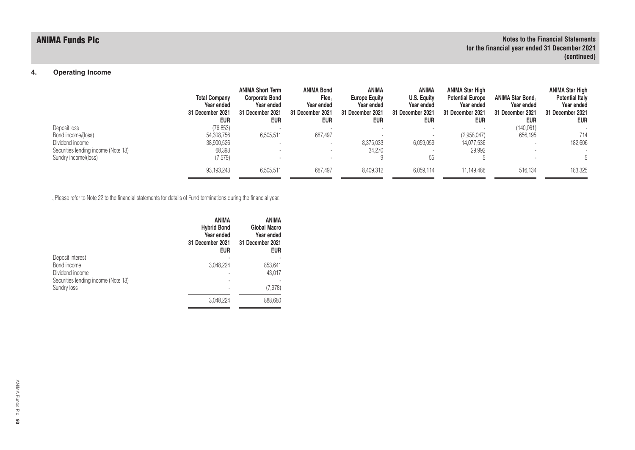#### **Notes to the Financial Statements for the financial year ended 31 December 2021 (continued)**

### **4. Operating Income**

|                                     | <b>Total Company</b><br>Year ended<br>31 December 2021<br><b>EUR</b> | <b>ANIMA Short Term</b><br><b>Corporate Bond</b><br>Year ended<br>31 December 2021<br><b>EUR</b> | <b>ANIMA Bond</b><br>Flex.<br>Year ended<br>31 December 2021<br><b>EUR</b> | ANIMA<br><b>Europe Equity</b><br>Year ended<br>31 December 2021<br><b>EUR</b> | ANIMA<br>U.S. Equity<br>Year ended<br>31 December 2021<br>EUR | ANIMA Star High<br><b>Potential Europe</b><br>Year ended<br>31 December 2021<br><b>EUR</b> | <b>ANIMA Star Bond.</b><br>Year ended<br>31 December 2021<br><b>EUR</b> | <b>ANIMA Star High</b><br><b>Potential Italy</b><br>Year ended<br>31 December 2021<br><b>EUR</b> |
|-------------------------------------|----------------------------------------------------------------------|--------------------------------------------------------------------------------------------------|----------------------------------------------------------------------------|-------------------------------------------------------------------------------|---------------------------------------------------------------|--------------------------------------------------------------------------------------------|-------------------------------------------------------------------------|--------------------------------------------------------------------------------------------------|
| Deposit loss                        | (76, 853)                                                            |                                                                                                  |                                                                            |                                                                               |                                                               |                                                                                            | (140.061)                                                               |                                                                                                  |
| Bond income/(loss)                  | 54,308,756                                                           | 6,505,511                                                                                        | 687,497                                                                    |                                                                               |                                                               | (2,958,047)                                                                                | 656,195                                                                 | 714                                                                                              |
| Dividend income                     | 38,900,526                                                           |                                                                                                  |                                                                            | 8.375.033                                                                     | 6,059,059                                                     | 14,077,536                                                                                 |                                                                         | 182,606                                                                                          |
| Securities lending income (Note 13) | 68,393                                                               |                                                                                                  |                                                                            | 34.270                                                                        |                                                               | 29,992                                                                                     |                                                                         |                                                                                                  |
| Sundry income/(loss)                | (7,579)                                                              |                                                                                                  |                                                                            |                                                                               | 55                                                            |                                                                                            |                                                                         |                                                                                                  |
|                                     | 93, 193, 243                                                         | 6.505.511                                                                                        | 687.497                                                                    | 8,409,312                                                                     | 6.059.114                                                     | 11,149,486                                                                                 | 516.134                                                                 | 183,325                                                                                          |

1 Please refer to Note 22 to the financial statements for details of Fund terminations during the financial year.

|                                                                                                          | <b>ANIMA</b><br><b>Hybrid Bond</b><br>Year ended<br>31 December 2021<br><b>EUR</b> | <b>ANIMA</b><br>Global Macro<br>Year ended<br>31 December 2021<br><b>EUR</b> |
|----------------------------------------------------------------------------------------------------------|------------------------------------------------------------------------------------|------------------------------------------------------------------------------|
| Deposit interest<br>Bond income<br>Dividend income<br>Securities lending income (Note 13)<br>Sundry loss | 3,048,224<br>$\overline{\phantom{a}}$<br>٠                                         | 853,641<br>43,017<br>(7.978)                                                 |
|                                                                                                          | 3,048,224                                                                          | 888,680                                                                      |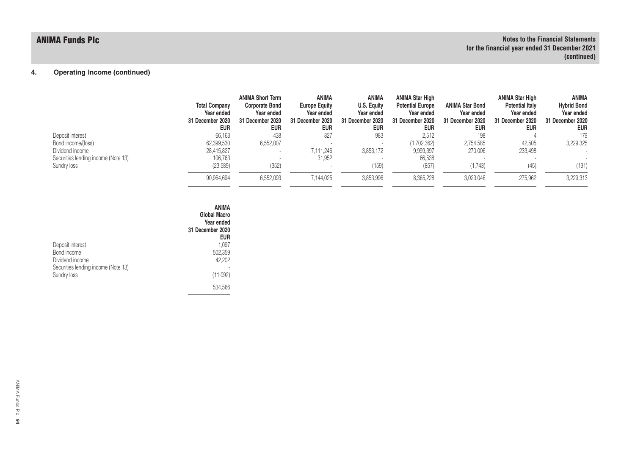### **4. Operating Income (continued)**

|                                     | <b>Total Company</b><br>Year ended<br>31 December 2020<br>EUR | <b>ANIMA Short Term</b><br><b>Corporate Bond</b><br>Year ended<br>31 December 2020<br><b>EUR</b> | <b>ANIMA</b><br><b>Europe Equity</b><br>Year ended<br>31 December 2020<br><b>EUR</b> | <b>ANIMA</b><br>U.S. Equity<br>Year ended<br>31 December 2020<br><b>EUR</b> | ANIMA Star High<br><b>Potential Europe</b><br>Year ended<br>31 December 2020<br>EUR | <b>ANIMA Star Bond</b><br>Year ended<br>31 December 2020<br><b>EUR</b> | <b>ANIMA Star High</b><br><b>Potential Italy</b><br>Year ended<br>31 December 2020<br>EUR | ANIMA<br><b>Hybrid Bond</b><br>Year ended<br>31 December 2020<br><b>EUR</b> |
|-------------------------------------|---------------------------------------------------------------|--------------------------------------------------------------------------------------------------|--------------------------------------------------------------------------------------|-----------------------------------------------------------------------------|-------------------------------------------------------------------------------------|------------------------------------------------------------------------|-------------------------------------------------------------------------------------------|-----------------------------------------------------------------------------|
| Deposit interest                    | 66,163                                                        | 438                                                                                              | 827                                                                                  | 983                                                                         | 2,512                                                                               | 198                                                                    |                                                                                           | 179                                                                         |
| Bond income/(loss)                  | 62,399,530                                                    | 6,552,007                                                                                        |                                                                                      |                                                                             | (1,702,362)                                                                         | 2.754.585                                                              | 42.505                                                                                    | 3,229,325                                                                   |
| Dividend income                     | 28,415,827                                                    |                                                                                                  | 7.111.246                                                                            | 3,853,172                                                                   | 9,999,397                                                                           | 270,006                                                                | 233,498                                                                                   |                                                                             |
| Securities lending income (Note 13) | 106,763                                                       |                                                                                                  | 31,952                                                                               |                                                                             | 66,538                                                                              |                                                                        |                                                                                           |                                                                             |
| Sundry loss                         | (23, 589)                                                     | (352)                                                                                            |                                                                                      | (159)                                                                       | (857)                                                                               | (1,743)                                                                | (45)                                                                                      | (191)                                                                       |
|                                     | 90,964,694                                                    | 6,552,093                                                                                        | 7,144,025                                                                            | 3,853,996                                                                   | 8,365,228                                                                           | 3,023,046                                                              | 275,962                                                                                   | 3,229,313                                                                   |
|                                     |                                                               |                                                                                                  |                                                                                      |                                                                             |                                                                                     |                                                                        |                                                                                           |                                                                             |

|                                     | <b>ANIMA</b><br><b>Global Macro</b><br>Year ended<br>31 December 2020 |
|-------------------------------------|-----------------------------------------------------------------------|
|                                     | <b>EUR</b>                                                            |
| Deposit interest                    | 1,097                                                                 |
| Bond income                         | 502,359                                                               |
| Dividend income                     | 42.202                                                                |
| Securities lending income (Note 13) |                                                                       |
| Sundry loss                         | (11,092)                                                              |
|                                     | 534,566                                                               |

 $\qquad \qquad$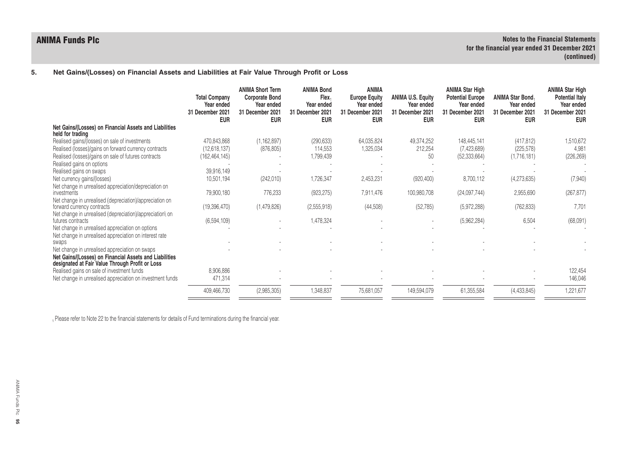#### **Notes to the Financial Statements for the financial year ended 31 December 2021 (continued)**

### 5. Net Gains/(Losses) on Financial Assets and Liabilities at Fair Value Through Profit or Loss

|                                                                                                                                                                                              | <b>Total Company</b><br>Year ended<br>31 December 2021<br><b>EUR</b> | <b>ANIMA Short Term</b><br><b>Corporate Bond</b><br>Year ended<br>31 December 2021<br><b>EUR</b> | <b>ANIMA Bond</b><br>Flex.<br>Year ended<br>31 December 2021<br><b>EUR</b> | <b>ANIMA</b><br><b>Europe Equity</b><br>Year ended<br>31 December 2021<br><b>EUR</b> | <b>ANIMA U.S. Equity</b><br>Year ended<br>31 December 2021<br><b>EUR</b> | <b>ANIMA Star High</b><br><b>Potential Europe</b><br>Year ended<br>31 December 2021<br><b>EUR</b> | <b>ANIMA Star Bond,</b><br>Year ended<br>31 December 2021<br><b>EUR</b> | <b>ANIMA Star High</b><br><b>Potential Italy</b><br>Year ended<br>31 December 2021<br><b>EUR</b> |
|----------------------------------------------------------------------------------------------------------------------------------------------------------------------------------------------|----------------------------------------------------------------------|--------------------------------------------------------------------------------------------------|----------------------------------------------------------------------------|--------------------------------------------------------------------------------------|--------------------------------------------------------------------------|---------------------------------------------------------------------------------------------------|-------------------------------------------------------------------------|--------------------------------------------------------------------------------------------------|
| Net Gains/(Losses) on Financial Assets and Liabilities<br>held for trading                                                                                                                   |                                                                      |                                                                                                  |                                                                            |                                                                                      |                                                                          |                                                                                                   |                                                                         |                                                                                                  |
| Realised gains/(losses) on sale of investments<br>Realised (losses)/gains on forward currency contracts<br>Realised (losses)/gains on sale of futures contracts<br>Realised gains on options | 470,843,868<br>(12,618,137)<br>(162,464,145)                         | (1, 162, 897)<br>(876, 805)                                                                      | (290, 633)<br>114,553<br>1,799,439                                         | 64,035,824<br>1,325,034                                                              | 49,374,252<br>212,254<br>50                                              | 148,445,141<br>(7,423,689)<br>(52, 333, 664)                                                      | (417, 812)<br>(225, 578)<br>(1,716,181)                                 | 1,510,672<br>4,981<br>(226, 269)                                                                 |
| Realised gains on swaps                                                                                                                                                                      | 39,916,149                                                           |                                                                                                  |                                                                            |                                                                                      |                                                                          |                                                                                                   |                                                                         |                                                                                                  |
| Net currency gains/(losses)                                                                                                                                                                  | 10,501,194                                                           | (242, 010)                                                                                       | 1,726,347                                                                  | 2,453,231                                                                            | (920, 400)                                                               | 8,700,112                                                                                         | (4,273,635)                                                             | (7,940)                                                                                          |
| Net change in unrealised appreciation/depreciation on<br>investments                                                                                                                         | 79,900,180                                                           | 776,233                                                                                          | (923, 275)                                                                 | 7,911,476                                                                            | 100,980,708                                                              | (24,097,744)                                                                                      | 2,955,690                                                               | (267, 877)                                                                                       |
| Net change in unrealised (depreciation)/appreciation on<br>forward currency contracts                                                                                                        | (19,396,470)                                                         | (1,479,826)                                                                                      | (2,555,918)                                                                | (44,508)                                                                             | (52, 785)                                                                | (5,972,288)                                                                                       | (762, 833)                                                              | 7,701                                                                                            |
| Net change in unrealised (depreciation)/appreciation\ on<br>futures contracts                                                                                                                | (6,594,109)                                                          |                                                                                                  | 1,478,324                                                                  |                                                                                      |                                                                          | (5,962,284)                                                                                       | 6,504                                                                   | (68,091)                                                                                         |
| Net change in unrealised appreciation on options<br>Net change in unrealised appreciation on interest rate<br>swaps                                                                          |                                                                      |                                                                                                  |                                                                            |                                                                                      |                                                                          |                                                                                                   |                                                                         |                                                                                                  |
| Net change in unrealised appreciation on swaps<br>Net Gains/(Losses) on Financial Assets and Liabilities<br>designated at Fair Value Through Profit or Loss                                  |                                                                      |                                                                                                  |                                                                            |                                                                                      |                                                                          |                                                                                                   |                                                                         |                                                                                                  |
| Realised gains on sale of investment funds<br>Net change in unrealised appreciation on investment funds                                                                                      | 8,906,886<br>471,314                                                 |                                                                                                  |                                                                            |                                                                                      |                                                                          |                                                                                                   |                                                                         | 122,454<br>146,046                                                                               |
|                                                                                                                                                                                              | 409,466,730                                                          | (2,985,305)                                                                                      | 1,348,837                                                                  | 75,681,057                                                                           | 149,594,079                                                              | 61,355,584                                                                                        | (4,433,845)                                                             | 1,221,677                                                                                        |

1 Please refer to Note 22 to the financial statements for details of Fund terminations during the financial year.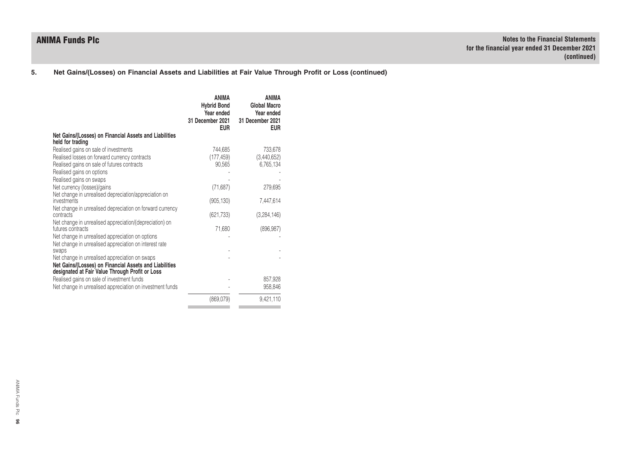5. Net Gains/(Losses) on Financial Assets and Liabilities at Fair Value Through Profit or Loss (continued)

|                                                                                                                                                                                        | ANIMA<br><b>Hybrid Bond</b><br>Year ended<br>31 December 2021<br><b>EUR</b> | ANIMA<br><b>Global Macro</b><br>Year ended<br>31 December 2021<br><b>EUR</b> |
|----------------------------------------------------------------------------------------------------------------------------------------------------------------------------------------|-----------------------------------------------------------------------------|------------------------------------------------------------------------------|
| Net Gains/(Losses) on Financial Assets and Liabilities                                                                                                                                 |                                                                             |                                                                              |
| held for trading<br>Realised gains on sale of investments<br>Realised losses on forward currency contracts<br>Realised gains on sale of futures contracts<br>Realised gains on options | 744.685<br>(177, 459)<br>90,565                                             | 733,678<br>(3,440,652)<br>6,765,134                                          |
| Realised gains on swaps<br>Net currency (losses)/gains                                                                                                                                 | (71,687)                                                                    | 279,695                                                                      |
| Net change in unrealised depreciation/appreciation on<br>investments                                                                                                                   | (905, 130)                                                                  | 7,447,614                                                                    |
| Net change in unrealised depreciation on forward currency<br>contracts                                                                                                                 | (621, 733)                                                                  | (3,284,146)                                                                  |
| Net change in unrealised appreciation/(depreciation) on<br>futures contracts                                                                                                           | 71,680                                                                      | (896, 987)                                                                   |
| Net change in unrealised appreciation on options<br>Net change in unrealised appreciation on interest rate                                                                             |                                                                             |                                                                              |
| swaps<br>Net change in unrealised appreciation on swaps<br>Net Gains/(Losses) on Financial Assets and Liabilities                                                                      |                                                                             |                                                                              |
| designated at Fair Value Through Profit or Loss<br>Realised gains on sale of investment funds<br>Net change in unrealised appreciation on investment funds                             |                                                                             | 857,928<br>958,846                                                           |
|                                                                                                                                                                                        | (869,079)                                                                   | 9,421,110                                                                    |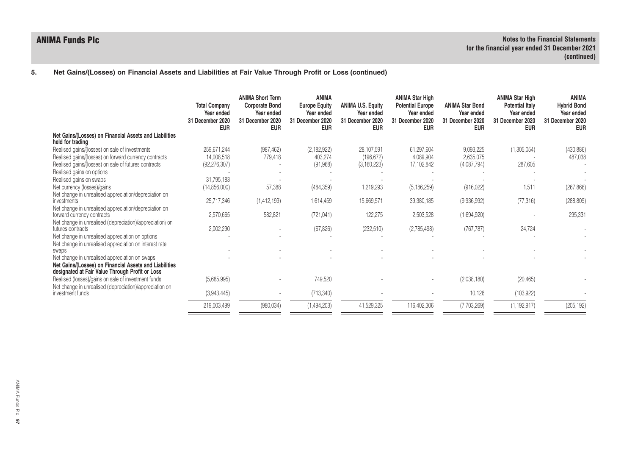### 5. Net Gains/(Losses) on Financial Assets and Liabilities at Fair Value Through Profit or Loss (continued)

|                                                                                                                                                                                              | <b>Total Company</b><br>Year ended<br>31 December 2020<br><b>EUR</b> | <b>ANIMA Short Term</b><br><b>Corporate Bond</b><br>Year ended<br>31 December 2020<br><b>EUR</b> | <b>ANIMA</b><br><b>Europe Equity</b><br>Year ended<br>31 December 2020<br><b>EUR</b> | <b>ANIMA U.S. Equity</b><br>Year ended<br>31 December 2020<br><b>EUR</b> | <b>ANIMA Star High</b><br><b>Potential Europe</b><br>Year ended<br>31 December 2020<br><b>EUR</b> | <b>ANIMA Star Bond</b><br>Year ended<br>31 December 2020<br><b>EUR</b> | <b>ANIMA Star High</b><br><b>Potential Italy</b><br>Year ended<br>31 December 2020<br><b>EUR</b> | ANIMA<br><b>Hybrid Bond</b><br>Year ended<br>31 December 2020<br><b>EUR</b> |
|----------------------------------------------------------------------------------------------------------------------------------------------------------------------------------------------|----------------------------------------------------------------------|--------------------------------------------------------------------------------------------------|--------------------------------------------------------------------------------------|--------------------------------------------------------------------------|---------------------------------------------------------------------------------------------------|------------------------------------------------------------------------|--------------------------------------------------------------------------------------------------|-----------------------------------------------------------------------------|
| Net Gains/(Losses) on Financial Assets and Liabilities<br>held for trading                                                                                                                   |                                                                      |                                                                                                  |                                                                                      |                                                                          |                                                                                                   |                                                                        |                                                                                                  |                                                                             |
| Realised gains/(losses) on sale of investments<br>Realised gains/(losses) on forward currency contracts<br>Realised gains/(losses) on sale of futures contracts<br>Realised gains on options | 259,671,244<br>14,008,518<br>(92, 276, 307)                          | (987, 462)<br>779,418                                                                            | (2, 182, 922)<br>403,274<br>(91,968)                                                 | 28,107,591<br>(196, 672)<br>(3, 160, 223)                                | 61,297,604<br>4,089,904<br>17,102,842                                                             | 9,093,225<br>2,635,075<br>(4,087,794)                                  | (1,305,054)<br>287,605                                                                           | (430, 886)<br>487,038                                                       |
| Realised gains on swaps<br>Net currency (losses)/gains                                                                                                                                       | 31,795,183<br>(14,856,000)                                           | 57,388                                                                                           | (484, 359)                                                                           | 1,219,293                                                                | (5, 186, 259)                                                                                     | (916, 022)                                                             | 1,511                                                                                            | (267, 866)                                                                  |
| Net change in unrealised appreciation/depreciation on<br>investments                                                                                                                         | 25,717,346                                                           | (1, 412, 199)                                                                                    | 1,614,459                                                                            | 15,669,571                                                               | 39,380,185                                                                                        | (9,936,992)                                                            | (77, 316)                                                                                        | (288, 809)                                                                  |
| Net change in unrealised appreciation/depreciation on<br>forward currency contracts<br>Net change in unrealised (depreciation)/appreciation\ on                                              | 2,570,665                                                            | 582,821                                                                                          | (721, 041)                                                                           | 122,275                                                                  | 2,503,528                                                                                         | (1,694,920)                                                            |                                                                                                  | 295,331                                                                     |
| futures contracts<br>Net change in unrealised appreciation on options                                                                                                                        | 2,002,290                                                            |                                                                                                  | (67, 826)                                                                            | (232, 510)                                                               | (2,785,498)                                                                                       | (767, 787)                                                             | 24,724                                                                                           |                                                                             |
| Net change in unrealised appreciation on interest rate<br>swaps                                                                                                                              |                                                                      |                                                                                                  |                                                                                      |                                                                          |                                                                                                   |                                                                        |                                                                                                  |                                                                             |
| Net change in unrealised appreciation on swaps<br>Net Gains/(Losses) on Financial Assets and Liabilities<br>designated at Fair Value Through Profit or Loss                                  |                                                                      |                                                                                                  |                                                                                      |                                                                          |                                                                                                   |                                                                        |                                                                                                  |                                                                             |
| Realised (losses)/gains on sale of investment funds<br>Net change in unrealised (depreciation)/appreciation on                                                                               | (5,685,995)                                                          |                                                                                                  | 749,520                                                                              |                                                                          |                                                                                                   | (2,038,180)                                                            | (20, 465)                                                                                        |                                                                             |
| investment funds                                                                                                                                                                             | (3,943,445)                                                          |                                                                                                  | (713, 340)                                                                           |                                                                          |                                                                                                   | 10,126                                                                 | (103, 922)                                                                                       |                                                                             |
|                                                                                                                                                                                              | 219,003,499                                                          | (980, 034)                                                                                       | (1,494,203)                                                                          | 41,529,325                                                               | 116,402,306                                                                                       | (7,703,269)                                                            | (1, 192, 917)                                                                                    | (205, 192)                                                                  |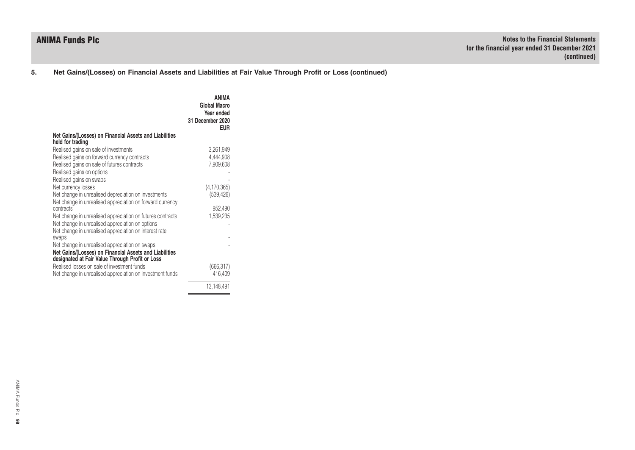5. Net Gains/(Losses) on Financial Assets and Liabilities at Fair Value Through Profit or Loss (continued)

|                                                                                                                                                                                                                                                                                                                                                                                                                                                                                                                                                                | ANIMA<br><b>Global Macro</b><br>Year ended<br>31 December 2020<br><b>EUR</b>               |
|----------------------------------------------------------------------------------------------------------------------------------------------------------------------------------------------------------------------------------------------------------------------------------------------------------------------------------------------------------------------------------------------------------------------------------------------------------------------------------------------------------------------------------------------------------------|--------------------------------------------------------------------------------------------|
| Net Gains/(Losses) on Financial Assets and Liabilities                                                                                                                                                                                                                                                                                                                                                                                                                                                                                                         |                                                                                            |
| held for trading<br>Realised gains on sale of investments<br>Realised gains on forward currency contracts<br>Realised gains on sale of futures contracts<br>Realised gains on options<br>Realised gains on swaps<br>Net currency losses<br>Net change in unrealised depreciation on investments<br>Net change in unrealised appreciation on forward currency<br>contracts<br>Net change in unrealised appreciation on futures contracts<br>Net change in unrealised appreciation on options<br>Net change in unrealised appreciation on interest rate<br>swaps | 3,261,949<br>4,444,908<br>7,909,608<br>(4, 170, 365)<br>(539, 426)<br>952,490<br>1,539,235 |
| Net change in unrealised appreciation on swaps<br>Net Gains/(Losses) on Financial Assets and Liabilities<br>designated at Fair Value Through Profit or Loss<br>Realised losses on sale of investment funds<br>Net change in unrealised appreciation on investment funds                                                                                                                                                                                                                                                                                        | (666, 317)<br>416,409                                                                      |
|                                                                                                                                                                                                                                                                                                                                                                                                                                                                                                                                                                | 13,148,491                                                                                 |
|                                                                                                                                                                                                                                                                                                                                                                                                                                                                                                                                                                |                                                                                            |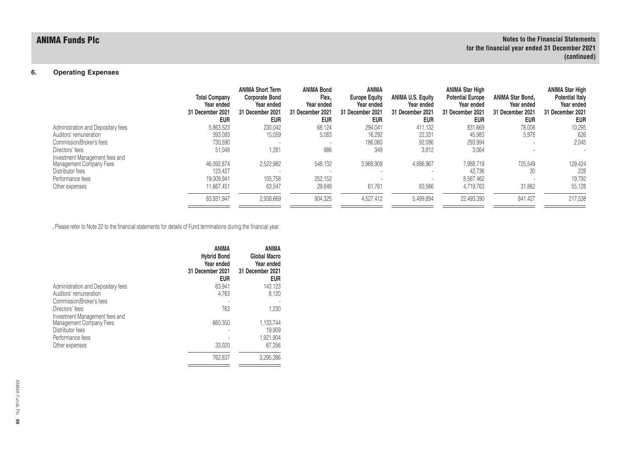#### **Notes to the Financial Statements for the financial year ended 31 December 2021 (continued)**

### **6. Operating Expenses**

|                                                           | <b>Total Company</b><br>Year ended | <b>ANIMA Short Term</b><br><b>Corporate Bond</b><br>Year ended | <b>ANIMA Bond</b><br>Flex.<br>Year ended | ANIMA<br><b>Europe Equity</b><br>Year ended | <b>ANIMA U.S. Equity</b><br>Year ended | <b>ANIMA Star High</b><br><b>Potential Europe</b><br>Year ended | <b>ANIMA Star Bond.</b><br>Year ended | <b>ANIMA Star High</b><br><b>Potential Italy</b><br>Year ended |
|-----------------------------------------------------------|------------------------------------|----------------------------------------------------------------|------------------------------------------|---------------------------------------------|----------------------------------------|-----------------------------------------------------------------|---------------------------------------|----------------------------------------------------------------|
|                                                           | 31 December 2021                   | 31 December 2021                                               | 31 December 2021                         | 31 December 2021                            | 31 December 2021                       | 31 December 2021                                                | 31 December 2021                      | 31 December 2021                                               |
|                                                           | <b>EUR</b>                         | <b>EUR</b>                                                     | <b>EUR</b>                               | <b>EUR</b>                                  | <b>EUR</b>                             | <b>EUR</b>                                                      | <b>EUR</b>                            | <b>EUR</b>                                                     |
| Administration and Depositary fees                        | 5,863,523                          | 230,042                                                        | 68,124                                   | 294,041                                     | 411,132                                | 831,669                                                         | 78,008                                | 10,295                                                         |
| Auditors' remuneration                                    | 393,093                            | 15,059                                                         | 5,083                                    | 16,292                                      | 22,331                                 | 45,983                                                          | 5,978                                 | 626                                                            |
| Commission/Broker's fees                                  | 730,590                            |                                                                |                                          | 186,060                                     | 92,086                                 | 293,994                                                         |                                       | 2,045                                                          |
| Directors' fees                                           | 51,048                             | 1,281                                                          | 986                                      | 349                                         | 3,812                                  | 3,064                                                           |                                       |                                                                |
| Investment Management fees and<br>Management Company Fees | 46,092,874                         | 2,522,982                                                      | 548,132                                  | 3,968,909                                   | 4,886,967                              | 7,988,719                                                       | 725,549                               | 129,424                                                        |
| Distributor fees                                          | 123.427                            |                                                                |                                          |                                             |                                        | 42.736                                                          | 30                                    | 228                                                            |
| Performance fees                                          | 19.009.941                         | 105.758                                                        | 252,152                                  |                                             |                                        | 8,567,462                                                       |                                       | 19,792                                                         |
| Other expenses                                            | 11.667.451                         | 63,547                                                         | 29,848                                   | 61,761                                      | 83,566                                 | 4,719,763                                                       | 31,862                                | 55,128                                                         |
|                                                           | 83,931,947                         | 2,938,669                                                      | 904,325                                  | 4,527,412                                   | 5,499,894                              | 22,493,390                                                      | 841,427                               | 217,538                                                        |
|                                                           |                                    |                                                                |                                          |                                             |                                        |                                                                 |                                       |                                                                |

1 Please refer to Note 22 to the financial statements for details of Fund terminations during the financial year.

| Administration and Depositary fees                                                                                  | <b>ANIMA</b><br><b>Hybrid Bond</b><br>Year ended<br>31 December 2021<br><b>EUR</b><br>63,941 | <b>ANIMA</b><br><b>Global Macro</b><br>Year ended<br>31 December 2021<br><b>EUR</b><br>143.123 |
|---------------------------------------------------------------------------------------------------------------------|----------------------------------------------------------------------------------------------|------------------------------------------------------------------------------------------------|
| Auditors' remuneration<br>Commission/Broker's fees<br>Directors' fees                                               | 4.763<br>763                                                                                 | 8.120<br>1,230                                                                                 |
| Investment Management fees and<br>Management Company Fees<br>Distributor fees<br>Performance fees<br>Other expenses | 660,350<br>33.020                                                                            | 1,133,744<br>19.909<br>1,921,904<br>67,356                                                     |
|                                                                                                                     | 762.837                                                                                      | 3,295,386                                                                                      |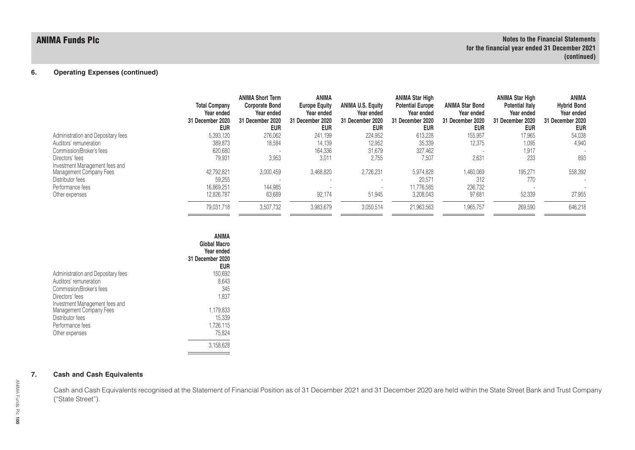#### **6. Operating Expenses (continued)**

|                                                   | <b>Total Company</b><br>Year ended<br>31 December 2020 | <b>ANIMA Short Term</b><br><b>Corporate Bond</b><br>Year ended<br>31 December 2020 | <b>ANIMA</b><br><b>Europe Equity</b><br>Year ended<br>31 December 2020 | <b>ANIMA U.S. Equity</b><br>Year ended<br>31 December 2020 | <b>ANIMA Star High</b><br><b>Potential Europe</b><br>Year ended<br>31 December 2020 | <b>ANIMA Star Bond</b><br>Year ended<br>31 December 2020 | <b>ANIMA Star High</b><br><b>Potential Italy</b><br>Year ended<br>31 December 2020 | ANIMA<br><b>Hybrid Bond</b><br>Year ended<br>31 December 2020 |
|---------------------------------------------------|--------------------------------------------------------|------------------------------------------------------------------------------------|------------------------------------------------------------------------|------------------------------------------------------------|-------------------------------------------------------------------------------------|----------------------------------------------------------|------------------------------------------------------------------------------------|---------------------------------------------------------------|
|                                                   | <b>EUR</b>                                             | <b>EUR</b>                                                                         | EUR                                                                    | <b>EUR</b>                                                 | <b>EUR</b>                                                                          | <b>EUR</b>                                               | <b>EUR</b>                                                                         | <b>EUR</b>                                                    |
| Administration and Depositary fees                | 5,393,120                                              | 276.062                                                                            | 241.199                                                                | 224.952                                                    | 613,228                                                                             | 155,957                                                  | 17,965                                                                             | 54,038                                                        |
| Auditors' remuneration                            | 389,873                                                | 18,584                                                                             | 14,139                                                                 | 12,952                                                     | 35,339                                                                              | 12,375                                                   | 1,095                                                                              | 4,940                                                         |
| Commission/Broker's fees                          | 620,680                                                |                                                                                    | 164,336                                                                | 31,679                                                     | 327,462                                                                             |                                                          | 1,917                                                                              |                                                               |
| Directors' fees<br>Investment Management fees and | 79,931                                                 | 3,953                                                                              | 3,011                                                                  | 2,755                                                      | 7.507                                                                               | 2,631                                                    | 233                                                                                | 893                                                           |
| Management Company Fees                           | 42,792,821                                             | 3,000,459                                                                          | 3,468,820                                                              | 2,726,231                                                  | 5.974.828                                                                           | 1,460,069                                                | 195,271                                                                            | 558,392                                                       |
| Distributor fees                                  | 59,255                                                 |                                                                                    |                                                                        |                                                            | 20.571                                                                              | 312                                                      | 770                                                                                | $\sim$                                                        |
| Performance fees                                  | 16,869,251                                             | 144,985                                                                            |                                                                        |                                                            | 11.776.585                                                                          | 236,732                                                  |                                                                                    |                                                               |
| Other expenses                                    | 12,826,787                                             | 63,689                                                                             | 92,174                                                                 | 51,945                                                     | 3,208,043                                                                           | 97,681                                                   | 52,339                                                                             | 27,955                                                        |
|                                                   | 79,031,718                                             | 3.507.732                                                                          | 3,983,679                                                              | 3,050,514                                                  | 21,963,563                                                                          | 1,965,757                                                | 269.590                                                                            | 646,218                                                       |

|                                                                               | ANIMA<br><b>Global Macro</b><br>Year ended<br>31 December 2020<br><b>EUR</b> |
|-------------------------------------------------------------------------------|------------------------------------------------------------------------------|
| Administration and Depositary fees                                            | 150,692                                                                      |
| Auditors' remuneration                                                        | 8,643                                                                        |
| Commission/Broker's fees                                                      | 345                                                                          |
| Directors' fees                                                               | 1,837                                                                        |
| Investment Management fees and<br>Management Company Fees<br>Distributor fees | 1,179,833<br>15.339                                                          |
| Performance fees                                                              | 1,726,115                                                                    |
| Other expenses                                                                | 75.824                                                                       |
|                                                                               | 3,158,628                                                                    |

#### **7. Cash and Cash Equivalents**

Cash and Cash Equivalents recognised at the Statement of Financial Position as of 31 December 2021 and 31 December 2020 are held within the State Street Bank and Trust Company ("State Street").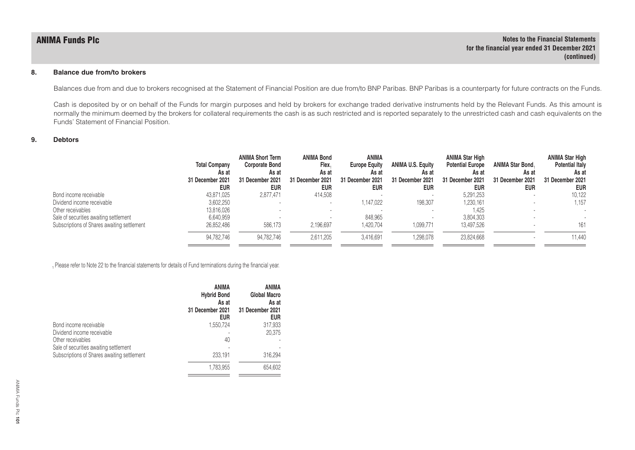#### **8. Balance due from/to brokers**

Balances due from and due to brokers recognised at the Statement of Financial Position are due from/to BNP Paribas. BNP Paribas is <sup>a</sup> counterparty for future contracts on the Funds.

Cash is deposited by or on behalf of the Funds for margin purposes and held by brokers for exchange traded derivative instruments held by the Relevant Funds. As this amount is normally the minimum deemed by the brokers for collateral requirements the cash is as such restricted and is reported separately to the unrestricted cash and cash equivalents on the Funds' Statement of Financial Position.

#### **9. Debtors**

|                                             | <b>Total Company</b><br>As at<br>31 December 2021<br><b>EUR</b> | <b>ANIMA Short Term</b><br><b>Corporate Bond</b><br>As at<br>31 December 2021<br>EUR | <b>ANIMA Bond</b><br>Flex.<br>As at<br>31 December 2021<br><b>EUR</b> | <b>ANIMA</b><br><b>Europe Equity</b><br>As at<br>31 December 2021<br><b>EUR</b> | ANIMA U.S. Equity<br>As at<br>31 December 2021<br>EUR | <b>ANIMA Star High</b><br><b>Potential Europe</b><br>As at<br>31 December 2021<br><b>EUR</b> | <b>ANIMA Star Bond.</b><br>As at<br>31 December 2021<br><b>EUR</b> | ANIMA Star High<br><b>Potential Italy</b><br>As at<br>31 December 2021<br>EUR |
|---------------------------------------------|-----------------------------------------------------------------|--------------------------------------------------------------------------------------|-----------------------------------------------------------------------|---------------------------------------------------------------------------------|-------------------------------------------------------|----------------------------------------------------------------------------------------------|--------------------------------------------------------------------|-------------------------------------------------------------------------------|
| Bond income receivable                      | 43,871,025                                                      | 2.877.471                                                                            | 414,508                                                               |                                                                                 |                                                       | 5,291,253                                                                                    |                                                                    | 10,122                                                                        |
| Dividend income receivable                  | 3,602,250                                                       |                                                                                      |                                                                       | 1,147,022                                                                       | 198,307                                               | 1,230,161                                                                                    |                                                                    | 1,157                                                                         |
| Other receivables                           | 13,816,026                                                      |                                                                                      |                                                                       |                                                                                 |                                                       | 1,425                                                                                        |                                                                    |                                                                               |
| Sale of securities awaiting settlement      | 6,640,959                                                       |                                                                                      |                                                                       | 848.965                                                                         |                                                       | 3,804,303                                                                                    |                                                                    |                                                                               |
| Subscriptions of Shares awaiting settlement | 26,852,486                                                      | 586.173                                                                              | 2.196.697                                                             | 1,420,704                                                                       | 1.099.771                                             | 13,497,526                                                                                   |                                                                    | 161                                                                           |
|                                             | 94,782,746                                                      | 94,782,746                                                                           | 2,611,205                                                             | 3,416,691                                                                       | ,298,078                                              | 23,824,668                                                                                   |                                                                    | 11.440                                                                        |

1 Please refer to Note 22 to the financial statements for details of Fund terminations during the financial year.

|                                                                                       | <b>ANIMA</b><br><b>Hybrid Bond</b><br>As at<br>31 December 2021<br><b>EUR</b> | ANIMA<br>Global Macro<br>As at<br>31 December 2021<br><b>EUR</b> |
|---------------------------------------------------------------------------------------|-------------------------------------------------------------------------------|------------------------------------------------------------------|
| Bond income receivable<br>Dividend income receivable<br>Other receivables             | 1,550,724<br>40                                                               | 317,933<br>20,375                                                |
| Sale of securities awaiting settlement<br>Subscriptions of Shares awaiting settlement | 233,191                                                                       | 316,294                                                          |
|                                                                                       | 1,783,955                                                                     | 654,602                                                          |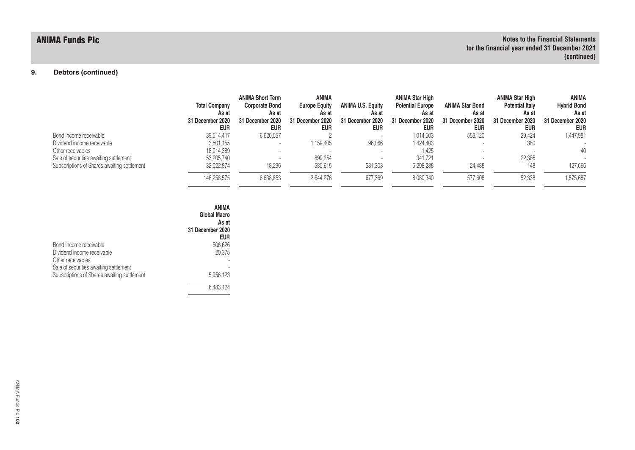### **9. Debtors (continued)**

|                                             | <b>Total Company</b><br>As at<br>31 December 2020<br><b>EUR</b> | <b>ANIMA Short Term</b><br><b>Corporate Bond</b><br>As at<br>31 December 2020<br><b>EUR</b> | ANIMA<br><b>Europe Equity</b><br>As at<br>31 December 2020<br>EUR | ANIMA U.S. Equity<br>As at<br>31 December 2020<br><b>EUR</b> | ANIMA Star High<br><b>Potential Europe</b><br>As at<br>31 December 2020<br><b>EUR</b> | <b>ANIMA Star Bond</b><br>As at<br>31 December 2020<br><b>EUR</b> | ANIMA Star High<br><b>Potential Italy</b><br>As at<br>31 December 2020<br><b>EUR</b> | ANIMA<br><b>Hybrid Bond</b><br>As at<br>31 December 2020<br><b>EUR</b> |
|---------------------------------------------|-----------------------------------------------------------------|---------------------------------------------------------------------------------------------|-------------------------------------------------------------------|--------------------------------------------------------------|---------------------------------------------------------------------------------------|-------------------------------------------------------------------|--------------------------------------------------------------------------------------|------------------------------------------------------------------------|
| Bond income receivable                      | 39,514,417                                                      | 6,620,557                                                                                   |                                                                   |                                                              | 1.014.503                                                                             | 553,120                                                           | 29.424                                                                               | 1,447,981                                                              |
| Dividend income receivable                  | 3,501,155                                                       |                                                                                             | 1,159,405                                                         | 96,066                                                       | 1,424,403                                                                             |                                                                   | 380                                                                                  |                                                                        |
| Other receivables                           | 18,014,389                                                      | $\overline{\phantom{a}}$                                                                    | $\overline{\phantom{a}}$                                          |                                                              | 1.425                                                                                 |                                                                   |                                                                                      | 40                                                                     |
| Sale of securities awaiting settlement      | 53,205,740                                                      |                                                                                             | 899,254                                                           |                                                              | 341.721                                                                               |                                                                   | 22.386                                                                               |                                                                        |
| Subscriptions of Shares awaiting settlement | 32,022,874                                                      | 18,296                                                                                      | 585,615                                                           | 581.303                                                      | 5.298.288                                                                             | 24,488                                                            | 148                                                                                  | 127.666                                                                |
|                                             | 146,258,575                                                     | 6,638,853                                                                                   | 2.644.276                                                         | 677.369                                                      | 8,080,340                                                                             | 577,608                                                           | 52,338                                                                               | 1,575,687                                                              |

|                                             | ANIMA               |
|---------------------------------------------|---------------------|
|                                             | <b>Global Macro</b> |
|                                             | As at               |
|                                             | 31 December 2020    |
|                                             | <b>EUR</b>          |
| Bond income receivable                      | 506,626             |
| Dividend income receivable                  | 20.375              |
| Other receivables                           |                     |
| Sale of securities awaiting settlement      |                     |
| Subscriptions of Shares awaiting settlement | 5,956,123           |
|                                             | 6.483.124           |

 $\equiv$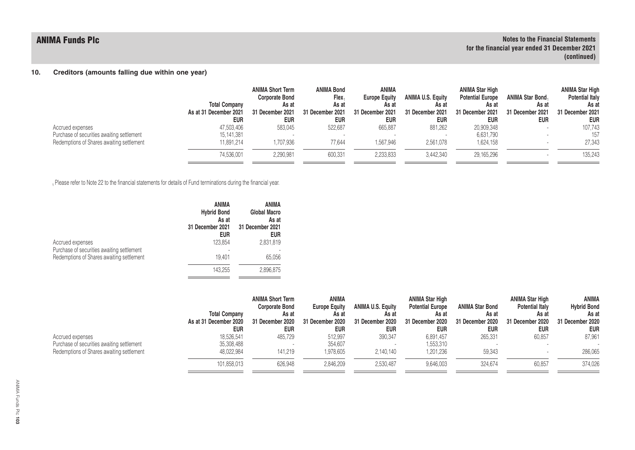### **10. Creditors (amounts falling due within one year)**

|                        | <b>ANIMA Short Term</b><br><b>Corporate Bond</b> | <b>ANIMA Bond</b><br>Flex. | <b>ANIMA</b><br><b>Europe Equity</b> | ANIMA U.S. Equity         | ANIMA Star High<br><b>Potential Europe</b> | <b>ANIMA Star Bond,</b>   | <b>ANIMA Star High</b><br><b>Potential Italy</b> |
|------------------------|--------------------------------------------------|----------------------------|--------------------------------------|---------------------------|--------------------------------------------|---------------------------|--------------------------------------------------|
| As at 31 December 2021 | As at<br>31 December 2021                        | As at<br>31 December 2021  | As at<br>31 December 2021            | As at<br>31 December 2021 | As at<br>31 December 2021                  | As at<br>31 December 2021 | As at<br>31 December 2021                        |
|                        |                                                  |                            |                                      |                           |                                            |                           | <b>EUR</b><br>107,743                            |
| 15.141.381             |                                                  |                            |                                      |                           | 6,631,790                                  | $\overline{\phantom{a}}$  | 157                                              |
| 11.891.214             | .707.936                                         | 77.644                     | 1.567.946                            | 2,561,078                 | 1,624,158                                  |                           | 27.343                                           |
| 74,536,001             | 2,290,981                                        | 600,331                    | 2,233,833                            | 3,442,340                 | 29, 165, 296                               |                           | 135,243                                          |
|                        | <b>Total Company</b><br><b>EUR</b><br>47,503,406 | <b>EUR</b><br>583,045      | EUR<br>522,687                       | EUR<br>665,887            | <b>EUR</b><br>881,262                      | <b>EUR</b><br>20,909,348  | <b>EUR</b>                                       |

1 Please refer to Note 22 to the financial statements for details of Fund terminations during the financial year.

|                                                                | <b>ANIMA</b><br><b>Hybrid Bond</b><br>As at | ANIMA<br><b>Global Macro</b><br>As at |
|----------------------------------------------------------------|---------------------------------------------|---------------------------------------|
|                                                                | 31 December 2021<br><b>EUR</b>              | 31 December 2021<br><b>EUR</b>        |
| Accrued expenses<br>Purchase of securities awaiting settlement | 123.854                                     | 2,831,819                             |
| Redemptions of Shares awaiting settlement                      | 19.401                                      | 65,056                                |
|                                                                | 143.255                                     | 2.896.875                             |

 $\overline{\phantom{0}}$ 

|                                            |                        | <b>ANIMA Short Term</b> | ANIMA                |                          | <b>ANIMA Star High</b>  |                  | <b>ANIMA Star High</b> | ANIMA              |
|--------------------------------------------|------------------------|-------------------------|----------------------|--------------------------|-------------------------|------------------|------------------------|--------------------|
|                                            |                        | <b>Corporate Bond</b>   | <b>Europe Equity</b> | <b>ANIMA U.S. Equity</b> | <b>Potential Europe</b> | ANIMA Star Bond  | <b>Potential Italy</b> | <b>Hybrid Bond</b> |
|                                            | <b>Total Company</b>   | As at                   | As at                | As at                    | As at                   | As at            | As at                  | As at              |
|                                            | As at 31 December 2020 | 31 December 2020        | 31 December 2020     | 31 December 2020         | 31 December 2020        | 31 December 2020 | 31 December 2020       | 31 December 2020   |
|                                            | <b>EUR</b>             | <b>EUR</b>              | EUR                  | EUR                      | <b>EUR</b>              | <b>EUR</b>       | EUR                    | <b>EUR</b>         |
| Accrued expenses                           | 18.526.541             | 485,729                 | 512,997              | 390,347                  | 6,891,457               | 265,331          | 60,857                 | 87,961             |
| Purchase of securities awaiting settlement | 35,308,488             |                         | 354.607              |                          | 1,553,310               |                  |                        |                    |
| Redemptions of Shares awaiting settlement  | 48,022,984             | 141.219                 | 1.978.605            | 2.140.140                | 1,201,236               | 59,343           |                        | 286,065            |
|                                            | 101,858,013            | 626,948                 | 2.846.209            | 2,530,487                | 9.646.003               | 324,674          | 60,857                 | 374,026            |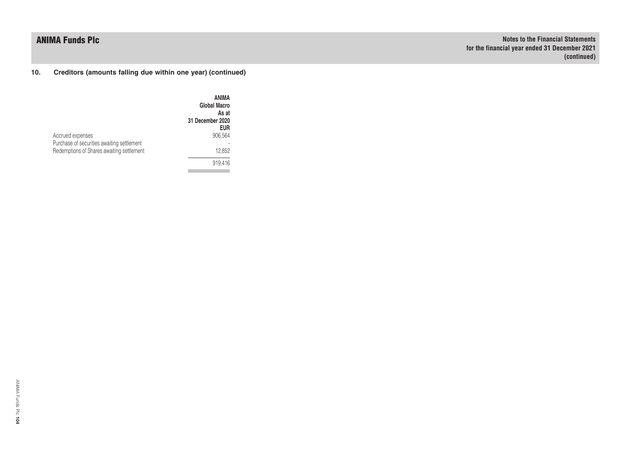### **10. Creditors (amounts falling due within one year) (continued)**

|                                                                | ANIMA<br><b>Global Macro</b><br>As at<br>31 December 2020<br><b>EUR</b> |
|----------------------------------------------------------------|-------------------------------------------------------------------------|
| Accrued expenses<br>Purchase of securities awaiting settlement | 906,564                                                                 |
| Redemptions of Shares awaiting settlement                      | 12,852                                                                  |
|                                                                | 919.416                                                                 |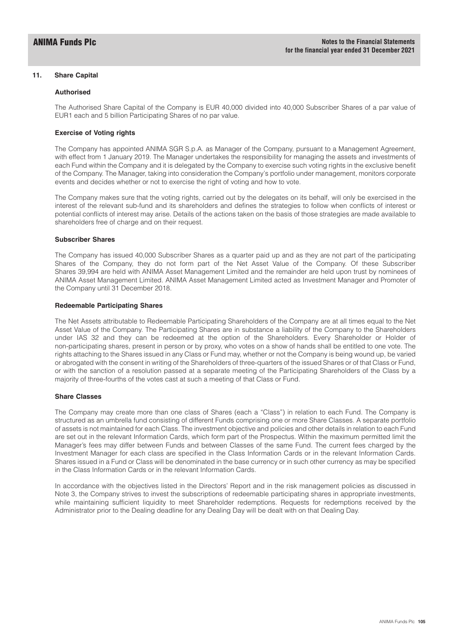#### **11. Share Capital**

#### **Authorised**

The Authorised Share Capital of the Company is EUR 40,000 divided into 40,000 Subscriber Shares of a par value of EUR1 each and 5 billion Participating Shares of no par value.

#### **Exercise of Voting rights**

The Company has appointed ANIMA SGR S.p.A. as Manager of the Company, pursuant to a Management Agreement, with effect from 1 January 2019. The Manager undertakes the responsibility for managing the assets and investments of each Fund within the Company and it is delegated by the Company to exercise such voting rights in the exclusive benefit of the Company. The Manager, taking into consideration the Company's portfolio under management, monitors corporate events and decides whether or not to exercise the right of voting and how to vote.

The Company makes sure that the voting rights, carried out by the delegates on its behalf, will only be exercised in the interest of the relevant sub-fund and its shareholders and defines the strategies to follow when conflicts of interest or potential conflicts of interest may arise. Details of the actions taken on the basis of those strategies are made available to shareholders free of charge and on their request.

#### **Subscriber Shares**

The Company has issued 40,000 Subscriber Shares as a quarter paid up and as they are not part of the participating Shares of the Company, they do not form part of the Net Asset Value of the Company. Of these Subscriber Shares 39,994 are held with ANIMA Asset Management Limited and the remainder are held upon trust by nominees of ANIMA Asset Management Limited. ANIMA Asset Management Limited acted as Investment Manager and Promoter of the Company until 31 December 2018.

#### **Redeemable Participating Shares**

The Net Assets attributable to Redeemable Participating Shareholders of the Company are at all times equal to the Net Asset Value of the Company. The Participating Shares are in substance a liability of the Company to the Shareholders under IAS 32 and they can be redeemed at the option of the Shareholders. Every Shareholder or Holder of non-participating shares, present in person or by proxy, who votes on a show of hands shall be entitled to one vote. The rights attaching to the Shares issued in any Class or Fund may, whether or not the Company is being wound up, be varied or abrogated with the consent in writing of the Shareholders of three-quarters of the issued Shares or of that Class or Fund, or with the sanction of a resolution passed at a separate meeting of the Participating Shareholders of the Class by a majority of three-fourths of the votes cast at such a meeting of that Class or Fund.

#### **Share Classes**

The Company may create more than one class of Shares (each a "Class") in relation to each Fund. The Company is structured as an umbrella fund consisting of different Funds comprising one or more Share Classes. A separate portfolio of assets is not maintained for each Class. The investment objective and policies and other details in relation to each Fund are set out in the relevant Information Cards, which form part of the Prospectus. Within the maximum permitted limit the Manager's fees may differ between Funds and between Classes of the same Fund. The current fees charged by the Investment Manager for each class are specified in the Class Information Cards or in the relevant Information Cards. Shares issued in a Fund or Class will be denominated in the base currency or in such other currency as may be specified in the Class Information Cards or in the relevant Information Cards.

In accordance with the objectives listed in the Directors' Report and in the risk management policies as discussed in Note 3, the Company strives to invest the subscriptions of redeemable participating shares in appropriate investments, while maintaining sufficient liquidity to meet Shareholder redemptions. Requests for redemptions received by the Administrator prior to the Dealing deadline for any Dealing Day will be dealt with on that Dealing Day.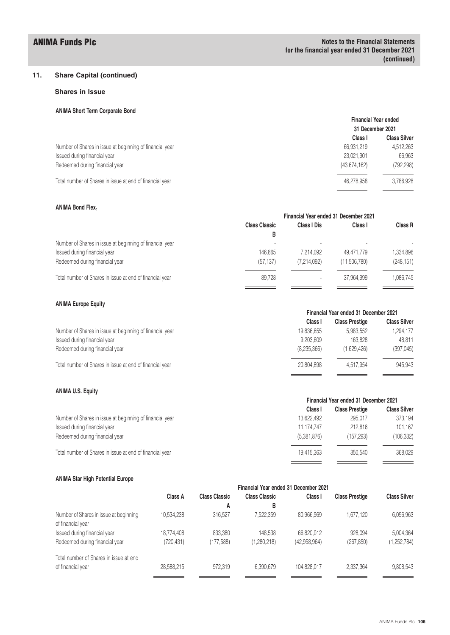$\overline{\phantom{a}}$ 

**Financial Year ended 31 December 2021**

#### **11. Share Capital (continued)**

#### **Shares in Issue**

#### **ANIMA Short Term Corporate Bond**

|                                                          | <b>Financial Year ended</b> |                     |
|----------------------------------------------------------|-----------------------------|---------------------|
|                                                          | 31 December 2021            |                     |
|                                                          | Class I                     | <b>Class Silver</b> |
| Number of Shares in issue at beginning of financial year | 66,931,219                  | 4,512,263           |
| Issued during financial year                             | 23,021,901                  | 66.963              |
| Redeemed during financial year                           | (43,674,162)                | (792,298)           |
| Total number of Shares in issue at end of financial year | 46.278.958                  | 3.786.928           |
|                                                          |                             |                     |

#### **ANIMA Bond Flex**<sub>1</sub>

|                                                          | Financial Year ended 31 December 2021 |                    |              |                    |  |  |
|----------------------------------------------------------|---------------------------------------|--------------------|--------------|--------------------|--|--|
|                                                          | <b>Class Classic</b>                  | <b>Class I Dis</b> | Class I      | Class <sub>R</sub> |  |  |
|                                                          | в                                     |                    |              |                    |  |  |
| Number of Shares in issue at beginning of financial year |                                       |                    |              |                    |  |  |
| Issued during financial year                             | 146.865                               | 7.214.092          | 49.471.779   | .334,896           |  |  |
| Redeemed during financial year                           | (57, 137)                             | (7.214.092)        | (11,506,780) | (248, 151)         |  |  |
| Total number of Shares in issue at end of financial year | 89.728                                |                    | 37.964.999   | .086,745           |  |  |
|                                                          |                                       |                    |              |                    |  |  |

#### **ANIMA Europe Equity**

|                                                          | Class I     | <b>Class Prestige</b> | <b>Class Silver</b> |
|----------------------------------------------------------|-------------|-----------------------|---------------------|
| Number of Shares in issue at beginning of financial year | 19.836.655  | 5.983.552             | 1,294,177           |
| Issued during financial year                             | 9.203.609   | 163.828               | 48.811              |
| Redeemed during financial year                           | (8.235.366) | (1.629.426)           | (397,045)           |
| Total number of Shares in issue at end of financial year | 20.804.898  | 4.517.954             | 945.943             |
|                                                          |             |                       |                     |

#### **ANIMA U.S. Equity**

|                                                          | Financial Year ended 31 December 2021 |                       |                     |  |
|----------------------------------------------------------|---------------------------------------|-----------------------|---------------------|--|
|                                                          | Class I                               | <b>Class Prestige</b> | <b>Class Silver</b> |  |
| Number of Shares in issue at beginning of financial year | 13.622.492                            | 295.017               | 373,194             |  |
| Issued during financial year                             | 11.174.747                            | 212.816               | 101,167             |  |
| Redeemed during financial year                           | (5,381,876)                           | (157.293)             | (106, 332)          |  |
| Total number of Shares in issue at end of financial year | 19.415.363                            | 350.540               | 368.029             |  |

#### **ANIMA Star High Potential Europe**

|                                        | Financial Year ended 31 December 2021 |                      |                      |              |                       |                     |  |  |
|----------------------------------------|---------------------------------------|----------------------|----------------------|--------------|-----------------------|---------------------|--|--|
|                                        | Class A                               | <b>Class Classic</b> | <b>Class Classic</b> | Class I      | <b>Class Prestige</b> | <b>Class Silver</b> |  |  |
|                                        |                                       | А                    | в                    |              |                       |                     |  |  |
| Number of Shares in issue at beginning | 10,534,238                            | 316.527              | 7.522.359            | 80.966.969   | 1.677.120             | 6,056,963           |  |  |
| of financial year                      |                                       |                      |                      |              |                       |                     |  |  |
| Issued during financial year           | 18,774,408                            | 833.380              | 148.538              | 66.820.012   | 928.094               | 5,004,364           |  |  |
| Redeemed during financial year         | (720,431)                             | (177, 588)           | (1,280,218)          | (42,958,964) | (267, 850)            | (1, 252, 784)       |  |  |
| Total number of Shares in issue at end |                                       |                      |                      |              |                       |                     |  |  |
| of financial year                      | 28,588,215                            | 972.319              | 6.390.679            | 104.828.017  | 2.337.364             | 9,808,543           |  |  |
|                                        |                                       |                      |                      |              |                       |                     |  |  |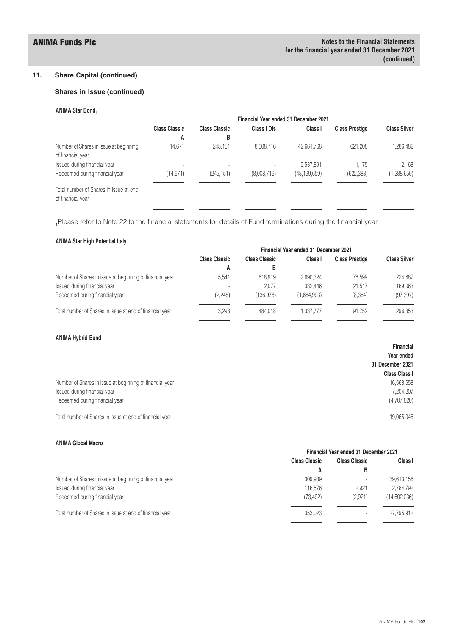### **11. Share Capital (continued)**

### **Shares in Issue (continued)**

#### **ANIMA Star Bond**<sub>1</sub>

|                                                             | Financial Year ended 31 December 2021 |                          |             |                |                       |                     |
|-------------------------------------------------------------|---------------------------------------|--------------------------|-------------|----------------|-----------------------|---------------------|
|                                                             | <b>Class Classic</b>                  | <b>Class Classic</b>     | Class I Dis | Class I        | <b>Class Prestige</b> | <b>Class Silver</b> |
|                                                             | A                                     | в                        |             |                |                       |                     |
| Number of Shares in issue at beginning<br>of financial year | 14.671                                | 245.151                  | 8.008.716   | 42.661.768     | 621.208               | 1,286,482           |
| Issued during financial year                                | $\overline{\phantom{a}}$              | $\overline{\phantom{a}}$ |             | 5.537.891      | 1.175                 | 2,168               |
| Redeemed during financial year                              | (14, 671)                             | (245, 151)               | (8,008,716) | (48, 199, 659) | (622, 383)            | (1,288,650)         |
| Total number of Shares in issue at end<br>of financial year |                                       |                          |             |                |                       |                     |
|                                                             |                                       |                          |             |                |                       |                     |

1Please refer to Note 22 to the financial statements for details of Fund terminations during the financial year.

#### **ANIMA Star High Potential Italy**

|                                                          | Financial Year ended 31 December 2021 |                      |             |                       |                     |
|----------------------------------------------------------|---------------------------------------|----------------------|-------------|-----------------------|---------------------|
|                                                          | <b>Class Classic</b>                  | <b>Class Classic</b> | Class I     | <b>Class Prestige</b> | <b>Class Silver</b> |
|                                                          | А                                     | в                    |             |                       |                     |
| Number of Shares in issue at beginning of financial year | 5.541                                 | 618.919              | 2,690,324   | 78.599                | 224.687             |
| Issued during financial year                             |                                       | 2.077                | 332.446     | 21.517                | 169,063             |
| Redeemed during financial year                           | (2,248)                               | (136.978)            | (1,684,993) | (8,364)               | (97, 397)           |
| Total number of Shares in issue at end of financial year | 3.293                                 | 484.018              | 1.337.777   | 91.752                | 296.353             |
|                                                          |                                       |                      |             |                       |                     |

#### **ANIMA Hybrid Bond**

|                                                          | <b>Financial</b>     |
|----------------------------------------------------------|----------------------|
|                                                          | Year ended           |
|                                                          | 31 December 2021     |
|                                                          | <b>Class Class I</b> |
| Number of Shares in issue at beginning of financial year | 16,568,658           |
| Issued during financial year                             | 7,204,207            |
| Redeemed during financial year                           | (4,707,820)          |
| Total number of Shares in issue at end of financial year | 19,065,045           |
|                                                          |                      |

#### **ANIMA Global Macro**

|                                                          | Financial Year ended 31 December 2021 |                           |              |  |
|----------------------------------------------------------|---------------------------------------|---------------------------|--------------|--|
|                                                          | <b>Class Classic</b>                  | <b>Class Classic</b><br>в | Class I      |  |
|                                                          |                                       |                           |              |  |
| Number of Shares in issue at beginning of financial year | 309,939                               |                           | 39,613,156   |  |
| Issued during financial year                             | 116.576                               | 2.921                     | 2,784,792    |  |
| Redeemed during financial year                           | (73, 492)                             | (2.921)                   | (14,602,036) |  |
| Total number of Shares in issue at end of financial year | 353.023                               |                           | 27.795.912   |  |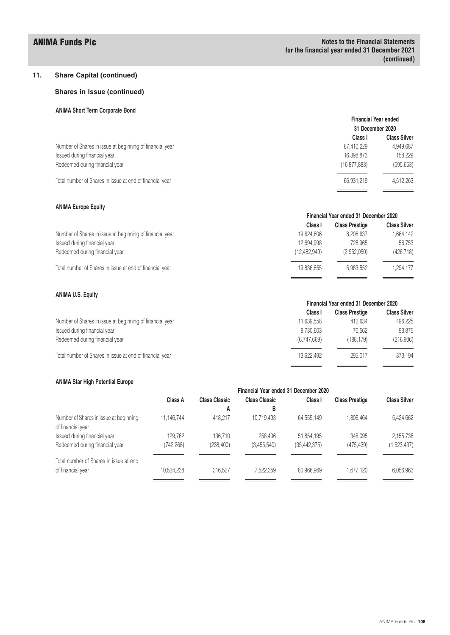**Financial Year ended 31 December 2020**

# **11. Share Capital (continued)**

# **Shares in Issue (continued)**

# **ANIMA Short Term Corporate Bond**

|                                                          | <b>Financial Year ended</b><br>31 December 2020 |                     |
|----------------------------------------------------------|-------------------------------------------------|---------------------|
|                                                          | Class I                                         | <b>Class Silver</b> |
| Number of Shares in issue at beginning of financial year | 67,410,229                                      | 4,949,687           |
| Issued during financial year                             | 16,398,873                                      | 158,229             |
| Redeemed during financial year                           | (16, 877, 883)                                  | (595, 653)          |
| Total number of Shares in issue at end of financial year | 66,931,219                                      | 4,512,263           |
|                                                          |                                                 |                     |

# **ANIMA Europe Equity**

|                                                          | Financial Year ended 31 December 2020 |                       |                     |  |
|----------------------------------------------------------|---------------------------------------|-----------------------|---------------------|--|
|                                                          | Class I                               | <b>Class Prestige</b> | <b>Class Silver</b> |  |
| Number of Shares in issue at beginning of financial year | 19.624.606                            | 8.206.637             | 1,664,142           |  |
| Issued during financial year                             | 12.694.998                            | 728.965               | 56.753              |  |
| Redeemed during financial year                           | (12, 482, 949)                        | (2.952.050)           | (426, 718)          |  |
| Total number of Shares in issue at end of financial year | 19.836.655                            | 5.983.552             | 1.294.177           |  |
|                                                          |                                       |                       |                     |  |

# **ANIMA U.S. Equity**

|                                                          | Class I     | <b>Class Prestige</b> | <b>Class Silver</b> |
|----------------------------------------------------------|-------------|-----------------------|---------------------|
| Number of Shares in issue at beginning of financial year | 11.639.558  | 412.634               | 496,225             |
| Issued during financial year                             | 8.730.603   | 70.562                | 93.875              |
| Redeemed during financial year                           | (6.747.669) | (188.179)             | (216,906)           |
| Total number of Shares in issue at end of financial year | 13.622.492  | 295.017               | 373.194             |
|                                                          |             |                       |                     |

#### **ANIMA Star High Potential Europe**

|                                                             | Financial Year ended 31 December 2020 |                      |                      |                |                       |                     |  |
|-------------------------------------------------------------|---------------------------------------|----------------------|----------------------|----------------|-----------------------|---------------------|--|
|                                                             | Class A                               | <b>Class Classic</b> | <b>Class Classic</b> | Class I        | <b>Class Prestige</b> | <b>Class Silver</b> |  |
|                                                             |                                       | А                    | в                    |                |                       |                     |  |
| Number of Shares in issue at beginning<br>of financial year | 11.146.744                            | 418.217              | 10.719.493           | 64.555.149     | 1.806.464             | 5,424,662           |  |
| Issued during financial year                                | 129.762                               | 136.710              | 258,406              | 51.854.195     | 346.095               | 2,155,738           |  |
| Redeemed during financial year                              | (742, 268)                            | (238, 400)           | (3,455,540)          | (35, 442, 375) | (475, 439)            | (1,523,437)         |  |
| Total number of Shares in issue at end                      |                                       |                      |                      |                |                       |                     |  |
| of financial year                                           | 10,534,238                            | 316.527              | 7.522.359            | 80.966.969     | 1.677.120             | 6,056,963           |  |
|                                                             |                                       |                      |                      |                |                       |                     |  |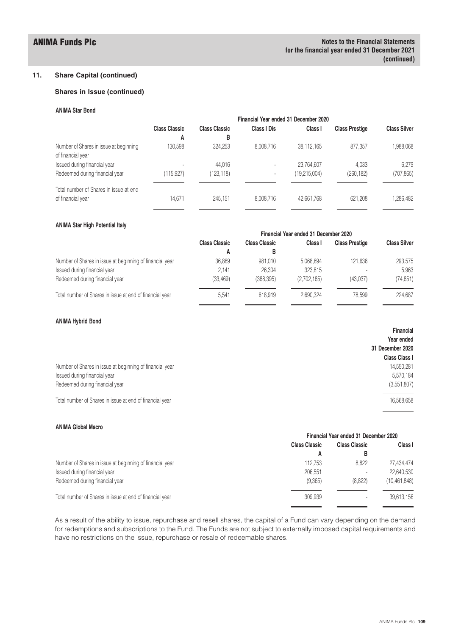# **11. Share Capital (continued)**

# **Shares in Issue (continued)**

# **ANIMA Star Bond**

|                                                             | Financial Year ended 31 December 2020 |                      |                          |              |                       |                     |  |
|-------------------------------------------------------------|---------------------------------------|----------------------|--------------------------|--------------|-----------------------|---------------------|--|
|                                                             | <b>Class Classic</b>                  | <b>Class Classic</b> | Class I Dis              | Class I      | <b>Class Prestige</b> | <b>Class Silver</b> |  |
|                                                             | A                                     | в                    |                          |              |                       |                     |  |
| Number of Shares in issue at beginning<br>of financial year | 130.598                               | 324.253              | 8.008.716                | 38.112.165   | 877.357               | 988,068             |  |
| Issued during financial year                                |                                       | 44.016               |                          | 23,764,607   | 4.033                 | 6.279               |  |
| Redeemed during financial year                              | (115.927)                             | (123,118)            | $\overline{\phantom{a}}$ | (19,215,004) | (260, 182)            | (707, 865)          |  |
| Total number of Shares in issue at end                      |                                       |                      |                          |              |                       |                     |  |
| of financial year                                           | 14.671                                | 245.151              | 8.008.716                | 42.661.768   | 621.208               | 1.286.482           |  |
|                                                             |                                       |                      |                          |              |                       |                     |  |

### **ANIMA Star High Potential Italy**

|                                                          | Financial Year ended 31 December 2020 |                      |             |                       |                     |  |
|----------------------------------------------------------|---------------------------------------|----------------------|-------------|-----------------------|---------------------|--|
|                                                          | <b>Class Classic</b>                  | <b>Class Classic</b> | Class I     | <b>Class Prestige</b> | <b>Class Silver</b> |  |
|                                                          | А                                     | в                    |             |                       |                     |  |
| Number of Shares in issue at beginning of financial year | 36,869                                | 981,010              | 5.068.694   | 121.636               | 293,575             |  |
| Issued during financial year                             | 2.141                                 | 26.304               | 323.815     |                       | 5,963               |  |
| Redeemed during financial year                           | (33, 469)                             | (388.395)            | (2.702.185) | (43.037)              | (74.851)            |  |
| Total number of Shares in issue at end of financial year | 5.541                                 | 618.919              | 2.690.324   | 78.599                | 224.687             |  |

## **ANIMA Hybrid Bond**

| Financial            |
|----------------------|
| Year ended           |
| 31 December 2020     |
| <b>Class Class I</b> |
| 14,550,281           |
| 5,570,184            |
| (3,551,807)          |
| 16,568,658           |
|                      |
|                      |

## **ANIMA Global Macro**

|                                                          | Financial Year ended 31 December 2020 |                      |                |  |
|----------------------------------------------------------|---------------------------------------|----------------------|----------------|--|
|                                                          | <b>Class Classic</b>                  | <b>Class Classic</b> | Class I        |  |
|                                                          |                                       | в                    |                |  |
| Number of Shares in issue at beginning of financial year | 112.753                               | 8.822                | 27,434,474     |  |
| Issued during financial year                             | 206.551                               |                      | 22,640,530     |  |
| Redeemed during financial year                           | (9,365)                               | (8.822)              | (10, 461, 848) |  |
| Total number of Shares in issue at end of financial year | 309.939                               |                      | 39,613,156     |  |

As a result of the ability to issue, repurchase and resell shares, the capital of a Fund can vary depending on the demand for redemptions and subscriptions to the Fund. The Funds are not subject to externally imposed capital requirements and have no restrictions on the issue, repurchase or resale of redeemable shares.

÷,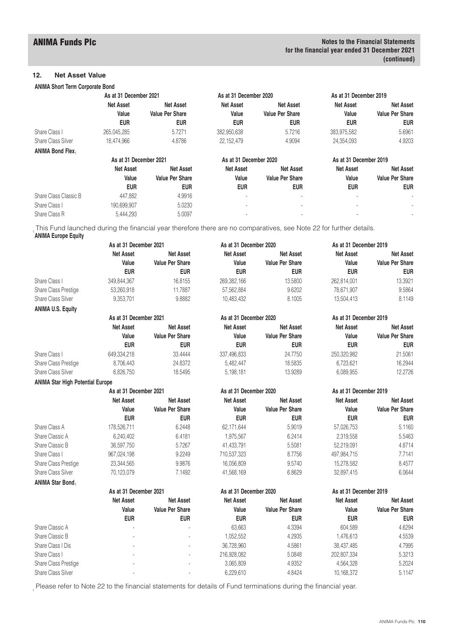# **12. Net Asset Value**

#### **ANIMA Short Term Corporate Bond**

|                           | As at 31 December 2021 |                        | As at 31 December 2020 |                          | As at 31 December 2019   |                        |
|---------------------------|------------------------|------------------------|------------------------|--------------------------|--------------------------|------------------------|
|                           | <b>Net Asset</b>       | <b>Net Asset</b>       | <b>Net Asset</b>       | <b>Net Asset</b>         | <b>Net Asset</b>         | <b>Net Asset</b>       |
|                           | Value                  | <b>Value Per Share</b> | Value                  | <b>Value Per Share</b>   | Value                    | <b>Value Per Share</b> |
|                           | <b>EUR</b>             | <b>EUR</b>             | eur                    | <b>EUR</b>               | <b>EUR</b>               | <b>EUR</b>             |
| Share Class I             | 265,045,285            | 5.7271                 | 382,950,638            | 5.7216                   | 383.975.582              | 5.6961                 |
| <b>Share Class Silver</b> | 18,474,966             | 4.8786                 | 22,152,479             | 4.9094                   | 24,354,093               | 4.9203                 |
| <b>ANIMA Bond Flex.</b>   |                        |                        |                        |                          |                          |                        |
|                           | As at 31 December 2021 |                        | As at 31 December 2020 |                          | As at 31 December 2019   |                        |
|                           | <b>Net Asset</b>       | <b>Net Asset</b>       | <b>Net Asset</b>       | <b>Net Asset</b>         | <b>Net Asset</b>         | <b>Net Asset</b>       |
|                           | Value                  | <b>Value Per Share</b> | Value                  | <b>Value Per Share</b>   | Value                    | <b>Value Per Share</b> |
|                           | <b>EUR</b>             | <b>EUR</b>             | <b>EUR</b>             | <b>EUR</b>               | <b>EUR</b>               | <b>EUR</b>             |
| Share Class Classic B     | 447.882                | 4.9916                 |                        | $\overline{\phantom{a}}$ | $\overline{\phantom{a}}$ |                        |
| Share Class I             | 190.699.907            | 5.0230                 |                        |                          |                          |                        |
| Share Class R             | 5.444.293              | 5.0097                 |                        |                          |                          |                        |

This Fund launched during the financial year therefore there are no comparatives, see Note 22 for further details.

#### **ANIMA Europe Equity**

|                           | As at 31 December 2021 |                        | As at 31 December 2020    |                                            | As at 31 December 2019    |                 |
|---------------------------|------------------------|------------------------|---------------------------|--------------------------------------------|---------------------------|-----------------|
|                           | <b>Net Asset</b>       | Net Asset              | <b>Net Asset</b><br>Value | <b>Net Asset</b><br><b>Value Per Share</b> | <b>Net Asset</b><br>Value | Net Asset       |
|                           | Value                  | <b>Value Per Share</b> |                           |                                            |                           | Value Per Share |
|                           | eur                    | <b>EUR</b>             | <b>EUR</b>                | <b>EUR</b>                                 | EUR                       | <b>EUR</b>      |
| Share Class I             | 349.844.367            | 16.8155                | 269.382.166               | 13.5800                                    | 262.814.001               | 13.3921         |
| Share Class Prestige      | 53,260,918             | 11.7887                | 57.562.884                | 9.6202                                     | 78.671.907                | 9.5864          |
| <b>Share Class Silver</b> | 9.353.701              | 9.8882                 | 10.483.432                | 8.1005                                     | 13.504.413                | 8.1149          |
| <b>ANIMA U.S. Equity</b>  |                        |                        |                           |                                            |                           |                 |

|                      | As at 31 December 2021 |                        | As at 31 December 2020 |                        | As at 31 December 2019 |                        |
|----------------------|------------------------|------------------------|------------------------|------------------------|------------------------|------------------------|
|                      | <b>Net Asset</b>       | <b>Net Asset</b>       | <b>Net Asset</b>       | <b>Net Asset</b>       | <b>Net Asset</b>       | <b>Net Asset</b>       |
|                      | Value                  | <b>Value Per Share</b> | Value                  | <b>Value Per Share</b> | Value                  | <b>Value Per Share</b> |
|                      | eur                    | <b>EUR</b>             | EUR                    | eur                    | EUR                    | EUR                    |
| Share Class I        | 649.334.218            | 33.4444                | 337.496.833            | 24.7750                | 250.320.982            | 21.5061                |
| Share Class Prestige | 8.706.443              | 24.8372                | 5.482.447              | 18.5835                | 6.723.621              | 16.2944                |
| Share Class Silver   | 6.826.750              | 18.5495                | 5.198.181              | 13.9289                | 6.089.955              | 12.2726                |

# **ANIMA Star High Potential Europe**

|                             | As at 31 December 2021 |                        | As at 31 December 2020 |                        | As at 31 December 2019 |                        |
|-----------------------------|------------------------|------------------------|------------------------|------------------------|------------------------|------------------------|
|                             | <b>Net Asset</b>       | <b>Net Asset</b>       | <b>Net Asset</b>       | Net Asset              | <b>Net Asset</b>       | <b>Net Asset</b>       |
|                             | Value                  | <b>Value Per Share</b> | Value                  | <b>Value Per Share</b> | Value                  | <b>Value Per Share</b> |
|                             | eur                    | <b>EUR</b>             | <b>EUR</b>             | eur                    | eur                    | <b>EUR</b>             |
| Share Class A               | 178.526.711            | 6.2448                 | 62.171.644             | 5.9019                 | 57.026.753             | 5.1160                 |
| Share Classic A             | 6,240,402              | 6.4181                 | 1,975,567              | 6.2414                 | 2.319.558              | 5.5463                 |
| Share Classic B             | 36,597,750             | 5.7267                 | 41.433.791             | 5.5081                 | 52,219,091             | 4.8714                 |
| Share Class I               | 967,024,198            | 9.2249                 | 710,537,323            | 8.7756                 | 497,984,715            | 7.7141                 |
| <b>Share Class Prestige</b> | 23,344,565             | 9.9876                 | 16.056.809             | 9.5740                 | 15,278,582             | 8.4577                 |
| Share Class Silver          | 70.123.079             | 7.1492                 | 41.568.169             | 6.8629                 | 32.897.415             | 6.0644                 |

| 2020             | As at 31 December 2019 |                        |
|------------------|------------------------|------------------------|
| <b>Net Asset</b> | <b>Net Asset</b>       | <b>Net Asset</b>       |
| Value Per Share  | Value                  | <b>Value Per Share</b> |
| <b>EUR</b>       | <b>EUR</b>             | eur                    |
| 5.9019           | 57,026,753             | 5.1160                 |
| 6.2414           | 2,319,558              | 5.5463                 |
| 5.5081           | 52,219,091             | 4.8714                 |
| 8.7756           | 497.984.715            | 7.7141                 |
| 9.5740           | 15,278,582             | 8.4577                 |
| A 8A29           | 32897415               | 6 OG44                 |

#### **ANIMA Star Bond.**

|                           | As at 31 December 2021   |                          | As at 31 December 2020 |                        | As at 31 December 2019 |                        |
|---------------------------|--------------------------|--------------------------|------------------------|------------------------|------------------------|------------------------|
|                           | <b>Net Asset</b>         | <b>Net Asset</b>         | <b>Net Asset</b>       | <b>Net Asset</b>       | <b>Net Asset</b>       | <b>Net Asset</b>       |
|                           | Value                    | <b>Value Per Share</b>   | Value                  | <b>Value Per Share</b> | Value                  | <b>Value Per Share</b> |
|                           | <b>EUR</b>               | <b>EUR</b>               | <b>EUR</b>             | <b>EUR</b>             | <b>EUR</b>             | <b>EUR</b>             |
| Share Classic A           | ۰                        | $\overline{\phantom{a}}$ | 63.663                 | 4.3394                 | 604.589                | 4.6294                 |
| Share Classic B           |                          | ٠                        | 1.052.552              | 4.2935                 | 1.476.613              | 4.5539                 |
| Share Class   Dis         | ۰                        | ٠                        | 36,728,960             | 4.5861                 | 38.437.485             | 4.7995                 |
| Share Class I             | $\overline{\phantom{a}}$ | ٠                        | 216,928,082            | 5.0848                 | 202.807.334            | 5.3213                 |
| Share Class Prestige      |                          | ٠                        | 3,065,809              | 4.9352                 | 4.564.328              | 5.2024                 |
| <b>Share Class Silver</b> |                          |                          | 6,229,610              | 4.8424                 | 10.168.372             | 5.1147                 |

1 Please refer to Note 22 to the financial statements for details of Fund terminations during the financial year.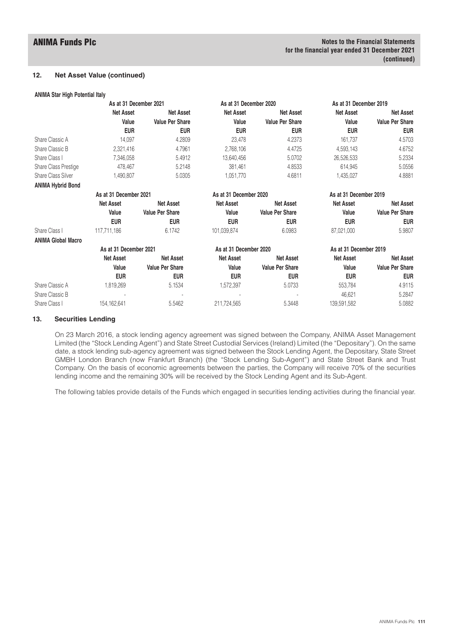# **12. Net Asset Value (continued)**

#### **ANIMA Star High Potential Italy**

|                           | As at 31 December 2021 |                        | As at 31 December 2020 |                        | As at 31 December 2019 |                        |
|---------------------------|------------------------|------------------------|------------------------|------------------------|------------------------|------------------------|
|                           | <b>Net Asset</b>       | <b>Net Asset</b>       | <b>Net Asset</b>       | <b>Net Asset</b>       | <b>Net Asset</b>       | <b>Net Asset</b>       |
|                           | Value                  | Value Per Share        | Value                  | <b>Value Per Share</b> | Value                  | <b>Value Per Share</b> |
|                           | <b>EUR</b>             | <b>EUR</b>             | <b>EUR</b>             | <b>EUR</b>             | <b>EUR</b>             | <b>EUR</b>             |
| Share Classic A           | 14.097                 | 4.2809                 | 23.478                 | 4.2373                 | 161.737                | 4.5703                 |
| Share Classic B           | 2,321,416              | 4.7961                 | 2,768,106              | 4.4725                 | 4,593,143              | 4.6752                 |
| Share Class I             | 7,346,058              | 5.4912                 | 13,640,456             | 5.0702                 | 26,526,533             | 5.2334                 |
| Share Class Prestige      | 478,467                | 5.2148                 | 381,461                | 4.8533                 | 614,945                | 5.0556                 |
| <b>Share Class Silver</b> | 1,490,807              | 5.0305                 | 1,051,770              | 4.6811                 | 1,435,027              | 4.8881                 |
| <b>ANIMA Hybrid Bond</b>  |                        |                        |                        |                        |                        |                        |
|                           | As at 31 December 2021 |                        | As at 31 December 2020 |                        | As at 31 December 2019 |                        |
|                           | <b>Net Asset</b>       | <b>Net Asset</b>       | <b>Net Asset</b>       | <b>Net Asset</b>       | <b>Net Asset</b>       | <b>Net Asset</b>       |
|                           | Value                  | <b>Value Per Share</b> | Value                  | <b>Value Per Share</b> | Value                  | <b>Value Per Share</b> |
|                           | <b>EUR</b>             | <b>EUR</b>             | <b>EUR</b>             | <b>EUR</b>             | <b>EUR</b>             | <b>EUR</b>             |
| Share Class I             | 117,711,186            | 6.1742                 | 101,039,874            | 6.0983                 | 87,021,000             | 5.9807                 |
| <b>ANIMA Global Macro</b> |                        |                        |                        |                        |                        |                        |
|                           | As at 31 December 2021 |                        | As at 31 December 2020 |                        | As at 31 December 2019 |                        |
|                           | <b>Net Asset</b>       | <b>Net Asset</b>       | <b>Net Asset</b>       | <b>Net Asset</b>       | <b>Net Asset</b>       | <b>Net Asset</b>       |
|                           | Value                  | <b>Value Per Share</b> | Value                  | <b>Value Per Share</b> | Value                  | Value Per Share        |
|                           | <b>EUR</b>             | <b>EUR</b>             | <b>EUR</b>             | <b>EUR</b>             | <b>EUR</b>             | <b>EUR</b>             |
| Share Classic A           | 1,819,269              | 5.1534                 | 1,572,397              | 5.0733                 | 553,784                | 4.9115                 |
| Share Classic B           |                        |                        |                        |                        | 46,621                 | 5.2847                 |
| Share Class I             | 154, 162, 641          | 5.5462                 | 211,724,565            | 5.3448                 | 139,591,582            | 5.0882                 |

# **13. Securities Lending**

On 23 March 2016, a stock lending agency agreement was signed between the Company, ANIMA Asset Management Limited (the "Stock Lending Agent") and State Street Custodial Services (Ireland) Limited (the "Depositary"). On the same date, a stock lending sub-agency agreement was signed between the Stock Lending Agent, the Depositary, State Street GMBH London Branch (now Frankfurt Branch) (the "Stock Lending Sub-Agent") and State Street Bank and Trust Company. On the basis of economic agreements between the parties, the Company will receive 70% of the securities lending income and the remaining 30% will be received by the Stock Lending Agent and its Sub-Agent.

The following tables provide details of the Funds which engaged in securities lending activities during the financial year.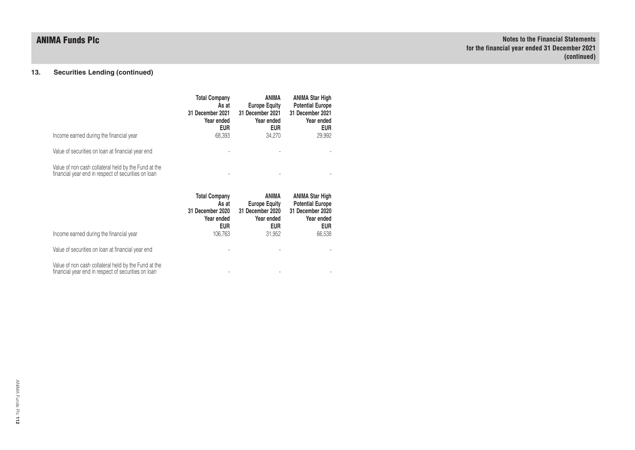# **ANIMA Funds Plc**

# **13. Securities Lending (continued)**

|                                                                                                             | <b>Total Company</b><br>As at<br>31 December 2021<br>Year ended<br><b>EUR</b> | <b>ANIMA</b><br><b>Europe Equity</b><br>31 December 2021<br>Year ended<br><b>EUR</b> | <b>ANIMA Star High</b><br><b>Potential Europe</b><br>31 December 2021<br>Year ended<br><b>EUR</b> |
|-------------------------------------------------------------------------------------------------------------|-------------------------------------------------------------------------------|--------------------------------------------------------------------------------------|---------------------------------------------------------------------------------------------------|
| Income earned during the financial year                                                                     | 68,393                                                                        | 34,270                                                                               | 29,992                                                                                            |
| Value of securities on loan at financial year end                                                           |                                                                               |                                                                                      |                                                                                                   |
| Value of non cash collateral held by the Fund at the<br>financial year end in respect of securities on loan |                                                                               |                                                                                      |                                                                                                   |
|                                                                                                             |                                                                               |                                                                                      |                                                                                                   |
|                                                                                                             | <b>Total Company</b><br>As at<br>31 December 2020<br>Year ended<br><b>EUR</b> | ANIMA<br><b>Europe Equity</b><br>31 December 2020<br>Year ended<br><b>EUR</b>        | ANIMA Star High<br><b>Potential Europe</b><br>31 December 2020<br>Year ended<br><b>EUR</b>        |
| Income earned during the financial year                                                                     | 106,763                                                                       | 31,952                                                                               | 66,538                                                                                            |
| Value of securities on loan at financial year end                                                           |                                                                               |                                                                                      |                                                                                                   |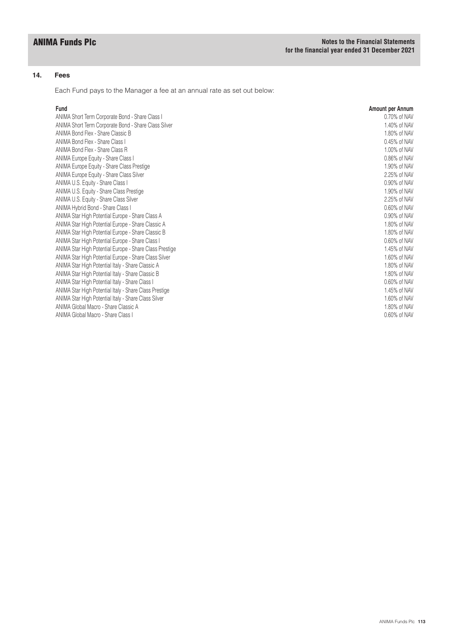# **14. Fees**

Each Fund pays to the Manager a fee at an annual rate as set out below:

| <b>Fund</b>                                             | Amount per Annum |
|---------------------------------------------------------|------------------|
| ANIMA Short Term Corporate Bond - Share Class I         | 0.70% of NAV     |
| ANIMA Short Term Corporate Bond - Share Class Silver    | 1.40% of NAV     |
| ANIMA Bond Flex - Share Classic B                       | 1.80% of NAV     |
| ANIMA Bond Flex - Share Class I                         | 0.45% of NAV     |
| ANIMA Bond Flex - Share Class R                         | 1.00% of NAV     |
| <b>ANIMA Europe Equity - Share Class I</b>              | 0.86% of NAV     |
| ANIMA Europe Equity - Share Class Prestige              | 1.90% of NAV     |
| ANIMA Europe Equity - Share Class Silver                | 2.25% of NAV     |
| ANIMA U.S. Equity - Share Class I                       | 0.90% of NAV     |
| ANIMA U.S. Equity - Share Class Prestige                | 1.90% of NAV     |
| ANIMA U.S. Equity - Share Class Silver                  | 2.25% of NAV     |
| ANIMA Hybrid Bond - Share Class I                       | 0.60% of NAV     |
| ANIMA Star High Potential Europe - Share Class A        | 0.90% of NAV     |
| ANIMA Star High Potential Europe - Share Classic A      | 1.80% of NAV     |
| ANIMA Star High Potential Europe - Share Classic B      | 1.80% of NAV     |
| ANIMA Star High Potential Europe - Share Class I        | 0.60% of NAV     |
| ANIMA Star High Potential Europe - Share Class Prestige | 1.45% of NAV     |
| ANIMA Star High Potential Europe - Share Class Silver   | 1.60% of NAV     |
| ANIMA Star High Potential Italy - Share Classic A       | 1.80% of NAV     |
| ANIMA Star High Potential Italy - Share Classic B       | 1.80% of NAV     |
| ANIMA Star High Potential Italy - Share Class I         | 0.60% of NAV     |
| ANIMA Star High Potential Italy - Share Class Prestige  | 1.45% of NAV     |
| ANIMA Star High Potential Italy - Share Class Silver    | 1.60% of NAV     |
| ANIMA Global Macro - Share Classic A                    | 1.80% of NAV     |
| ANIMA Global Macro - Share Class I                      | 0.60% of NAV     |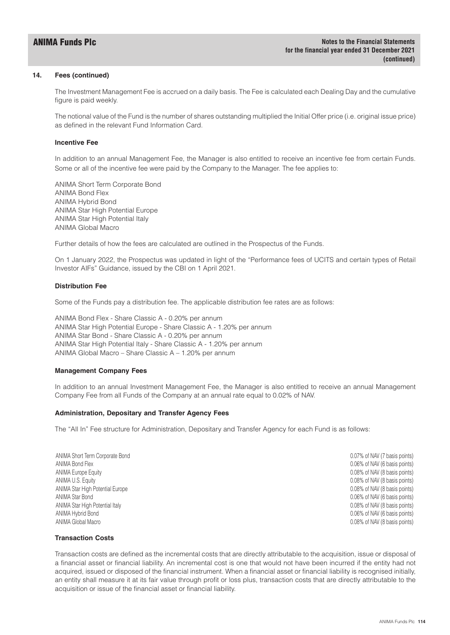# **14. Fees (continued)**

The Investment Management Fee is accrued on a daily basis. The Fee is calculated each Dealing Day and the cumulative figure is paid weekly.

The notional value of the Fund is the number of shares outstanding multiplied the Initial Offer price (i.e. original issue price) as defined in the relevant Fund Information Card.

#### **Incentive Fee**

In addition to an annual Management Fee, the Manager is also entitled to receive an incentive fee from certain Funds. Some or all of the incentive fee were paid by the Company to the Manager. The fee applies to:

ANIMA Short Term Corporate Bond ANIMA Bond Flex ANIMA Hybrid Bond ANIMA Star High Potential Europe ANIMA Star High Potential Italy ANIMA Global Macro

Further details of how the fees are calculated are outlined in the Prospectus of the Funds.

On 1 January 2022, the Prospectus was updated in light of the "Performance fees of UCITS and certain types of Retail Investor AIFs" Guidance, issued by the CBI on 1 April 2021.

#### **Distribution Fee**

Some of the Funds pay a distribution fee. The applicable distribution fee rates are as follows:

ANIMA Bond Flex - Share Classic A - 0.20% per annum ANIMA Star High Potential Europe - Share Classic A - 1.20% per annum ANIMA Star Bond - Share Classic A - 0.20% per annum ANIMA Star High Potential Italy - Share Classic A - 1.20% per annum ANIMA Global Macro – Share Classic A – 1.20% per annum

#### **Management Company Fees**

In addition to an annual Investment Management Fee, the Manager is also entitled to receive an annual Management Company Fee from all Funds of the Company at an annual rate equal to 0.02% of NAV.

#### **Administration, Depositary and Transfer Agency Fees**

The "All In" Fee structure for Administration, Depositary and Transfer Agency for each Fund is as follows:

ANIMA Short Term Corporate Bond **by a structure of the COV and COV** and the U.O.07% of NAV (7 basis points) ANIMA Bond Flex 0.06% of NAV (6 basis points) ANIMA Europe Equity **AND Europe Equity** 0.08% of NAV (8 basis points) ANIMA U.S. Equity **ANIMA U.S.** Equity **OLD ANIMA U.S.** Equity **OLD OLD OLD OLD OLD OLD OLD OLD OLD OLD OLD OLD OLD OLD OLD OLD OLD OLD OLD OLD OLD OLD OLD OLD OLD OLD O** ANIMA Star High Potential Europe **0.08% of NAV (8 basis points)** 0.08% of NAV (8 basis points) ANIMA Star Bond 0.06% of NAV (6 basis points) 0.06% of NAV (6 basis points) ANIMA Star High Potential Italy **ANIMA Star High Potential Italy** 0.08% of NAV (8 basis points) ANIMA Hybrid Bond 6.06% of NAV (6 basis points) ANIMA Hybrid Bond 6.06% of NAV (6 basis points) ANIMA Global Macro 0.08% of NAV (8 basis points) 0.08% of NAV (8 basis points)

#### **Transaction Costs**

Transaction costs are defined as the incremental costs that are directly attributable to the acquisition, issue or disposal of a financial asset or financial liability. An incremental cost is one that would not have been incurred if the entity had not acquired, issued or disposed of the financial instrument. When a financial asset or financial liability is recognised initially, an entity shall measure it at its fair value through profit or loss plus, transaction costs that are directly attributable to the acquisition or issue of the financial asset or financial liability.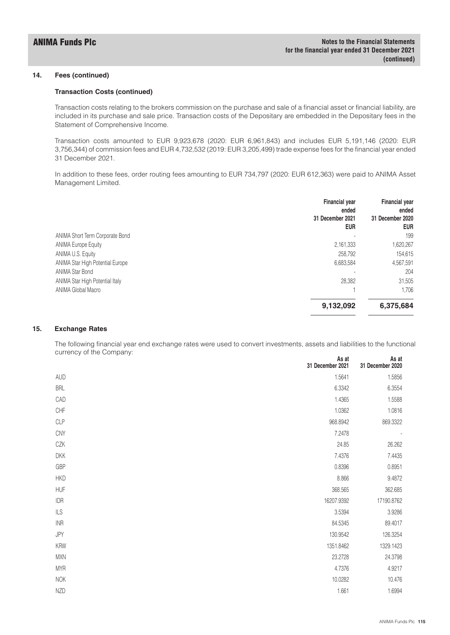# **14. Fees (continued)**

#### **Transaction Costs (continued)**

Transaction costs relating to the brokers commission on the purchase and sale of a financial asset or financial liability, are included in its purchase and sale price. Transaction costs of the Depositary are embedded in the Depositary fees in the Statement of Comprehensive Income.

Transaction costs amounted to EUR 9,923,678 (2020: EUR 6,961,843) and includes EUR 5,191,146 (2020: EUR 3,756,344) of commission fees and EUR 4,732,532 (2019: EUR 3,205,499) trade expense fees for the financial year ended 31 December 2021.

In addition to these fees, order routing fees amounting to EUR 734,797 (2020: EUR 612,363) were paid to ANIMA Asset Management Limited.

|                                  | <b>Financial year</b><br>ended<br>31 December 2021<br><b>EUR</b> | <b>Financial year</b><br>ended<br>31 December 2020<br><b>EUR</b> |
|----------------------------------|------------------------------------------------------------------|------------------------------------------------------------------|
| ANIMA Short Term Corporate Bond  |                                                                  | 199                                                              |
| <b>ANIMA Europe Equity</b>       | 2,161,333                                                        | 1,620,267                                                        |
| ANIMA U.S. Equity                | 258.792                                                          | 154,615                                                          |
| ANIMA Star High Potential Europe | 6,683,584                                                        | 4,567,591                                                        |
| ANIMA Star Bond                  |                                                                  | 204                                                              |
| ANIMA Star High Potential Italy  | 28,382                                                           | 31,505                                                           |
| ANIMA Global Macro               |                                                                  | 1.706                                                            |
|                                  | 9,132,092                                                        | 6,375,684                                                        |

### **15. Exchange Rates**

The following financial year end exchange rates were used to convert investments, assets and liabilities to the functional currency of the Company:

|                       | as at<br>31 December 2021 | as at<br>31 December 2020 |
|-----------------------|---------------------------|---------------------------|
| <b>AUD</b>            | 1.5641                    | 1.5856                    |
| <b>BRL</b>            | 6.3342                    | 6.3554                    |
| CAD                   | 1.4365                    | 1.5588                    |
| $\mathbb{CHF}$        | 1.0362                    | 1.0816                    |
| CLP                   | 968.8942                  | 869.3322                  |
| CNY                   | 7.2478                    |                           |
| CZK                   | 24.85                     | 26.262                    |
| DKK                   | 7.4376                    | 7.4435                    |
| GBP                   | 0.8396                    | 0.8951                    |
| <b>HKD</b>            | 8.866                     | 9.4872                    |
| <b>HUF</b>            | 368.565                   | 362.685                   |
| $\mathsf{IDR}$        | 16207.9392                | 17190.8762                |
| $\mathsf{ILS}\xspace$ | 3.5394                    | 3.9286                    |
| ${\sf INR}$           | 84.5345                   | 89.4017                   |
| JPY                   | 130.9542                  | 126.3254                  |
| <b>KRW</b>            | 1351.8462                 | 1329.1423                 |
| <b>MXN</b>            | 23.2728                   | 24.3798                   |
| <b>MYR</b>            | 4.7376                    | 4.9217                    |
| <b>NOK</b>            | 10.0282                   | 10.476                    |
| <b>NZD</b>            | 1.661                     | 1.6994                    |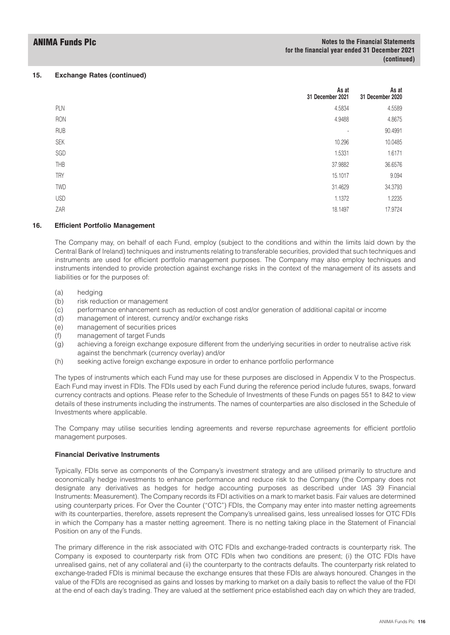# **15. Exchange Rates (continued)**

|            | As at<br>31 December 2021 | As at<br>31 December 2020 |
|------------|---------------------------|---------------------------|
| PLN        | 4.5834                    | 4.5589                    |
| RON        | 4.9488                    | 4.8675                    |
| <b>RUB</b> | $\overline{\phantom{a}}$  | 90.4991                   |
| <b>SEK</b> | 10.296                    | 10.0485                   |
| SGD        | 1.5331                    | 1.6171                    |
| THB        | 37.9882                   | 36.6576                   |
| <b>TRY</b> | 15.1017                   | 9.094                     |
| TWD        | 31.4629                   | 34.3793                   |
| <b>USD</b> | 1.1372                    | 1.2235                    |
| ZAR        | 18.1497                   | 17.9724                   |

# **16. Efficient Portfolio Management**

The Company may, on behalf of each Fund, employ (subject to the conditions and within the limits laid down by the Central Bank of Ireland) techniques and instruments relating to transferable securities, provided that such techniques and instruments are used for efficient portfolio management purposes. The Company may also employ techniques and instruments intended to provide protection against exchange risks in the context of the management of its assets and liabilities or for the purposes of:

- (a) hedging
- (b) risk reduction or management
- (c) performance enhancement such as reduction of cost and/or generation of additional capital or income
- (d) management of interest, currency and/or exchange risks
- (e) management of securities prices
- (f) management of target Funds
- (g) achieving a foreign exchange exposure different from the underlying securities in order to neutralise active risk against the benchmark (currency overlay) and/or
- (h) seeking active foreign exchange exposure in order to enhance portfolio performance

The types of instruments which each Fund may use for these purposes are disclosed in Appendix V to the Prospectus. Each Fund may invest in FDIs. The FDIs used by each Fund during the reference period include futures, swaps, forward currency contracts and options. Please refer to the Schedule of Investments of these Funds on pages 551 to 842 to view details of these instruments including the instruments. The names of counterparties are also disclosed in the Schedule of Investments where applicable.

The Company may utilise securities lending agreements and reverse repurchase agreements for efficient portfolio management purposes.

#### **Financial Derivative Instruments**

Typically, FDIs serve as components of the Company's investment strategy and are utilised primarily to structure and economically hedge investments to enhance performance and reduce risk to the Company (the Company does not designate any derivatives as hedges for hedge accounting purposes as described under IAS 39 Financial Instruments: Measurement). The Company records its FDI activities on a mark to market basis. Fair values are determined using counterparty prices. For Over the Counter ("OTC") FDIs, the Company may enter into master netting agreements with its counterparties, therefore, assets represent the Company's unrealised gains, less unrealised losses for OTC FDIs in which the Company has a master netting agreement. There is no netting taking place in the Statement of Financial Position on any of the Funds.

The primary difference in the risk associated with OTC FDIs and exchange-traded contracts is counterparty risk. The Company is exposed to counterparty risk from OTC FDIs when two conditions are present; (i) the OTC FDIs have unrealised gains, net of any collateral and (ii) the counterparty to the contracts defaults. The counterparty risk related to exchange-traded FDIs is minimal because the exchange ensures that these FDIs are always honoured. Changes in the value of the FDIs are recognised as gains and losses by marking to market on a daily basis to reflect the value of the FDI at the end of each day's trading. They are valued at the settlement price established each day on which they are traded,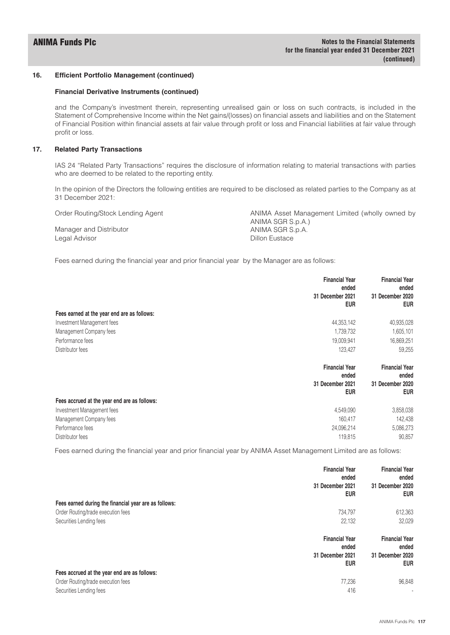# **16. Efficient Portfolio Management (continued)**

#### **Financial Derivative Instruments (continued)**

and the Company's investment therein, representing unrealised gain or loss on such contracts, is included in the Statement of Comprehensive Income within the Net gains/(losses) on financial assets and liabilities and on the Statement of Financial Position within financial assets at fair value through profit or loss and Financial liabilities at fair value through profit or loss.

# **17. Related Party Transactions**

IAS 24 "Related Party Transactions" requires the disclosure of information relating to material transactions with parties who are deemed to be related to the reporting entity.

In the opinion of the Directors the following entities are required to be disclosed as related parties to the Company as at 31 December 2021:

| Order Routing/Stock Lending Agent | ANIMA Asset Management Limited (wholly owned by<br>ANIMA SGR S.p.A.) |
|-----------------------------------|----------------------------------------------------------------------|
| Manager and Distributor           | ANIMA SGR S.p.A.                                                     |
| Legal Advisor                     | Dillon Eustace                                                       |

Fees earned during the financial year and prior financial year by the Manager are as follows:

|                                              | <b>Financial Year</b><br>ended<br>31 December 2021 | <b>Financial Year</b><br>ended<br>31 December 2020 |
|----------------------------------------------|----------------------------------------------------|----------------------------------------------------|
|                                              | <b>EUR</b>                                         | <b>EUR</b>                                         |
| Fees earned at the year end are as follows:  |                                                    |                                                    |
| Investment Management fees                   | 44,353,142                                         | 40,935,028                                         |
| Management Company fees                      | 1,739,732                                          | 1,605,101                                          |
| Performance fees                             | 19,009,941                                         | 16,869,251                                         |
| Distributor fees                             | 123.427                                            | 59,255                                             |
|                                              | <b>Financial Year</b>                              | <b>Financial Year</b>                              |
|                                              | ended<br>31 December 2021                          | ended                                              |
|                                              | <b>EUR</b>                                         | 31 December 2020<br><b>EUR</b>                     |
| Fees accrued at the year end are as follows: |                                                    |                                                    |
| Investment Management fees                   | 4,549,090                                          | 3,858,038                                          |
| Management Company fees                      | 160,417                                            | 142,438                                            |
| Performance fees                             | 24,096,214                                         | 5,086,273                                          |
| Distributor fees                             | 119,815                                            | 90,857                                             |

Fees earned during the financial year and prior financial year by ANIMA Asset Management Limited are as follows:

|                                                       | <b>Financial Year</b><br>ended<br>31 December 2021<br><b>EUR</b> | <b>Financial Year</b><br>ended<br>31 December 2020<br><b>EUR</b> |
|-------------------------------------------------------|------------------------------------------------------------------|------------------------------------------------------------------|
| Fees earned during the financial year are as follows: |                                                                  |                                                                  |
| Order Routing/trade execution fees                    | 734,797                                                          | 612,363                                                          |
| Securities Lending fees                               | 22,132                                                           | 32.029                                                           |
|                                                       | <b>Financial Year</b><br>ended<br>31 December 2021               | <b>Financial Year</b><br>ended<br>31 December 2020               |
|                                                       | <b>EUR</b>                                                       | <b>EUR</b>                                                       |
| Fees accrued at the year end are as follows:          |                                                                  |                                                                  |
| Order Routing/trade execution fees                    | 77,236                                                           | 96,848                                                           |
| Securities Lending fees                               | 416                                                              |                                                                  |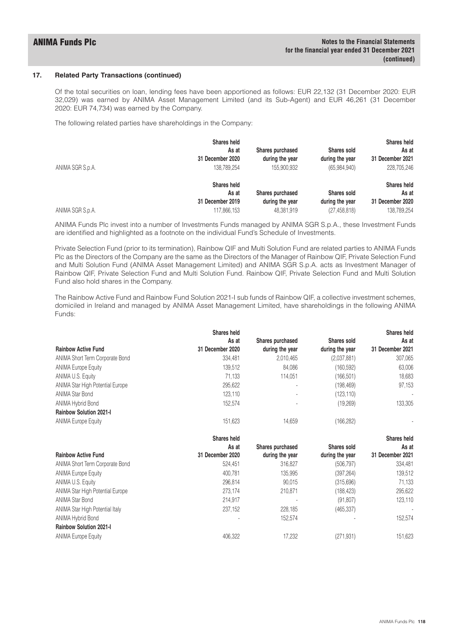Of the total securities on loan, lending fees have been apportioned as follows: EUR 22,132 (31 December 2020: EUR 32,029) was earned by ANIMA Asset Management Limited (and its Sub-Agent) and EUR 46,261 (31 December 2020: EUR 74,734) was earned by the Company.

The following related parties have shareholdings in the Company:

|                  | <b>Shares held</b><br>As at<br>31 December 2020 | Shares purchased<br>during the year | <b>Shares sold</b><br>during the year | <b>Shares held</b><br>As at<br>31 December 2021 |
|------------------|-------------------------------------------------|-------------------------------------|---------------------------------------|-------------------------------------------------|
| ANIMA SGR S.p.A. | 138,789,254                                     | 155,900,932                         | (65,984,940)                          | 228,705,246                                     |
|                  | Shares held                                     |                                     |                                       | <b>Shares held</b>                              |
|                  | As at                                           | Shares purchased                    | <b>Shares sold</b>                    | As at                                           |
|                  | 31 December 2019                                | during the year                     | during the year                       | 31 December 2020                                |
| ANIMA SGR S.p.A. | 117,866,153                                     | 48,381,919                          | (27, 458, 818)                        | 138,789,254                                     |

ANIMA Funds Plc invest into a number of Investments Funds managed by ANIMA SGR S.p.A., these Investment Funds are identified and highlighted as a footnote on the individual Fund's Schedule of Investments.

Private Selection Fund (prior to its termination), Rainbow QIF and Multi Solution Fund are related parties to ANIMA Funds Plc as the Directors of the Company are the same as the Directors of the Manager of Rainbow QIF, Private Selection Fund and Multi Solution Fund (ANIMA Asset Management Limited) and ANIMA SGR S.p.A. acts as Investment Manager of Rainbow QIF, Private Selection Fund and Multi Solution Fund. Rainbow QIF, Private Selection Fund and Multi Solution Fund also hold shares in the Company.

The Rainbow Active Fund and Rainbow Fund Solution 2021-I sub funds of Rainbow QIF, a collective investment schemes, domiciled in Ireland and managed by ANIMA Asset Management Limited, have shareholdings in the following ANIMA Funds:

|                                  | <b>Shares held</b><br>As at | Shares purchased | <b>Shares sold</b> | Shares held<br>As at |
|----------------------------------|-----------------------------|------------------|--------------------|----------------------|
| <b>Rainbow Active Fund</b>       | 31 December 2020            | during the year  | during the year    | 31 December 2021     |
| ANIMA Short Term Corporate Bond  | 334,481                     | 2,010,465        | (2,037,881)        | 307,065              |
| <b>ANIMA Europe Equity</b>       | 139.512                     | 84,086           | (160,592)          | 63,006               |
| ANIMA U.S. Equity                | 71.133                      | 114.051          | (166, 501)         | 18,683               |
| ANIMA Star High Potential Europe | 295,622                     | $\overline{a}$   | (198,469)          | 97,153               |
| ANIMA Star Bond                  | 123.110                     |                  | (123, 110)         |                      |
| ANIMA Hybrid Bond                | 152.574                     |                  | (19,269)           | 133,305              |
| <b>Rainbow Solution 2021-I</b>   |                             |                  |                    |                      |
| <b>ANIMA Europe Equity</b>       | 151,623                     | 14.659           | (166, 282)         |                      |

|                                  | Shares held      |                  |                 | Shares held              |
|----------------------------------|------------------|------------------|-----------------|--------------------------|
|                                  | As at            | Shares purchased | Shares sold     | As at                    |
| <b>Rainbow Active Fund</b>       | 31 December 2020 | during the year  | during the year | 31 December 2021         |
| ANIMA Short Term Corporate Bond  | 524,451          | 316,827          | (506, 797)      | 334,481                  |
| <b>ANIMA Europe Equity</b>       | 400.781          | 135,995          | (397, 264)      | 139,512                  |
| ANIMA U.S. Equity                | 296.814          | 90.015           | (315, 696)      | 71,133                   |
| ANIMA Star High Potential Europe | 273.174          | 210,871          | (188, 423)      | 295,622                  |
| ANIMA Star Bond                  | 214.917          |                  | (91, 807)       | 123,110                  |
| ANIMA Star High Potential Italy  | 237,152          | 228.185          | (465, 337)      | $\overline{\phantom{a}}$ |
| ANIMA Hybrid Bond                |                  | 152,574          |                 | 152.574                  |
| <b>Rainbow Solution 2021-I</b>   |                  |                  |                 |                          |
| <b>ANIMA Europe Equity</b>       | 406,322          | 17.232           | (271, 931)      | 151,623                  |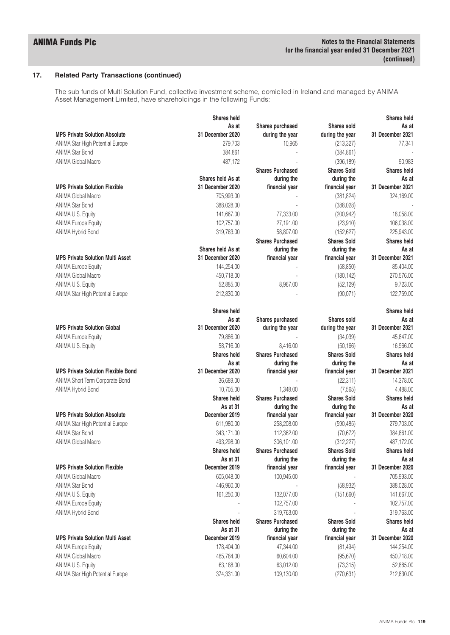The sub funds of Multi Solution Fund, collective investment scheme, domiciled in Ireland and managed by ANIMA Asset Management Limited, have shareholdings in the following Funds:

|                                           | <b>Shares held</b> |                         |                    | <b>Shares held</b> |
|-------------------------------------------|--------------------|-------------------------|--------------------|--------------------|
|                                           | As at              | Shares purchased        | <b>Shares sold</b> | As at              |
| <b>MPS Private Solution Absolute</b>      | 31 December 2020   | during the year         | during the year    | 31 December 2021   |
| ANIMA Star High Potential Europe          | 279,703            | 10,965                  | (213, 327)         | 77,341             |
| <b>ANIMA Star Bond</b>                    | 384,861            |                         | (384, 861)         |                    |
| <b>ANIMA Global Macro</b>                 | 487,172            |                         | (396, 189)         | 90,983             |
|                                           |                    | <b>Shares Purchased</b> | <b>Shares Sold</b> | <b>Shares held</b> |
|                                           | Shares held As at  | during the              | during the         | As at              |
| <b>MPS Private Solution Flexible</b>      | 31 December 2020   | financial year          | financial year     | 31 December 2021   |
| <b>ANIMA Global Macro</b>                 | 705,993.00         |                         | (381, 824)         | 324,169.00         |
| <b>ANIMA Star Bond</b>                    | 388,028.00         |                         | (388, 028)         |                    |
| ANIMA U.S. Equity                         | 141,667.00         | 77,333.00               | (200, 942)         | 18,058.00          |
| <b>ANIMA Europe Equity</b>                | 102,757.00         | 27,191.00               | (23, 910)          | 106,038.00         |
| ANIMA Hybrid Bond                         | 319,763.00         | 58,807.00               | (152, 627)         | 225,943.00         |
|                                           |                    | <b>Shares Purchased</b> | <b>Shares Sold</b> | Shares held        |
|                                           | Shares held As at  | during the              | during the         | As at              |
| <b>MPS Private Solution Multi Asset</b>   | 31 December 2020   | financial year          | financial year     | 31 December 2021   |
| <b>ANIMA Europe Equity</b>                | 144,254.00         |                         | (58, 850)          | 85,404.00          |
| ANIMA Global Macro                        | 450.718.00         |                         | (180, 142)         | 270,576.00         |
| ANIMA U.S. Equity                         | 52,885.00          | 8,967.00                | (52, 129)          | 9,723.00           |
| ANIMA Star High Potential Europe          | 212,830.00         |                         | (90,071)           | 122,759.00         |
|                                           |                    |                         |                    |                    |
|                                           | <b>Shares held</b> |                         |                    | <b>Shares held</b> |
|                                           | As at              | Shares purchased        | <b>Shares sold</b> | As at              |
| <b>MPS Private Solution Global</b>        | 31 December 2020   | during the year         | during the year    | 31 December 2021   |
| <b>ANIMA Europe Equity</b>                | 79,886.00          |                         | (34,039)           | 45,847.00          |
| ANIMA U.S. Equity                         | 58,716.00          | 8.416.00                | (50, 166)          | 16,966.00          |
|                                           | <b>Shares held</b> | <b>Shares Purchased</b> | <b>Shares Sold</b> | <b>Shares held</b> |
|                                           | As at              | during the              | during the         | As at              |
| <b>MPS Private Solution Flexible Bond</b> | 31 December 2020   | financial year          | financial year     | 31 December 2021   |
| ANIMA Short Term Corporate Bond           | 36,689.00          |                         | (22, 311)          | 14,378.00          |
| ANIMA Hybrid Bond                         | 10,705.00          | 1,348.00                | (7, 565)           | 4,488.00           |
|                                           | <b>Shares held</b> | <b>Shares Purchased</b> | <b>Shares Sold</b> | <b>Shares held</b> |
|                                           | As at 31           | during the              | during the         | As at              |
| <b>MPS Private Solution Absolute</b>      | December 2019      | financial year          | financial year     | 31 December 2020   |
| ANIMA Star High Potential Europe          | 611,980.00         | 258,208.00              | (590, 485)         | 279,703.00         |
| <b>ANIMA Star Bond</b>                    | 343,171.00         | 112,362.00              | (70, 672)          | 384,861.00         |
| ANIMA Global Macro                        | 493,298.00         | 306,101.00              | (312, 227)         | 487,172.00         |
|                                           | Shares held        | <b>Shares Purchased</b> | <b>Shares Sold</b> | Shares held        |
|                                           | As at 31           | during the              | during the         | As at              |
| <b>MPS Private Solution Flexible</b>      | December 2019      | financial year          | financial year     | 31 December 2020   |
| ANIMA Global Macro                        | 605,048.00         | 100,945.00              |                    | 705,993.00         |
| <b>ANIMA Star Bond</b>                    | 446,960.00         |                         | (58, 932)          | 388,028.00         |
| ANIMA U.S. Equity                         | 161,250.00         | 132,077.00              | (151,660)          | 141,667.00         |
| <b>ANIMA Europe Equity</b>                |                    | 102,757.00              |                    | 102,757.00         |
| ANIMA Hybrid Bond                         |                    | 319,763.00              |                    | 319,763.00         |
|                                           | <b>Shares held</b> | <b>Shares Purchased</b> | <b>Shares Sold</b> | <b>Shares held</b> |
|                                           | As at 31           | during the              | during the         | As at              |
| <b>MPS Private Solution Multi Asset</b>   | December 2019      | financial year          | financial year     | 31 December 2020   |
| <b>ANIMA Europe Equity</b>                | 178,404.00         | 47,344.00               | (81, 494)          | 144,254.00         |
| ANIMA Global Macro                        | 485,784.00         | 60,604.00               | (95, 670)          | 450,718.00         |
| ANIMA U.S. Equity                         | 63,188.00          | 63,012.00               | (73, 315)          | 52,885.00          |
| ANIMA Star High Potential Europe          | 374,331.00         | 109,130.00              | (270, 631)         | 212,830.00         |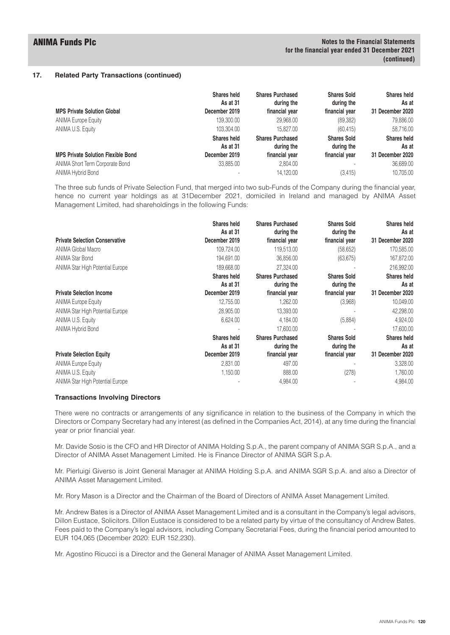| <b>MPS Private Solution Global</b>        | <b>Shares held</b><br>As at 31<br>December 2019 | <b>Shares Purchased</b><br>during the<br>financial year | <b>Shares Sold</b><br>during the<br>financial year | <b>Shares held</b><br>As at<br>31 December 2020 |
|-------------------------------------------|-------------------------------------------------|---------------------------------------------------------|----------------------------------------------------|-------------------------------------------------|
| <b>ANIMA Europe Equity</b>                | 139,300.00                                      | 29,968.00                                               | (89, 382)                                          | 79,886.00                                       |
| ANIMA U.S. Equity                         | 103,304.00                                      | 15,827,00                                               | (60, 415)                                          | 58,716.00                                       |
|                                           | Shares held<br>As at 31                         | <b>Shares Purchased</b><br>during the                   | <b>Shares Sold</b><br>during the                   | <b>Shares held</b><br>As at                     |
| <b>MPS Private Solution Flexible Bond</b> | December 2019                                   | financial year                                          | financial year                                     | 31 December 2020                                |
| ANIMA Short Term Corporate Bond           | 33,885.00                                       | 2,804.00                                                |                                                    | 36,689.00                                       |
| ANIMA Hybrid Bond                         |                                                 | 14,120.00                                               | (3, 415)                                           | 10,705.00                                       |

The three sub funds of Private Selection Fund, that merged into two sub-Funds of the Company during the financial year, hence no current year holdings as at 31December 2021, domiciled in Ireland and managed by ANIMA Asset Management Limited, had shareholdings in the following Funds:

|                                       | Shares held   | <b>Shares Purchased</b> | <b>Shares Sold</b> | Shares held      |
|---------------------------------------|---------------|-------------------------|--------------------|------------------|
|                                       | As at 31      | during the              | during the         | As at            |
| <b>Private Selection Conservative</b> | December 2019 | financial year          | financial year     | 31 December 2020 |
| ANIMA Global Macro                    | 109,724.00    | 119,513.00              | (58, 652)          | 170,585.00       |
| <b>ANIMA Star Bond</b>                | 194,691.00    | 36,856.00               | (63, 675)          | 167,872.00       |
| ANIMA Star High Potential Europe      | 189,668.00    | 27,324.00               |                    | 216,992.00       |
|                                       | Shares held   | <b>Shares Purchased</b> | <b>Shares Sold</b> | Shares held      |
|                                       | As at 31      | during the              | during the         | As at            |
| <b>Private Selection Income</b>       | December 2019 | financial year          | financial year     | 31 December 2020 |
| <b>ANIMA Europe Equity</b>            | 12.755.00     | 1.262.00                | (3,968)            | 10,049.00        |
| ANIMA Star High Potential Europe      | 28,905.00     | 13,393.00               |                    | 42,298.00        |
| ANIMA U.S. Equity                     | 6,624.00      | 4,184.00                | (5,884)            | 4,924.00         |
| ANIMA Hybrid Bond                     |               | 17,600.00               |                    | 17,600.00        |
|                                       | Shares held   | <b>Shares Purchased</b> | <b>Shares Sold</b> | Shares held      |
|                                       | As at 31      | during the              | during the         | As at            |
| <b>Private Selection Equity</b>       | December 2019 | financial year          | financial year     | 31 December 2020 |
| <b>ANIMA Europe Equity</b>            | 2,831.00      | 497.00                  |                    | 3,328.00         |
| ANIMA U.S. Equity                     | 1,150.00      | 888.00                  | (278)              | 1,760.00         |
| ANIMA Star High Potential Europe      |               | 4,984.00                |                    | 4,984.00         |

#### **Transactions Involving Directors**

There were no contracts or arrangements of any significance in relation to the business of the Company in which the Directors or Company Secretary had any interest (as defined in the Companies Act, 2014), at any time during the financial year or prior financial year.

Mr. Davide Sosio is the CFO and HR Director of ANIMA Holding S.p.A., the parent company of ANIMA SGR S.p.A., and a Director of ANIMA Asset Management Limited. He is Finance Director of ANIMA SGR S.p.A.

Mr. Pierluigi Giverso is Joint General Manager at ANIMA Holding S.p.A. and ANIMA SGR S.p.A. and also a Director of ANIMA Asset Management Limited.

Mr. Rory Mason is a Director and the Chairman of the Board of Directors of ANIMA Asset Management Limited.

Mr. Andrew Bates is a Director of ANIMA Asset Management Limited and is a consultant in the Company's legal advisors, Dillon Eustace, Solicitors. Dillon Eustace is considered to be a related party by virtue of the consultancy of Andrew Bates. Fees paid to the Company's legal advisors, including Company Secretarial Fees, during the financial period amounted to EUR 104,065 (December 2020: EUR 152,230).

Mr. Agostino Ricucci is a Director and the General Manager of ANIMA Asset Management Limited.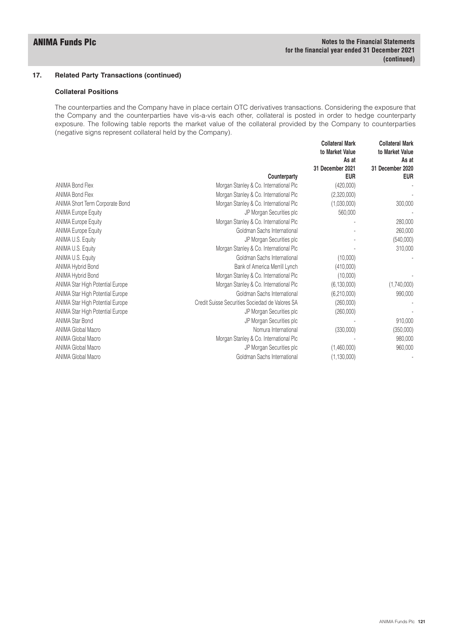# **Collateral Positions**

The counterparties and the Company have in place certain OTC derivatives transactions. Considering the exposure that the Company and the counterparties have vis-a-vis each other, collateral is posted in order to hedge counterparty exposure. The following table reports the market value of the collateral provided by the Company to counterparties (negative signs represent collateral held by the Company).

|                                  |                                                 | Collateral Mark<br>to Market Value<br>As at<br>31 December 2021 | Collateral Mark<br>to Market Value<br>As at<br>31 December 2020 |  |
|----------------------------------|-------------------------------------------------|-----------------------------------------------------------------|-----------------------------------------------------------------|--|
|                                  | Counterparty                                    | <b>EUR</b>                                                      | <b>EUR</b>                                                      |  |
| ANIMA Bond Flex                  | Morgan Stanley & Co. International Plc          | (420,000)                                                       |                                                                 |  |
| <b>ANIMA Bond Flex</b>           | Morgan Stanley & Co. International Plc          | (2,320,000)                                                     |                                                                 |  |
| ANIMA Short Term Corporate Bond  | Morgan Stanley & Co. International Plc          | (1,030,000)                                                     | 300,000                                                         |  |
| <b>ANIMA Europe Equity</b>       | JP Morgan Securities plc                        | 560,000                                                         |                                                                 |  |
| <b>ANIMA Europe Equity</b>       | Morgan Stanley & Co. International Plc          |                                                                 | 280,000                                                         |  |
| <b>ANIMA Europe Equity</b>       | Goldman Sachs International                     |                                                                 | 260,000                                                         |  |
| ANIMA U.S. Equity                | JP Morgan Securities plc                        |                                                                 | (540,000)                                                       |  |
| ANIMA U.S. Equity                | Morgan Stanley & Co. International Plc          |                                                                 | 310,000                                                         |  |
| ANIMA U.S. Equity                | Goldman Sachs International                     | (10,000)                                                        |                                                                 |  |
| ANIMA Hybrid Bond                | Bank of America Merrill Lynch                   | (410,000)                                                       |                                                                 |  |
| ANIMA Hybrid Bond                | Morgan Stanley & Co. International Plc          | (10,000)                                                        |                                                                 |  |
| ANIMA Star High Potential Europe | Morgan Stanley & Co. International Plc          | (6, 130, 000)                                                   | (1,740,000)                                                     |  |
| ANIMA Star High Potential Europe | Goldman Sachs International                     | (6,210,000)                                                     | 990,000                                                         |  |
| ANIMA Star High Potential Europe | Credit Suisse Securities Sociedad de Valores SA | (260,000)                                                       |                                                                 |  |
| ANIMA Star High Potential Europe | JP Morgan Securities plc                        | (260,000)                                                       |                                                                 |  |
| <b>ANIMA Star Bond</b>           | JP Morgan Securities plc                        |                                                                 | 910,000                                                         |  |
| ANIMA Global Macro               | Nomura International                            | (330,000)                                                       | (350,000)                                                       |  |
| ANIMA Global Macro               | Morgan Stanley & Co. International Plc          |                                                                 | 980,000                                                         |  |
| ANIMA Global Macro               | JP Morgan Securities plc                        | (1,460,000)                                                     | 960,000                                                         |  |
| ANIMA Global Macro               | Goldman Sachs International                     | (1, 130, 000)                                                   |                                                                 |  |
|                                  |                                                 |                                                                 |                                                                 |  |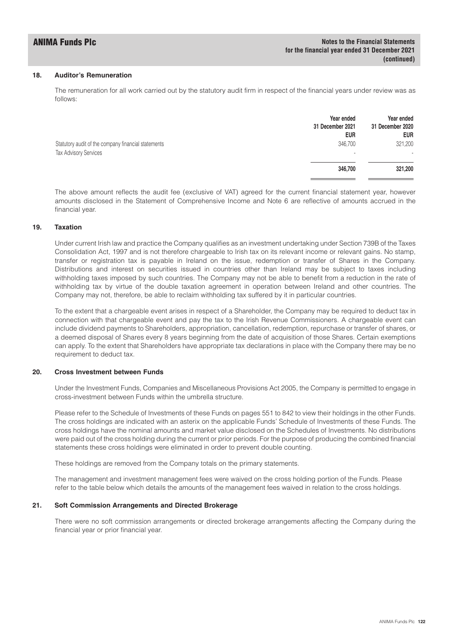## **18. Auditor's Remuneration**

The remuneration for all work carried out by the statutory audit firm in respect of the financial years under review was as follows:

|                                                                              | Year ended<br>31 December 2021<br><b>EUR</b> | Year ended<br>31 December 2020<br><b>EUR</b> |
|------------------------------------------------------------------------------|----------------------------------------------|----------------------------------------------|
| Statutory audit of the company financial statements<br>Tax Advisory Services | 346,700<br>$\overline{\phantom{a}}$          | 321,200                                      |
|                                                                              | 346,700                                      | 321,200                                      |

The above amount reflects the audit fee (exclusive of VAT) agreed for the current financial statement year, however amounts disclosed in the Statement of Comprehensive Income and Note 6 are reflective of amounts accrued in the financial year.

#### **19. Taxation**

Under current Irish law and practice the Company qualifies as an investment undertaking under Section 739B of the Taxes Consolidation Act, 1997 and is not therefore chargeable to Irish tax on its relevant income or relevant gains. No stamp, transfer or registration tax is payable in Ireland on the issue, redemption or transfer of Shares in the Company. Distributions and interest on securities issued in countries other than Ireland may be subject to taxes including withholding taxes imposed by such countries. The Company may not be able to benefit from a reduction in the rate of withholding tax by virtue of the double taxation agreement in operation between Ireland and other countries. The Company may not, therefore, be able to reclaim withholding tax suffered by it in particular countries.

To the extent that a chargeable event arises in respect of a Shareholder, the Company may be required to deduct tax in connection with that chargeable event and pay the tax to the Irish Revenue Commissioners. A chargeable event can include dividend payments to Shareholders, appropriation, cancellation, redemption, repurchase or transfer of shares, or a deemed disposal of Shares every 8 years beginning from the date of acquisition of those Shares. Certain exemptions can apply. To the extent that Shareholders have appropriate tax declarations in place with the Company there may be no requirement to deduct tax.

## **20. Cross Investment between Funds**

Under the Investment Funds, Companies and Miscellaneous Provisions Act 2005, the Company is permitted to engage in cross-investment between Funds within the umbrella structure.

Please refer to the Schedule of Investments of these Funds on pages 551 to 842 to view their holdings in the other Funds. The cross holdings are indicated with an asterix on the applicable Funds' Schedule of Investments of these Funds. The cross holdings have the nominal amounts and market value disclosed on the Schedules of Investments. No distributions were paid out of the cross holding during the current or prior periods. For the purpose of producing the combined financial statements these cross holdings were eliminated in order to prevent double counting.

These holdings are removed from the Company totals on the primary statements.

The management and investment management fees were waived on the cross holding portion of the Funds. Please refer to the table below which details the amounts of the management fees waived in relation to the cross holdings.

#### **21. Soft Commission Arrangements and Directed Brokerage**

There were no soft commission arrangements or directed brokerage arrangements affecting the Company during the financial year or prior financial year.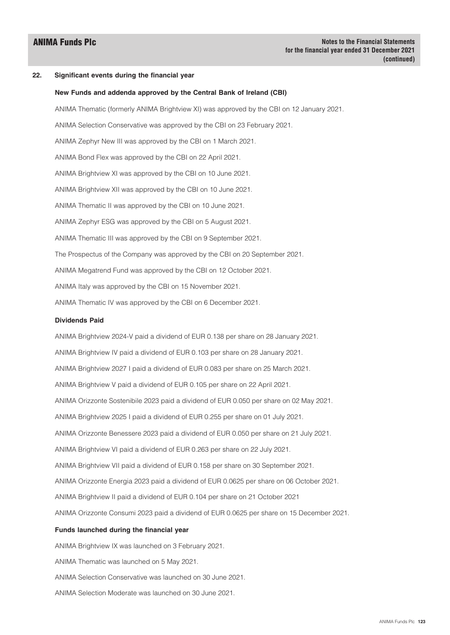### **22. Significant events during the financial year**

#### **New Funds and addenda approved by the Central Bank of Ireland (CBI)**

ANIMA Thematic (formerly ANIMA Brightview XI) was approved by the CBI on 12 January 2021.

ANIMA Selection Conservative was approved by the CBI on 23 February 2021.

ANIMA Zephyr New III was approved by the CBI on 1 March 2021.

ANIMA Bond Flex was approved by the CBI on 22 April 2021.

ANIMA Brightview XI was approved by the CBI on 10 June 2021.

ANIMA Brightview XII was approved by the CBI on 10 June 2021.

ANIMA Thematic II was approved by the CBI on 10 June 2021.

ANIMA Zephyr ESG was approved by the CBI on 5 August 2021.

ANIMA Thematic III was approved by the CBI on 9 September 2021.

The Prospectus of the Company was approved by the CBI on 20 September 2021.

ANIMA Megatrend Fund was approved by the CBI on 12 October 2021.

ANIMA Italy was approved by the CBI on 15 November 2021.

ANIMA Thematic IV was approved by the CBI on 6 December 2021.

## **Dividends Paid**

ANIMA Brightview 2024-V paid a dividend of EUR 0.138 per share on 28 January 2021. ANIMA Brightview IV paid a dividend of EUR 0.103 per share on 28 January 2021. ANIMA Brightview 2027 I paid a dividend of EUR 0.083 per share on 25 March 2021. ANIMA Brightview V paid a dividend of EUR 0.105 per share on 22 April 2021. ANIMA Orizzonte Sostenibile 2023 paid a dividend of EUR 0.050 per share on 02 May 2021. ANIMA Brightview 2025 I paid a dividend of EUR 0.255 per share on 01 July 2021. ANIMA Orizzonte Benessere 2023 paid a dividend of EUR 0.050 per share on 21 July 2021. ANIMA Brightview VI paid a dividend of EUR 0.263 per share on 22 July 2021. ANIMA Brightview VII paid a dividend of EUR 0.158 per share on 30 September 2021. ANIMA Orizzonte Energia 2023 paid a dividend of EUR 0.0625 per share on 06 October 2021. ANIMA Brightview II paid a dividend of EUR 0.104 per share on 21 October 2021 ANIMA Orizzonte Consumi 2023 paid a dividend of EUR 0.0625 per share on 15 December 2021. **Funds launched during the financial year** ANIMA Brightview IX was launched on 3 February 2021.

ANIMA Thematic was launched on 5 May 2021.

ANIMA Selection Conservative was launched on 30 June 2021.

ANIMA Selection Moderate was launched on 30 June 2021.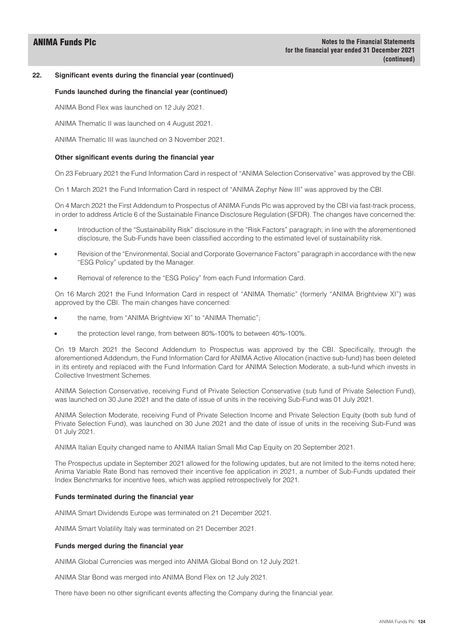# **22. Significant events during the financial year (continued)**

# **Funds launched during the financial year (continued)**

ANIMA Bond Flex was launched on 12 July 2021.

ANIMA Thematic II was launched on 4 August 2021.

ANIMA Thematic III was launched on 3 November 2021.

## **Other significant events during the financial year**

On 23 February 2021 the Fund Information Card in respect of "ANIMA Selection Conservative" was approved by the CBI.

On 1 March 2021 the Fund Information Card in respect of "ANIMA Zephyr New III" was approved by the CBI.

On 4 March 2021 the First Addendum to Prospectus of ANIMA Funds Plc was approved by the CBI via fast-track process, in order to address Article 6 of the Sustainable Finance Disclosure Regulation (SFDR). The changes have concerned the:

- Introduction of the "Sustainability Risk" disclosure in the "Risk Factors" paragraph; in line with the aforementioned disclosure, the Sub-Funds have been classified according to the estimated level of sustainability risk.
- Revision of the "Environmental, Social and Corporate Governance Factors" paragraph in accordance with the new "ESG Policy" updated by the Manager.
- Removal of reference to the "ESG Policy" from each Fund Information Card.

On 16 March 2021 the Fund Information Card in respect of "ANIMA Thematic" (formerly "ANIMA Brightview XI") was approved by the CBI. The main changes have concerned:

- the name, from "ANIMA Brightview XI" to "ANIMA Thematic";
- the protection level range, from between 80%-100% to between 40%-100%.

On 19 March 2021 the Second Addendum to Prospectus was approved by the CBI. Specifically, through the aforementioned Addendum, the Fund Information Card for ANIMA Active Allocation (inactive sub-fund) has been deleted in its entirety and replaced with the Fund Information Card for ANIMA Selection Moderate, a sub-fund which invests in Collective Investment Schemes.

ANIMA Selection Conservative, receiving Fund of Private Selection Conservative (sub fund of Private Selection Fund), was launched on 30 June 2021 and the date of issue of units in the receiving Sub-Fund was 01 July 2021.

ANIMA Selection Moderate, receiving Fund of Private Selection Income and Private Selection Equity (both sub fund of Private Selection Fund), was launched on 30 June 2021 and the date of issue of units in the receiving Sub-Fund was 01 July 2021.

ANIMA Italian Equity changed name to ANIMA Italian Small Mid Cap Equity on 20 September 2021.

The Prospectus update in September 2021 allowed for the following updates, but are not limited to the items noted here; Anima Variable Rate Bond has removed their incentive fee application in 2021, a number of Sub-Funds updated their Index Benchmarks for incentive fees, which was applied retrospectively for 2021.

# **Funds terminated during the financial year**

ANIMA Smart Dividends Europe was terminated on 21 December 2021.

ANIMA Smart Volatility Italy was terminated on 21 December 2021.

# **Funds merged during the financial year**

ANIMA Global Currencies was merged into ANIMA Global Bond on 12 July 2021.

ANIMA Star Bond was merged into ANIMA Bond Flex on 12 July 2021.

There have been no other significant events affecting the Company during the financial year.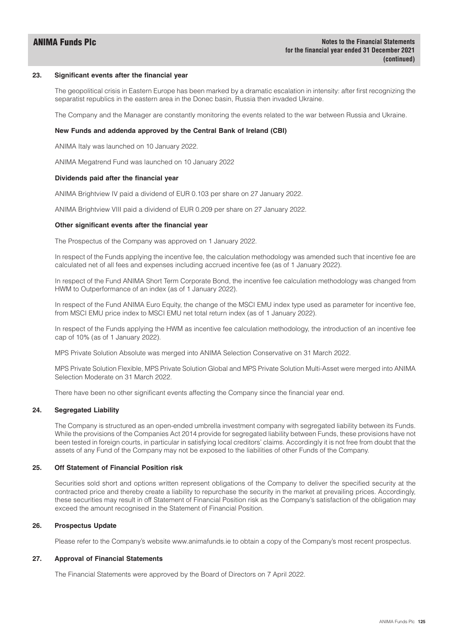### **23. Significant events after the financial year**

The geopolitical crisis in Eastern Europe has been marked by a dramatic escalation in intensity: after first recognizing the separatist republics in the eastern area in the Donec basin, Russia then invaded Ukraine.

The Company and the Manager are constantly monitoring the events related to the war between Russia and Ukraine.

#### **New Funds and addenda approved by the Central Bank of Ireland (CBI)**

ANIMA Italy was launched on 10 January 2022.

ANIMA Megatrend Fund was launched on 10 January 2022

#### **Dividends paid after the financial year**

ANIMA Brightview IV paid a dividend of EUR 0.103 per share on 27 January 2022.

ANIMA Brightview VIII paid a dividend of EUR 0.209 per share on 27 January 2022.

#### **Other significant events after the financial year**

The Prospectus of the Company was approved on 1 January 2022.

In respect of the Funds applying the incentive fee, the calculation methodology was amended such that incentive fee are calculated net of all fees and expenses including accrued incentive fee (as of 1 January 2022).

In respect of the Fund ANIMA Short Term Corporate Bond, the incentive fee calculation methodology was changed from HWM to Outperformance of an index (as of 1 January 2022).

In respect of the Fund ANIMA Euro Equity, the change of the MSCI EMU index type used as parameter for incentive fee, from MSCI EMU price index to MSCI EMU net total return index (as of 1 January 2022).

In respect of the Funds applying the HWM as incentive fee calculation methodology, the introduction of an incentive fee cap of 10% (as of 1 January 2022).

MPS Private Solution Absolute was merged into ANIMA Selection Conservative on 31 March 2022.

MPS Private Solution Flexible, MPS Private Solution Global and MPS Private Solution Multi-Asset were merged into ANIMA Selection Moderate on 31 March 2022.

There have been no other significant events affecting the Company since the financial year end.

# **24. Segregated Liability**

The Company is structured as an open-ended umbrella investment company with segregated liability between its Funds. While the provisions of the Companies Act 2014 provide for segregated liability between Funds, these provisions have not been tested in foreign courts, in particular in satisfying local creditors' claims. Accordingly it is not free from doubt that the assets of any Fund of the Company may not be exposed to the liabilities of other Funds of the Company.

#### **25. Off Statement of Financial Position risk**

Securities sold short and options written represent obligations of the Company to deliver the specified security at the contracted price and thereby create a liability to repurchase the security in the market at prevailing prices. Accordingly, these securities may result in off Statement of Financial Position risk as the Company's satisfaction of the obligation may exceed the amount recognised in the Statement of Financial Position.

## **26. Prospectus Update**

Please refer to the Company's website www.animafunds.ie to obtain a copy of the Company's most recent prospectus.

#### **27. Approval of Financial Statements**

The Financial Statements were approved by the Board of Directors on 7 April 2022.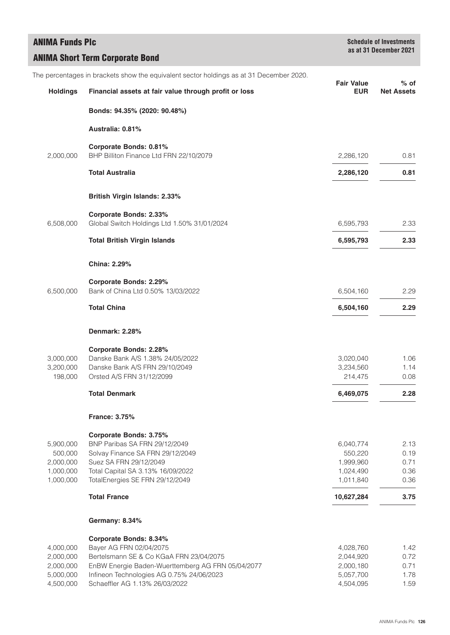| <b>ANIMA Funds PIC</b> |                                                                                         |                                 | <b>Schedule of Investments</b> |
|------------------------|-----------------------------------------------------------------------------------------|---------------------------------|--------------------------------|
|                        | <b>ANIMA Short Term Corporate Bond</b>                                                  |                                 | as at 31 December 2021         |
|                        | The percentages in brackets show the equivalent sector holdings as at 31 December 2020. |                                 |                                |
| <b>Holdings</b>        | Financial assets at fair value through profit or loss                                   | <b>Fair Value</b><br><b>EUR</b> | % of<br><b>Net Assets</b>      |
|                        | Bonds: 94.35% (2020: 90.48%)                                                            |                                 |                                |
|                        | Australia: 0.81%                                                                        |                                 |                                |
| 2,000,000              | Corporate Bonds: 0.81%<br>BHP Billiton Finance Ltd FRN 22/10/2079                       | 2,286,120                       | 0.81                           |
|                        | <b>Total Australia</b>                                                                  | 2,286,120                       | 0.81                           |
|                        | British Virgin Islands: 2.33%                                                           |                                 |                                |
| 6,508,000              | <b>Corporate Bonds: 2.33%</b><br>Global Switch Holdings Ltd 1.50% 31/01/2024            | 6,595,793                       | 2.33                           |
|                        | <b>Total British Virgin Islands</b>                                                     | 6,595,793                       | 2.33                           |
|                        | <b>China: 2.29%</b>                                                                     |                                 |                                |
| 6,500,000              | <b>Corporate Bonds: 2.29%</b><br>Bank of China Ltd 0.50% 13/03/2022                     | 6,504,160                       | 2.29                           |
|                        | <b>Total China</b>                                                                      | 6,504,160                       | 2.29                           |
|                        | <b>Denmark: 2.28%</b>                                                                   |                                 |                                |
|                        | <b>Corporate Bonds: 2.28%</b>                                                           |                                 |                                |
| 3,000,000              | Danske Bank A/S 1.38% 24/05/2022                                                        | 3,020,040                       | 1.06                           |
| 3,200,000              | Danske Bank A/S FRN 29/10/2049                                                          | 3,234,560                       | 1.14                           |
| 198,000                | Orsted A/S FRN 31/12/2099                                                               | 214,475                         | 0.08                           |
|                        | <b>Total Denmark</b>                                                                    | 6,469,075                       | 2.28                           |
|                        | <b>France: 3.75%</b>                                                                    |                                 |                                |
|                        | Corporate Bonds: 3.75%                                                                  |                                 |                                |
| 5,900,000              | BNP Paribas SA FRN 29/12/2049                                                           | 6,040,774                       | 2.13                           |
| 500,000                | Solvay Finance SA FRN 29/12/2049                                                        | 550,220                         | 0.19                           |
| 2,000,000              | Suez SA FRN 29/12/2049                                                                  | 1,999,960                       | 0.71                           |
| 1,000,000<br>1,000,000 | Total Capital SA 3.13% 16/09/2022<br>TotalEnergies SE FRN 29/12/2049                    | 1,024,490<br>1,011,840          | 0.36<br>0.36                   |
|                        | <b>Total France</b>                                                                     | 10,627,284                      | 3.75                           |
|                        | Germany: 8.34%                                                                          |                                 |                                |
|                        | Corporate Bonds: 8.34%                                                                  |                                 |                                |
| 4,000,000              | Bayer AG FRN 02/04/2075                                                                 | 4,028,760                       | 1.42                           |
| 2,000,000              | Bertelsmann SE & Co KGaA FRN 23/04/2075                                                 | 2,044,920                       | 0.72                           |
| 2,000,000              | EnBW Energie Baden-Wuerttemberg AG FRN 05/04/2077                                       | 2,000,180                       | 0.71                           |
| 5,000,000<br>4,500,000 | Infineon Technologies AG 0.75% 24/06/2023<br>Schaeffler AG 1.13% 26/03/2022             | 5,057,700<br>4,504,095          | 1.78<br>1.59                   |
|                        |                                                                                         |                                 |                                |

ANIMA Funds Plc **126**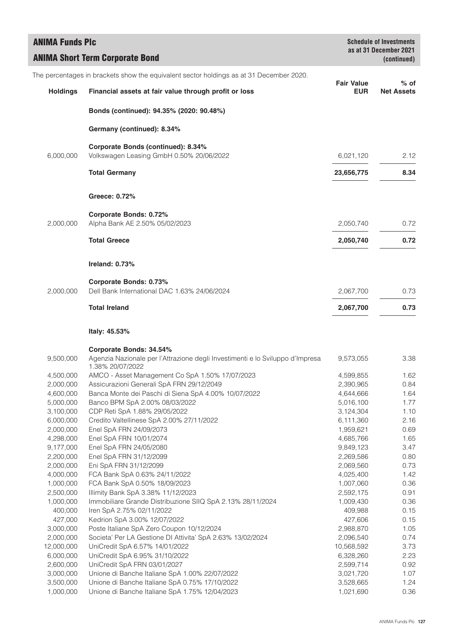| <b>ANIMA Funds PIC</b>  |                                                                                                                              |                                 | <b>Schedule of Investments</b>        |
|-------------------------|------------------------------------------------------------------------------------------------------------------------------|---------------------------------|---------------------------------------|
|                         | <b>ANIMA Short Term Corporate Bond</b>                                                                                       |                                 | as at 31 December 2021<br>(continued) |
|                         | The percentages in brackets show the equivalent sector holdings as at 31 December 2020.                                      |                                 |                                       |
| <b>Holdings</b>         | Financial assets at fair value through profit or loss                                                                        | <b>Fair Value</b><br><b>EUR</b> | % of<br><b>Net Assets</b>             |
|                         | Bonds (continued): 94.35% (2020: 90.48%)                                                                                     |                                 |                                       |
|                         | Germany (continued): 8.34%                                                                                                   |                                 |                                       |
| 6,000,000               | Corporate Bonds (continued): 8.34%<br>Volkswagen Leasing GmbH 0.50% 20/06/2022                                               | 6,021,120                       | 2.12                                  |
|                         | <b>Total Germany</b>                                                                                                         | 23,656,775                      | 8.34                                  |
|                         | Greece: 0.72%                                                                                                                |                                 |                                       |
|                         | Corporate Bonds: 0.72%                                                                                                       |                                 |                                       |
| 2,000,000               | Alpha Bank AE 2.50% 05/02/2023                                                                                               | 2,050,740                       | 0.72                                  |
|                         | <b>Total Greece</b>                                                                                                          | 2,050,740                       | 0.72                                  |
|                         | Ireland: $0.73%$                                                                                                             |                                 |                                       |
| 2,000,000               | Corporate Bonds: 0.73%<br>Dell Bank International DAC 1.63% 24/06/2024                                                       | 2,067,700                       | 0.73                                  |
|                         |                                                                                                                              |                                 |                                       |
|                         | <b>Total Ireland</b>                                                                                                         | 2,067,700                       | 0.73                                  |
|                         | Italy: 45.53%                                                                                                                |                                 |                                       |
| 9,500,000               | Corporate Bonds: 34.54%<br>Agenzia Nazionale per l'Attrazione degli Investimenti e lo Sviluppo d'Impresa<br>1.38% 20/07/2022 | 9,573,055                       | 3.38                                  |
| 4,500,000               | AMCO - Asset Management Co SpA 1.50% 17/07/2023                                                                              | 4,599,855                       | 1.62                                  |
| 2,000,000               | Assicurazioni Generali SpA FRN 29/12/2049                                                                                    | 2,390,965                       | 0.84                                  |
| 4,600,000               | Banca Monte dei Paschi di Siena SpA 4.00% 10/07/2022                                                                         | 4,644,666                       | 1.64                                  |
| 5,000,000<br>3,100,000  | Banco BPM SpA 2.00% 08/03/2022<br>CDP Reti SpA 1.88% 29/05/2022                                                              | 5,016,100<br>3,124,304          | 1.77<br>1.10                          |
| 6,000,000               | Credito Valtellinese SpA 2.00% 27/11/2022                                                                                    | 6,111,360                       | 2.16                                  |
| 2,000,000               | Enel SpA FRN 24/09/2073                                                                                                      | 1,959,621                       | 0.69                                  |
| 4,298,000               | Enel SpA FRN 10/01/2074                                                                                                      | 4,685,766                       | 1.65                                  |
| 9,177,000               | Enel SpA FRN 24/05/2080                                                                                                      | 9,849,123                       | 3.47                                  |
| 2,200,000               | Enel SpA FRN 31/12/2099                                                                                                      | 2,269,586                       | 0.80                                  |
| 2,000,000               | Eni SpA FRN 31/12/2099                                                                                                       | 2,069,560                       | 0.73                                  |
| 4,000,000               | FCA Bank SpA 0.63% 24/11/2022                                                                                                | 4,025,400                       | 1.42                                  |
| 1,000,000               | FCA Bank SpA 0.50% 18/09/2023                                                                                                | 1,007,060                       | 0.36                                  |
| 2,500,000               | Illimity Bank SpA 3.38% 11/12/2023                                                                                           | 2,592,175                       | 0.91                                  |
| 1,000,000               | Immobiliare Grande Distribuzione SIIQ SpA 2.13% 28/11/2024                                                                   | 1,009,430                       | 0.36                                  |
| 400,000                 | Iren SpA 2.75% 02/11/2022                                                                                                    | 409,988                         | 0.15                                  |
| 427,000                 | Kedrion SpA 3.00% 12/07/2022                                                                                                 | 427,606                         | 0.15                                  |
| 3,000,000               | Poste Italiane SpA Zero Coupon 10/12/2024                                                                                    | 2,988,870                       | 1.05                                  |
| 2,000,000<br>12,000,000 | Societa' Per LA Gestione DI Attivita' SpA 2.63% 13/02/2024<br>UniCredit SpA 6.57% 14/01/2022                                 | 2,096,540<br>10,568,592         | 0.74<br>3.73                          |
| 6,000,000               | UniCredit SpA 6.95% 31/10/2022                                                                                               | 6,328,260                       | 2.23                                  |
| 2,600,000               | UniCredit SpA FRN 03/01/2027                                                                                                 | 2,599,714                       | 0.92                                  |
| 3,000,000               | Unione di Banche Italiane SpA 1.00% 22/07/2022                                                                               | 3,021,720                       | 1.07                                  |
| 3,500,000               | Unione di Banche Italiane SpA 0.75% 17/10/2022                                                                               | 3,528,665                       | 1.24                                  |
| 1,000,000               | Unione di Banche Italiane SpA 1.75% 12/04/2023                                                                               | 1,021,690                       | 0.36                                  |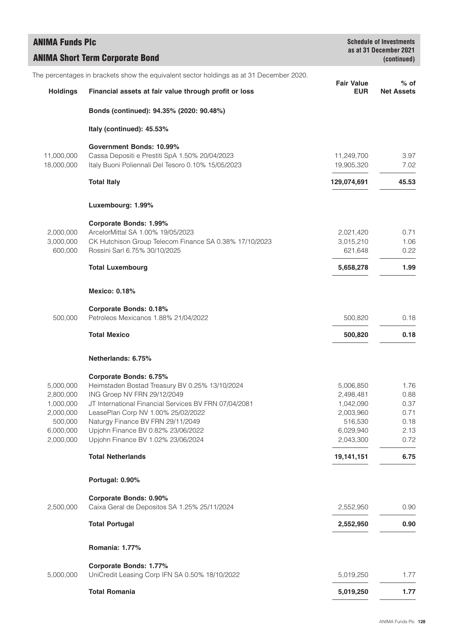| <b>ANIMA Funds PIC</b>                                                                |                                                                                                                                                                                                                                                                                                                         |                                                                                       | <b>Schedule of Investments</b>                       |
|---------------------------------------------------------------------------------------|-------------------------------------------------------------------------------------------------------------------------------------------------------------------------------------------------------------------------------------------------------------------------------------------------------------------------|---------------------------------------------------------------------------------------|------------------------------------------------------|
|                                                                                       | <b>ANIMA Short Term Corporate Bond</b>                                                                                                                                                                                                                                                                                  |                                                                                       | as at 31 December 2021<br>(continued)                |
|                                                                                       | The percentages in brackets show the equivalent sector holdings as at 31 December 2020.                                                                                                                                                                                                                                 |                                                                                       |                                                      |
| <b>Holdings</b>                                                                       | Financial assets at fair value through profit or loss                                                                                                                                                                                                                                                                   | <b>Fair Value</b><br><b>EUR</b>                                                       | $%$ of<br><b>Net Assets</b>                          |
|                                                                                       | Bonds (continued): 94.35% (2020: 90.48%)                                                                                                                                                                                                                                                                                |                                                                                       |                                                      |
|                                                                                       | Italy (continued): 45.53%                                                                                                                                                                                                                                                                                               |                                                                                       |                                                      |
| 11,000,000<br>18,000,000                                                              | Government Bonds: 10.99%<br>Cassa Depositi e Prestiti SpA 1.50% 20/04/2023<br>Italy Buoni Poliennali Del Tesoro 0.10% 15/05/2023                                                                                                                                                                                        | 11,249,700<br>19,905,320                                                              | 3.97<br>7.02                                         |
|                                                                                       | <b>Total Italy</b>                                                                                                                                                                                                                                                                                                      | 129,074,691                                                                           | 45.53                                                |
|                                                                                       | Luxembourg: 1.99%                                                                                                                                                                                                                                                                                                       |                                                                                       |                                                      |
| 2,000,000<br>3,000,000<br>600,000                                                     | Corporate Bonds: 1.99%<br>ArcelorMittal SA 1.00% 19/05/2023<br>CK Hutchison Group Telecom Finance SA 0.38% 17/10/2023<br>Rossini Sarl 6.75% 30/10/2025                                                                                                                                                                  | 2,021,420<br>3,015,210<br>621,648                                                     | 0.71<br>1.06<br>0.22                                 |
|                                                                                       | <b>Total Luxembourg</b>                                                                                                                                                                                                                                                                                                 | 5,658,278                                                                             | 1.99                                                 |
|                                                                                       | <b>Mexico: 0.18%</b>                                                                                                                                                                                                                                                                                                    |                                                                                       |                                                      |
|                                                                                       | Corporate Bonds: 0.18%                                                                                                                                                                                                                                                                                                  |                                                                                       |                                                      |
| 500,000                                                                               | Petroleos Mexicanos 1.88% 21/04/2022                                                                                                                                                                                                                                                                                    | 500,820                                                                               | 0.18                                                 |
|                                                                                       | <b>Total Mexico</b>                                                                                                                                                                                                                                                                                                     | 500,820                                                                               | 0.18                                                 |
|                                                                                       | Netherlands: 6.75%                                                                                                                                                                                                                                                                                                      |                                                                                       |                                                      |
| 5,000,000<br>2,800,000<br>1,000,000<br>2,000,000<br>500,000<br>6,000,000<br>2,000,000 | Corporate Bonds: 6.75%<br>Heimstaden Bostad Treasury BV 0.25% 13/10/2024<br>ING Groep NV FRN 29/12/2049<br>JT International Financial Services BV FRN 07/04/2081<br>LeasePlan Corp NV 1.00% 25/02/2022<br>Naturgy Finance BV FRN 29/11/2049<br>Upjohn Finance BV 0.82% 23/06/2022<br>Upjohn Finance BV 1.02% 23/06/2024 | 5,006,850<br>2,498,481<br>1,042,090<br>2,003,960<br>516,530<br>6,029,940<br>2,043,300 | 1.76<br>0.88<br>0.37<br>0.71<br>0.18<br>2.13<br>0.72 |
|                                                                                       | <b>Total Netherlands</b>                                                                                                                                                                                                                                                                                                | 19,141,151                                                                            | 6.75                                                 |
|                                                                                       | Portugal: 0.90%                                                                                                                                                                                                                                                                                                         |                                                                                       |                                                      |
| 2,500,000                                                                             | Corporate Bonds: 0.90%<br>Caixa Geral de Depositos SA 1.25% 25/11/2024                                                                                                                                                                                                                                                  | 2,552,950                                                                             | 0.90                                                 |
|                                                                                       | <b>Total Portugal</b>                                                                                                                                                                                                                                                                                                   | 2,552,950                                                                             | 0.90                                                 |
|                                                                                       | <b>Romania: 1.77%</b>                                                                                                                                                                                                                                                                                                   |                                                                                       |                                                      |
| 5,000,000                                                                             | Corporate Bonds: 1.77%<br>UniCredit Leasing Corp IFN SA 0.50% 18/10/2022                                                                                                                                                                                                                                                | 5,019,250                                                                             | 1.77                                                 |
|                                                                                       | <b>Total Romania</b>                                                                                                                                                                                                                                                                                                    | 5,019,250                                                                             | 1.77                                                 |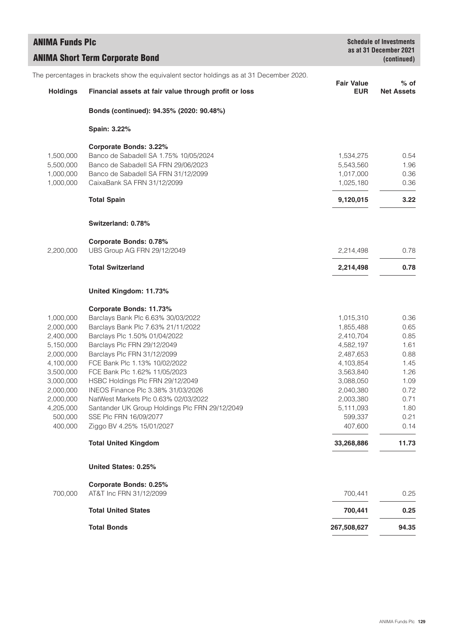| <b>ANIMA Funds PIC</b> |                                                                                                        |                                 | <b>Schedule of Investments</b><br>as at 31 December 2021 |
|------------------------|--------------------------------------------------------------------------------------------------------|---------------------------------|----------------------------------------------------------|
|                        | <b>ANIMA Short Term Corporate Bond</b>                                                                 |                                 | (continued)                                              |
|                        | The percentages in brackets show the equivalent sector holdings as at 31 December 2020.                |                                 |                                                          |
| <b>Holdings</b>        | Financial assets at fair value through profit or loss                                                  | <b>Fair Value</b><br><b>EUR</b> | $%$ of<br><b>Net Assets</b>                              |
|                        | Bonds (continued): 94.35% (2020: 90.48%)                                                               |                                 |                                                          |
|                        | Spain: 3.22%                                                                                           |                                 |                                                          |
| 1,500,000<br>5,500,000 | Corporate Bonds: 3.22%<br>Banco de Sabadell SA 1.75% 10/05/2024<br>Banco de Sabadell SA FRN 29/06/2023 | 1,534,275<br>5,543,560          | 0.54<br>1.96                                             |
| 1,000,000<br>1,000,000 | Banco de Sabadell SA FRN 31/12/2099<br>CaixaBank SA FRN 31/12/2099                                     | 1,017,000<br>1,025,180          | 0.36<br>0.36                                             |
|                        | <b>Total Spain</b>                                                                                     | 9,120,015                       | 3.22                                                     |
|                        | Switzerland: 0.78%                                                                                     |                                 |                                                          |
|                        | Corporate Bonds: 0.78%                                                                                 |                                 |                                                          |
| 2,200,000              | UBS Group AG FRN 29/12/2049                                                                            | 2,214,498                       | 0.78                                                     |
|                        | <b>Total Switzerland</b>                                                                               | 2,214,498                       | 0.78                                                     |
|                        | United Kingdom: 11.73%                                                                                 |                                 |                                                          |
|                        | Corporate Bonds: 11.73%                                                                                |                                 |                                                          |
| 1,000,000              | Barclays Bank Plc 6.63% 30/03/2022                                                                     | 1,015,310                       | 0.36                                                     |
| 2,000,000              | Barclays Bank Plc 7.63% 21/11/2022                                                                     | 1,855,488                       | 0.65                                                     |
| 2,400,000              | Barclays Plc 1.50% 01/04/2022                                                                          | 2,410,704                       | 0.85                                                     |
| 5,150,000              | Barclays Plc FRN 29/12/2049                                                                            | 4,582,197                       | 1.61                                                     |
| 2,000,000              | Barclays Plc FRN 31/12/2099                                                                            | 2,487,653                       | 0.88                                                     |
| 4,100,000              | FCE Bank Plc 1.13% 10/02/2022                                                                          | 4,103,854                       | 1.45                                                     |
| 3,500,000              | FCE Bank Plc 1.62% 11/05/2023                                                                          | 3,563,840                       | 1.26                                                     |
| 3,000,000              | HSBC Holdings Plc FRN 29/12/2049                                                                       | 3,088,050                       | 1.09                                                     |
| 2,000,000              | INEOS Finance Plc 3.38% 31/03/2026                                                                     | 2,040,380                       | 0.72                                                     |
| 2,000,000              | NatWest Markets Plc 0.63% 02/03/2022                                                                   | 2,003,380                       | 0.71                                                     |
| 4,205,000              | Santander UK Group Holdings Plc FRN 29/12/2049                                                         | 5,111,093                       | 1.80                                                     |
| 500,000<br>400,000     | SSE Plc FRN 16/09/2077                                                                                 | 599,337<br>407,600              | 0.21                                                     |
|                        | Ziggo BV 4.25% 15/01/2027                                                                              |                                 | 0.14                                                     |
|                        | <b>Total United Kingdom</b>                                                                            | 33,268,886                      | 11.73                                                    |
|                        | <b>United States: 0.25%</b>                                                                            |                                 |                                                          |
|                        | Corporate Bonds: 0.25%                                                                                 |                                 |                                                          |
| 700,000                | AT&T Inc FRN 31/12/2099                                                                                | 700,441                         | 0.25                                                     |
|                        | <b>Total United States</b>                                                                             | 700,441                         | 0.25                                                     |
|                        | <b>Total Bonds</b>                                                                                     | 267,508,627                     | 94.35                                                    |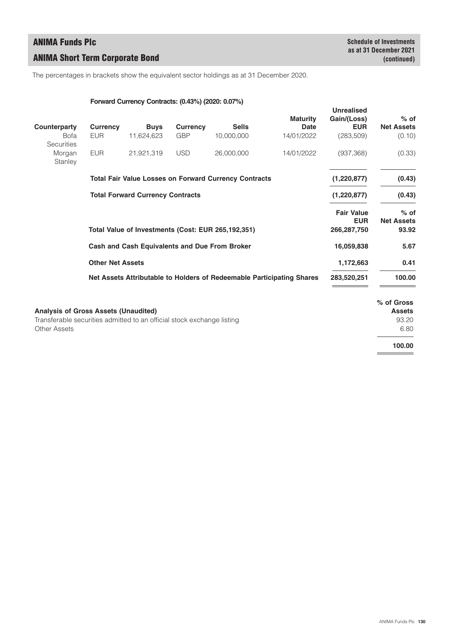# **ANIMA Funds Plc ANIMA Short Term Corporate Bond**

The percentages in brackets show the equivalent sector holdings as at 31 December 2020.

# **Forward Currency Contracts: (0.43%) (2020: 0.07%)**

|                                                                        |                                                                                                                                |                                 |                 |                                                              | <b>Maturity</b> | <b>Unrealised</b><br>Gain/(Loss) | $%$ of                      |
|------------------------------------------------------------------------|--------------------------------------------------------------------------------------------------------------------------------|---------------------------------|-----------------|--------------------------------------------------------------|-----------------|----------------------------------|-----------------------------|
| Counterparty                                                           | Currency                                                                                                                       | <b>Buys</b>                     | <b>Currency</b> | <b>Sells</b>                                                 | Date            | <b>EUR</b>                       | <b>Net Assets</b>           |
| <b>Bofa</b><br>Securities                                              | <b>EUR</b>                                                                                                                     | 11,624,623                      | <b>GBP</b>      | 10,000,000                                                   | 14/01/2022      | (283, 509)                       | (0.10)                      |
| Morgan<br>Stanley                                                      | <b>EUR</b>                                                                                                                     | 21,921,319                      | <b>USD</b>      | 26,000,000                                                   | 14/01/2022      | (937, 368)                       | (0.33)                      |
|                                                                        |                                                                                                                                |                                 |                 | <b>Total Fair Value Losses on Forward Currency Contracts</b> |                 | (1,220,877)                      | (0.43)                      |
|                                                                        | <b>Total Forward Currency Contracts</b>                                                                                        |                                 |                 |                                                              |                 | (1,220,877)                      | (0.43)                      |
|                                                                        |                                                                                                                                | <b>Fair Value</b><br><b>EUR</b> |                 |                                                              |                 |                                  | $%$ of<br><b>Net Assets</b> |
|                                                                        | Total Value of Investments (Cost: EUR 265,192,351)<br>Cash and Cash Equivalents and Due From Broker<br><b>Other Net Assets</b> |                                 |                 |                                                              |                 | 266,287,750                      | 93.92                       |
|                                                                        |                                                                                                                                |                                 |                 |                                                              |                 | 16,059,838                       | 5.67                        |
|                                                                        |                                                                                                                                |                                 |                 |                                                              |                 | 1,172,663                        | 0.41                        |
| Net Assets Attributable to Holders of Redeemable Participating Shares  |                                                                                                                                |                                 |                 | 283,520,251                                                  | 100.00          |                                  |                             |
|                                                                        |                                                                                                                                |                                 |                 |                                                              |                 |                                  | % of Gross                  |
| <b>Analysis of Gross Assets (Unaudited)</b>                            |                                                                                                                                |                                 |                 |                                                              |                 |                                  | <b>Assets</b>               |
| Transferable securities admitted to an official stock exchange listing |                                                                                                                                |                                 |                 |                                                              |                 |                                  | 93.20                       |
| Other Assets                                                           |                                                                                                                                |                                 |                 |                                                              |                 |                                  | 6.80                        |

**100.00**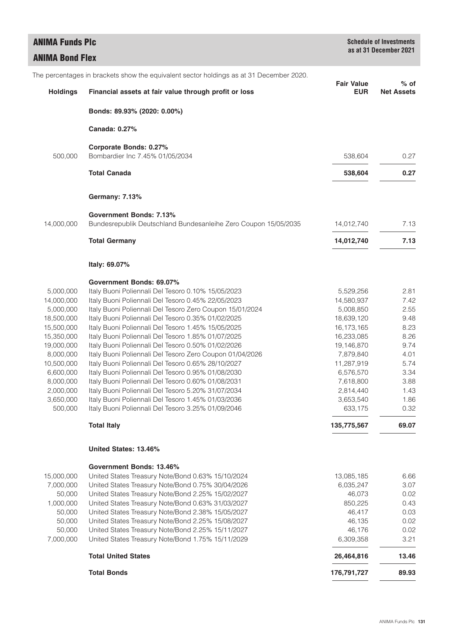| <b>ANIMA Funds PIC</b>                                           |                                                                                         |                      | <b>Schedule of Investments</b> |
|------------------------------------------------------------------|-----------------------------------------------------------------------------------------|----------------------|--------------------------------|
| <b>ANIMA Bond Flex</b>                                           |                                                                                         |                      | as at 31 December 2021         |
|                                                                  | The percentages in brackets show the equivalent sector holdings as at 31 December 2020. | <b>Fair Value</b>    | $%$ of                         |
| <b>Holdings</b>                                                  | Financial assets at fair value through profit or loss                                   | <b>EUR</b>           | <b>Net Assets</b>              |
|                                                                  | Bonds: 89.93% (2020: 0.00%)                                                             |                      |                                |
|                                                                  | Canada: 0.27%                                                                           |                      |                                |
| 500,000                                                          | Corporate Bonds: 0.27%<br>Bombardier Inc 7.45% 01/05/2034                               | 538,604              | 0.27                           |
|                                                                  | <b>Total Canada</b>                                                                     | 538,604              | 0.27                           |
|                                                                  | <b>Germany: 7.13%</b>                                                                   |                      |                                |
|                                                                  | <b>Government Bonds: 7.13%</b>                                                          |                      |                                |
| 14,000,000                                                       | Bundesrepublik Deutschland Bundesanleihe Zero Coupon 15/05/2035                         | 14,012,740           | 7.13                           |
|                                                                  | <b>Total Germany</b>                                                                    | 14,012,740           | 7.13                           |
|                                                                  | Italy: 69.07%                                                                           |                      |                                |
|                                                                  | Government Bonds: 69.07%                                                                |                      |                                |
| 5,000,000                                                        | Italy Buoni Poliennali Del Tesoro 0.10% 15/05/2023                                      | 5,529,256            | 2.81                           |
| Italy Buoni Poliennali Del Tesoro 0.45% 22/05/2023<br>14,000,000 |                                                                                         | 14,580,937           | 7.42                           |
| 5,000,000                                                        | Italy Buoni Poliennali Del Tesoro Zero Coupon 15/01/2024                                | 5,008,850            | 2.55                           |
| 18,500,000                                                       | Italy Buoni Poliennali Del Tesoro 0.35% 01/02/2025                                      | 18,639,120           | 9.48                           |
| 15,500,000                                                       | Italy Buoni Poliennali Del Tesoro 1.45% 15/05/2025                                      | 16, 173, 165         | 8.23                           |
| 15,350,000                                                       | Italy Buoni Poliennali Del Tesoro 1.85% 01/07/2025                                      | 16,233,085           | 8.26                           |
| 19,000,000                                                       | Italy Buoni Poliennali Del Tesoro 0.50% 01/02/2026                                      | 19,146,870           | 9.74                           |
| 8,000,000                                                        | Italy Buoni Poliennali Del Tesoro Zero Coupon 01/04/2026                                | 7,879,840            | 4.01                           |
| 10,500,000                                                       | Italy Buoni Poliennali Del Tesoro 0.65% 28/10/2027                                      | 11,287,919           | 5.74                           |
| 6,600,000                                                        | Italy Buoni Poliennali Del Tesoro 0.95% 01/08/2030                                      | 6,576,570            | 3.34                           |
| 8,000,000                                                        | Italy Buoni Poliennali Del Tesoro 0.60% 01/08/2031                                      | 7,618,800            | 3.88                           |
|                                                                  | Italy Buoni Poliennali Del Tesoro 5.20% 31/07/2034                                      |                      |                                |
| 2,000,000                                                        | Italy Buoni Poliennali Del Tesoro 1.45% 01/03/2036                                      | 2,814,440            | 1.43                           |
| 3,650,000<br>500,000                                             | Italy Buoni Poliennali Del Tesoro 3.25% 01/09/2046                                      | 3,653,540<br>633,175 | 1.86<br>0.32                   |
|                                                                  | <b>Total Italy</b>                                                                      | 135,775,567          | 69.07                          |
|                                                                  | United States: 13.46%                                                                   |                      |                                |
|                                                                  | Government Bonds: 13.46%                                                                |                      |                                |
| 15,000,000                                                       | United States Treasury Note/Bond 0.63% 15/10/2024                                       | 13,085,185           | 6.66                           |
| 7,000,000                                                        | United States Treasury Note/Bond 0.75% 30/04/2026                                       | 6,035,247            | 3.07                           |
| 50,000                                                           | United States Treasury Note/Bond 2.25% 15/02/2027                                       | 46,073               | 0.02                           |
| 1,000,000                                                        | United States Treasury Note/Bond 0.63% 31/03/2027                                       | 850,225              | 0.43                           |
| 50,000                                                           | United States Treasury Note/Bond 2.38% 15/05/2027                                       | 46,417               | 0.03                           |
| 50,000                                                           | United States Treasury Note/Bond 2.25% 15/08/2027                                       | 46,135               | 0.02                           |
| 50,000                                                           | United States Treasury Note/Bond 2.25% 15/11/2027                                       | 46,176               | 0.02                           |
| 7,000,000                                                        | United States Treasury Note/Bond 1.75% 15/11/2029                                       | 6,309,358            | 3.21                           |
|                                                                  | <b>Total United States</b>                                                              | 26,464,816           | 13.46                          |
|                                                                  | <b>Total Bonds</b>                                                                      | 176,791,727          | 89.93                          |
|                                                                  |                                                                                         |                      |                                |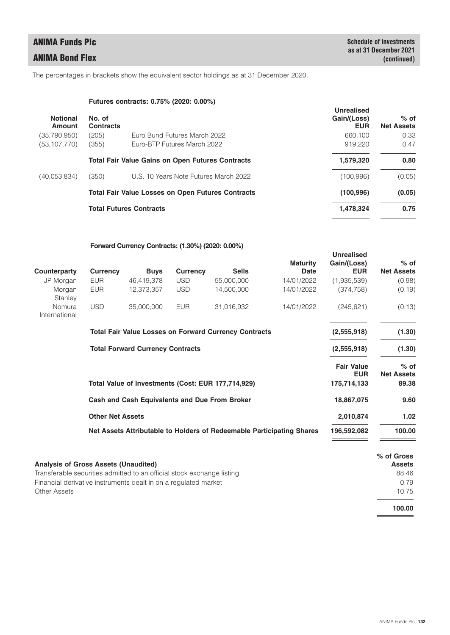# **ANIMA Funds Plc ANIMA Bond Flex**

The percentages in brackets show the equivalent sector holdings as at 31 December 2020.

# **Futures contracts: 0.75% (2020: 0.00%)**

| <b>Notional</b><br>Amount<br>(35,790,950)<br>(53, 107, 770) | No. of<br><b>Contracts</b><br>(205)<br>(355) | Euro Bund Futures March 2022<br>Euro-BTP Futures March 2022 | <b>Unrealised</b><br>Gain/(Loss)<br><b>EUR</b><br>660.100<br>919.220 | $%$ of<br><b>Net Assets</b><br>0.33<br>0.47 |
|-------------------------------------------------------------|----------------------------------------------|-------------------------------------------------------------|----------------------------------------------------------------------|---------------------------------------------|
|                                                             |                                              | <b>Total Fair Value Gains on Open Futures Contracts</b>     | 1,579,320                                                            | 0.80                                        |
| (40,053,834)                                                | (350)                                        | U.S. 10 Years Note Futures March 2022                       | (100, 996)                                                           | (0.05)                                      |
|                                                             |                                              | <b>Total Fair Value Losses on Open Futures Contracts</b>    | (100, 996)                                                           | (0.05)                                      |
|                                                             |                                              | <b>Total Futures Contracts</b>                              | 1,478,324                                                            | 0.75                                        |
|                                                             |                                              |                                                             |                                                                      |                                             |

# **Forward Currency Contracts: (1.30%) (2020: 0.00%)**

| <b>Counterparty</b>                                                                                                                                                                                             | <b>Currency</b>                                                       | <b>Buys</b>                                   | <b>Currency</b> | <b>Sells</b>                                                 | <b>Maturity</b><br><b>Date</b> | <b>Unrealised</b><br>Gain/(Loss)<br><b>EUR</b> | $%$ of<br><b>Net Assets</b>                           |
|-----------------------------------------------------------------------------------------------------------------------------------------------------------------------------------------------------------------|-----------------------------------------------------------------------|-----------------------------------------------|-----------------|--------------------------------------------------------------|--------------------------------|------------------------------------------------|-------------------------------------------------------|
| JP Morgan                                                                                                                                                                                                       | <b>EUR</b>                                                            | 46,419,378                                    | <b>USD</b>      | 55,000,000                                                   | 14/01/2022                     | (1,935,539)                                    | (0.98)                                                |
| Morgan<br>Stanley                                                                                                                                                                                               | <b>EUR</b>                                                            | 12,373,357                                    | <b>USD</b>      | 14,500,000                                                   | 14/01/2022                     | (374, 758)                                     | (0.19)                                                |
| Nomura<br>International                                                                                                                                                                                         | <b>USD</b>                                                            | 35,000,000                                    | <b>EUR</b>      | 31,016,932                                                   | 14/01/2022                     | (245, 621)                                     | (0.13)                                                |
|                                                                                                                                                                                                                 |                                                                       |                                               |                 | <b>Total Fair Value Losses on Forward Currency Contracts</b> |                                | (2,555,918)                                    | (1.30)                                                |
|                                                                                                                                                                                                                 | <b>Total Forward Currency Contracts</b>                               |                                               |                 |                                                              |                                | (2,555,918)                                    | (1.30)                                                |
|                                                                                                                                                                                                                 | Total Value of Investments (Cost: EUR 177,714,929)                    |                                               |                 |                                                              |                                | <b>Fair Value</b><br><b>EUR</b><br>175,714,133 | $%$ of<br><b>Net Assets</b><br>89.38                  |
|                                                                                                                                                                                                                 |                                                                       | Cash and Cash Equivalents and Due From Broker |                 |                                                              |                                | 18,867,075                                     | 9.60                                                  |
|                                                                                                                                                                                                                 | <b>Other Net Assets</b>                                               |                                               |                 |                                                              |                                | 2,010,874                                      | 1.02                                                  |
|                                                                                                                                                                                                                 | Net Assets Attributable to Holders of Redeemable Participating Shares |                                               |                 |                                                              |                                | 196,592,082                                    | 100.00                                                |
| <b>Analysis of Gross Assets (Unaudited)</b><br>Transferable securities admitted to an official stock exchange listing<br>Financial derivative instruments dealt in on a regulated market<br><b>Other Assets</b> |                                                                       |                                               |                 |                                                              |                                |                                                | % of Gross<br><b>Assets</b><br>88.46<br>0.79<br>10.75 |
|                                                                                                                                                                                                                 |                                                                       |                                               |                 |                                                              |                                |                                                | 100.00                                                |

L,

 $\equiv$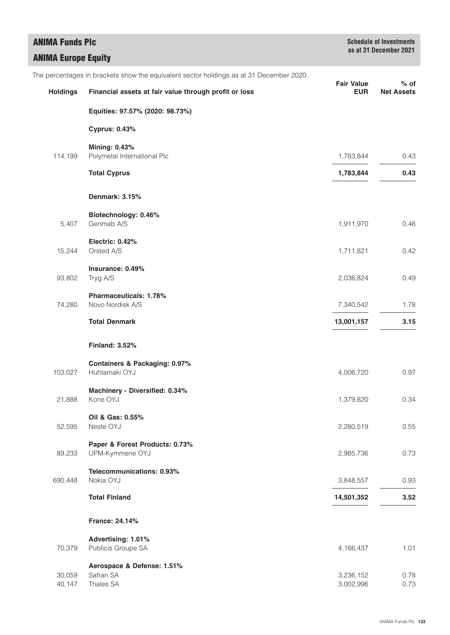| <b>ANIMA Funds PIC</b>     |                                                                                         |                                 | <b>Schedule of Investments</b> |
|----------------------------|-----------------------------------------------------------------------------------------|---------------------------------|--------------------------------|
| <b>ANIMA Europe Equity</b> |                                                                                         |                                 | as at 31 December 2021         |
|                            | The percentages in brackets show the equivalent sector holdings as at 31 December 2020. |                                 |                                |
| <b>Holdings</b>            | Financial assets at fair value through profit or loss                                   | <b>Fair Value</b><br><b>EUR</b> | $%$ of<br><b>Net Assets</b>    |
|                            | Equities: 97.57% (2020: 98.73%)                                                         |                                 |                                |
|                            | <b>Cyprus: 0.43%</b>                                                                    |                                 |                                |
| 114,199                    | <b>Mining: 0.43%</b><br>Polymetal International Plc                                     | 1,783,844                       | 0.43                           |
|                            | <b>Total Cyprus</b>                                                                     | 1,783,844                       | 0.43                           |
|                            | Denmark: 3.15%                                                                          |                                 |                                |
| 5,407                      | Biotechnology: 0.46%<br>Genmab A/S                                                      | 1,911,970                       | 0.46                           |
| 15,244                     | Electric: 0.42%<br>Orsted A/S                                                           | 1,711,821                       | 0.42                           |
| 93,802                     | Insurance: 0.49%<br>Tryg A/S                                                            | 2,036,824                       | 0.49                           |
| 74,280                     | <b>Pharmaceuticals: 1.78%</b><br>Novo Nordisk A/S                                       | 7,340,542                       | 1.78                           |
|                            | <b>Total Denmark</b>                                                                    | 13,001,157                      | 3.15                           |
|                            | <b>Finland: 3.52%</b>                                                                   |                                 |                                |
| 103,027                    | Containers & Packaging: 0.97%<br>Huhtamaki OYJ                                          | 4,006,720                       | 0.97                           |
| 21,888                     | Machinery - Diversified: 0.34%<br>Kone OYJ                                              | 1,379,820                       | 0.34                           |
| 52,595                     | Oil & Gas: 0.55%<br>Neste OYJ                                                           | 2,280,519                       | 0.55                           |
| 89,233                     | Paper & Forest Products: 0.73%<br>UPM-Kymmene OYJ                                       | 2,985,736                       | 0.73                           |
| 690,448                    | <b>Telecommunications: 0.93%</b><br>Nokia OYJ                                           | 3,848,557                       | 0.93                           |
|                            | <b>Total Finland</b>                                                                    | 14,501,352                      | 3.52                           |
|                            | France: 24.14%                                                                          |                                 |                                |
| 70,379                     | Advertising: 1.01%<br>Publicis Groupe SA                                                | 4,166,437                       | 1.01                           |
| 30,059<br>40,147           | Aerospace & Defense: 1.51%<br>Safran SA<br>Thales SA                                    | 3,236,152<br>3,002,996          | 0.78<br>0.73                   |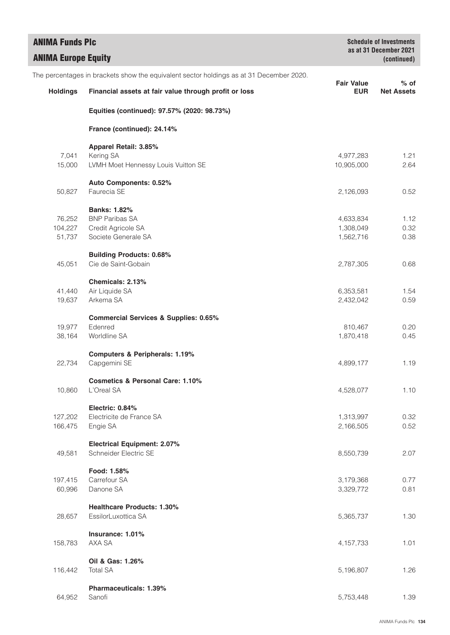| <b>ANIMA Funds PIc</b>     |                                                                                         | <b>Schedule of Investments</b><br>as at 31 December 2021 |                             |  |
|----------------------------|-----------------------------------------------------------------------------------------|----------------------------------------------------------|-----------------------------|--|
| <b>ANIMA Europe Equity</b> |                                                                                         |                                                          | (continued)                 |  |
|                            | The percentages in brackets show the equivalent sector holdings as at 31 December 2020. |                                                          |                             |  |
| <b>Holdings</b>            | Financial assets at fair value through profit or loss                                   | <b>Fair Value</b><br><b>EUR</b>                          | $%$ of<br><b>Net Assets</b> |  |
|                            | Equities (continued): 97.57% (2020: 98.73%)                                             |                                                          |                             |  |
|                            | France (continued): 24.14%                                                              |                                                          |                             |  |
|                            | Apparel Retail: 3.85%                                                                   |                                                          |                             |  |
| 7,041                      | Kering SA<br>LVMH Moet Hennessy Louis Vuitton SE                                        | 4,977,283                                                | 1.21                        |  |
| 15,000                     |                                                                                         | 10,905,000                                               | 2.64                        |  |
|                            | Auto Components: 0.52%                                                                  |                                                          |                             |  |
| 50,827                     | Faurecia SE                                                                             | 2,126,093                                                | 0.52                        |  |
|                            | <b>Banks: 1.82%</b>                                                                     |                                                          |                             |  |
| 76,252                     | <b>BNP Paribas SA</b>                                                                   | 4,633,834                                                | 1.12                        |  |
| 104,227<br>51,737          | Credit Agricole SA<br>Societe Generale SA                                               | 1,308,049<br>1,562,716                                   | 0.32<br>0.38                |  |
|                            |                                                                                         |                                                          |                             |  |
|                            | <b>Building Products: 0.68%</b>                                                         |                                                          |                             |  |
| 45,051                     | Cie de Saint-Gobain                                                                     | 2,787,305                                                | 0.68                        |  |
|                            | Chemicals: 2.13%                                                                        |                                                          |                             |  |
| 41,440                     | Air Liquide SA                                                                          | 6,353,581                                                | 1.54                        |  |
| 19,637                     | Arkema SA                                                                               | 2,432,042                                                | 0.59                        |  |
|                            | <b>Commercial Services &amp; Supplies: 0.65%</b>                                        |                                                          |                             |  |
| 19,977                     | Edenred                                                                                 | 810,467                                                  | 0.20                        |  |
| 38,164                     | Worldline SA                                                                            | 1,870,418                                                | 0.45                        |  |
|                            | Computers & Peripherals: 1.19%                                                          |                                                          |                             |  |
| 22,734                     | Capgemini SE                                                                            | 4,899,177                                                | 1.19                        |  |
|                            | <b>Cosmetics &amp; Personal Care: 1.10%</b>                                             |                                                          |                             |  |
| 10,860                     | L'Oreal SA                                                                              | 4,528,077                                                | 1.10                        |  |
|                            |                                                                                         |                                                          |                             |  |
| 127,202                    | Electric: 0.84%<br>Electricite de France SA                                             | 1,313,997                                                | 0.32                        |  |
| 166,475                    | Engie SA                                                                                | 2,166,505                                                | 0.52                        |  |
|                            |                                                                                         |                                                          |                             |  |
| 49,581                     | <b>Electrical Equipment: 2.07%</b><br>Schneider Electric SE                             | 8,550,739                                                | 2.07                        |  |
|                            |                                                                                         |                                                          |                             |  |
|                            | Food: 1.58%                                                                             |                                                          |                             |  |
| 197,415                    | Carrefour SA<br>Danone SA                                                               | 3,179,368                                                | 0.77<br>0.81                |  |
| 60,996                     |                                                                                         | 3,329,772                                                |                             |  |
|                            | <b>Healthcare Products: 1.30%</b>                                                       |                                                          |                             |  |
| 28,657                     | EssilorLuxottica SA                                                                     | 5,365,737                                                | 1.30                        |  |
|                            | Insurance: 1.01%                                                                        |                                                          |                             |  |
| 158,783                    | AXA SA                                                                                  | 4, 157, 733                                              | 1.01                        |  |
|                            | Oil & Gas: 1.26%                                                                        |                                                          |                             |  |
| 116,442                    | <b>Total SA</b>                                                                         | 5,196,807                                                | 1.26                        |  |
|                            |                                                                                         |                                                          |                             |  |
| 64,952                     | <b>Pharmaceuticals: 1.39%</b><br>Sanofi                                                 | 5,753,448                                                | 1.39                        |  |
|                            |                                                                                         |                                                          |                             |  |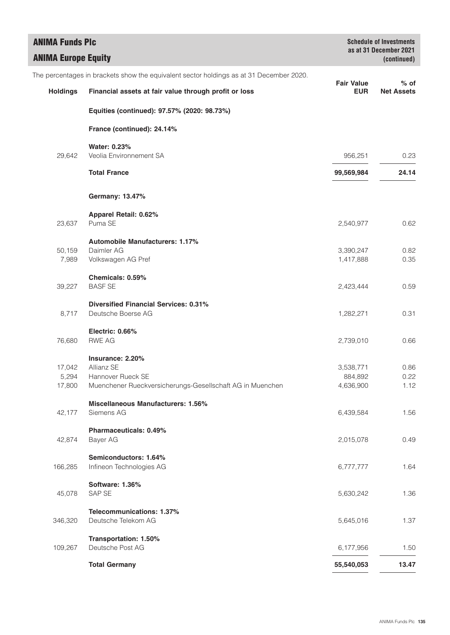| <b>ANIMA Funds PIc</b>     |                                                                                         |                   | <b>Schedule of Investments</b><br>as at 31 December 2021 |  |
|----------------------------|-----------------------------------------------------------------------------------------|-------------------|----------------------------------------------------------|--|
| <b>ANIMA Europe Equity</b> |                                                                                         |                   | (continued)                                              |  |
|                            | The percentages in brackets show the equivalent sector holdings as at 31 December 2020. | <b>Fair Value</b> | $%$ of                                                   |  |
| <b>Holdings</b>            | Financial assets at fair value through profit or loss                                   | <b>EUR</b>        | <b>Net Assets</b>                                        |  |
|                            | Equities (continued): 97.57% (2020: 98.73%)                                             |                   |                                                          |  |
|                            | France (continued): 24.14%                                                              |                   |                                                          |  |
| 29,642                     | <b>Water: 0.23%</b><br>Veolia Environnement SA                                          | 956,251           | 0.23                                                     |  |
|                            | <b>Total France</b>                                                                     | 99,569,984        | 24.14                                                    |  |
|                            | <b>Germany: 13.47%</b>                                                                  |                   |                                                          |  |
|                            | Apparel Retail: 0.62%                                                                   |                   |                                                          |  |
| 23,637                     | Puma SE                                                                                 | 2,540,977         | 0.62                                                     |  |
|                            | Automobile Manufacturers: 1.17%                                                         |                   |                                                          |  |
| 50,159                     | Daimler AG                                                                              | 3,390,247         | 0.82                                                     |  |
| 7,989                      | Volkswagen AG Pref                                                                      | 1,417,888         | 0.35                                                     |  |
|                            | Chemicals: 0.59%                                                                        |                   |                                                          |  |
| 39,227                     | <b>BASF SE</b>                                                                          | 2,423,444         | 0.59                                                     |  |
|                            | <b>Diversified Financial Services: 0.31%</b>                                            |                   |                                                          |  |
| 8,717                      | Deutsche Boerse AG                                                                      | 1,282,271         | 0.31                                                     |  |
|                            | Electric: 0.66%                                                                         |                   |                                                          |  |
| 76,680                     | <b>RWE AG</b>                                                                           | 2,739,010         | 0.66                                                     |  |
|                            | Insurance: 2.20%                                                                        |                   |                                                          |  |
| 17,042                     | Allianz SE                                                                              | 3,538,771         | 0.86                                                     |  |
| 5,294                      | Hannover Rueck SE                                                                       | 884,892           | 0.22                                                     |  |
| 17,800                     | Muenchener Rueckversicherungs-Gesellschaft AG in Muenchen                               | 4,636,900         | 1.12                                                     |  |
|                            | <b>Miscellaneous Manufacturers: 1.56%</b>                                               |                   |                                                          |  |
| 42,177                     | Siemens AG                                                                              | 6,439,584         | 1.56                                                     |  |
|                            | Pharmaceuticals: 0.49%                                                                  |                   |                                                          |  |
| 42,874                     | Bayer AG                                                                                | 2,015,078         | 0.49                                                     |  |
|                            | Semiconductors: 1.64%                                                                   |                   |                                                          |  |
| 166,285                    | Infineon Technologies AG                                                                | 6,777,777         | 1.64                                                     |  |
|                            | Software: 1.36%                                                                         |                   |                                                          |  |
| 45,078                     | SAP SE                                                                                  | 5,630,242         | 1.36                                                     |  |
|                            | <b>Telecommunications: 1.37%</b>                                                        |                   |                                                          |  |
| 346,320                    | Deutsche Telekom AG                                                                     | 5,645,016         | 1.37                                                     |  |
|                            | Transportation: 1.50%                                                                   |                   |                                                          |  |
| 109,267                    | Deutsche Post AG                                                                        | 6,177,956         | 1.50                                                     |  |
|                            | <b>Total Germany</b>                                                                    | 55,540,053        | 13.47                                                    |  |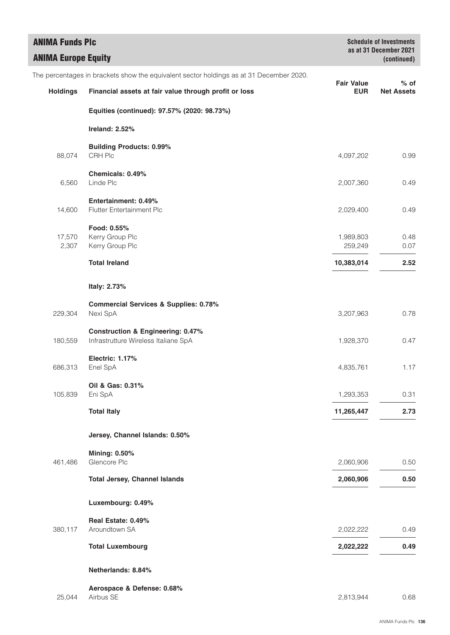| <b>ANIMA Funds PIC</b>     |                                                                                         |                   | <b>Schedule of Investments</b><br>as at 31 December 2021 |
|----------------------------|-----------------------------------------------------------------------------------------|-------------------|----------------------------------------------------------|
| <b>ANIMA Europe Equity</b> |                                                                                         |                   | (continued)                                              |
|                            | The percentages in brackets show the equivalent sector holdings as at 31 December 2020. | <b>Fair Value</b> | $%$ of                                                   |
| <b>Holdings</b>            | Financial assets at fair value through profit or loss                                   | <b>EUR</b>        | <b>Net Assets</b>                                        |
|                            | Equities (continued): 97.57% (2020: 98.73%)                                             |                   |                                                          |
|                            | Ireland: 2.52%                                                                          |                   |                                                          |
|                            | <b>Building Products: 0.99%</b>                                                         |                   |                                                          |
| 88,074                     | CRH Plc                                                                                 | 4,097,202         | 0.99                                                     |
| 6,560                      | Chemicals: 0.49%<br>Linde Plc                                                           | 2,007,360         | 0.49                                                     |
|                            |                                                                                         |                   |                                                          |
| 14,600                     | Entertainment: 0.49%<br>Flutter Entertainment Plc                                       | 2,029,400         | 0.49                                                     |
|                            |                                                                                         |                   |                                                          |
| 17,570                     | Food: 0.55%                                                                             | 1,989,803         |                                                          |
| 2,307                      | Kerry Group Plc<br>Kerry Group Plc                                                      | 259,249           | 0.48<br>0.07                                             |
|                            | <b>Total Ireland</b>                                                                    | 10,383,014        | 2.52                                                     |
|                            | Italy: 2.73%                                                                            |                   |                                                          |
|                            | <b>Commercial Services &amp; Supplies: 0.78%</b>                                        |                   |                                                          |
| 229,304                    | Nexi SpA                                                                                | 3,207,963         | 0.78                                                     |
| 180,559                    | <b>Construction &amp; Engineering: 0.47%</b><br>Infrastrutture Wireless Italiane SpA    | 1,928,370         | 0.47                                                     |
| 686,313                    | <b>Electric: 1.17%</b><br>Enel SpA                                                      | 4,835,761         | 1.17                                                     |
|                            | Oil & Gas: 0.31%                                                                        |                   |                                                          |
| 105,839                    | Eni SpA                                                                                 | 1,293,353         | 0.31                                                     |
|                            | <b>Total Italy</b>                                                                      | 11,265,447        | 2.73                                                     |
|                            | Jersey, Channel Islands: 0.50%                                                          |                   |                                                          |
|                            | <b>Mining: 0.50%</b>                                                                    |                   |                                                          |
| 461,486                    | Glencore Plc                                                                            | 2,060,906         | 0.50                                                     |
|                            | <b>Total Jersey, Channel Islands</b>                                                    | 2,060,906         | 0.50                                                     |
|                            | Luxembourg: 0.49%                                                                       |                   |                                                          |
| 380,117                    | Real Estate: 0.49%<br>Aroundtown SA                                                     | 2,022,222         | 0.49                                                     |
|                            | <b>Total Luxembourg</b>                                                                 | 2,022,222         | 0.49                                                     |
|                            | Netherlands: 8.84%                                                                      |                   |                                                          |
| 25,044                     | Aerospace & Defense: 0.68%<br>Airbus SE                                                 | 2,813,944         | 0.68                                                     |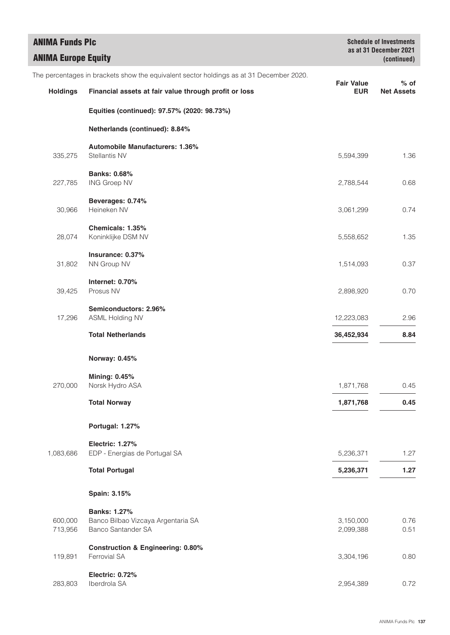| <b>ANIMA Funds PIC</b>     |                                                                                         |                        | <b>Schedule of Investments</b><br>as at 31 December 2021 |
|----------------------------|-----------------------------------------------------------------------------------------|------------------------|----------------------------------------------------------|
| <b>ANIMA Europe Equity</b> |                                                                                         |                        | (continued)                                              |
|                            | The percentages in brackets show the equivalent sector holdings as at 31 December 2020. | <b>Fair Value</b>      | $%$ of                                                   |
| <b>Holdings</b>            | Financial assets at fair value through profit or loss                                   | <b>EUR</b>             | <b>Net Assets</b>                                        |
|                            | Equities (continued): 97.57% (2020: 98.73%)                                             |                        |                                                          |
|                            | Netherlands (continued): 8.84%                                                          |                        |                                                          |
| 335,275                    | <b>Automobile Manufacturers: 1.36%</b><br>Stellantis NV                                 | 5,594,399              | 1.36                                                     |
| 227,785                    | <b>Banks: 0.68%</b><br><b>ING Groep NV</b>                                              | 2,788,544              | 0.68                                                     |
| 30,966                     | Beverages: 0.74%<br>Heineken NV                                                         | 3,061,299              | 0.74                                                     |
| 28,074                     | Chemicals: 1.35%<br>Koninklijke DSM NV                                                  | 5,558,652              | 1.35                                                     |
| 31,802                     | Insurance: 0.37%<br>NN Group NV                                                         | 1,514,093              | 0.37                                                     |
| 39,425                     | Internet: 0.70%<br>Prosus NV                                                            | 2,898,920              | 0.70                                                     |
| 17,296                     | Semiconductors: 2.96%<br><b>ASML Holding NV</b>                                         | 12,223,083             | 2.96                                                     |
|                            | <b>Total Netherlands</b>                                                                | 36,452,934             | 8.84                                                     |
|                            | Norway: 0.45%                                                                           |                        |                                                          |
| 270,000                    | <b>Mining: 0.45%</b><br>Norsk Hydro ASA                                                 | 1,871,768              | 0.45                                                     |
|                            | <b>Total Norway</b>                                                                     | 1,871,768              | 0.45                                                     |
|                            | Portugal: 1.27%                                                                         |                        |                                                          |
| 1,083,686                  | <b>Electric: 1.27%</b><br>EDP - Energias de Portugal SA                                 | 5,236,371              | 1.27                                                     |
|                            | <b>Total Portugal</b>                                                                   | 5,236,371              | 1.27                                                     |
|                            | Spain: 3.15%                                                                            |                        |                                                          |
| 600,000<br>713,956         | <b>Banks: 1.27%</b><br>Banco Bilbao Vizcaya Argentaria SA<br><b>Banco Santander SA</b>  | 3,150,000<br>2,099,388 | 0.76<br>0.51                                             |
| 119,891                    | <b>Construction &amp; Engineering: 0.80%</b><br>Ferrovial SA                            | 3,304,196              | 0.80                                                     |
| 283,803                    | <b>Electric: 0.72%</b><br>Iberdrola SA                                                  | 2,954,389              | 0.72                                                     |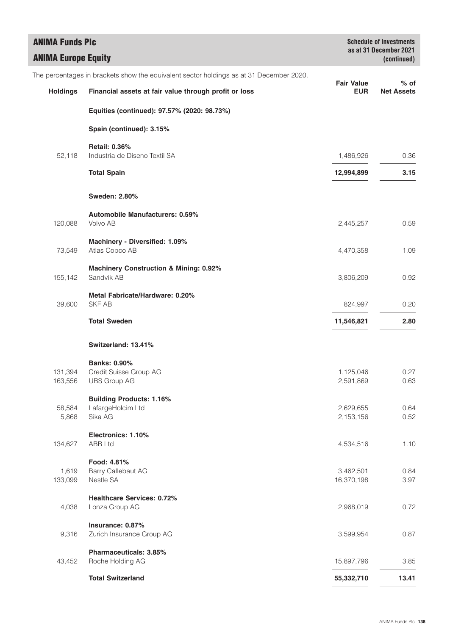| <b>ANIMA Funds PIC</b>     |                                                                                         |                                 | <b>Schedule of Investments</b>        |
|----------------------------|-----------------------------------------------------------------------------------------|---------------------------------|---------------------------------------|
| <b>ANIMA Europe Equity</b> |                                                                                         |                                 | as at 31 December 2021<br>(continued) |
|                            | The percentages in brackets show the equivalent sector holdings as at 31 December 2020. |                                 |                                       |
| <b>Holdings</b>            | Financial assets at fair value through profit or loss                                   | <b>Fair Value</b><br><b>EUR</b> | $%$ of<br><b>Net Assets</b>           |
|                            | Equities (continued): 97.57% (2020: 98.73%)                                             |                                 |                                       |
|                            | Spain (continued): 3.15%                                                                |                                 |                                       |
| 52,118                     | <b>Retail: 0.36%</b><br>Industria de Diseno Textil SA                                   | 1,486,926                       | 0.36                                  |
|                            | <b>Total Spain</b>                                                                      | 12,994,899                      | 3.15                                  |
|                            | <b>Sweden: 2.80%</b>                                                                    |                                 |                                       |
| 120,088                    | <b>Automobile Manufacturers: 0.59%</b><br>Volvo AB                                      | 2,445,257                       | 0.59                                  |
| 73,549                     | Machinery - Diversified: 1.09%<br>Atlas Copco AB                                        | 4,470,358                       | 1.09                                  |
| 155,142                    | <b>Machinery Construction &amp; Mining: 0.92%</b><br>Sandvik AB                         | 3,806,209                       | 0.92                                  |
| 39,600                     | Metal Fabricate/Hardware: 0.20%<br><b>SKF AB</b>                                        | 824,997                         | 0.20                                  |
|                            | <b>Total Sweden</b>                                                                     | 11,546,821                      | 2.80                                  |
|                            | Switzerland: 13.41%                                                                     |                                 |                                       |
| 131,394<br>163,556         | <b>Banks: 0.90%</b><br>Credit Suisse Group AG<br><b>UBS Group AG</b>                    | 1,125,046<br>2,591,869          | 0.27<br>0.63                          |
| 58,584<br>5,868            | <b>Building Products: 1.16%</b><br>LafargeHolcim Ltd<br>Sika AG                         | 2,629,655<br>2, 153, 156        | 0.64<br>0.52                          |
| 134,627                    | Electronics: 1.10%<br><b>ABB Ltd</b>                                                    | 4,534,516                       | 1.10                                  |
| 1,619<br>133,099           | Food: 4.81%<br>Barry Callebaut AG<br>Nestle SA                                          | 3,462,501<br>16,370,198         | 0.84<br>3.97                          |
| 4,038                      | <b>Healthcare Services: 0.72%</b><br>Lonza Group AG                                     | 2,968,019                       | 0.72                                  |
| 9,316                      | Insurance: 0.87%<br>Zurich Insurance Group AG                                           | 3,599,954                       | 0.87                                  |
| 43,452                     | Pharmaceuticals: 3.85%<br>Roche Holding AG                                              | 15,897,796                      | 3.85                                  |
|                            | <b>Total Switzerland</b>                                                                | 55,332,710                      | 13.41                                 |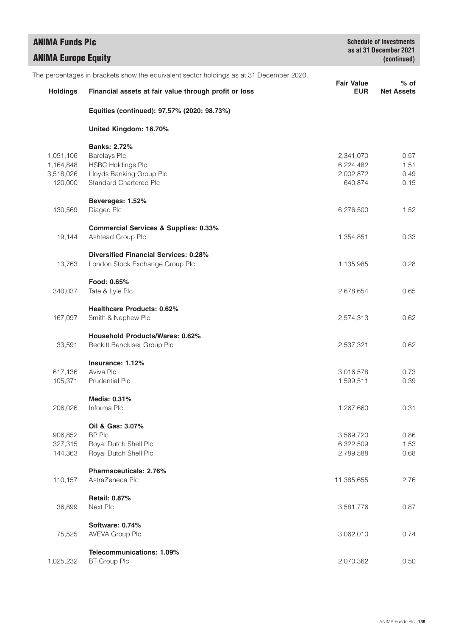| <b>ANIMA Funds PIC</b>     |                                                                                         | <b>Schedule of Investments</b>        |                             |  |
|----------------------------|-----------------------------------------------------------------------------------------|---------------------------------------|-----------------------------|--|
| <b>ANIMA Europe Equity</b> |                                                                                         | as at 31 December 2021<br>(continued) |                             |  |
|                            | The percentages in brackets show the equivalent sector holdings as at 31 December 2020. |                                       |                             |  |
| <b>Holdings</b>            | Financial assets at fair value through profit or loss                                   | <b>Fair Value</b><br><b>EUR</b>       | $%$ of<br><b>Net Assets</b> |  |
|                            | Equities (continued): 97.57% (2020: 98.73%)                                             |                                       |                             |  |
|                            | United Kingdom: 16.70%                                                                  |                                       |                             |  |
|                            | <b>Banks: 2.72%</b>                                                                     |                                       |                             |  |
| 1,051,106                  | <b>Barclays Plc</b>                                                                     | 2,341,070                             | 0.57                        |  |
| 1,164,848                  | <b>HSBC Holdings Plc</b>                                                                | 6,224,482                             | 1.51                        |  |
| 3,518,026                  | Lloyds Banking Group Plc                                                                | 2,002,872                             | 0.49                        |  |
| 120,000                    | <b>Standard Chartered Plc</b>                                                           | 640,874                               | 0.15                        |  |
|                            | Beverages: 1.52%                                                                        |                                       |                             |  |
| 130,569                    | Diageo Plc                                                                              | 6,276,500                             | 1.52                        |  |
|                            | <b>Commercial Services &amp; Supplies: 0.33%</b>                                        |                                       |                             |  |
| 19,144                     | Ashtead Group Plc                                                                       | 1,354,851                             | 0.33                        |  |
|                            | <b>Diversified Financial Services: 0.28%</b>                                            |                                       |                             |  |
| 13,763                     | London Stock Exchange Group Plc                                                         | 1,135,985                             | 0.28                        |  |
|                            | Food: 0.65%                                                                             |                                       |                             |  |
| 340,037                    | Tate & Lyle Plc                                                                         | 2,678,654                             | 0.65                        |  |
|                            | <b>Healthcare Products: 0.62%</b>                                                       |                                       |                             |  |
| 167,097                    | Smith & Nephew Plc                                                                      | 2,574,313                             | 0.62                        |  |
|                            | <b>Household Products/Wares: 0.62%</b>                                                  |                                       |                             |  |
| 33,591                     | Reckitt Benckiser Group Plc                                                             | 2,537,321                             | 0.62                        |  |
|                            | Insurance: 1.12%                                                                        |                                       |                             |  |
| 617,136                    | Aviva Plc                                                                               | 3,016,578                             | 0.73                        |  |
| 105,371                    | <b>Prudential Plc</b>                                                                   | 1,599,511                             | 0.39                        |  |
|                            | Media: 0.31%                                                                            |                                       |                             |  |
| 206,026                    | Informa Plc                                                                             | 1,267,660                             | 0.31                        |  |
|                            | Oil & Gas: 3.07%                                                                        |                                       |                             |  |
| 906,852                    | <b>BP Plc</b>                                                                           | 3,569,720                             | 0.86                        |  |
| 327,315                    | Royal Dutch Shell Plc                                                                   | 6,322,509                             | 1.53                        |  |
| 144,363                    | Royal Dutch Shell Plc                                                                   | 2,789,588                             | 0.68                        |  |
|                            | Pharmaceuticals: 2.76%                                                                  |                                       |                             |  |
| 110,157                    | AstraZeneca Plc                                                                         | 11,385,655                            | 2.76                        |  |
|                            | <b>Retail: 0.87%</b>                                                                    |                                       |                             |  |
| 36,899                     | Next Plc                                                                                | 3,581,776                             | 0.87                        |  |
|                            | Software: 0.74%                                                                         |                                       |                             |  |
| 75,525                     | AVEVA Group Plc                                                                         | 3,062,010                             | 0.74                        |  |
|                            | Telecommunications: 1.09%                                                               |                                       |                             |  |
| 1,025,232                  | <b>BT Group Plc</b>                                                                     | 2,070,362                             | 0.50                        |  |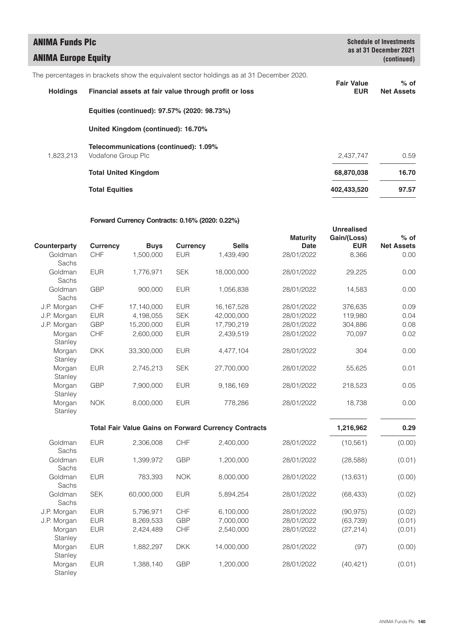| <b>ANIMA Funds PIC</b><br><b>ANIMA Europe Equity</b> |                                                                                         |                   | <b>Schedule of Investments</b><br>as at 31 December 2021<br>(continued) |
|------------------------------------------------------|-----------------------------------------------------------------------------------------|-------------------|-------------------------------------------------------------------------|
|                                                      | The percentages in brackets show the equivalent sector holdings as at 31 December 2020. | <b>Fair Value</b> | $%$ of                                                                  |
| <b>Holdings</b>                                      | Financial assets at fair value through profit or loss                                   | <b>EUR</b>        | <b>Net Assets</b>                                                       |
|                                                      | Equities (continued): 97.57% (2020: 98.73%)                                             |                   |                                                                         |
|                                                      | United Kingdom (continued): 16.70%                                                      |                   |                                                                         |
| 1,823,213                                            | Telecommunications (continued): 1.09%<br>Vodafone Group Plc                             | 2,437,747         | 0.59                                                                    |
|                                                      | <b>Total United Kingdom</b>                                                             | 68,870,038        | 16.70                                                                   |
|                                                      | <b>Total Equities</b>                                                                   | 402,433,520       | 97.57                                                                   |
|                                                      |                                                                                         |                   |                                                                         |

# **Forward Currency Contracts: 0.16% (2020: 0.22%)**

|                   |                 |             |                 |              | <b>Maturity</b> | <b>Unrealised</b><br>Gain/(Loss) | $%$ of            |
|-------------------|-----------------|-------------|-----------------|--------------|-----------------|----------------------------------|-------------------|
| Counterparty      | <b>Currency</b> | <b>Buys</b> | <b>Currency</b> | <b>Sells</b> | Date            | <b>EUR</b>                       | <b>Net Assets</b> |
| Goldman<br>Sachs  | <b>CHF</b>      | 1,500,000   | <b>EUR</b>      | 1,439,490    | 28/01/2022      | 8,366                            | 0.00              |
| Goldman<br>Sachs  | <b>EUR</b>      | 1,776,971   | <b>SEK</b>      | 18,000,000   | 28/01/2022      | 29,225                           | 0.00              |
| Goldman<br>Sachs  | <b>GBP</b>      | 900,000     | <b>EUR</b>      | 1,056,838    | 28/01/2022      | 14,583                           | 0.00              |
| J.P. Morgan       | <b>CHF</b>      | 17,140,000  | <b>EUR</b>      | 16, 167, 528 | 28/01/2022      | 376,635                          | 0.09              |
| J.P. Morgan       | <b>EUR</b>      | 4,198,055   | <b>SEK</b>      | 42,000,000   | 28/01/2022      | 119,980                          | 0.04              |
| J.P. Morgan       | <b>GBP</b>      | 15,200,000  | <b>EUR</b>      | 17,790,219   | 28/01/2022      | 304,886                          | 0.08              |
| Morgan<br>Stanley | <b>CHF</b>      | 2,600,000   | <b>EUR</b>      | 2,439,519    | 28/01/2022      | 70,097                           | 0.02              |
| Morgan<br>Stanley | <b>DKK</b>      | 33,300,000  | <b>EUR</b>      | 4,477,104    | 28/01/2022      | 304                              | 0.00              |
| Morgan<br>Stanley | <b>EUR</b>      | 2,745,213   | <b>SEK</b>      | 27,700,000   | 28/01/2022      | 55,625                           | 0.01              |
| Morgan<br>Stanley | <b>GBP</b>      | 7,900,000   | <b>EUR</b>      | 9,186,169    | 28/01/2022      | 218,523                          | 0.05              |
| Morgan<br>Stanley | <b>NOK</b>      | 8,000,000   | <b>EUR</b>      | 778,286      | 28/01/2022      | 18,738                           | 0.00              |

|                   |            |            |            | <b>Total Fair Value Gains on Forward Currency Contracts</b> |            | 1,216,962 | 0.29   |
|-------------------|------------|------------|------------|-------------------------------------------------------------|------------|-----------|--------|
| Goldman<br>Sachs  | <b>EUR</b> | 2,306,008  | CHF        | 2,400,000                                                   | 28/01/2022 | (10, 561) | (0.00) |
| Goldman<br>Sachs  | <b>EUR</b> | 1.399.972  | <b>GBP</b> | 1,200,000                                                   | 28/01/2022 | (28, 588) | (0.01) |
| Goldman<br>Sachs  | <b>EUR</b> | 783.393    | <b>NOK</b> | 8,000,000                                                   | 28/01/2022 | (13,631)  | (0.00) |
| Goldman<br>Sachs  | <b>SEK</b> | 60.000.000 | <b>EUR</b> | 5.894.254                                                   | 28/01/2022 | (68, 433) | (0.02) |
| J.P. Morgan       | <b>EUR</b> | 5,796,971  | <b>CHF</b> | 6,100,000                                                   | 28/01/2022 | (90, 975) | (0.02) |
| J.P. Morgan       | <b>EUR</b> | 8,269,533  | <b>GBP</b> | 7,000,000                                                   | 28/01/2022 | (63, 739) | (0.01) |
| Morgan<br>Stanley | <b>EUR</b> | 2.424.489  | <b>CHF</b> | 2,540,000                                                   | 28/01/2022 | (27, 214) | (0.01) |
| Morgan<br>Stanley | <b>EUR</b> | 1,882,297  | <b>DKK</b> | 14,000,000                                                  | 28/01/2022 | (97)      | (0.00) |
| Morgan<br>Stanley | <b>EUR</b> | 1,388,140  | <b>GBP</b> | 1,200,000                                                   | 28/01/2022 | (40, 421) | (0.01) |

 $\overline{a}$  $\overline{a}$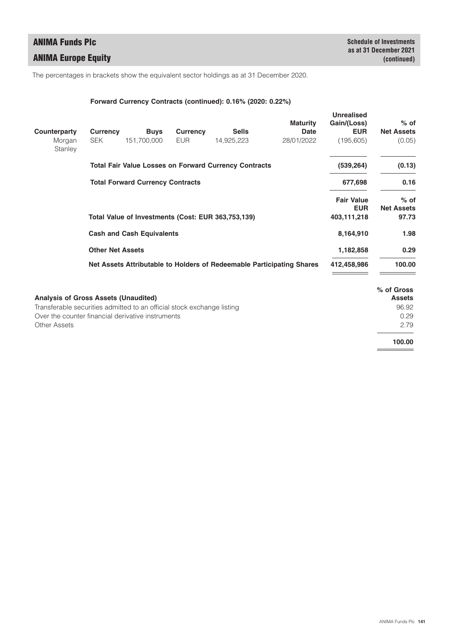# **ANIMA Funds Plc ANIMA Europe Equity**

The percentages in brackets show the equivalent sector holdings as at 31 December 2020.

# **Forward Currency Contracts (continued): 0.16% (2020: 0.22%)**

|                                                                        |                                                              |                                         |                 |              | <b>Maturity</b> | <b>Unrealised</b><br>Gain/(Loss) | $%$ of                      |
|------------------------------------------------------------------------|--------------------------------------------------------------|-----------------------------------------|-----------------|--------------|-----------------|----------------------------------|-----------------------------|
| Counterparty                                                           | <b>Currency</b>                                              | <b>Buys</b>                             | <b>Currency</b> | <b>Sells</b> | <b>Date</b>     | <b>EUR</b>                       | <b>Net Assets</b>           |
| Morgan<br>Stanley                                                      | <b>SEK</b>                                                   | 151,700,000                             | <b>EUR</b>      | 14,925,223   | 28/01/2022      | (195,605)                        | (0.05)                      |
|                                                                        | <b>Total Fair Value Losses on Forward Currency Contracts</b> |                                         |                 |              |                 | (539, 264)                       | (0.13)                      |
|                                                                        |                                                              | <b>Total Forward Currency Contracts</b> |                 |              |                 |                                  | 0.16                        |
|                                                                        |                                                              |                                         |                 |              |                 | <b>Fair Value</b><br><b>EUR</b>  | $%$ of<br><b>Net Assets</b> |
|                                                                        | Total Value of Investments (Cost: EUR 363,753,139)           |                                         |                 |              |                 | 403,111,218                      | 97.73                       |
|                                                                        | <b>Cash and Cash Equivalents</b>                             |                                         |                 |              |                 | 8,164,910                        | 1.98                        |
|                                                                        | <b>Other Net Assets</b>                                      |                                         |                 |              |                 | 1,182,858                        | 0.29                        |
| Net Assets Attributable to Holders of Redeemable Participating Shares  |                                                              |                                         |                 |              | 412,458,986     | 100.00                           |                             |
|                                                                        |                                                              |                                         |                 |              |                 |                                  | % of Gross                  |
| <b>Analysis of Gross Assets (Unaudited)</b>                            |                                                              |                                         |                 |              |                 | <b>Assets</b>                    |                             |
| Transferable securities admitted to an official stock exchange listing |                                                              |                                         |                 |              |                 | 96.92                            |                             |
| Over the counter financial derivative instruments                      |                                                              |                                         |                 |              |                 | 0.29                             |                             |

Other Assets 2.79

**100.00**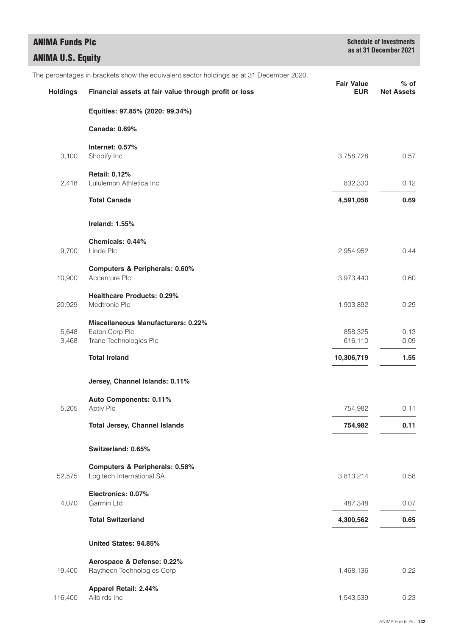| <b>ANIMA Funds PIC</b>   | <b>Schedule of Investments</b><br>as at 31 December 2021                                |                                 |                             |  |  |
|--------------------------|-----------------------------------------------------------------------------------------|---------------------------------|-----------------------------|--|--|
| <b>ANIMA U.S. Equity</b> |                                                                                         |                                 |                             |  |  |
|                          | The percentages in brackets show the equivalent sector holdings as at 31 December 2020. |                                 |                             |  |  |
| <b>Holdings</b>          | Financial assets at fair value through profit or loss                                   | <b>Fair Value</b><br><b>EUR</b> | $%$ of<br><b>Net Assets</b> |  |  |
|                          | Equities: 97.85% (2020: 99.34%)                                                         |                                 |                             |  |  |
|                          | Canada: 0.69%                                                                           |                                 |                             |  |  |
| 3,100                    | <b>Internet: 0.57%</b><br>Shopify Inc                                                   | 3,758,728                       | 0.57                        |  |  |
| 2,418                    | <b>Retail: 0.12%</b><br>Lululemon Athletica Inc                                         | 832,330                         | 0.12                        |  |  |
|                          | <b>Total Canada</b>                                                                     | 4,591,058                       | 0.69                        |  |  |
|                          | <b>Ireland: 1.55%</b>                                                                   |                                 |                             |  |  |
| 9,700                    | Chemicals: 0.44%<br>Linde Plc                                                           | 2,954,952                       | 0.44                        |  |  |
| 10,900                   | Computers & Peripherals: 0.60%<br>Accenture Plc                                         | 3,973,440                       | 0.60                        |  |  |
| 20,929                   | <b>Healthcare Products: 0.29%</b><br>Medtronic Plc                                      | 1,903,892                       | 0.29                        |  |  |
| 5,648<br>3,468           | <b>Miscellaneous Manufacturers: 0.22%</b><br>Eaton Corp Plc<br>Trane Technologies Plc   | 858,325<br>616,110              | 0.13<br>0.09                |  |  |
|                          | <b>Total Ireland</b>                                                                    | 10,306,719                      | 1.55                        |  |  |
|                          | Jersey, Channel Islands: 0.11%                                                          |                                 |                             |  |  |
| 5,205                    | Auto Components: 0.11%<br>Aptiv Plc                                                     | 754,982                         | 0.11                        |  |  |
|                          | <b>Total Jersey, Channel Islands</b>                                                    | 754,982                         | 0.11                        |  |  |
|                          | Switzerland: 0.65%                                                                      |                                 |                             |  |  |
| 52,575                   | Computers & Peripherals: 0.58%<br>Logitech International SA                             | 3,813,214                       | 0.58                        |  |  |
| 4,070                    | Electronics: 0.07%<br>Garmin Ltd                                                        | 487,348                         | 0.07                        |  |  |
|                          | <b>Total Switzerland</b>                                                                | 4,300,562                       | 0.65                        |  |  |
|                          | United States: 94.85%                                                                   |                                 |                             |  |  |
| 19,400                   | Aerospace & Defense: 0.22%<br>Raytheon Technologies Corp                                | 1,468,136                       | 0.22                        |  |  |
| 116,400                  | Apparel Retail: 2.44%<br>Allbirds Inc                                                   | 1,543,539                       | 0.23                        |  |  |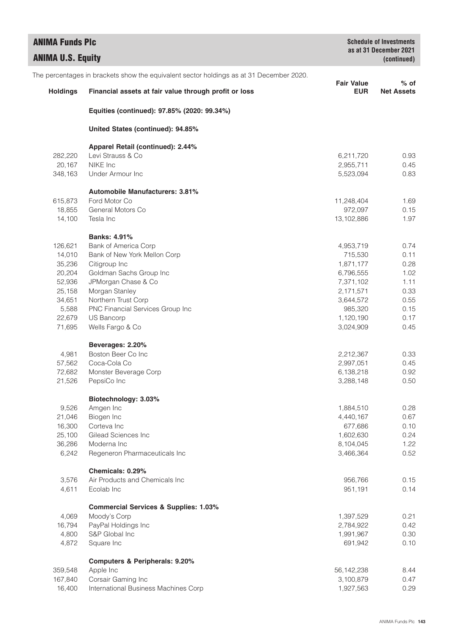| <b>ANIMA Funds PIC</b>                                                                  |                                                       | <b>Schedule of Investments</b>  |                                       |  |
|-----------------------------------------------------------------------------------------|-------------------------------------------------------|---------------------------------|---------------------------------------|--|
| <b>ANIMA U.S. Equity</b>                                                                |                                                       |                                 | as at 31 December 2021<br>(continued) |  |
| The percentages in brackets show the equivalent sector holdings as at 31 December 2020. |                                                       |                                 |                                       |  |
| <b>Holdings</b>                                                                         | Financial assets at fair value through profit or loss | <b>Fair Value</b><br><b>EUR</b> | $%$ of<br><b>Net Assets</b>           |  |
|                                                                                         | Equities (continued): 97.85% (2020: 99.34%)           |                                 |                                       |  |
|                                                                                         | United States (continued): 94.85%                     |                                 |                                       |  |
|                                                                                         | Apparel Retail (continued): 2.44%                     |                                 |                                       |  |
| 282,220                                                                                 | Levi Strauss & Co                                     | 6,211,720                       | 0.93                                  |  |
| 20,167                                                                                  | NIKE Inc                                              | 2,955,711                       | 0.45                                  |  |
| 348,163                                                                                 | Under Armour Inc                                      | 5,523,094                       | 0.83                                  |  |
|                                                                                         | <b>Automobile Manufacturers: 3.81%</b>                |                                 |                                       |  |
| 615,873                                                                                 | Ford Motor Co                                         | 11,248,404                      | 1.69                                  |  |
| 18,855                                                                                  | General Motors Co                                     | 972,097                         | 0.15                                  |  |
| 14,100                                                                                  | Tesla Inc                                             | 13,102,886                      | 1.97                                  |  |
|                                                                                         | <b>Banks: 4.91%</b>                                   |                                 |                                       |  |
| 126,621                                                                                 | Bank of America Corp                                  | 4,953,719                       | 0.74                                  |  |
| 14,010                                                                                  | Bank of New York Mellon Corp                          | 715,530                         | 0.11                                  |  |
| 35,236                                                                                  | Citigroup Inc                                         | 1,871,177                       | 0.28                                  |  |
|                                                                                         |                                                       |                                 |                                       |  |
| 20,204                                                                                  | Goldman Sachs Group Inc                               | 6,796,555                       | 1.02                                  |  |
| 52,936                                                                                  | JPMorgan Chase & Co                                   | 7,371,102                       | 1.11                                  |  |
| 25,158                                                                                  | Morgan Stanley                                        | 2,171,571                       | 0.33                                  |  |
| 34,651                                                                                  | Northern Trust Corp                                   | 3,644,572                       | 0.55                                  |  |
| 5,588                                                                                   | PNC Financial Services Group Inc                      | 985,320                         | 0.15                                  |  |
| 22,679<br>71,695                                                                        | US Bancorp<br>Wells Fargo & Co                        | 1,120,190<br>3,024,909          | 0.17<br>0.45                          |  |
|                                                                                         |                                                       |                                 |                                       |  |
|                                                                                         | Beverages: 2.20%                                      |                                 |                                       |  |
| 4,981                                                                                   | Boston Beer Co Inc                                    | 2,212,367                       | 0.33                                  |  |
| 57,562                                                                                  | Coca-Cola Co                                          | 2,997,051                       | 0.45                                  |  |
| 72,682                                                                                  | Monster Beverage Corp                                 | 6,138,218                       | 0.92                                  |  |
| 21,526                                                                                  | PepsiCo Inc                                           | 3,288,148                       | 0.50                                  |  |
|                                                                                         | Biotechnology: 3.03%                                  |                                 |                                       |  |
| 9,526                                                                                   | Amgen Inc                                             | 1,884,510                       | 0.28                                  |  |
| 21,046                                                                                  | Biogen Inc                                            | 4,440,167                       | 0.67                                  |  |
| 16,300                                                                                  | Corteva Inc                                           | 677,686                         | 0.10                                  |  |
| 25,100                                                                                  | Gilead Sciences Inc                                   | 1,602,630                       | 0.24                                  |  |
| 36,286                                                                                  | Moderna Inc                                           | 8,104,045                       | 1.22                                  |  |
| 6,242                                                                                   | Regeneron Pharmaceuticals Inc                         | 3,466,364                       | 0.52                                  |  |
|                                                                                         |                                                       |                                 |                                       |  |
|                                                                                         | Chemicals: 0.29%                                      |                                 |                                       |  |
| 3,576                                                                                   | Air Products and Chemicals Inc                        | 956,766                         | 0.15                                  |  |
| 4,611                                                                                   | Ecolab Inc                                            | 951,191                         | 0.14                                  |  |
|                                                                                         | <b>Commercial Services &amp; Supplies: 1.03%</b>      |                                 |                                       |  |
| 4,069                                                                                   | Moody's Corp                                          | 1,397,529                       | 0.21                                  |  |
| 16,794                                                                                  | PayPal Holdings Inc                                   | 2,784,922                       | 0.42                                  |  |
| 4,800                                                                                   | S&P Global Inc                                        | 1,991,967                       | 0.30                                  |  |
| 4,872                                                                                   | Square Inc                                            | 691,942                         | 0.10                                  |  |
|                                                                                         | <b>Computers &amp; Peripherals: 9.20%</b>             |                                 |                                       |  |
| 359,548                                                                                 | Apple Inc                                             | 56, 142, 238                    | 8.44                                  |  |
| 167,840                                                                                 | Corsair Gaming Inc                                    | 3,100,879                       | 0.47                                  |  |
| 16,400                                                                                  | International Business Machines Corp                  | 1,927,563                       | 0.29                                  |  |
|                                                                                         |                                                       |                                 |                                       |  |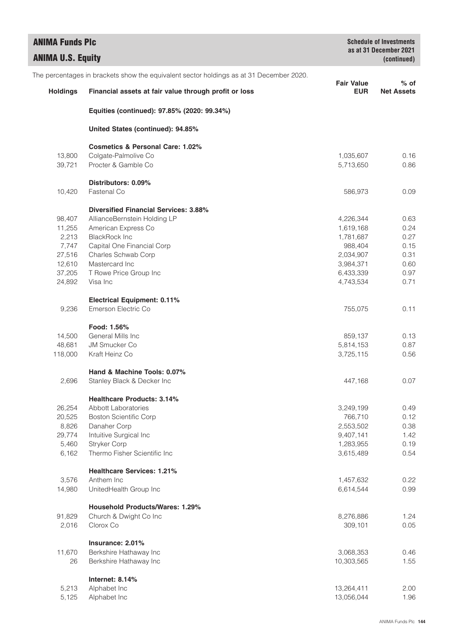| <b>ANIMA Funds PIC</b>   |                                                                                         |                                 | <b>Schedule of Investments</b><br>as at 31 December 2021 |
|--------------------------|-----------------------------------------------------------------------------------------|---------------------------------|----------------------------------------------------------|
| <b>ANIMA U.S. Equity</b> |                                                                                         |                                 | (continued)                                              |
|                          | The percentages in brackets show the equivalent sector holdings as at 31 December 2020. |                                 |                                                          |
| <b>Holdings</b>          | Financial assets at fair value through profit or loss                                   | <b>Fair Value</b><br><b>EUR</b> | $%$ of<br><b>Net Assets</b>                              |
|                          | Equities (continued): 97.85% (2020: 99.34%)                                             |                                 |                                                          |
|                          | United States (continued): 94.85%                                                       |                                 |                                                          |
|                          | <b>Cosmetics &amp; Personal Care: 1.02%</b>                                             |                                 |                                                          |
| 13,800                   | Colgate-Palmolive Co                                                                    | 1,035,607                       | 0.16                                                     |
| 39,721                   | Procter & Gamble Co                                                                     | 5,713,650                       | 0.86                                                     |
|                          | Distributors: 0.09%                                                                     |                                 |                                                          |
| 10,420                   | Fastenal Co                                                                             | 586,973                         | 0.09                                                     |
|                          | <b>Diversified Financial Services: 3.88%</b>                                            |                                 |                                                          |
| 98,407                   | AllianceBernstein Holding LP                                                            | 4,226,344                       | 0.63                                                     |
| 11,255                   | American Express Co                                                                     | 1,619,168                       | 0.24                                                     |
| 2,213                    | <b>BlackRock Inc</b>                                                                    | 1,781,687                       | 0.27                                                     |
| 7,747                    | Capital One Financial Corp                                                              | 988,404                         | 0.15                                                     |
| 27,516                   | Charles Schwab Corp                                                                     | 2,034,907                       | 0.31                                                     |
| 12,610                   | Mastercard Inc                                                                          | 3,984,371                       | 0.60                                                     |
| 37,205                   | T Rowe Price Group Inc                                                                  | 6,433,339                       | 0.97                                                     |
| 24,892                   | Visa Inc                                                                                | 4,743,534                       | 0.71                                                     |
|                          | <b>Electrical Equipment: 0.11%</b>                                                      |                                 |                                                          |
| 9,236                    | Emerson Electric Co                                                                     | 755,075                         | 0.11                                                     |
|                          | Food: 1.56%                                                                             |                                 |                                                          |
| 14,500                   | General Mills Inc                                                                       | 859,137                         | 0.13                                                     |
| 48,681                   | JM Smucker Co                                                                           | 5,814,153                       | 0.87                                                     |
| 118,000                  | Kraft Heinz Co                                                                          | 3,725,115                       | 0.56                                                     |
|                          | Hand & Machine Tools: 0.07%                                                             |                                 |                                                          |
| 2,696                    | Stanley Black & Decker Inc                                                              | 447,168                         | 0.07                                                     |
|                          | <b>Healthcare Products: 3.14%</b>                                                       |                                 |                                                          |
| 26,254                   | <b>Abbott Laboratories</b>                                                              | 3,249,199                       | 0.49                                                     |
| 20,525                   | <b>Boston Scientific Corp</b>                                                           | 766,710                         | 0.12                                                     |
| 8,826                    | Danaher Corp                                                                            | 2,553,502                       | 0.38                                                     |
| 29,774                   | Intuitive Surgical Inc                                                                  | 9,407,141                       | 1.42                                                     |
| 5,460                    | Stryker Corp                                                                            | 1,283,955                       | 0.19                                                     |
| 6,162                    | Thermo Fisher Scientific Inc                                                            | 3,615,489                       | 0.54                                                     |
|                          | <b>Healthcare Services: 1.21%</b>                                                       |                                 |                                                          |
| 3,576                    | Anthem Inc                                                                              | 1,457,632                       | 0.22                                                     |
| 14,980                   | UnitedHealth Group Inc                                                                  | 6,614,544                       | 0.99                                                     |
|                          | <b>Household Products/Wares: 1.29%</b>                                                  |                                 |                                                          |
| 91,829                   | Church & Dwight Co Inc                                                                  | 8,276,886                       | 1.24                                                     |
| 2,016                    | Clorox Co                                                                               | 309,101                         | 0.05                                                     |
|                          | Insurance: 2.01%                                                                        |                                 |                                                          |
| 11,670                   | Berkshire Hathaway Inc                                                                  | 3,068,353                       | 0.46                                                     |
| 26                       | Berkshire Hathaway Inc                                                                  | 10,303,565                      | 1.55                                                     |
|                          | Internet: 8.14%                                                                         |                                 |                                                          |
| 5,213                    | Alphabet Inc                                                                            | 13,264,411                      | 2.00                                                     |
| 5,125                    | Alphabet Inc                                                                            | 13,056,044                      | 1.96                                                     |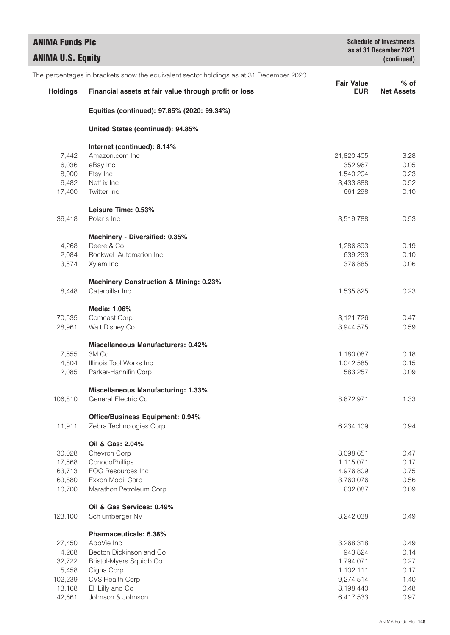| <b>ANIMA Funds PIc</b>   |                                                                                         | <b>Schedule of Investments</b><br>as at 31 December 2021 |                             |
|--------------------------|-----------------------------------------------------------------------------------------|----------------------------------------------------------|-----------------------------|
| <b>ANIMA U.S. Equity</b> |                                                                                         |                                                          | (continued)                 |
|                          | The percentages in brackets show the equivalent sector holdings as at 31 December 2020. |                                                          |                             |
| <b>Holdings</b>          | Financial assets at fair value through profit or loss                                   | <b>Fair Value</b><br><b>EUR</b>                          | $%$ of<br><b>Net Assets</b> |
|                          | Equities (continued): 97.85% (2020: 99.34%)                                             |                                                          |                             |
|                          | United States (continued): 94.85%                                                       |                                                          |                             |
|                          | Internet (continued): 8.14%                                                             |                                                          |                             |
| 7,442                    | Amazon.com Inc                                                                          | 21,820,405                                               | 3.28                        |
| 6,036                    | eBay Inc                                                                                | 352,967                                                  | 0.05                        |
| 8,000                    | Etsy Inc                                                                                | 1,540,204                                                | 0.23                        |
| 6,482                    | Netflix Inc                                                                             | 3,433,888                                                | 0.52                        |
| 17,400                   | Twitter Inc                                                                             | 661,298                                                  | 0.10                        |
|                          | Leisure Time: 0.53%                                                                     |                                                          |                             |
| 36,418                   | Polaris Inc                                                                             | 3,519,788                                                | 0.53                        |
|                          | Machinery - Diversified: 0.35%                                                          |                                                          |                             |
| 4,268                    | Deere & Co                                                                              | 1,286,893                                                | 0.19                        |
| 2,084                    | Rockwell Automation Inc                                                                 | 639,293                                                  | 0.10                        |
| 3,574                    | Xylem Inc                                                                               | 376,885                                                  | 0.06                        |
|                          | <b>Machinery Construction &amp; Mining: 0.23%</b>                                       |                                                          |                             |
| 8,448                    | Caterpillar Inc                                                                         | 1,535,825                                                | 0.23                        |
|                          | Media: 1.06%                                                                            |                                                          |                             |
| 70,535                   | Comcast Corp                                                                            | 3,121,726                                                | 0.47                        |
| 28,961                   | Walt Disney Co                                                                          | 3,944,575                                                | 0.59                        |
|                          | Miscellaneous Manufacturers: 0.42%                                                      |                                                          |                             |
| 7,555                    | 3M Co                                                                                   | 1,180,087                                                | 0.18                        |
| 4,804                    | Illinois Tool Works Inc                                                                 | 1,042,585                                                | 0.15                        |
| 2,085                    | Parker-Hannifin Corp                                                                    | 583,257                                                  | 0.09                        |
|                          | Miscellaneous Manufacturing: 1.33%                                                      |                                                          |                             |
| 106,810                  | General Electric Co                                                                     | 8,872,971                                                | 1.33                        |
|                          | Office/Business Equipment: 0.94%                                                        |                                                          |                             |
| 11,911                   | Zebra Technologies Corp                                                                 | 6,234,109                                                | 0.94                        |
|                          | Oil & Gas: 2.04%                                                                        |                                                          |                             |
| 30,028                   | Chevron Corp                                                                            | 3,098,651                                                | 0.47                        |
| 17,568                   | ConocoPhillips                                                                          | 1,115,071                                                | 0.17                        |
| 63,713                   | <b>EOG Resources Inc</b>                                                                | 4,976,809                                                | 0.75                        |
| 69,880                   | Exxon Mobil Corp                                                                        | 3,760,076                                                | 0.56                        |
| 10,700                   | Marathon Petroleum Corp                                                                 | 602,087                                                  | 0.09                        |
|                          | Oil & Gas Services: 0.49%                                                               |                                                          |                             |
| 123,100                  | Schlumberger NV                                                                         | 3,242,038                                                | 0.49                        |
|                          | Pharmaceuticals: 6.38%                                                                  |                                                          |                             |
| 27,450                   | AbbVie Inc                                                                              | 3,268,318                                                | 0.49                        |
| 4,268                    | Becton Dickinson and Co                                                                 | 943,824                                                  | 0.14                        |
| 32,722                   | Bristol-Myers Squibb Co                                                                 | 1,794,071                                                | 0.27                        |
| 5,458                    | Cigna Corp                                                                              | 1,102,111                                                | 0.17                        |
| 102,239                  | CVS Health Corp                                                                         | 9,274,514                                                | 1.40                        |
| 13,168                   | Eli Lilly and Co                                                                        | 3,198,440                                                | 0.48                        |
| 42,661                   | Johnson & Johnson                                                                       | 6,417,533                                                | 0.97                        |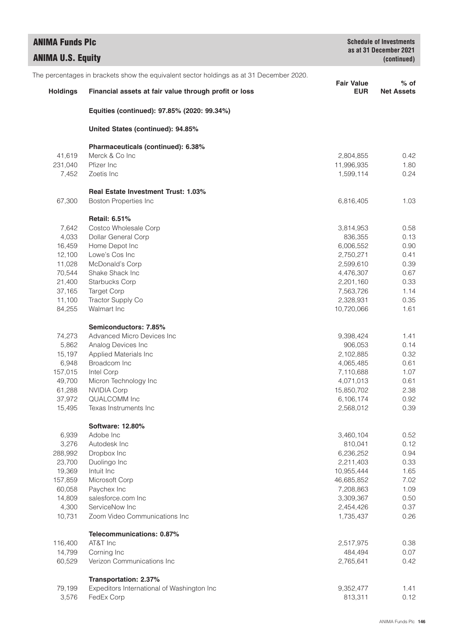| <b>ANIMA Funds PIC</b>   |                                                                                         | <b>Schedule of Investments</b>  |                                       |
|--------------------------|-----------------------------------------------------------------------------------------|---------------------------------|---------------------------------------|
| <b>ANIMA U.S. Equity</b> |                                                                                         |                                 | as at 31 December 2021<br>(continued) |
|                          | The percentages in brackets show the equivalent sector holdings as at 31 December 2020. |                                 |                                       |
| <b>Holdings</b>          | Financial assets at fair value through profit or loss                                   | <b>Fair Value</b><br><b>EUR</b> | $%$ of<br><b>Net Assets</b>           |
|                          | Equities (continued): 97.85% (2020: 99.34%)                                             |                                 |                                       |
|                          | United States (continued): 94.85%                                                       |                                 |                                       |
|                          | Pharmaceuticals (continued): 6.38%                                                      |                                 |                                       |
| 41,619                   | Merck & Co Inc                                                                          | 2,804,855                       | 0.42                                  |
| 231,040                  | Pfizer Inc                                                                              | 11,996,935                      | 1.80                                  |
| 7,452                    | Zoetis Inc                                                                              | 1,599,114                       | 0.24                                  |
|                          | Real Estate Investment Trust: 1.03%                                                     |                                 |                                       |
| 67,300                   | <b>Boston Properties Inc</b>                                                            | 6,816,405                       | 1.03                                  |
|                          | <b>Retail: 6.51%</b>                                                                    |                                 |                                       |
| 7,642                    | Costco Wholesale Corp                                                                   | 3,814,953                       | 0.58                                  |
| 4,033                    | Dollar General Corp                                                                     | 836,355                         | 0.13                                  |
| 16,459                   | Home Depot Inc                                                                          | 6,006,552                       | 0.90                                  |
| 12,100                   | Lowe's Cos Inc                                                                          | 2,750,271                       | 0.41                                  |
| 11,028                   | McDonald's Corp                                                                         | 2,599,610                       | 0.39                                  |
| 70,544                   | Shake Shack Inc                                                                         | 4,476,307                       | 0.67                                  |
| 21,400                   | Starbucks Corp                                                                          | 2,201,160                       | 0.33                                  |
| 37,165                   | <b>Target Corp</b>                                                                      | 7,563,726                       | 1.14                                  |
| 11,100                   | Tractor Supply Co                                                                       | 2,328,931                       | 0.35                                  |
| 84,255                   | Walmart Inc                                                                             | 10,720,066                      | 1.61                                  |
|                          | Semiconductors: 7.85%                                                                   |                                 |                                       |
|                          | Advanced Micro Devices Inc                                                              |                                 | 1.41                                  |
| 74,273                   |                                                                                         | 9,398,424                       |                                       |
| 5,862                    | Analog Devices Inc                                                                      | 906,053                         | 0.14                                  |
| 15,197                   | Applied Materials Inc                                                                   | 2,102,885                       | 0.32                                  |
| 6,948                    | Broadcom Inc                                                                            | 4,065,485                       | 0.61                                  |
| 157,015                  | Intel Corp                                                                              | 7,110,688                       | 1.07                                  |
| 49,700                   | Micron Technology Inc                                                                   | 4,071,013                       | 0.61                                  |
| 61,288                   | <b>NVIDIA Corp</b>                                                                      | 15,850,702                      | 2.38                                  |
| 37,972                   | QUALCOMM Inc                                                                            | 6,106,174                       | 0.92                                  |
| 15,495                   | Texas Instruments Inc                                                                   | 2,568,012                       | 0.39                                  |
|                          | Software: 12.80%                                                                        |                                 |                                       |
| 6,939                    | Adobe Inc                                                                               | 3,460,104                       | 0.52                                  |
| 3,276                    | Autodesk Inc                                                                            | 810,041                         | 0.12                                  |
| 288,992                  | Dropbox Inc                                                                             | 6,236,252                       | 0.94                                  |
| 23,700                   | Duolingo Inc                                                                            | 2,211,403                       | 0.33                                  |
| 19,369                   | Intuit Inc                                                                              | 10,955,444                      | 1.65                                  |
| 157,859                  | Microsoft Corp                                                                          | 46,685,852                      | 7.02                                  |
| 60,058                   | Paychex Inc                                                                             | 7,208,863                       | 1.09                                  |
| 14,809                   | salesforce.com Inc                                                                      | 3,309,367                       | 0.50                                  |
| 4,300                    | ServiceNow Inc                                                                          | 2,454,426                       | 0.37                                  |
| 10,731                   | Zoom Video Communications Inc                                                           | 1,735,437                       | 0.26                                  |
|                          | <b>Telecommunications: 0.87%</b>                                                        |                                 |                                       |
| 116,400                  | AT&T Inc                                                                                | 2,517,975                       | 0.38                                  |
| 14,799                   | Corning Inc                                                                             | 484,494                         | 0.07                                  |
| 60,529                   | Verizon Communications Inc                                                              | 2,765,641                       | 0.42                                  |
|                          | <b>Transportation: 2.37%</b>                                                            |                                 |                                       |
| 79,199                   | Expeditors International of Washington Inc                                              | 9,352,477                       | 1.41                                  |
| 3,576                    | FedEx Corp                                                                              | 813,311                         | 0.12                                  |

ANIMA Funds Plc **146**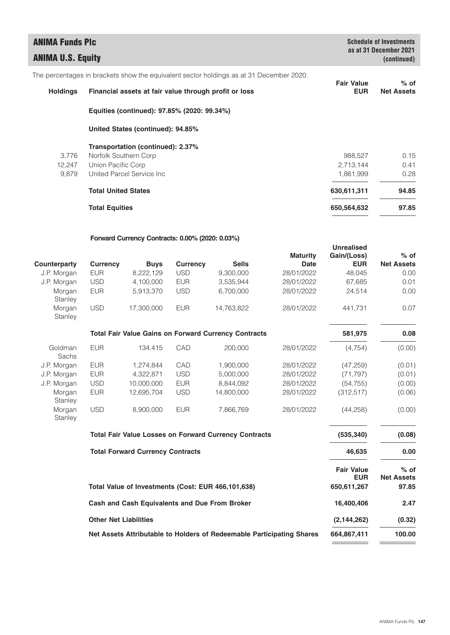| <b>ANIMA Funds PIC</b><br><b>ANIMA U.S. Equity</b> |                                                                                         | <b>Schedule of Investments</b><br>as at 31 December 2021<br>(continued) |                             |
|----------------------------------------------------|-----------------------------------------------------------------------------------------|-------------------------------------------------------------------------|-----------------------------|
|                                                    | The percentages in brackets show the equivalent sector holdings as at 31 December 2020. |                                                                         |                             |
| <b>Holdings</b>                                    | Financial assets at fair value through profit or loss                                   | <b>Fair Value</b><br><b>EUR</b>                                         | $%$ of<br><b>Net Assets</b> |
|                                                    | Equities (continued): 97.85% (2020: 99.34%)                                             |                                                                         |                             |
|                                                    | United States (continued): 94.85%                                                       |                                                                         |                             |
|                                                    | Transportation (continued): 2.37%                                                       |                                                                         |                             |
| 3,776                                              | Norfolk Southern Corp                                                                   | 988,527                                                                 | 0.15                        |
| 12,247                                             | Union Pacific Corp                                                                      | 2,713,144                                                               | 0.41                        |
| 9,879                                              | United Parcel Service Inc                                                               | 1,861,999                                                               | 0.28                        |
|                                                    | <b>Total United States</b>                                                              | 630,611,311                                                             | 94.85                       |
|                                                    | <b>Total Equities</b>                                                                   | 650,564,632                                                             | 97.85                       |
|                                                    | Forward Currency Contracts: 0.00% (2020: 0.03%)                                         |                                                                         |                             |

|                     |                              |                                               |                 |                                                              | <b>Maturity</b>                                                       | <b>Unrealised</b><br>Gain/(Loss) | $%$ of                      |
|---------------------|------------------------------|-----------------------------------------------|-----------------|--------------------------------------------------------------|-----------------------------------------------------------------------|----------------------------------|-----------------------------|
| <b>Counterparty</b> | <b>Currency</b>              | <b>Buys</b>                                   | <b>Currency</b> | <b>Sells</b>                                                 | <b>Date</b>                                                           | <b>EUR</b>                       | <b>Net Assets</b>           |
| J.P. Morgan         | <b>EUR</b>                   | 8,222,129                                     | <b>USD</b>      | 9,300,000                                                    | 28/01/2022                                                            | 48,045                           | 0.00                        |
| J.P. Morgan         | <b>USD</b>                   | 4,100,000                                     | <b>EUR</b>      | 3,535,944                                                    | 28/01/2022                                                            | 67,685                           | 0.01                        |
| Morgan<br>Stanley   | <b>EUR</b>                   | 5,913,370                                     | <b>USD</b>      | 6.700.000                                                    | 28/01/2022                                                            | 24,514                           | 0.00                        |
| Morgan<br>Stanley   | <b>USD</b>                   | 17,300,000                                    | <b>EUR</b>      | 14,763,822                                                   | 28/01/2022                                                            | 441,731                          | 0.07                        |
|                     |                              |                                               |                 | <b>Total Fair Value Gains on Forward Currency Contracts</b>  |                                                                       | 581,975                          | 0.08                        |
| Goldman<br>Sachs    | <b>EUR</b>                   | 134,415                                       | CAD             | 200,000                                                      | 28/01/2022                                                            | (4, 754)                         | (0.00)                      |
| J.P. Morgan         | <b>EUR</b>                   | 1,274,844                                     | CAD             | 1,900,000                                                    | 28/01/2022                                                            | (47, 259)                        | (0.01)                      |
| J.P. Morgan         | <b>EUR</b>                   | 4,322,871                                     | <b>USD</b>      | 5,000,000                                                    | 28/01/2022                                                            | (71, 797)                        | (0.01)                      |
| J.P. Morgan         | <b>USD</b>                   | 10,000,000                                    | <b>EUR</b>      | 8,844,092                                                    | 28/01/2022                                                            | (54, 755)                        | (0.00)                      |
| Morgan              | <b>EUR</b>                   | 12,695,704                                    | <b>USD</b>      | 14,800,000                                                   | 28/01/2022                                                            | (312, 517)                       | (0.06)                      |
| Stanley             |                              |                                               |                 |                                                              |                                                                       |                                  |                             |
| Morgan<br>Stanley   | <b>USD</b>                   | 8,900,000                                     | <b>EUR</b>      | 7,866,769                                                    | 28/01/2022                                                            | (44, 258)                        | (0.00)                      |
|                     |                              |                                               |                 | <b>Total Fair Value Losses on Forward Currency Contracts</b> |                                                                       | (535, 340)                       | (0.08)                      |
|                     |                              | <b>Total Forward Currency Contracts</b>       |                 |                                                              |                                                                       | 46,635                           | 0.00                        |
|                     |                              |                                               |                 |                                                              |                                                                       | <b>Fair Value</b><br><b>EUR</b>  | $%$ of<br><b>Net Assets</b> |
|                     |                              |                                               |                 | Total Value of Investments (Cost: EUR 466,101,638)           |                                                                       | 650,611,267                      | 97.85                       |
|                     |                              | Cash and Cash Equivalents and Due From Broker |                 |                                                              |                                                                       | 16,400,406                       | 2.47                        |
|                     | <b>Other Net Liabilities</b> |                                               |                 |                                                              |                                                                       | (2, 144, 262)                    | (0.32)                      |
|                     |                              |                                               |                 |                                                              | Net Assets Attributable to Holders of Redeemable Participating Shares | 664,867,411                      | 100.00                      |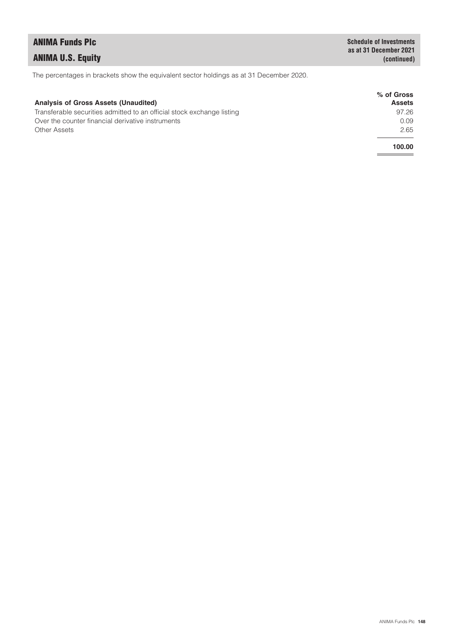| <b>ANIMA U.S. Equity</b> | <b>ANIMA Funds PIC</b> | <b>Schedule of Investments</b><br>as at 31 December 2021 |
|--------------------------|------------------------|----------------------------------------------------------|
|                          |                        | (continued)                                              |

The percentages in brackets show the equivalent sector holdings as at 31 December 2020.

|                                                                        | % of Gross    |
|------------------------------------------------------------------------|---------------|
| <b>Analysis of Gross Assets (Unaudited)</b>                            | <b>Assets</b> |
| Transferable securities admitted to an official stock exchange listing | 97.26         |
| Over the counter financial derivative instruments                      | 0.09          |
| Other Assets                                                           | 2.65          |
|                                                                        | 100.00        |
|                                                                        |               |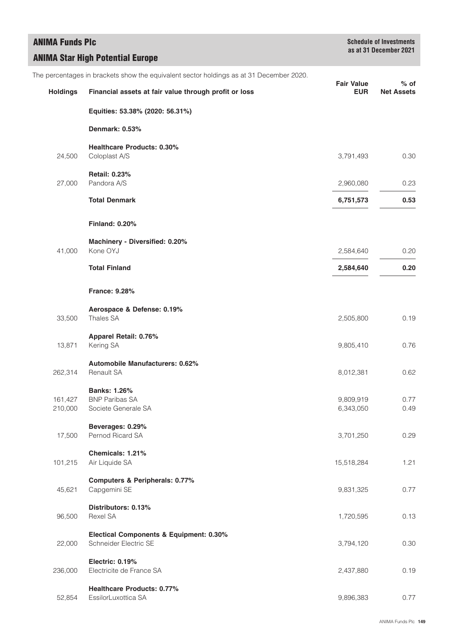| <b>ANIMA Funds PIC</b> |                                                                                         |                                 | <b>Schedule of Investments</b> |
|------------------------|-----------------------------------------------------------------------------------------|---------------------------------|--------------------------------|
|                        | <b>ANIMA Star High Potential Europe</b>                                                 |                                 | as at 31 December 2021         |
|                        | The percentages in brackets show the equivalent sector holdings as at 31 December 2020. |                                 |                                |
| <b>Holdings</b>        | Financial assets at fair value through profit or loss                                   | <b>Fair Value</b><br><b>EUR</b> | $%$ of<br><b>Net Assets</b>    |
|                        | Equities: 53.38% (2020: 56.31%)                                                         |                                 |                                |
|                        | Denmark: 0.53%                                                                          |                                 |                                |
| 24,500                 | <b>Healthcare Products: 0.30%</b><br>Coloplast A/S                                      | 3,791,493                       | 0.30                           |
| 27,000                 | <b>Retail: 0.23%</b><br>Pandora A/S                                                     | 2,960,080                       | 0.23                           |
|                        | <b>Total Denmark</b>                                                                    | 6,751,573                       | 0.53                           |
|                        | <b>Finland: 0.20%</b>                                                                   |                                 |                                |
| 41,000                 | Machinery - Diversified: 0.20%<br>Kone OYJ                                              | 2,584,640                       | 0.20                           |
|                        | <b>Total Finland</b>                                                                    | 2,584,640                       | 0.20                           |
|                        | <b>France: 9.28%</b>                                                                    |                                 |                                |
| 33,500                 | Aerospace & Defense: 0.19%<br>Thales SA                                                 | 2,505,800                       | 0.19                           |
| 13,871                 | Apparel Retail: 0.76%<br>Kering SA                                                      | 9,805,410                       | 0.76                           |
| 262,314                | Automobile Manufacturers: 0.62%<br>Renault SA                                           | 8,012,381                       | 0.62                           |
| 161,427<br>210,000     | <b>Banks: 1.26%</b><br><b>BNP Paribas SA</b><br>Societe Generale SA                     | 9,809,919<br>6,343,050          | 0.77<br>0.49                   |
| 17,500                 | Beverages: 0.29%<br>Pernod Ricard SA                                                    | 3,701,250                       | 0.29                           |
| 101,215                | Chemicals: 1.21%<br>Air Liquide SA                                                      | 15,518,284                      | 1.21                           |
| 45,621                 | Computers & Peripherals: 0.77%<br>Capgemini SE                                          | 9,831,325                       | 0.77                           |
| 96,500                 | Distributors: 0.13%<br>Rexel SA                                                         | 1,720,595                       | 0.13                           |
| 22,000                 | <b>Electical Components &amp; Equipment: 0.30%</b><br>Schneider Electric SE             | 3,794,120                       | 0.30                           |
| 236,000                | <b>Electric: 0.19%</b><br>Electricite de France SA                                      | 2,437,880                       | 0.19                           |
| 52,854                 | <b>Healthcare Products: 0.77%</b><br>EssilorLuxottica SA                                | 9,896,383                       | 0.77                           |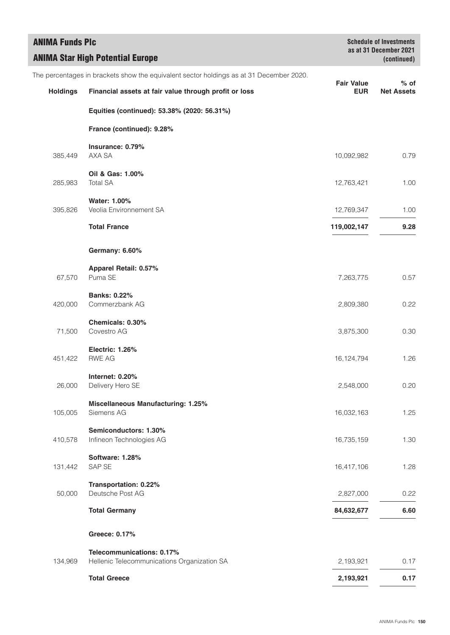| <b>ANIMA Funds PIc</b><br><b>ANIMA Star High Potential Europe</b> |                                                                                         | <b>Schedule of Investments</b><br>as at 31 December 2021<br>(continued) |                             |
|-------------------------------------------------------------------|-----------------------------------------------------------------------------------------|-------------------------------------------------------------------------|-----------------------------|
|                                                                   | The percentages in brackets show the equivalent sector holdings as at 31 December 2020. |                                                                         |                             |
| <b>Holdings</b>                                                   | Financial assets at fair value through profit or loss                                   | <b>Fair Value</b><br><b>EUR</b>                                         | $%$ of<br><b>Net Assets</b> |
|                                                                   | Equities (continued): 53.38% (2020: 56.31%)                                             |                                                                         |                             |
|                                                                   | France (continued): 9.28%                                                               |                                                                         |                             |
| 385,449                                                           | Insurance: 0.79%<br>AXA SA                                                              | 10,092,982                                                              | 0.79                        |
| 285,983                                                           | Oil & Gas: 1.00%<br><b>Total SA</b>                                                     | 12,763,421                                                              | 1.00                        |
| 395,826                                                           | Water: 1.00%<br>Veolia Environnement SA                                                 | 12,769,347                                                              | 1.00                        |
|                                                                   | <b>Total France</b>                                                                     | 119,002,147                                                             | 9.28                        |
|                                                                   | Germany: 6.60%                                                                          |                                                                         |                             |
| 67,570                                                            | Apparel Retail: 0.57%<br>Puma SE                                                        | 7,263,775                                                               | 0.57                        |
| 420,000                                                           | <b>Banks: 0.22%</b><br>Commerzbank AG                                                   | 2,809,380                                                               | 0.22                        |
| 71,500                                                            | Chemicals: 0.30%<br>Covestro AG                                                         | 3,875,300                                                               | 0.30                        |
| 451,422                                                           | <b>Electric: 1.26%</b><br><b>RWE AG</b>                                                 | 16, 124, 794                                                            | 1.26                        |
| 26,000                                                            | Internet: 0.20%<br>Delivery Hero SE                                                     | 2,548,000                                                               | 0.20                        |
| 105,005                                                           | <b>Miscellaneous Manufacturing: 1.25%</b><br>Siemens AG                                 | 16,032,163                                                              | 1.25                        |
| 410,578                                                           | Semiconductors: 1.30%<br>Infineon Technologies AG                                       | 16,735,159                                                              | 1.30                        |
| 131,442                                                           | Software: 1.28%<br>SAP SE                                                               | 16,417,106                                                              | 1.28                        |
| 50,000                                                            | Transportation: 0.22%<br>Deutsche Post AG                                               | 2,827,000                                                               | 0.22                        |
|                                                                   | <b>Total Germany</b>                                                                    | 84,632,677                                                              | 6.60                        |
|                                                                   | Greece: 0.17%                                                                           |                                                                         |                             |
| 134,969                                                           | <b>Telecommunications: 0.17%</b><br>Hellenic Telecommunications Organization SA         | 2,193,921                                                               | 0.17                        |
|                                                                   | <b>Total Greece</b>                                                                     | 2,193,921                                                               | 0.17                        |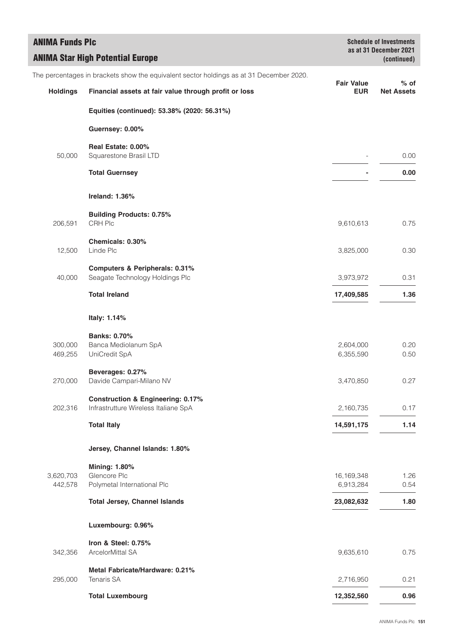| <b>ANIMA Funds PIC</b> |                                                                                         |                           | <b>Schedule of Investments</b>        |
|------------------------|-----------------------------------------------------------------------------------------|---------------------------|---------------------------------------|
|                        | <b>ANIMA Star High Potential Europe</b>                                                 |                           | as at 31 December 2021<br>(continued) |
|                        | The percentages in brackets show the equivalent sector holdings as at 31 December 2020. | <b>Fair Value</b>         | $%$ of                                |
| <b>Holdings</b>        | Financial assets at fair value through profit or loss                                   | <b>EUR</b>                | <b>Net Assets</b>                     |
|                        | Equities (continued): 53.38% (2020: 56.31%)                                             |                           |                                       |
|                        | Guernsey: 0.00%                                                                         |                           |                                       |
| 50,000                 | Real Estate: 0.00%<br>Squarestone Brasil LTD                                            |                           | 0.00                                  |
|                        | <b>Total Guernsey</b>                                                                   |                           | 0.00                                  |
|                        | Ireland: 1.36%                                                                          |                           |                                       |
| 206,591                | <b>Building Products: 0.75%</b><br>CRH Plc                                              | 9,610,613                 | 0.75                                  |
| 12,500                 | Chemicals: 0.30%<br>Linde Plc                                                           | 3,825,000                 | 0.30                                  |
| 40,000                 | Computers & Peripherals: 0.31%<br>Seagate Technology Holdings Plc                       | 3,973,972                 | 0.31                                  |
|                        | <b>Total Ireland</b>                                                                    | 17,409,585                | 1.36                                  |
|                        | Italy: 1.14%                                                                            |                           |                                       |
|                        | <b>Banks: 0.70%</b>                                                                     |                           |                                       |
| 300,000<br>469,255     | Banca Mediolanum SpA<br>UniCredit SpA                                                   | 2,604,000<br>6,355,590    | 0.20<br>0.50                          |
| 270,000                | Beverages: 0.27%<br>Davide Campari-Milano NV                                            | 3,470,850                 | 0.27                                  |
| 202,316                | <b>Construction &amp; Engineering: 0.17%</b><br>Infrastrutture Wireless Italiane SpA    | 2,160,735                 | 0.17                                  |
|                        | <b>Total Italy</b>                                                                      | 14,591,175                | 1.14                                  |
|                        | Jersey, Channel Islands: 1.80%                                                          |                           |                                       |
|                        | <b>Mining: 1.80%</b>                                                                    |                           |                                       |
| 3,620,703<br>442,578   | Glencore Plc<br>Polymetal International Plc                                             | 16, 169, 348<br>6,913,284 | 1.26<br>0.54                          |
|                        | <b>Total Jersey, Channel Islands</b>                                                    | 23,082,632                | 1.80                                  |
|                        | Luxembourg: 0.96%                                                                       |                           |                                       |
| 342,356                | Iron & Steel: 0.75%<br>ArcelorMittal SA                                                 | 9,635,610                 | 0.75                                  |
|                        | Metal Fabricate/Hardware: 0.21%                                                         |                           |                                       |
| 295,000                | Tenaris SA                                                                              | 2,716,950                 | 0.21                                  |
|                        | <b>Total Luxembourg</b>                                                                 | 12,352,560                | 0.96                                  |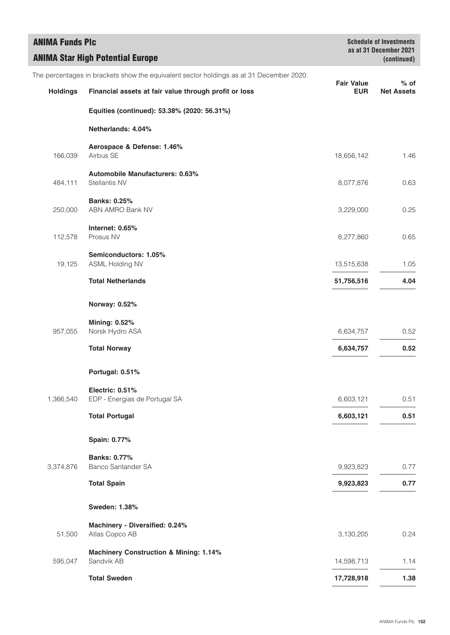| <b>ANIMA Funds PIC</b> |                                                                                         |                   | <b>Schedule of Investments</b>        |
|------------------------|-----------------------------------------------------------------------------------------|-------------------|---------------------------------------|
|                        | <b>ANIMA Star High Potential Europe</b>                                                 |                   | as at 31 December 2021<br>(continued) |
|                        | The percentages in brackets show the equivalent sector holdings as at 31 December 2020. | <b>Fair Value</b> |                                       |
| <b>Holdings</b>        | Financial assets at fair value through profit or loss                                   | <b>EUR</b>        | $%$ of<br><b>Net Assets</b>           |
|                        | Equities (continued): 53.38% (2020: 56.31%)                                             |                   |                                       |
|                        | Netherlands: 4.04%                                                                      |                   |                                       |
| 166,039                | Aerospace & Defense: 1.46%<br>Airbus SE                                                 | 18,656,142        | 1.46                                  |
| 484,111                | <b>Automobile Manufacturers: 0.63%</b><br><b>Stellantis NV</b>                          | 8,077,876         | 0.63                                  |
| 250,000                | <b>Banks: 0.25%</b><br>ABN AMRO Bank NV                                                 | 3,229,000         | 0.25                                  |
| 112,578                | Internet: 0.65%<br>Prosus NV                                                            | 8,277,860         | 0.65                                  |
| 19,125                 | Semiconductors: 1.05%<br><b>ASML Holding NV</b>                                         | 13,515,638        | 1.05                                  |
|                        | <b>Total Netherlands</b>                                                                | 51,756,516        | 4.04                                  |
|                        | Norway: 0.52%                                                                           |                   |                                       |
| 957,055                | <b>Mining: 0.52%</b><br>Norsk Hydro ASA                                                 | 6,634,757         | 0.52                                  |
|                        | <b>Total Norway</b>                                                                     | 6,634,757         | 0.52                                  |
|                        | Portugal: 0.51%                                                                         |                   |                                       |
| 1,366,540              | <b>Electric: 0.51%</b><br>EDP - Energias de Portugal SA                                 | 6,603,121         | 0.51                                  |
|                        | <b>Total Portugal</b>                                                                   | 6,603,121         | 0.51                                  |
|                        | Spain: 0.77%                                                                            |                   |                                       |
|                        | <b>Banks: 0.77%</b>                                                                     |                   |                                       |
| 3,374,876              | Banco Santander SA                                                                      | 9,923,823         | 0.77                                  |
|                        | <b>Total Spain</b>                                                                      | 9,923,823         | 0.77                                  |
|                        | <b>Sweden: 1.38%</b>                                                                    |                   |                                       |
| 51,500                 | Machinery - Diversified: 0.24%<br>Atlas Copco AB                                        | 3,130,205         | 0.24                                  |
| 595,047                | <b>Machinery Construction &amp; Mining: 1.14%</b><br>Sandvik AB                         | 14,598,713        | 1.14                                  |
|                        | <b>Total Sweden</b>                                                                     | 17,728,918        | 1.38                                  |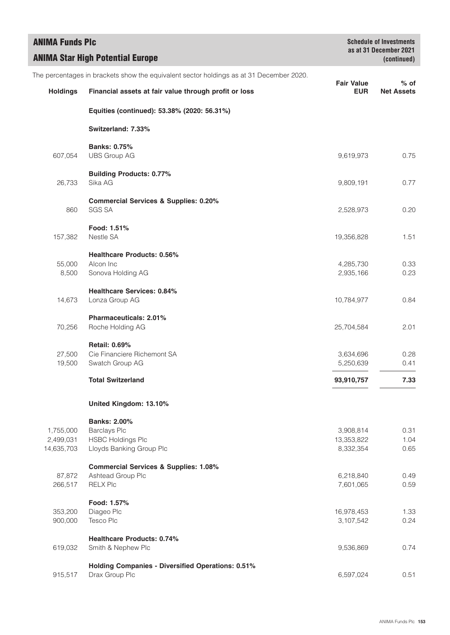| <b>ANIMA Funds PIC</b>               |                                                                                                    |                                      | <b>Schedule of Investments</b>        |
|--------------------------------------|----------------------------------------------------------------------------------------------------|--------------------------------------|---------------------------------------|
|                                      | <b>ANIMA Star High Potential Europe</b>                                                            |                                      | as at 31 December 2021<br>(continued) |
|                                      | The percentages in brackets show the equivalent sector holdings as at 31 December 2020.            |                                      |                                       |
| <b>Holdings</b>                      | Financial assets at fair value through profit or loss                                              | <b>Fair Value</b><br><b>EUR</b>      | $%$ of<br><b>Net Assets</b>           |
|                                      | Equities (continued): 53.38% (2020: 56.31%)                                                        |                                      |                                       |
|                                      | Switzerland: 7.33%                                                                                 |                                      |                                       |
| 607,054                              | <b>Banks: 0.75%</b><br><b>UBS Group AG</b>                                                         | 9,619,973                            | 0.75                                  |
| 26,733                               | <b>Building Products: 0.77%</b><br>Sika AG                                                         | 9,809,191                            | 0.77                                  |
| 860                                  | <b>Commercial Services &amp; Supplies: 0.20%</b><br><b>SGS SA</b>                                  | 2,528,973                            | 0.20                                  |
| 157,382                              | Food: 1.51%<br>Nestle SA                                                                           | 19,356,828                           | 1.51                                  |
| 55,000<br>8,500                      | <b>Healthcare Products: 0.56%</b><br>Alcon Inc<br>Sonova Holding AG                                | 4,285,730<br>2,935,166               | 0.33<br>0.23                          |
| 14,673                               | <b>Healthcare Services: 0.84%</b><br>Lonza Group AG                                                | 10,784,977                           | 0.84                                  |
| 70,256                               | <b>Pharmaceuticals: 2.01%</b><br>Roche Holding AG                                                  | 25,704,584                           | 2.01                                  |
| 27,500<br>19,500                     | <b>Retail: 0.69%</b><br>Cie Financiere Richemont SA<br>Swatch Group AG                             | 3,634,696<br>5,250,639               | 0.28<br>0.41                          |
|                                      | <b>Total Switzerland</b>                                                                           | 93,910,757                           | 7.33                                  |
|                                      | United Kingdom: 13.10%                                                                             |                                      |                                       |
| 1,755,000<br>2,499,031<br>14,635,703 | <b>Banks: 2.00%</b><br><b>Barclays Plc</b><br><b>HSBC Holdings Plc</b><br>Lloyds Banking Group Plc | 3,908,814<br>13,353,822<br>8,332,354 | 0.31<br>1.04<br>0.65                  |
| 87,872<br>266,517                    | <b>Commercial Services &amp; Supplies: 1.08%</b><br>Ashtead Group Plc<br><b>RELX Plc</b>           | 6,218,840<br>7,601,065               | 0.49<br>0.59                          |
| 353,200<br>900,000                   | Food: 1.57%<br>Diageo Plc<br>Tesco Plc                                                             | 16,978,453<br>3,107,542              | 1.33<br>0.24                          |
| 619,032                              | <b>Healthcare Products: 0.74%</b><br>Smith & Nephew Plc                                            | 9,536,869                            | 0.74                                  |
| 915,517                              | <b>Holding Companies - Diversified Operations: 0.51%</b><br>Drax Group Plc                         | 6,597,024                            | 0.51                                  |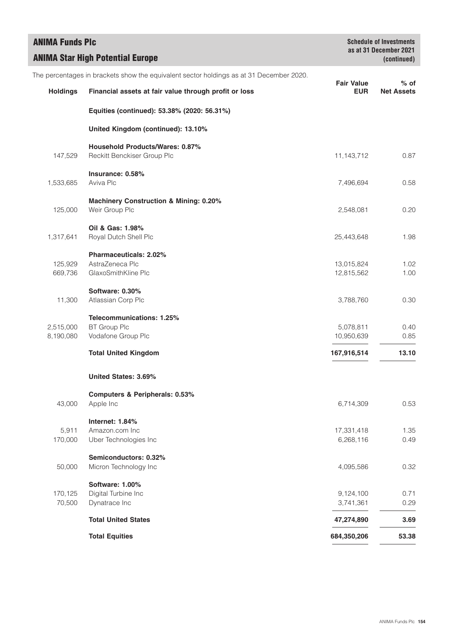| <b>ANIMA Funds PIC</b>                                                                                  | <b>Schedule of Investments</b><br>as at 31 December 2021 |                   |
|---------------------------------------------------------------------------------------------------------|----------------------------------------------------------|-------------------|
| <b>ANIMA Star High Potential Europe</b>                                                                 |                                                          | (continued)       |
| The percentages in brackets show the equivalent sector holdings as at 31 December 2020.                 | <b>Fair Value</b>                                        | $%$ of            |
| <b>Holdings</b><br>Financial assets at fair value through profit or loss                                | <b>EUR</b>                                               | <b>Net Assets</b> |
| Equities (continued): 53.38% (2020: 56.31%)                                                             |                                                          |                   |
| United Kingdom (continued): 13.10%                                                                      |                                                          |                   |
| <b>Household Products/Wares: 0.87%</b><br>147,529<br>Reckitt Benckiser Group Plc                        | 11,143,712                                               | 0.87              |
| Insurance: 0.58%<br>1,533,685<br>Aviva Plc                                                              | 7,496,694                                                | 0.58              |
| <b>Machinery Construction &amp; Mining: 0.20%</b><br>Weir Group Plc<br>125,000                          | 2,548,081                                                | 0.20              |
| Oil & Gas: 1.98%<br>Royal Dutch Shell Plc<br>1,317,641                                                  | 25,443,648                                               | 1.98              |
| <b>Pharmaceuticals: 2.02%</b><br>AstraZeneca Plc<br>125,929<br>669,736<br>GlaxoSmithKline Plc           | 13,015,824<br>12,815,562                                 | 1.02<br>1.00      |
| Software: 0.30%<br>Atlassian Corp Plc<br>11,300                                                         | 3,788,760                                                | 0.30              |
| <b>Telecommunications: 1.25%</b><br><b>BT Group Plc</b><br>2,515,000<br>Vodafone Group Plc<br>8,190,080 | 5,078,811<br>10,950,639                                  | 0.40<br>0.85      |
| <b>Total United Kingdom</b>                                                                             | 167,916,514                                              | 13.10             |
| United States: 3.69%                                                                                    |                                                          |                   |
| Computers & Peripherals: 0.53%<br>43,000<br>Apple Inc                                                   | 6,714,309                                                | 0.53              |
| Internet: 1.84%<br>5,911<br>Amazon.com Inc<br>170,000<br>Uber Technologies Inc                          | 17,331,418<br>6,268,116                                  | 1.35<br>0.49      |
| Semiconductors: 0.32%<br>50,000<br>Micron Technology Inc                                                | 4,095,586                                                | 0.32              |
| Software: 1.00%<br>Digital Turbine Inc<br>170,125<br>70,500<br>Dynatrace Inc                            | 9,124,100<br>3,741,361                                   | 0.71<br>0.29      |
| <b>Total United States</b>                                                                              | 47,274,890                                               | 3.69              |
| <b>Total Equities</b>                                                                                   | 684,350,206                                              | 53.38             |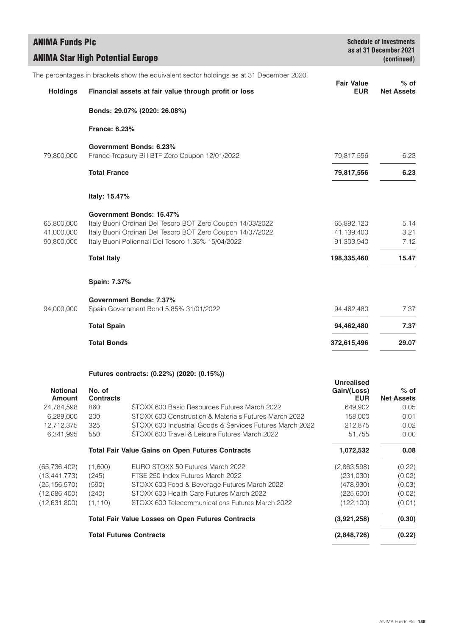| <b>ANIMA Funds PIC</b>                  |                            |                                                                                                                                                                                                            |                                                | <b>Schedule of Investments</b>        |
|-----------------------------------------|----------------------------|------------------------------------------------------------------------------------------------------------------------------------------------------------------------------------------------------------|------------------------------------------------|---------------------------------------|
| <b>ANIMA Star High Potential Europe</b> |                            |                                                                                                                                                                                                            |                                                | as at 31 December 2021<br>(continued) |
|                                         |                            | The percentages in brackets show the equivalent sector holdings as at 31 December 2020.                                                                                                                    | <b>Fair Value</b>                              | $%$ of                                |
| <b>Holdings</b>                         |                            | Financial assets at fair value through profit or loss                                                                                                                                                      | <b>EUR</b>                                     | <b>Net Assets</b>                     |
|                                         |                            | Bonds: 29.07% (2020: 26.08%)                                                                                                                                                                               |                                                |                                       |
|                                         | <b>France: 6.23%</b>       |                                                                                                                                                                                                            |                                                |                                       |
| 79,800,000                              |                            | Government Bonds: 6.23%<br>France Treasury Bill BTF Zero Coupon 12/01/2022                                                                                                                                 | 79,817,556                                     | 6.23                                  |
|                                         | <b>Total France</b>        |                                                                                                                                                                                                            | 79,817,556                                     | 6.23                                  |
|                                         | Italy: 15.47%              |                                                                                                                                                                                                            |                                                |                                       |
| 65,800,000<br>41,000,000<br>90,800,000  |                            | Government Bonds: 15.47%<br>Italy Buoni Ordinari Del Tesoro BOT Zero Coupon 14/03/2022<br>Italy Buoni Ordinari Del Tesoro BOT Zero Coupon 14/07/2022<br>Italy Buoni Poliennali Del Tesoro 1.35% 15/04/2022 | 65,892,120<br>41,139,400<br>91,303,940         | 5.14<br>3.21<br>7.12                  |
|                                         | <b>Total Italy</b>         |                                                                                                                                                                                                            | 198,335,460                                    | 15.47                                 |
|                                         | Spain: 7.37%               |                                                                                                                                                                                                            |                                                |                                       |
| 94,000,000                              |                            | <b>Government Bonds: 7.37%</b><br>Spain Government Bond 5.85% 31/01/2022                                                                                                                                   | 94,462,480                                     | 7.37                                  |
|                                         | <b>Total Spain</b>         |                                                                                                                                                                                                            | 94,462,480                                     | 7.37                                  |
|                                         | <b>Total Bonds</b>         |                                                                                                                                                                                                            | 372,615,496                                    | 29.07                                 |
|                                         |                            | Futures contracts: (0.22%) (2020: (0.15%))                                                                                                                                                                 |                                                |                                       |
| <b>Notional</b><br><b>Amount</b>        | No. of<br><b>Contracts</b> |                                                                                                                                                                                                            | <b>Unrealised</b><br>Gain/(Loss)<br><b>EUR</b> | $%$ of<br><b>Net Assets</b>           |
| 24,784,598                              | 860                        | STOXX 600 Basic Resources Futures March 2022                                                                                                                                                               | 649,902                                        | 0.05                                  |
| 6,289,000                               | 200                        | STOXX 600 Construction & Materials Futures March 2022<br>STOXX 600 Industrial Goods & Services Futures March 2022                                                                                          | 158,000                                        | 0.01                                  |
| 12,712,375<br>6,341,995                 | 325<br>550                 | STOXX 600 Travel & Leisure Futures March 2022                                                                                                                                                              | 212,875<br>51,755                              | 0.02<br>0.00                          |
|                                         |                            | <b>Total Fair Value Gains on Open Futures Contracts</b>                                                                                                                                                    | 1,072,532                                      | 0.08                                  |
| (65, 736, 402)                          | (1,600)                    | EURO STOXX 50 Futures March 2022                                                                                                                                                                           | (2,863,598)                                    | (0.22)                                |
| (13, 441, 773)                          | (245)                      | FTSE 250 Index Futures March 2022                                                                                                                                                                          | (231,030)                                      | (0.02)                                |
| (25, 156, 570)                          | (590)                      | STOXX 600 Food & Beverage Futures March 2022                                                                                                                                                               | (478,930)                                      | (0.03)                                |
| (12,686,400)                            | (240)                      | STOXX 600 Health Care Futures March 2022                                                                                                                                                                   | (225,600)                                      | (0.02)                                |
| (12,631,800)                            | (1, 110)                   | STOXX 600 Telecommunications Futures March 2022                                                                                                                                                            | (122, 100)                                     | (0.01)                                |
|                                         |                            | <b>Total Fair Value Losses on Open Futures Contracts</b>                                                                                                                                                   | (3,921,258)                                    | (0.30)                                |
|                                         |                            | <b>Total Futures Contracts</b>                                                                                                                                                                             | (2,848,726)                                    | (0.22)                                |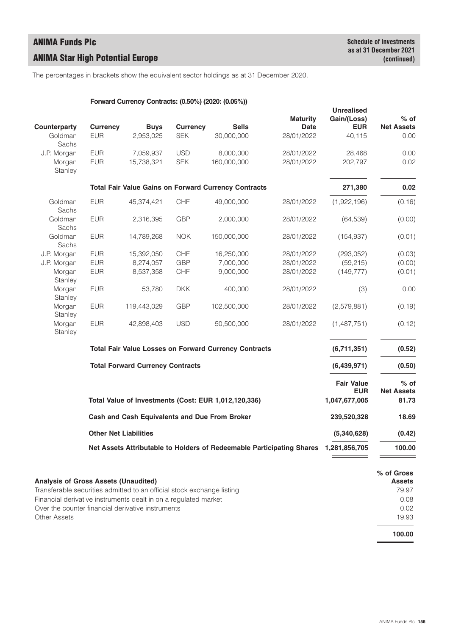## **ANIMA Funds Plc ANIMA Star High Potential Europe**

The percentages in brackets show the equivalent sector holdings as at 31 December 2020.

### **Forward Currency Contracts: (0.50%) (2020: (0.05%))**

| <b>Counterparty</b><br>Goldman              | <b>Currency</b><br><b>EUR</b> | <b>Buys</b><br>2,953,025                      | <b>Currency</b><br><b>SEK</b> | <b>Sells</b><br>30,000,000                                   | <b>Maturity</b><br><b>Date</b><br>28/01/2022                          | <b>Unrealised</b><br>Gain/(Loss)<br><b>EUR</b><br>40,115 | $%$ of<br><b>Net Assets</b><br>0.00 |
|---------------------------------------------|-------------------------------|-----------------------------------------------|-------------------------------|--------------------------------------------------------------|-----------------------------------------------------------------------|----------------------------------------------------------|-------------------------------------|
| Sachs                                       |                               |                                               |                               |                                                              |                                                                       |                                                          |                                     |
| J.P. Morgan                                 | <b>EUR</b>                    | 7,059,937                                     | <b>USD</b>                    | 8,000,000                                                    | 28/01/2022                                                            | 28,468                                                   | 0.00                                |
| Morgan<br>Stanley                           | <b>EUR</b>                    | 15,738,321                                    | <b>SEK</b>                    | 160,000,000                                                  | 28/01/2022                                                            | 202,797                                                  | 0.02                                |
|                                             |                               |                                               |                               | <b>Total Fair Value Gains on Forward Currency Contracts</b>  |                                                                       | 271,380                                                  | 0.02                                |
| Goldman<br>Sachs                            | <b>EUR</b>                    | 45,374,421                                    | <b>CHF</b>                    | 49,000,000                                                   | 28/01/2022                                                            | (1,922,196)                                              | (0.16)                              |
| Goldman<br>Sachs                            | <b>EUR</b>                    | 2,316,395                                     | <b>GBP</b>                    | 2,000,000                                                    | 28/01/2022                                                            | (64, 539)                                                | (0.00)                              |
| Goldman<br>Sachs                            | <b>EUR</b>                    | 14,789,268                                    | <b>NOK</b>                    | 150,000,000                                                  | 28/01/2022                                                            | (154, 937)                                               | (0.01)                              |
| J.P. Morgan                                 | <b>EUR</b>                    | 15,392,050                                    | <b>CHF</b>                    | 16,250,000                                                   | 28/01/2022                                                            | (293, 052)                                               | (0.03)                              |
| J.P. Morgan                                 | <b>EUR</b>                    | 8,274,057                                     | <b>GBP</b>                    | 7,000,000                                                    | 28/01/2022                                                            | (59, 215)                                                | (0.00)                              |
| Morgan<br>Stanley                           | <b>EUR</b>                    | 8,537,358                                     | CHF                           | 9,000,000                                                    | 28/01/2022                                                            | (149, 777)                                               | (0.01)                              |
| Morgan<br>Stanley                           | <b>EUR</b>                    | 53,780                                        | <b>DKK</b>                    | 400,000                                                      | 28/01/2022                                                            | (3)                                                      | 0.00                                |
| Morgan<br>Stanley                           | <b>EUR</b>                    | 119,443,029                                   | <b>GBP</b>                    | 102,500,000                                                  | 28/01/2022                                                            | (2,579,881)                                              | (0.19)                              |
| Morgan<br>Stanley                           | <b>EUR</b>                    | 42,898,403                                    | <b>USD</b>                    | 50,500,000                                                   | 28/01/2022                                                            | (1,487,751)                                              | (0.12)                              |
|                                             |                               |                                               |                               | <b>Total Fair Value Losses on Forward Currency Contracts</b> |                                                                       | (6,711,351)                                              | (0.52)                              |
|                                             |                               | <b>Total Forward Currency Contracts</b>       |                               |                                                              |                                                                       | (6,439,971)                                              | (0.50)                              |
|                                             |                               |                                               |                               |                                                              |                                                                       | <b>Fair Value</b><br><b>EUR</b>                          | $%$ of<br><b>Net Assets</b>         |
|                                             |                               |                                               |                               | Total Value of Investments (Cost: EUR 1,012,120,336)         |                                                                       | 1,047,677,005                                            | 81.73                               |
|                                             |                               | Cash and Cash Equivalents and Due From Broker |                               |                                                              |                                                                       | 239,520,328                                              | 18.69                               |
|                                             | <b>Other Net Liabilities</b>  |                                               |                               |                                                              |                                                                       | (5,340,628)                                              | (0.42)                              |
|                                             |                               |                                               |                               |                                                              | Net Assets Attributable to Holders of Redeemable Participating Shares | 1,281,856,705                                            | 100.00                              |
| <b>Analysis of Gross Assets (Unaudited)</b> |                               |                                               |                               |                                                              |                                                                       |                                                          | % of Gross<br><b>Assets</b>         |

| Alialysis Of Gross Assets (Officiality)                                | ASSELS |
|------------------------------------------------------------------------|--------|
| Transferable securities admitted to an official stock exchange listing | 79.97  |
| Financial derivative instruments dealt in on a regulated market        | 0.08   |
| Over the counter financial derivative instruments                      | 0.02   |
| Other Assets                                                           | 19.93  |
|                                                                        |        |

**100.00**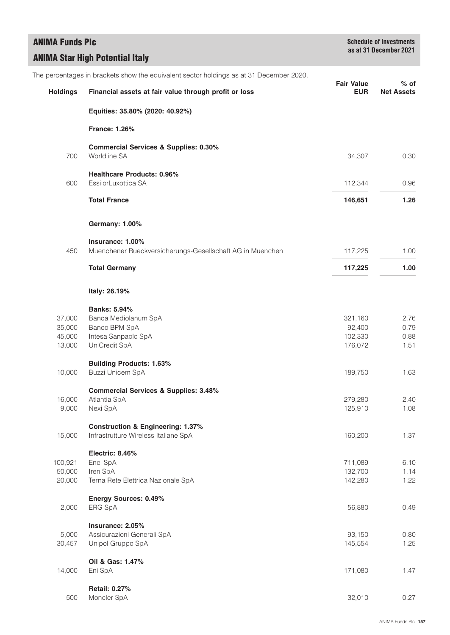| <b>ANIMA Funds PIC</b> |                                                                                         |                   | <b>Schedule of Investments</b> |
|------------------------|-----------------------------------------------------------------------------------------|-------------------|--------------------------------|
|                        | <b>ANIMA Star High Potential Italy</b>                                                  |                   | as at 31 December 2021         |
|                        | The percentages in brackets show the equivalent sector holdings as at 31 December 2020. | <b>Fair Value</b> |                                |
| <b>Holdings</b>        | Financial assets at fair value through profit or loss                                   |                   | $%$ of<br><b>Net Assets</b>    |
|                        | Equities: 35.80% (2020: 40.92%)                                                         |                   |                                |
|                        | <b>France: 1.26%</b>                                                                    |                   |                                |
| 700                    | <b>Commercial Services &amp; Supplies: 0.30%</b><br>Worldline SA                        | 34,307            | 0.30                           |
| 600                    | <b>Healthcare Products: 0.96%</b><br>EssilorLuxottica SA                                | 112,344           | 0.96                           |
|                        | <b>Total France</b>                                                                     | 146,651           | 1.26                           |
|                        | <b>Germany: 1.00%</b>                                                                   |                   |                                |
| 450                    | Insurance: 1.00%<br>Muenchener Rueckversicherungs-Gesellschaft AG in Muenchen           | 117,225           | 1.00                           |
|                        | <b>Total Germany</b>                                                                    | 117,225           | 1.00                           |
|                        | Italy: 26.19%                                                                           |                   |                                |
|                        | <b>Banks: 5.94%</b>                                                                     |                   |                                |
| 37,000                 | Banca Mediolanum SpA                                                                    | 321,160           | 2.76                           |
| 35,000                 | Banco BPM SpA                                                                           | 92,400            | 0.79                           |
| 45,000                 | Intesa Sanpaolo SpA                                                                     | 102,330           | 0.88                           |
| 13,000                 | UniCredit SpA                                                                           | 176,072           | 1.51                           |
|                        | <b>Building Products: 1.63%</b>                                                         |                   |                                |
| 10,000                 | Buzzi Unicem SpA                                                                        | 189,750           | 1.63                           |
|                        | <b>Commercial Services &amp; Supplies: 3.48%</b>                                        |                   |                                |
| 16,000                 | Atlantia SpA                                                                            | 279,280           | 2.40                           |
| 9,000                  | Nexi SpA                                                                                | 125,910           | 1.08                           |
|                        | <b>Construction &amp; Engineering: 1.37%</b>                                            |                   |                                |
| 15,000                 | Infrastrutture Wireless Italiane SpA                                                    | 160,200           | 1.37                           |
|                        | <b>Electric: 8.46%</b>                                                                  |                   |                                |
| 100,921                | Enel SpA                                                                                | 711,089           | 6.10                           |
| 50,000                 | Iren SpA                                                                                | 132,700           | 1.14                           |
| 20,000                 | Terna Rete Elettrica Nazionale SpA                                                      | 142,280           | 1.22                           |
|                        | <b>Energy Sources: 0.49%</b>                                                            |                   |                                |
| 2,000                  | ERG SpA                                                                                 | 56,880            | 0.49                           |
|                        | Insurance: 2.05%                                                                        |                   |                                |
| 5,000                  | Assicurazioni Generali SpA                                                              | 93,150            | 0.80                           |
| 30,457                 | Unipol Gruppo SpA                                                                       | 145,554           | 1.25                           |
|                        | Oil & Gas: 1.47%                                                                        |                   |                                |
| 14,000                 | Eni SpA                                                                                 | 171,080           | 1.47                           |
|                        | <b>Retail: 0.27%</b>                                                                    |                   |                                |
| 500                    | Moncler SpA                                                                             | 32,010            | 0.27                           |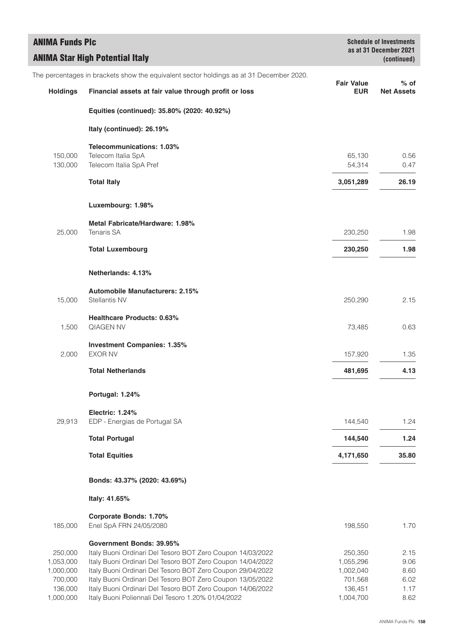| <b>ANIMA Funds PIC</b> |                                                                                                                          |                                 | <b>Schedule of Investments</b><br>as at 31 December 2021 |  |  |
|------------------------|--------------------------------------------------------------------------------------------------------------------------|---------------------------------|----------------------------------------------------------|--|--|
|                        | <b>ANIMA Star High Potential Italy</b>                                                                                   |                                 | (continued)                                              |  |  |
|                        | The percentages in brackets show the equivalent sector holdings as at 31 December 2020.                                  |                                 |                                                          |  |  |
| <b>Holdings</b>        | Financial assets at fair value through profit or loss                                                                    | <b>Fair Value</b><br><b>EUR</b> | $%$ of<br><b>Net Assets</b>                              |  |  |
|                        | Equities (continued): 35.80% (2020: 40.92%)                                                                              |                                 |                                                          |  |  |
|                        | Italy (continued): 26.19%                                                                                                |                                 |                                                          |  |  |
|                        | <b>Telecommunications: 1.03%</b>                                                                                         |                                 |                                                          |  |  |
| 150,000<br>130,000     | Telecom Italia SpA<br>Telecom Italia SpA Pref                                                                            | 65,130<br>54,314                | 0.56<br>0.47                                             |  |  |
|                        | <b>Total Italy</b>                                                                                                       | 3,051,289                       | 26.19                                                    |  |  |
|                        |                                                                                                                          |                                 |                                                          |  |  |
|                        | Luxembourg: 1.98%                                                                                                        |                                 |                                                          |  |  |
| 25,000                 | Metal Fabricate/Hardware: 1.98%<br>Tenaris SA                                                                            | 230,250                         | 1.98                                                     |  |  |
|                        | <b>Total Luxembourg</b>                                                                                                  | 230,250                         | 1.98                                                     |  |  |
|                        | Netherlands: 4.13%                                                                                                       |                                 |                                                          |  |  |
|                        | <b>Automobile Manufacturers: 2.15%</b>                                                                                   |                                 |                                                          |  |  |
| 15,000                 | Stellantis NV                                                                                                            | 250,290                         | 2.15                                                     |  |  |
| 1,500                  | <b>Healthcare Products: 0.63%</b><br><b>QIAGEN NV</b>                                                                    | 73,485                          | 0.63                                                     |  |  |
| 2,000                  | <b>Investment Companies: 1.35%</b><br><b>EXOR NV</b>                                                                     | 157,920                         | 1.35                                                     |  |  |
|                        | <b>Total Netherlands</b>                                                                                                 | 481,695                         | 4.13                                                     |  |  |
|                        | Portugal: 1.24%                                                                                                          |                                 |                                                          |  |  |
|                        | <b>Electric: 1.24%</b>                                                                                                   |                                 |                                                          |  |  |
| 29,913                 | EDP - Energias de Portugal SA                                                                                            | 144,540                         | 1.24                                                     |  |  |
|                        | <b>Total Portugal</b>                                                                                                    | 144,540                         | 1.24                                                     |  |  |
|                        | <b>Total Equities</b>                                                                                                    | 4,171,650                       | 35.80                                                    |  |  |
|                        | Bonds: 43.37% (2020: 43.69%)                                                                                             |                                 |                                                          |  |  |
|                        | Italy: 41.65%                                                                                                            |                                 |                                                          |  |  |
| 185,000                | Corporate Bonds: 1.70%<br>Enel SpA FRN 24/05/2080                                                                        | 198,550                         | 1.70                                                     |  |  |
|                        | Government Bonds: 39.95%                                                                                                 |                                 |                                                          |  |  |
| 250,000                | Italy Buoni Ordinari Del Tesoro BOT Zero Coupon 14/03/2022                                                               | 250,350                         | 2.15                                                     |  |  |
| 1,053,000              | Italy Buoni Ordinari Del Tesoro BOT Zero Coupon 14/04/2022                                                               | 1,055,296                       | 9.06                                                     |  |  |
| 1,000,000<br>700,000   | Italy Buoni Ordinari Del Tesoro BOT Zero Coupon 29/04/2022<br>Italy Buoni Ordinari Del Tesoro BOT Zero Coupon 13/05/2022 | 1,002,040<br>701,568            | 8.60<br>6.02                                             |  |  |
| 136,000                | Italy Buoni Ordinari Del Tesoro BOT Zero Coupon 14/06/2022                                                               | 136,451                         | 1.17                                                     |  |  |
| 1,000,000              | Italy Buoni Poliennali Del Tesoro 1.20% 01/04/2022                                                                       | 1,004,700                       | 8.62                                                     |  |  |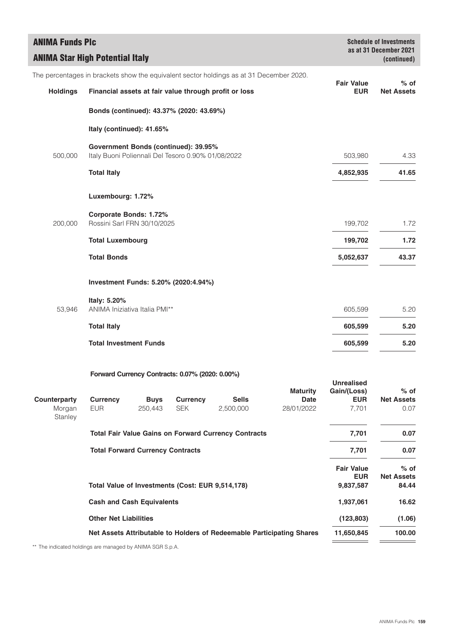| <b>ANIMA Funds PIC</b>                   |                                               |                                                              |                                                                                            |                                                                                         |                                                                       |                                                         | <b>Schedule of Investments</b>        |
|------------------------------------------|-----------------------------------------------|--------------------------------------------------------------|--------------------------------------------------------------------------------------------|-----------------------------------------------------------------------------------------|-----------------------------------------------------------------------|---------------------------------------------------------|---------------------------------------|
| <b>ANIMA Star High Potential Italy</b>   |                                               |                                                              |                                                                                            |                                                                                         |                                                                       |                                                         | as at 31 December 2021<br>(continued) |
|                                          |                                               |                                                              |                                                                                            | The percentages in brackets show the equivalent sector holdings as at 31 December 2020. |                                                                       |                                                         |                                       |
| <b>Holdings</b>                          |                                               |                                                              |                                                                                            | Financial assets at fair value through profit or loss                                   |                                                                       | <b>Fair Value</b><br><b>EUR</b>                         | $%$ of<br><b>Net Assets</b>           |
|                                          |                                               |                                                              | Bonds (continued): 43.37% (2020: 43.69%)                                                   |                                                                                         |                                                                       |                                                         |                                       |
|                                          |                                               | Italy (continued): 41.65%                                    |                                                                                            |                                                                                         |                                                                       |                                                         |                                       |
| 500,000                                  |                                               |                                                              | Government Bonds (continued): 39.95%<br>Italy Buoni Poliennali Del Tesoro 0.90% 01/08/2022 |                                                                                         |                                                                       | 503,980                                                 | 4.33                                  |
|                                          | <b>Total Italy</b>                            |                                                              |                                                                                            |                                                                                         |                                                                       | 4,852,935                                               | 41.65                                 |
|                                          | Luxembourg: 1.72%                             |                                                              |                                                                                            |                                                                                         |                                                                       |                                                         |                                       |
| 200,000                                  |                                               | <b>Corporate Bonds: 1.72%</b><br>Rossini Sarl FRN 30/10/2025 |                                                                                            |                                                                                         |                                                                       | 199,702                                                 | 1.72                                  |
|                                          | <b>Total Luxembourg</b>                       |                                                              |                                                                                            |                                                                                         |                                                                       | 199,702                                                 | 1.72                                  |
|                                          | <b>Total Bonds</b>                            |                                                              |                                                                                            |                                                                                         |                                                                       | 5,052,637                                               | 43.37                                 |
|                                          |                                               |                                                              | Investment Funds: 5.20% (2020:4.94%)                                                       |                                                                                         |                                                                       |                                                         |                                       |
| 53,946                                   | Italy: 5.20%<br>ANIMA Iniziativa Italia PMI** |                                                              |                                                                                            |                                                                                         |                                                                       | 605,599                                                 | 5.20                                  |
|                                          | <b>Total Italy</b>                            |                                                              |                                                                                            |                                                                                         |                                                                       | 605,599                                                 | 5.20                                  |
|                                          | <b>Total Investment Funds</b>                 |                                                              |                                                                                            |                                                                                         |                                                                       | 605,599                                                 | 5.20                                  |
|                                          |                                               |                                                              | Forward Currency Contracts: 0.07% (2020: 0.00%)                                            |                                                                                         |                                                                       |                                                         |                                       |
| <b>Counterparty</b><br>Morgan<br>Stanley | <b>Currency</b><br><b>EUR</b>                 | <b>Buys</b><br>250,443                                       | <b>Currency</b><br><b>SEK</b>                                                              | <b>Sells</b><br>2,500,000                                                               | <b>Maturity</b><br><b>Date</b><br>28/01/2022                          | <b>Unrealised</b><br>Gain/(Loss)<br><b>EUR</b><br>7,701 | $%$ of<br><b>Net Assets</b><br>0.07   |
|                                          |                                               |                                                              |                                                                                            | <b>Total Fair Value Gains on Forward Currency Contracts</b>                             |                                                                       | 7,701                                                   | 0.07                                  |
|                                          |                                               | <b>Total Forward Currency Contracts</b>                      |                                                                                            |                                                                                         |                                                                       | 7,701                                                   | 0.07                                  |
|                                          |                                               |                                                              |                                                                                            |                                                                                         |                                                                       | <b>Fair Value</b><br><b>EUR</b>                         | $%$ of<br><b>Net Assets</b>           |
|                                          |                                               |                                                              | Total Value of Investments (Cost: EUR 9,514,178)                                           |                                                                                         |                                                                       | 9,837,587                                               | 84.44                                 |
|                                          |                                               | <b>Cash and Cash Equivalents</b>                             |                                                                                            |                                                                                         |                                                                       | 1,937,061                                               | 16.62                                 |
|                                          | <b>Other Net Liabilities</b>                  |                                                              |                                                                                            |                                                                                         |                                                                       | (123, 803)                                              | (1.06)<br>100.00                      |
|                                          |                                               |                                                              |                                                                                            |                                                                                         | Net Assets Attributable to Holders of Redeemable Participating Shares | 11,650,845                                              |                                       |

\*\* The indicated holdings are managed by ANIMA SGR S.p.A.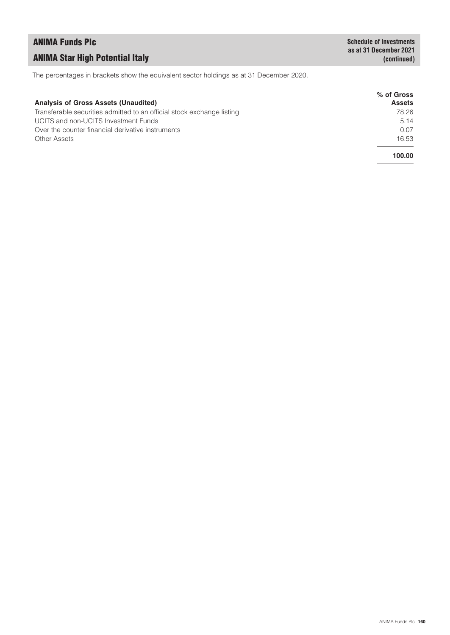| <b>ANIMA Funds PIC</b>                 | <b>Schedule of Investments</b>        |
|----------------------------------------|---------------------------------------|
| <b>ANIMA Star High Potential Italy</b> | as at 31 December 2021<br>(continued) |
|                                        |                                       |

The percentages in brackets show the equivalent sector holdings as at 31 December 2020.

ı

| <b>Analysis of Gross Assets (Unaudited)</b>                            | % of Gross<br><b>Assets</b> |
|------------------------------------------------------------------------|-----------------------------|
| Transferable securities admitted to an official stock exchange listing | 78.26                       |
| UCITS and non-UCITS Investment Funds                                   | 5.14                        |
| Over the counter financial derivative instruments                      | 0.07                        |
| <b>Other Assets</b>                                                    | 16.53                       |
|                                                                        | 100.00                      |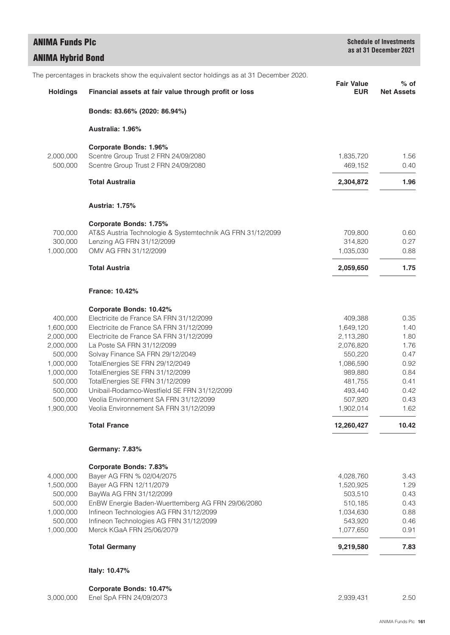| <b>ANIMA Funds PIC</b>   |                                                                                              |                      | <b>Schedule of Investments</b> |
|--------------------------|----------------------------------------------------------------------------------------------|----------------------|--------------------------------|
| <b>ANIMA Hybrid Bond</b> |                                                                                              |                      | as at 31 December 2021         |
|                          | The percentages in brackets show the equivalent sector holdings as at 31 December 2020.      | <b>Fair Value</b>    |                                |
| <b>Holdings</b>          | Financial assets at fair value through profit or loss                                        | <b>EUR</b>           | % of<br><b>Net Assets</b>      |
|                          | Bonds: 83.66% (2020: 86.94%)                                                                 |                      |                                |
|                          | Australia: 1.96%                                                                             |                      |                                |
|                          | Corporate Bonds: 1.96%                                                                       |                      |                                |
| 2,000,000<br>500,000     | Scentre Group Trust 2 FRN 24/09/2080<br>Scentre Group Trust 2 FRN 24/09/2080                 | 1,835,720<br>469,152 | 1.56<br>0.40                   |
|                          | <b>Total Australia</b>                                                                       | 2,304,872            | 1.96                           |
|                          | <b>Austria: 1.75%</b>                                                                        |                      |                                |
|                          | Corporate Bonds: 1.75%                                                                       |                      |                                |
| 700,000                  | AT&S Austria Technologie & Systemtechnik AG FRN 31/12/2099                                   | 709,800              | 0.60                           |
| 300,000                  | Lenzing AG FRN 31/12/2099                                                                    | 314,820              | 0.27                           |
| 1,000,000                | OMV AG FRN 31/12/2099                                                                        | 1,035,030            | 0.88                           |
|                          | <b>Total Austria</b>                                                                         | 2,059,650            | 1.75                           |
|                          | <b>France: 10.42%</b>                                                                        |                      |                                |
|                          | Corporate Bonds: 10.42%                                                                      |                      |                                |
| 400,000                  | Electricite de France SA FRN 31/12/2099                                                      | 409,388              | 0.35                           |
| 1,600,000                | Electricite de France SA FRN 31/12/2099                                                      | 1,649,120            | 1.40                           |
| 2,000,000                | Electricite de France SA FRN 31/12/2099                                                      | 2,113,280            | 1.80                           |
| 2,000,000                | La Poste SA FRN 31/12/2099                                                                   | 2,076,820            | 1.76                           |
| 500,000                  | Solvay Finance SA FRN 29/12/2049                                                             | 550,220              | 0.47                           |
| 1,000,000                | TotalEnergies SE FRN 29/12/2049                                                              | 1,086,590            | 0.92                           |
| 1,000,000                | TotalEnergies SE FRN 31/12/2099                                                              | 989,880              | 0.84                           |
| 500,000<br>500,000       | TotalEnergies SE FRN 31/12/2099<br>Unibail-Rodamco-Westfield SE FRN 31/12/2099               | 481,755<br>493,440   | 0.41                           |
| 500,000                  | Veolia Environnement SA FRN 31/12/2099                                                       | 507,920              | 0.42<br>0.43                   |
| 1,900,000                | Veolia Environnement SA FRN 31/12/2099                                                       | 1,902,014            | 1.62                           |
|                          | <b>Total France</b>                                                                          | 12,260,427           | 10.42                          |
|                          |                                                                                              |                      |                                |
|                          | <b>Germany: 7.83%</b>                                                                        |                      |                                |
|                          | <b>Corporate Bonds: 7.83%</b>                                                                |                      |                                |
| 4,000,000                | Bayer AG FRN % 02/04/2075                                                                    | 4,028,760            | 3.43                           |
| 1,500,000                | Bayer AG FRN 12/11/2079                                                                      | 1,520,925            | 1.29                           |
| 500,000                  | BayWa AG FRN 31/12/2099                                                                      | 503,510              | 0.43                           |
| 500,000                  | EnBW Energie Baden-Wuerttemberg AG FRN 29/06/2080<br>Infineon Technologies AG FRN 31/12/2099 | 510,185              | 0.43                           |
| 1,000,000<br>500,000     | Infineon Technologies AG FRN 31/12/2099                                                      | 1,034,630<br>543,920 | 0.88<br>0.46                   |
| 1,000,000                | Merck KGaA FRN 25/06/2079                                                                    | 1,077,650            | 0.91                           |
|                          | <b>Total Germany</b>                                                                         | 9,219,580            | 7.83                           |
|                          | Italy: 10.47%                                                                                |                      |                                |
|                          | Corporate Bonds: 10.47%                                                                      |                      |                                |
| 3,000,000                | Enel SpA FRN 24/09/2073                                                                      | 2,939,431            | 2.50                           |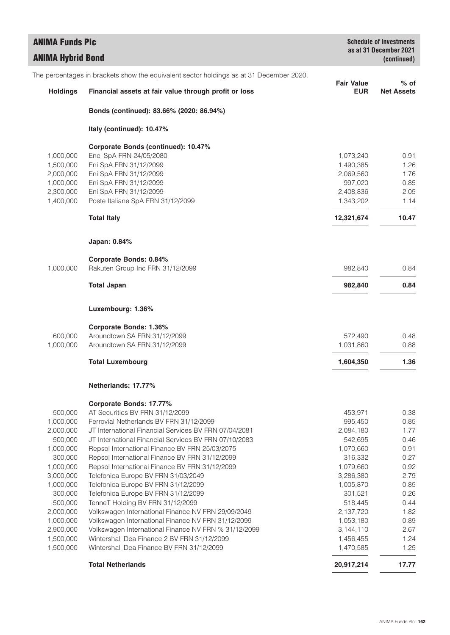| <b>ANIMA Funds PIC</b>   |                                                                                         |                                 | <b>Schedule of Investments</b>        |
|--------------------------|-----------------------------------------------------------------------------------------|---------------------------------|---------------------------------------|
| <b>ANIMA Hybrid Bond</b> |                                                                                         |                                 | as at 31 December 2021<br>(continued) |
|                          | The percentages in brackets show the equivalent sector holdings as at 31 December 2020. |                                 |                                       |
| <b>Holdings</b>          | Financial assets at fair value through profit or loss                                   | <b>Fair Value</b><br><b>EUR</b> | % of<br><b>Net Assets</b>             |
|                          | Bonds (continued): 83.66% (2020: 86.94%)                                                |                                 |                                       |
|                          | Italy (continued): 10.47%                                                               |                                 |                                       |
|                          | Corporate Bonds (continued): 10.47%                                                     |                                 |                                       |
| 1,000,000                | Enel SpA FRN 24/05/2080                                                                 | 1,073,240                       | 0.91                                  |
| 1,500,000                | Eni SpA FRN 31/12/2099                                                                  | 1,490,385                       | 1.26                                  |
| 2,000,000                | Eni SpA FRN 31/12/2099                                                                  | 2,069,560                       | 1.76                                  |
| 1,000,000                | Eni SpA FRN 31/12/2099                                                                  | 997,020                         | 0.85                                  |
| 2,300,000                | Eni SpA FRN 31/12/2099                                                                  | 2,408,836                       | 2.05                                  |
| 1,400,000                | Poste Italiane SpA FRN 31/12/2099                                                       | 1,343,202                       | 1.14                                  |
|                          | <b>Total Italy</b>                                                                      | 12,321,674                      | 10.47                                 |
|                          | Japan: 0.84%                                                                            |                                 |                                       |
|                          | Corporate Bonds: 0.84%                                                                  |                                 |                                       |
| 1,000,000                | Rakuten Group Inc FRN 31/12/2099                                                        | 982,840                         | 0.84                                  |
|                          | <b>Total Japan</b>                                                                      | 982,840                         | 0.84                                  |
|                          | Luxembourg: 1.36%                                                                       |                                 |                                       |
|                          | Corporate Bonds: 1.36%                                                                  |                                 |                                       |
| 600,000                  | Aroundtown SA FRN 31/12/2099                                                            | 572,490                         | 0.48                                  |
| 1,000,000                | Aroundtown SA FRN 31/12/2099                                                            | 1,031,860                       | 0.88                                  |
|                          | <b>Total Luxembourg</b>                                                                 | 1,604,350                       | 1.36                                  |
|                          | Netherlands: 17.77%                                                                     |                                 |                                       |
|                          |                                                                                         |                                 |                                       |
|                          | Corporate Bonds: 17.77%                                                                 |                                 |                                       |
| 500,000                  | AT Securities BV FRN 31/12/2099<br>Ferrovial Netherlands BV FRN 31/12/2099              | 453,971                         | 0.38                                  |
| 1,000,000                |                                                                                         | 995,450                         | 0.85                                  |
| 2,000,000                | JT International Financial Services BV FRN 07/04/2081                                   | 2,084,180                       | 1.77                                  |
| 500,000                  | JT International Financial Services BV FRN 07/10/2083                                   | 542,695                         | 0.46                                  |
| 1,000,000                | Repsol International Finance BV FRN 25/03/2075                                          | 1,070,660                       | 0.91                                  |
| 300,000                  | Repsol International Finance BV FRN 31/12/2099                                          | 316,332                         | 0.27                                  |
| 1,000,000                | Repsol International Finance BV FRN 31/12/2099                                          | 1,079,660                       | 0.92                                  |
| 3,000,000                | Telefonica Europe BV FRN 31/03/2049                                                     | 3,286,380                       | 2.79                                  |
| 1,000,000                | Telefonica Europe BV FRN 31/12/2099                                                     | 1,005,870                       | 0.85                                  |
| 300,000                  | Telefonica Europe BV FRN 31/12/2099                                                     | 301,521                         | 0.26                                  |
| 500,000                  | TenneT Holding BV FRN 31/12/2099                                                        | 518,445                         | 0.44                                  |
| 2,000,000                | Volkswagen International Finance NV FRN 29/09/2049                                      | 2,137,720                       | 1.82                                  |
| 1,000,000                | Volkswagen International Finance NV FRN 31/12/2099                                      | 1,053,180                       | 0.89                                  |
| 2,900,000                | Volkswagen International Finance NV FRN % 31/12/2099                                    | 3,144,110                       | 2.67                                  |
| 1,500,000                | Wintershall Dea Finance 2 BV FRN 31/12/2099                                             | 1,456,455                       | 1.24                                  |
| 1,500,000                | Wintershall Dea Finance BV FRN 31/12/2099                                               | 1,470,585                       | 1.25                                  |
|                          | <b>Total Netherlands</b>                                                                | 20,917,214                      | 17.77                                 |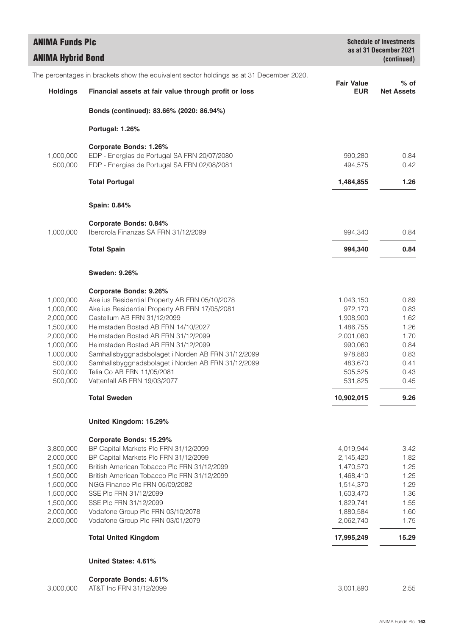| <b>ANIMA Funds PIC</b>   |                                                                                              |                        | <b>Schedule of Investments</b>        |
|--------------------------|----------------------------------------------------------------------------------------------|------------------------|---------------------------------------|
| <b>ANIMA Hybrid Bond</b> |                                                                                              |                        | as at 31 December 2021<br>(continued) |
|                          | The percentages in brackets show the equivalent sector holdings as at 31 December 2020.      | <b>Fair Value</b>      |                                       |
| <b>Holdings</b>          | Financial assets at fair value through profit or loss                                        | <b>EUR</b>             | $%$ of<br><b>Net Assets</b>           |
|                          | Bonds (continued): 83.66% (2020: 86.94%)                                                     |                        |                                       |
|                          | Portugal: 1.26%                                                                              |                        |                                       |
|                          | Corporate Bonds: 1.26%                                                                       |                        |                                       |
| 1,000,000<br>500,000     | EDP - Energias de Portugal SA FRN 20/07/2080<br>EDP - Energias de Portugal SA FRN 02/08/2081 | 990,280<br>494,575     | 0.84<br>0.42                          |
|                          | <b>Total Portugal</b>                                                                        | 1,484,855              | 1.26                                  |
|                          | Spain: 0.84%                                                                                 |                        |                                       |
|                          | Corporate Bonds: 0.84%                                                                       |                        |                                       |
| 1,000,000                | Iberdrola Finanzas SA FRN 31/12/2099                                                         | 994,340                | 0.84                                  |
|                          | <b>Total Spain</b>                                                                           | 994,340                | 0.84                                  |
|                          | <b>Sweden: 9.26%</b>                                                                         |                        |                                       |
|                          | Corporate Bonds: 9.26%                                                                       |                        |                                       |
| 1,000,000                | Akelius Residential Property AB FRN 05/10/2078                                               | 1,043,150              | 0.89                                  |
| 1,000,000                | Akelius Residential Property AB FRN 17/05/2081                                               | 972,170                | 0.83                                  |
| 2,000,000                | Castellum AB FRN 31/12/2099                                                                  | 1,908,900              | 1.62                                  |
| 1,500,000                | Heimstaden Bostad AB FRN 14/10/2027<br>Heimstaden Bostad AB FRN 31/12/2099                   | 1,486,755<br>2,001,080 | 1.26                                  |
| 2,000,000<br>1,000,000   | Heimstaden Bostad AB FRN 31/12/2099                                                          | 990,060                | 1.70<br>0.84                          |
| 1,000,000                | Samhallsbyggnadsbolaget i Norden AB FRN 31/12/2099                                           | 978,880                | 0.83                                  |
| 500,000                  | Samhallsbyggnadsbolaget i Norden AB FRN 31/12/2099                                           | 483,670                | 0.41                                  |
| 500,000                  | Telia Co AB FRN 11/05/2081                                                                   | 505,525                | 0.43                                  |
| 500.000                  | Vattenfall AB FRN 19/03/2077                                                                 | 531,825                | 0.45                                  |
|                          | <b>Total Sweden</b>                                                                          | 10,902,015             | 9.26                                  |
|                          | United Kingdom: 15.29%                                                                       |                        |                                       |
|                          | Corporate Bonds: 15.29%                                                                      |                        |                                       |
| 3,800,000                | BP Capital Markets Plc FRN 31/12/2099                                                        | 4,019,944              | 3.42                                  |
| 2,000,000                | BP Capital Markets Plc FRN 31/12/2099                                                        | 2,145,420              | 1.82                                  |
| 1,500,000                | British American Tobacco Plc FRN 31/12/2099                                                  | 1,470,570              | 1.25                                  |
| 1,500,000                | British American Tobacco Plc FRN 31/12/2099                                                  | 1,468,410              | 1.25                                  |
| 1,500,000                | NGG Finance Plc FRN 05/09/2082                                                               | 1,514,370              | 1.29                                  |
| 1,500,000                | SSE Plc FRN 31/12/2099                                                                       | 1,603,470              | 1.36                                  |
| 1,500,000                | SSE Plc FRN 31/12/2099                                                                       | 1,829,741              | 1.55                                  |
| 2,000,000<br>2,000,000   | Vodafone Group Plc FRN 03/10/2078<br>Vodafone Group Plc FRN 03/01/2079                       | 1,880,584<br>2,062,740 | 1.60<br>1.75                          |
|                          | <b>Total United Kingdom</b>                                                                  | 17,995,249             | 15.29                                 |
|                          | <b>United States: 4.61%</b>                                                                  |                        |                                       |
|                          | Corporate Bonds: 4.61%                                                                       |                        |                                       |
| 3,000,000                | AT&T Inc FRN 31/12/2099                                                                      | 3,001,890              | 2.55                                  |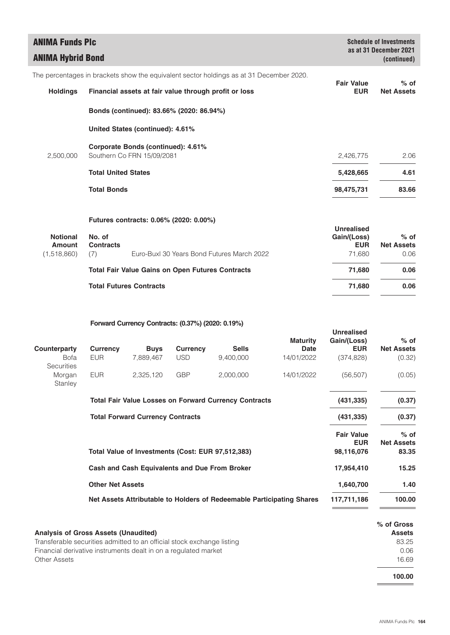| <b>ANIMA Funds PIC</b>                                                                  |                                                   |                                                                         |                 |                                                              |                                |                                  | <b>Schedule of Investments</b><br>as at 31 December 2021 |
|-----------------------------------------------------------------------------------------|---------------------------------------------------|-------------------------------------------------------------------------|-----------------|--------------------------------------------------------------|--------------------------------|----------------------------------|----------------------------------------------------------|
| <b>ANIMA Hybrid Bond</b>                                                                |                                                   |                                                                         |                 |                                                              |                                |                                  | (continued)                                              |
| The percentages in brackets show the equivalent sector holdings as at 31 December 2020. |                                                   |                                                                         |                 |                                                              |                                | <b>Fair Value</b>                | $%$ of                                                   |
| <b>Holdings</b>                                                                         |                                                   | Financial assets at fair value through profit or loss                   |                 |                                                              |                                | <b>EUR</b>                       | <b>Net Assets</b>                                        |
|                                                                                         |                                                   | Bonds (continued): 83.66% (2020: 86.94%)                                |                 |                                                              |                                |                                  |                                                          |
|                                                                                         |                                                   | United States (continued): 4.61%                                        |                 |                                                              |                                |                                  |                                                          |
| 2,500,000                                                                               |                                                   | <b>Corporate Bonds (continued): 4.61%</b><br>Southern Co FRN 15/09/2081 |                 |                                                              |                                | 2,426,775                        | 2.06                                                     |
|                                                                                         | <b>Total United States</b>                        |                                                                         |                 |                                                              |                                | 5,428,665                        | 4.61                                                     |
|                                                                                         | <b>Total Bonds</b>                                |                                                                         |                 |                                                              |                                | 98,475,731                       | 83.66                                                    |
| <b>Notional</b>                                                                         | No. of                                            | Futures contracts: 0.06% (2020: 0.00%)                                  |                 |                                                              |                                | <b>Unrealised</b><br>Gain/(Loss) | $%$ of                                                   |
| <b>Amount</b>                                                                           | <b>Contracts</b>                                  |                                                                         |                 |                                                              |                                | <b>EUR</b>                       | <b>Net Assets</b>                                        |
| (1,518,860)                                                                             | Euro-Buxl 30 Years Bond Futures March 2022<br>(7) |                                                                         |                 |                                                              |                                | 71,680                           | 0.06                                                     |
|                                                                                         |                                                   | <b>Total Fair Value Gains on Open Futures Contracts</b>                 |                 |                                                              |                                | 71,680                           | 0.06                                                     |
|                                                                                         |                                                   | <b>Total Futures Contracts</b>                                          |                 |                                                              |                                | 71,680                           | 0.06                                                     |
|                                                                                         |                                                   | Forward Currency Contracts: (0.37%) (2020: 0.19%)                       |                 |                                                              |                                | <b>Unrealised</b>                |                                                          |
|                                                                                         |                                                   | <b>Buys</b>                                                             | <b>Currency</b> | <b>Sells</b>                                                 | <b>Maturity</b><br><b>Date</b> | Gain/(Loss)<br><b>EUR</b>        | $%$ of<br><b>Net Assets</b>                              |
| Counterparty<br><b>Bofa</b>                                                             | <b>Currency</b><br><b>EUR</b>                     | 7,889,467                                                               | <b>USD</b>      | 9,400,000                                                    | 14/01/2022                     | (374, 828)                       | (0.32)                                                   |
| <b>Securities</b><br>Morgan<br>Stanley                                                  | <b>EUR</b>                                        | 2,325,120                                                               | GBP             | 2,000,000                                                    | 14/01/2022                     | (56, 507)                        | (0.05)                                                   |
|                                                                                         |                                                   |                                                                         |                 | <b>Total Fair Value Losses on Forward Currency Contracts</b> |                                | (431, 335)                       | (0.37)                                                   |
|                                                                                         |                                                   | <b>Total Forward Currency Contracts</b>                                 |                 |                                                              |                                | (431, 335)                       | (0.37)                                                   |
|                                                                                         |                                                   |                                                                         |                 |                                                              |                                | <b>Fair Value</b><br><b>EUR</b>  | $%$ of<br><b>Net Assets</b>                              |
|                                                                                         |                                                   | Total Value of Investments (Cost: EUR 97,512,383)                       |                 |                                                              |                                | 98,116,076                       | 83.35                                                    |
|                                                                                         |                                                   | Cash and Cash Equivalents and Due From Broker                           |                 |                                                              |                                | 17,954,410                       | 15.25                                                    |
|                                                                                         | <b>Other Net Assets</b>                           |                                                                         |                 |                                                              |                                | 1,640,700                        | 1.40                                                     |

| Analysis of Gross Assets (Unaudited)                                   | % of Gross<br><b>Assets</b> |
|------------------------------------------------------------------------|-----------------------------|
| Transferable securities admitted to an official stock exchange listing | 83.25                       |
| Financial derivative instruments dealt in on a regulated market        | 0.06                        |
| Other Assets                                                           | 16.69                       |
|                                                                        | 100.00                      |

Net Assets Attributable to Holders of Redeemable Participating Shares 117,711,186 100.00

 $\overline{a}$ 

 $=$  $\equiv$ 

 $\blacksquare$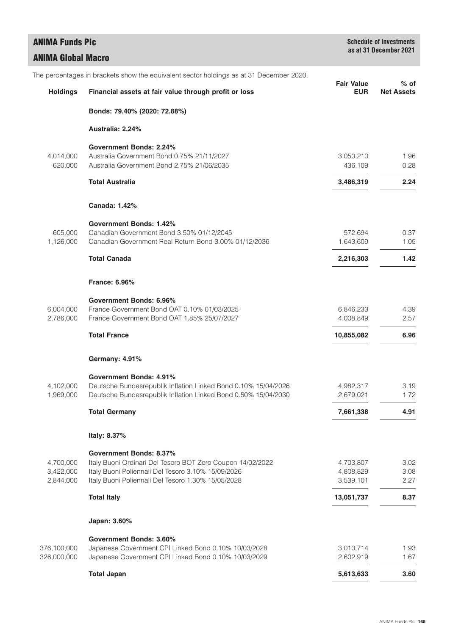| <b>ANIMA Funds PIC</b>              |                                                                                                                                                                                                          |                                     | <b>Schedule of Investments</b> |
|-------------------------------------|----------------------------------------------------------------------------------------------------------------------------------------------------------------------------------------------------------|-------------------------------------|--------------------------------|
| <b>ANIMA Global Macro</b>           |                                                                                                                                                                                                          |                                     | as at 31 December 2021         |
|                                     | The percentages in brackets show the equivalent sector holdings as at 31 December 2020.                                                                                                                  |                                     |                                |
| <b>Holdings</b>                     | Financial assets at fair value through profit or loss                                                                                                                                                    | <b>Fair Value</b><br><b>EUR</b>     | % of<br><b>Net Assets</b>      |
|                                     | Bonds: 79.40% (2020: 72.88%)                                                                                                                                                                             |                                     |                                |
|                                     | Australia: 2.24%                                                                                                                                                                                         |                                     |                                |
| 4,014,000<br>620,000                | <b>Government Bonds: 2.24%</b><br>Australia Government Bond 0.75% 21/11/2027<br>Australia Government Bond 2.75% 21/06/2035                                                                               | 3,050,210<br>436,109                | 1.96<br>0.28                   |
|                                     | <b>Total Australia</b>                                                                                                                                                                                   | 3,486,319                           | 2.24                           |
|                                     | <b>Canada: 1.42%</b>                                                                                                                                                                                     |                                     |                                |
| 605,000<br>1,126,000                | <b>Government Bonds: 1.42%</b><br>Canadian Government Bond 3.50% 01/12/2045<br>Canadian Government Real Return Bond 3.00% 01/12/2036                                                                     | 572,694<br>1,643,609                | 0.37<br>1.05                   |
|                                     | <b>Total Canada</b>                                                                                                                                                                                      | 2,216,303                           | 1.42                           |
|                                     | <b>France: 6.96%</b>                                                                                                                                                                                     |                                     |                                |
| 6,004,000<br>2,786,000              | Government Bonds: 6.96%<br>France Government Bond OAT 0.10% 01/03/2025<br>France Government Bond OAT 1.85% 25/07/2027                                                                                    | 6,846,233<br>4,008,849              | 4.39<br>2.57                   |
|                                     | <b>Total France</b>                                                                                                                                                                                      | 10,855,082                          | 6.96                           |
|                                     | <b>Germany: 4.91%</b>                                                                                                                                                                                    |                                     |                                |
| 4,102,000<br>1,969,000              | <b>Government Bonds: 4.91%</b><br>Deutsche Bundesrepublik Inflation Linked Bond 0.10% 15/04/2026<br>Deutsche Bundesrepublik Inflation Linked Bond 0.50% 15/04/2030                                       | 4,982,317<br>2,679,021              | 3.19<br>1.72                   |
|                                     | <b>Total Germany</b>                                                                                                                                                                                     | 7,661,338                           | 4.91                           |
|                                     | Italy: 8.37%                                                                                                                                                                                             |                                     |                                |
| 4,700,000<br>3,422,000<br>2,844,000 | <b>Government Bonds: 8.37%</b><br>Italy Buoni Ordinari Del Tesoro BOT Zero Coupon 14/02/2022<br>Italy Buoni Poliennali Del Tesoro 3.10% 15/09/2026<br>Italy Buoni Poliennali Del Tesoro 1.30% 15/05/2028 | 4,703,807<br>4,808,829<br>3,539,101 | 3.02<br>3.08<br>2.27           |
|                                     | <b>Total Italy</b>                                                                                                                                                                                       | 13,051,737                          | 8.37                           |
|                                     | Japan: 3.60%                                                                                                                                                                                             |                                     |                                |
| 376,100,000<br>326,000,000          | <b>Government Bonds: 3.60%</b><br>Japanese Government CPI Linked Bond 0.10% 10/03/2028<br>Japanese Government CPI Linked Bond 0.10% 10/03/2029                                                           | 3,010,714<br>2,602,919              | 1.93<br>1.67                   |
|                                     | <b>Total Japan</b>                                                                                                                                                                                       | 5,613,633                           | 3.60                           |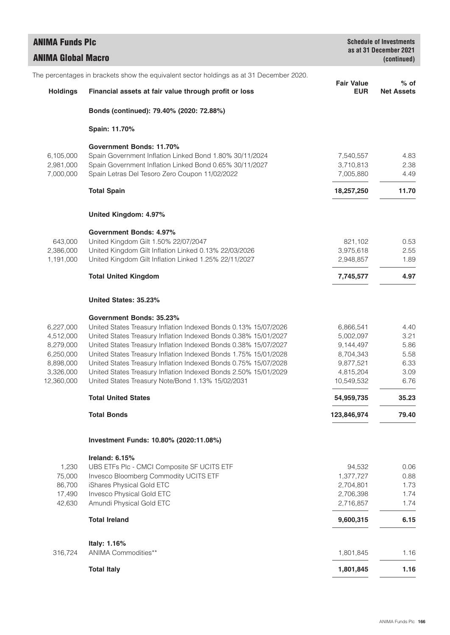| <b>ANIMA Funds PIC</b><br><b>ANIMA Global Macro</b>                                      |                                                                                                                                                                                                                                                                                                                                                                                                                                                                                                 |                                                                                          | <b>Schedule of Investments</b><br>as at 31 December 2021<br>(continued) |  |
|------------------------------------------------------------------------------------------|-------------------------------------------------------------------------------------------------------------------------------------------------------------------------------------------------------------------------------------------------------------------------------------------------------------------------------------------------------------------------------------------------------------------------------------------------------------------------------------------------|------------------------------------------------------------------------------------------|-------------------------------------------------------------------------|--|
|                                                                                          | The percentages in brackets show the equivalent sector holdings as at 31 December 2020.                                                                                                                                                                                                                                                                                                                                                                                                         |                                                                                          |                                                                         |  |
| <b>Holdings</b>                                                                          | Financial assets at fair value through profit or loss                                                                                                                                                                                                                                                                                                                                                                                                                                           | <b>Fair Value</b><br><b>EUR</b>                                                          | % of<br><b>Net Assets</b>                                               |  |
|                                                                                          | Bonds (continued): 79.40% (2020: 72.88%)                                                                                                                                                                                                                                                                                                                                                                                                                                                        |                                                                                          |                                                                         |  |
|                                                                                          | Spain: 11.70%                                                                                                                                                                                                                                                                                                                                                                                                                                                                                   |                                                                                          |                                                                         |  |
| 6,105,000<br>2,981,000<br>7,000,000                                                      | <b>Government Bonds: 11.70%</b><br>Spain Government Inflation Linked Bond 1.80% 30/11/2024<br>Spain Government Inflation Linked Bond 0.65% 30/11/2027<br>Spain Letras Del Tesoro Zero Coupon 11/02/2022                                                                                                                                                                                                                                                                                         | 7,540,557<br>3,710,813<br>7,005,880                                                      | 4.83<br>2.38<br>4.49                                                    |  |
|                                                                                          | <b>Total Spain</b>                                                                                                                                                                                                                                                                                                                                                                                                                                                                              | 18,257,250                                                                               | 11.70                                                                   |  |
|                                                                                          | United Kingdom: 4.97%                                                                                                                                                                                                                                                                                                                                                                                                                                                                           |                                                                                          |                                                                         |  |
| 643,000<br>2,386,000<br>1,191,000                                                        | <b>Government Bonds: 4.97%</b><br>United Kingdom Gilt 1.50% 22/07/2047<br>United Kingdom Gilt Inflation Linked 0.13% 22/03/2026<br>United Kingdom Gilt Inflation Linked 1.25% 22/11/2027                                                                                                                                                                                                                                                                                                        | 821,102<br>3,975,618<br>2,948,857                                                        | 0.53<br>2.55<br>1.89                                                    |  |
|                                                                                          | <b>Total United Kingdom</b>                                                                                                                                                                                                                                                                                                                                                                                                                                                                     | 7,745,577                                                                                | 4.97                                                                    |  |
|                                                                                          | United States: 35.23%                                                                                                                                                                                                                                                                                                                                                                                                                                                                           |                                                                                          |                                                                         |  |
| 6,227,000<br>4,512,000<br>8,279,000<br>6,250,000<br>8,898,000<br>3,326,000<br>12,360,000 | Government Bonds: 35.23%<br>United States Treasury Inflation Indexed Bonds 0.13% 15/07/2026<br>United States Treasury Inflation Indexed Bonds 0.38% 15/01/2027<br>United States Treasury Inflation Indexed Bonds 0.38% 15/07/2027<br>United States Treasury Inflation Indexed Bonds 1.75% 15/01/2028<br>United States Treasury Inflation Indexed Bonds 0.75% 15/07/2028<br>United States Treasury Inflation Indexed Bonds 2.50% 15/01/2029<br>United States Treasury Note/Bond 1.13% 15/02/2031 | 6,866,541<br>5,002,097<br>9,144,497<br>8,704,343<br>9,877,521<br>4,815,204<br>10,549,532 | 4.40<br>3.21<br>5.86<br>5.58<br>6.33<br>3.09<br>6.76                    |  |
|                                                                                          | <b>Total United States</b>                                                                                                                                                                                                                                                                                                                                                                                                                                                                      | 54,959,735                                                                               | 35.23                                                                   |  |
|                                                                                          | <b>Total Bonds</b>                                                                                                                                                                                                                                                                                                                                                                                                                                                                              | 123,846,974                                                                              | 79.40                                                                   |  |
|                                                                                          | Investment Funds: 10.80% (2020:11.08%)                                                                                                                                                                                                                                                                                                                                                                                                                                                          |                                                                                          |                                                                         |  |
| 1,230<br>75,000<br>86,700<br>17,490<br>42,630                                            | Ireland: 6.15%<br>UBS ETFs Plc - CMCI Composite SF UCITS ETF<br>Invesco Bloomberg Commodity UCITS ETF<br>iShares Physical Gold ETC<br>Invesco Physical Gold ETC<br>Amundi Physical Gold ETC                                                                                                                                                                                                                                                                                                     | 94,532<br>1,377,727<br>2,704,801<br>2,706,398<br>2,716,857                               | 0.06<br>0.88<br>1.73<br>1.74<br>1.74                                    |  |
|                                                                                          | <b>Total Ireland</b>                                                                                                                                                                                                                                                                                                                                                                                                                                                                            | 9,600,315                                                                                | 6.15                                                                    |  |
| 316,724                                                                                  | Italy: 1.16%<br>ANIMA Commodities**                                                                                                                                                                                                                                                                                                                                                                                                                                                             | 1,801,845                                                                                | 1.16                                                                    |  |
|                                                                                          | <b>Total Italy</b>                                                                                                                                                                                                                                                                                                                                                                                                                                                                              | 1,801,845                                                                                | 1.16                                                                    |  |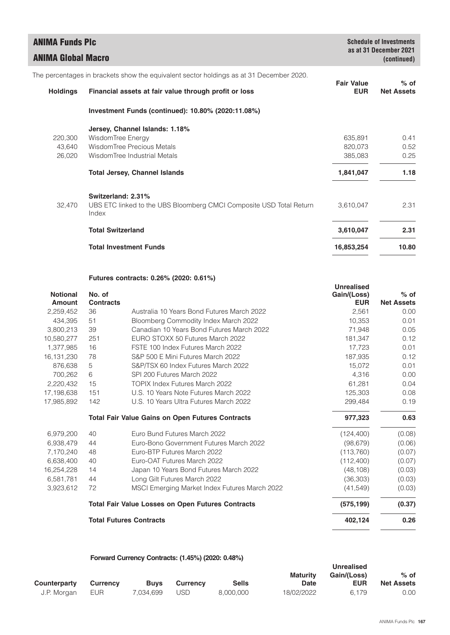| <b>ANIMA Funds PIC</b><br><b>ANIMA Global Macro</b> |                                                                                         |                                 | <b>Schedule of Investments</b><br>as at 31 December 2021<br>(continued) |
|-----------------------------------------------------|-----------------------------------------------------------------------------------------|---------------------------------|-------------------------------------------------------------------------|
|                                                     | The percentages in brackets show the equivalent sector holdings as at 31 December 2020. |                                 |                                                                         |
| <b>Holdings</b>                                     | Financial assets at fair value through profit or loss                                   | <b>Fair Value</b><br><b>EUR</b> | $%$ of<br><b>Net Assets</b>                                             |
|                                                     | Investment Funds (continued): 10.80% (2020:11.08%)                                      |                                 |                                                                         |
|                                                     | Jersey, Channel Islands: 1.18%                                                          |                                 |                                                                         |
| 220,300                                             | WisdomTree Energy                                                                       | 635,891                         | 0.41                                                                    |
| 43,640                                              | WisdomTree Precious Metals                                                              | 820,073                         | 0.52                                                                    |
| 26.020                                              | WisdomTree Industrial Metals                                                            | 385,083                         | 0.25                                                                    |
|                                                     | <b>Total Jersey, Channel Islands</b>                                                    | 1,841,047                       | 1.18                                                                    |
|                                                     | Switzerland: 2.31%                                                                      |                                 |                                                                         |
| 32,470                                              | UBS ETC linked to the UBS Bloomberg CMCI Composite USD Total Return<br>Index            | 3,610,047                       | 2.31                                                                    |
|                                                     | <b>Total Switzerland</b>                                                                | 3,610,047                       | 2.31                                                                    |
|                                                     | <b>Total Investment Funds</b>                                                           | 16,853,254                      | 10.80                                                                   |

### **Futures contracts: 0.26% (2020: 0.61%)**

| <b>Notional</b><br>Amount | No. of<br><b>Contracts</b> |                                                          | <b>Unrealised</b><br>Gain/(Loss)<br><b>EUR</b> | $%$ of<br><b>Net Assets</b> |
|---------------------------|----------------------------|----------------------------------------------------------|------------------------------------------------|-----------------------------|
| 2,259,452                 | 36                         | Australia 10 Years Bond Futures March 2022               | 2,561                                          | 0.00                        |
| 434.395                   | 51                         | Bloomberg Commodity Index March 2022                     | 10.353                                         | 0.01                        |
| 3,800,213                 | 39                         | Canadian 10 Years Bond Futures March 2022                | 71,948                                         | 0.05                        |
| 10,580,277                | 251                        | EURO STOXX 50 Futures March 2022                         | 181,347                                        | 0.12                        |
| 1,377,985                 | 16                         | FSTE 100 Index Futures March 2022                        | 17,723                                         | 0.01                        |
| 16, 131, 230              | 78                         | S&P 500 E Mini Futures March 2022                        | 187,935                                        | 0.12                        |
| 876,638                   | 5                          | S&P/TSX 60 Index Futures March 2022                      | 15,072                                         | 0.01                        |
| 700.262                   | 6                          | SPI 200 Futures March 2022                               | 4,316                                          | 0.00                        |
| 2,220,432                 | 15                         | <b>TOPIX Index Futures March 2022</b>                    | 61.281                                         | 0.04                        |
| 17,198,638                | 151                        | U.S. 10 Years Note Futures March 2022                    | 125,303                                        | 0.08                        |
| 17,985,892                | 142                        | U.S. 10 Years Ultra Futures March 2022                   | 299,484                                        | 0.19                        |
|                           |                            | <b>Total Fair Value Gains on Open Futures Contracts</b>  | 977,323                                        | 0.63                        |
| 6,979,200                 | 40                         | Euro Bund Futures March 2022                             | (124, 400)                                     | (0.08)                      |
| 6,938,479                 | 44                         | Euro-Bono Government Futures March 2022                  | (98, 679)                                      | (0.06)                      |
| 7,170,240                 | 48                         | Euro-BTP Futures March 2022                              | (113,760)                                      | (0.07)                      |
| 6,638,400                 | 40                         | Euro-OAT Futures March 2022                              | (112,400)                                      | (0.07)                      |
| 16,254,228                | 14                         | Japan 10 Years Bond Futures March 2022                   | (48, 108)                                      | (0.03)                      |
| 6,581,781                 | 44                         | Long Gilt Futures March 2022                             | (36, 303)                                      | (0.03)                      |
| 3,923,612                 | 72                         | MSCI Emerging Market Index Futures March 2022            | (41,549)                                       | (0.03)                      |
|                           |                            | <b>Total Fair Value Losses on Open Futures Contracts</b> | (575, 199)                                     | (0.37)                      |
|                           |                            | <b>Total Futures Contracts</b>                           | 402,124                                        | 0.26                        |
|                           |                            |                                                          |                                                |                             |

### **Forward Currency Contracts: (1.45%) (2020: 0.48%)**

|              |                 | $\frac{1}{2}$ of Hall and Salt and Salt and Salt (1116/9) (2020) of 10/9) |                 |              |                   |                    |                   |  |  |
|--------------|-----------------|---------------------------------------------------------------------------|-----------------|--------------|-------------------|--------------------|-------------------|--|--|
|              |                 |                                                                           |                 |              | <b>Unrealised</b> |                    |                   |  |  |
|              |                 |                                                                           |                 |              | <b>Maturity</b>   | <b>Gain/(Loss)</b> | $%$ of            |  |  |
| Counterparty | <b>Currency</b> | <b>Buys</b>                                                               | <b>Currency</b> | <b>Sells</b> | <b>Date</b>       | <b>EUR</b>         | <b>Net Assets</b> |  |  |
| J.P. Morgan  | EUR             | 7.034.699                                                                 | USD.            | 8.000.000    | 18/02/2022        | 6.179              | 0.00              |  |  |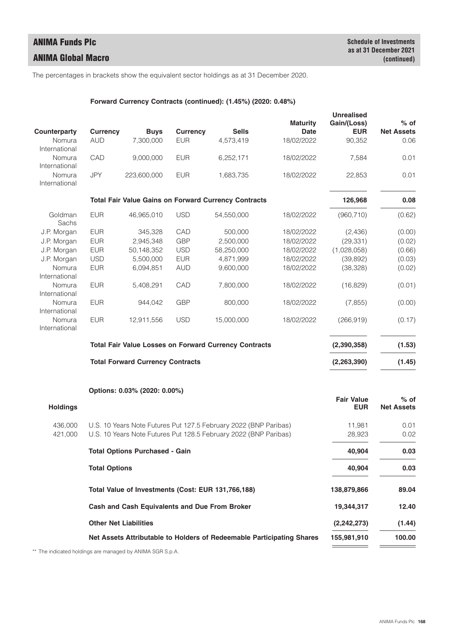## **ANIMA Funds Plc ANIMA Global Macro**

The percentages in brackets show the equivalent sector holdings as at 31 December 2020.

### **Forward Currency Contracts (continued): (1.45%) (2020: 0.48%)**

| Counterparty<br>Nomura<br>International<br>Nomura<br>International | <b>Currency</b><br><b>AUD</b><br>CAD | <b>Buys</b><br>7,300,000<br>9,000,000   | <b>Currency</b><br><b>EUR</b><br><b>EUR</b> | <b>Sells</b><br>4,573,419<br>6,252,171                           | <b>Maturity</b><br><b>Date</b><br>18/02/2022<br>18/02/2022 | <b>Unrealised</b><br>Gain/(Loss)<br><b>EUR</b><br>90,352<br>7,584 | $%$ of<br><b>Net Assets</b><br>0.06<br>0.01 |
|--------------------------------------------------------------------|--------------------------------------|-----------------------------------------|---------------------------------------------|------------------------------------------------------------------|------------------------------------------------------------|-------------------------------------------------------------------|---------------------------------------------|
| Nomura<br>International                                            | <b>JPY</b>                           | 223,600,000                             | <b>EUR</b>                                  | 1,683,735                                                        | 18/02/2022                                                 | 22,853                                                            | 0.01                                        |
|                                                                    |                                      |                                         |                                             | <b>Total Fair Value Gains on Forward Currency Contracts</b>      |                                                            | 126,968                                                           | 0.08                                        |
| Goldman<br>Sachs                                                   | <b>EUR</b>                           | 46,965,010                              | <b>USD</b>                                  | 54,550,000                                                       | 18/02/2022                                                 | (960, 710)                                                        | (0.62)                                      |
| J.P. Morgan                                                        | <b>EUR</b>                           | 345,328                                 | CAD                                         | 500,000                                                          | 18/02/2022                                                 | (2, 436)                                                          | (0.00)                                      |
| J.P. Morgan                                                        | <b>EUR</b>                           | 2,945,348                               | <b>GBP</b>                                  | 2,500,000                                                        | 18/02/2022                                                 | (29, 331)                                                         | (0.02)                                      |
| J.P. Morgan                                                        | <b>EUR</b>                           | 50,148,352                              | <b>USD</b>                                  | 58,250,000                                                       | 18/02/2022                                                 | (1,028,058)                                                       | (0.66)                                      |
| J.P. Morgan                                                        | <b>USD</b>                           | 5,500,000                               | <b>EUR</b>                                  | 4,871,999                                                        | 18/02/2022                                                 | (39, 892)                                                         | (0.03)                                      |
| Nomura<br>International                                            | <b>EUR</b>                           | 6,094,851                               | <b>AUD</b>                                  | 9,600,000                                                        | 18/02/2022                                                 | (38, 328)                                                         | (0.02)                                      |
| Nomura<br>International                                            | <b>EUR</b>                           | 5,408,291                               | CAD                                         | 7,800,000                                                        | 18/02/2022                                                 | (16, 829)                                                         | (0.01)                                      |
| Nomura<br>International                                            | <b>EUR</b>                           | 944,042                                 | <b>GBP</b>                                  | 800,000                                                          | 18/02/2022                                                 | (7, 855)                                                          | (0.00)                                      |
| Nomura<br>International                                            | <b>EUR</b>                           | 12,911,556                              | <b>USD</b>                                  | 15,000,000                                                       | 18/02/2022                                                 | (266, 919)                                                        | (0.17)                                      |
|                                                                    |                                      |                                         |                                             | <b>Total Fair Value Losses on Forward Currency Contracts</b>     |                                                            | (2,390,358)                                                       | (1.53)                                      |
|                                                                    |                                      | <b>Total Forward Currency Contracts</b> |                                             |                                                                  |                                                            | (2, 263, 390)                                                     | (1.45)                                      |
|                                                                    |                                      | Options: 0.03% (2020: 0.00%)            |                                             |                                                                  |                                                            |                                                                   |                                             |
| <b>Holdings</b>                                                    |                                      |                                         |                                             |                                                                  |                                                            | <b>Fair Value</b><br><b>EUR</b>                                   | $%$ of<br><b>Net Assets</b>                 |
| 436,000                                                            |                                      |                                         |                                             | U.S. 10 Years Note Futures Put 127.5 February 2022 (BNP Paribas) |                                                            | 11,981                                                            | 0.01                                        |
| 421,000                                                            |                                      |                                         |                                             | U.S. 10 Years Note Futures Put 128.5 February 2022 (BNP Paribas) |                                                            | 28,923                                                            | 0.02                                        |
|                                                                    |                                      | <b>Total Options Purchased - Gain</b>   |                                             |                                                                  |                                                            | 40.904                                                            | 0.03                                        |

| <b>Total Options</b>                                                  | 40.904      | 0.03   |
|-----------------------------------------------------------------------|-------------|--------|
| Total Value of Investments (Cost: EUR 131,766,188)                    | 138,879,866 | 89.04  |
| <b>Cash and Cash Equivalents and Due From Broker</b>                  | 19,344,317  | 12.40  |
| <b>Other Net Liabilities</b>                                          | (2,242,273) | (1.44) |
| Net Assets Attributable to Holders of Redeemable Participating Shares | 155,981,910 | 100.00 |

\*\* The indicated holdings are managed by ANIMA SGR S.p.A.

 $\overline{\phantom{0}}$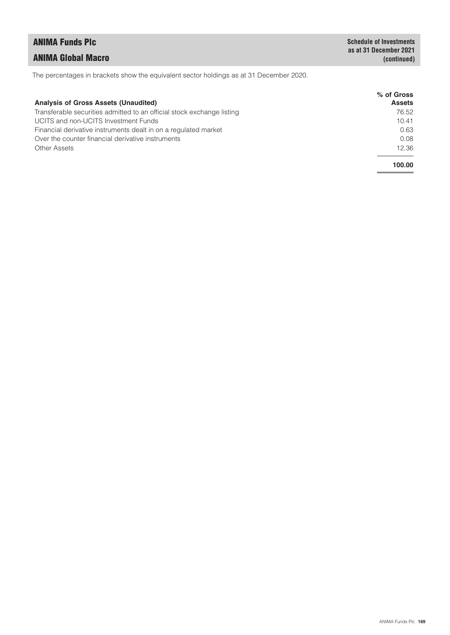| <b>ANIMA Funds PIC</b>    | <b>Schedule of Investments</b>        |
|---------------------------|---------------------------------------|
| <b>ANIMA Global Macro</b> | as at 31 December 2021<br>(continued) |

The percentages in brackets show the equivalent sector holdings as at 31 December 2020.

|                                                                        | % of Gross    |
|------------------------------------------------------------------------|---------------|
| <b>Analysis of Gross Assets (Unaudited)</b>                            | <b>Assets</b> |
| Transferable securities admitted to an official stock exchange listing | 76.52         |
| UCITS and non-UCITS Investment Funds                                   | 10.41         |
| Financial derivative instruments dealt in on a regulated market        | 0.63          |
| Over the counter financial derivative instruments                      | 0.08          |
| <b>Other Assets</b>                                                    | 12.36         |
|                                                                        | 100.00        |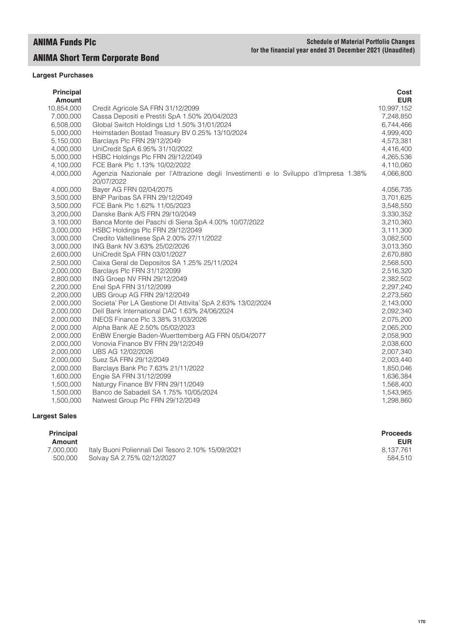## **ANIMA Short Term Corporate Bond**

### **Largest Purchases**

| <b>Principal</b> |                                                                                                   | Cost       |
|------------------|---------------------------------------------------------------------------------------------------|------------|
| <b>Amount</b>    |                                                                                                   | <b>EUR</b> |
| 10,854,000       | Credit Agricole SA FRN 31/12/2099                                                                 | 10,997,152 |
| 7,000,000        | Cassa Depositi e Prestiti SpA 1.50% 20/04/2023                                                    | 7,248,850  |
| 6,508,000        | Global Switch Holdings Ltd 1.50% 31/01/2024                                                       | 6,744,466  |
| 5,000,000        | Heimstaden Bostad Treasury BV 0.25% 13/10/2024                                                    | 4,999,400  |
| 5,150,000        | Barclays Plc FRN 29/12/2049                                                                       | 4,573,381  |
| 4,000,000        | UniCredit SpA 6.95% 31/10/2022                                                                    | 4,416,400  |
| 5,000,000        | HSBC Holdings Plc FRN 29/12/2049                                                                  | 4,265,536  |
| 4,100,000        | FCE Bank Plc 1.13% 10/02/2022                                                                     | 4,110,060  |
| 4,000,000        | Agenzia Nazionale per l'Attrazione degli Investimenti e lo Sviluppo d'Impresa 1.38%<br>20/07/2022 | 4,066,800  |
| 4,000,000        | Bayer AG FRN 02/04/2075                                                                           | 4,056,735  |
| 3,500,000        | BNP Paribas SA FRN 29/12/2049                                                                     | 3,701,625  |
| 3,500,000        | FCE Bank Plc 1.62% 11/05/2023                                                                     | 3,548,550  |
| 3,200,000        | Danske Bank A/S FRN 29/10/2049                                                                    | 3,330,352  |
| 3,100,000        | Banca Monte dei Paschi di Siena SpA 4.00% 10/07/2022                                              | 3,210,360  |
| 3,000,000        | HSBC Holdings Plc FRN 29/12/2049                                                                  | 3,111,300  |
| 3,000,000        | Credito Valtellinese SpA 2.00% 27/11/2022                                                         | 3,082,500  |
| 3,000,000        | ING Bank NV 3.63% 25/02/2026                                                                      | 3,013,350  |
| 2,600,000        | UniCredit SpA FRN 03/01/2027                                                                      | 2,670,880  |
| 2,500,000        | Caixa Geral de Depositos SA 1.25% 25/11/2024                                                      | 2,568,500  |
| 2,000,000        | Barclays Plc FRN 31/12/2099                                                                       | 2,516,320  |
| 2,800,000        | ING Groep NV FRN 29/12/2049                                                                       | 2,382,502  |
| 2,200,000        | Enel SpA FRN 31/12/2099                                                                           | 2,297,240  |
| 2,200,000        | UBS Group AG FRN 29/12/2049                                                                       | 2,273,560  |
| 2,000,000        | Societa' Per LA Gestione DI Attivita' SpA 2.63% 13/02/2024                                        | 2,143,000  |
| 2,000,000        | Dell Bank International DAC 1.63% 24/06/2024                                                      | 2,092,340  |
| 2,000,000        | INEOS Finance Plc 3.38% 31/03/2026                                                                | 2,075,200  |
| 2,000,000        | Alpha Bank AE 2.50% 05/02/2023                                                                    | 2,065,200  |
| 2,000,000        | EnBW Energie Baden-Wuerttemberg AG FRN 05/04/2077                                                 | 2,058,900  |
| 2,000,000        | Vonovia Finance BV FRN 29/12/2049                                                                 | 2,038,600  |
| 2,000,000        | UBS AG 12/02/2026                                                                                 | 2,007,340  |
| 2,000,000        | Suez SA FRN 29/12/2049                                                                            | 2,003,440  |
| 2,000,000        | Barclays Bank Plc 7.63% 21/11/2022                                                                | 1,850,046  |
| 1,600,000        | Engie SA FRN 31/12/2099                                                                           | 1,636,384  |
| 1,500,000        | Naturgy Finance BV FRN 29/11/2049                                                                 | 1,568,400  |
| 1,500,000        | Banco de Sabadell SA 1.75% 10/05/2024                                                             | 1,543,965  |
| 1,500,000        | Natwest Group Plc FRN 29/12/2049                                                                  | 1,298,860  |

| <b>Principal</b><br>Amount |                                                    | <b>Proceeds</b><br><b>EUR</b> |
|----------------------------|----------------------------------------------------|-------------------------------|
| 7.000.000                  | Italy Buoni Poliennali Del Tesoro 2.10% 15/09/2021 | 8.137.761                     |
| 500,000                    | Solvay SA 2.75% 02/12/2027                         | 584.510                       |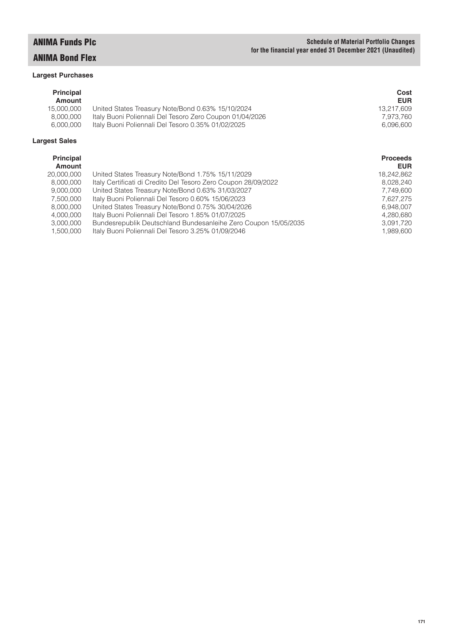| <b>Principal</b><br>Amount<br>15,000,000<br>8,000,000<br>6,000,000 | United States Treasury Note/Bond 0.63% 15/10/2024<br>Italy Buoni Poliennali Del Tesoro Zero Coupon 01/04/2026<br>Italy Buoni Poliennali Del Tesoro 0.35% 01/02/2025 | Cost<br><b>EUR</b><br>13,217,609<br>7,973,760<br>6,096,600 |
|--------------------------------------------------------------------|---------------------------------------------------------------------------------------------------------------------------------------------------------------------|------------------------------------------------------------|
| <b>Largest Sales</b>                                               |                                                                                                                                                                     |                                                            |
| <b>Principal</b><br>Amount                                         |                                                                                                                                                                     | <b>Proceeds</b><br><b>EUR</b>                              |
| 20,000,000                                                         | United States Treasury Note/Bond 1.75% 15/11/2029                                                                                                                   | 18,242,862                                                 |
| 8.000.000                                                          | Italy Certificati di Credito Del Tesoro Zero Coupon 28/09/2022                                                                                                      | 8,028,240                                                  |
| 9.000.000                                                          | United States Treasury Note/Bond 0.63% 31/03/2027                                                                                                                   | 7,749,600                                                  |
| 7,500,000                                                          | Italy Buoni Poliennali Del Tesoro 0.60% 15/06/2023                                                                                                                  | 7,627,275                                                  |
| 8.000.000                                                          | United States Treasury Note/Bond 0.75% 30/04/2026                                                                                                                   | 6,948,007                                                  |
| 4.000.000                                                          | Italy Buoni Poliennali Del Tesoro 1.85% 01/07/2025                                                                                                                  | 4,280,680                                                  |
| 3,000,000                                                          | Bundesrepublik Deutschland Bundesanleihe Zero Coupon 15/05/2035                                                                                                     | 3,091,720                                                  |
| 1,500,000                                                          | Italy Buoni Poliennali Del Tesoro 3.25% 01/09/2046                                                                                                                  | 1,989,600                                                  |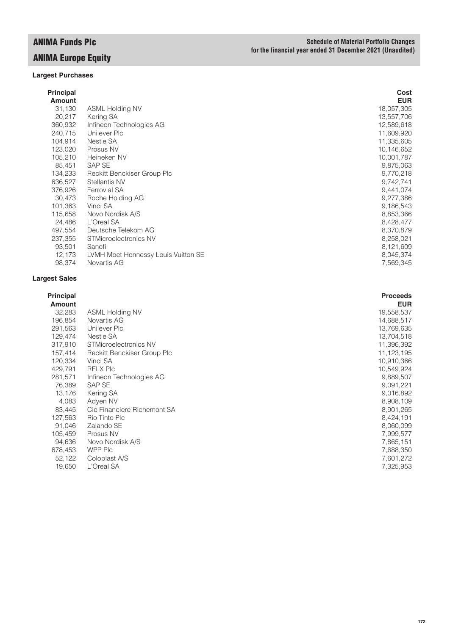| <b>Principal</b><br><b>Amount</b> |                                     | Cost<br><b>EUR</b> |
|-----------------------------------|-------------------------------------|--------------------|
| 31,130                            | ASML Holding NV                     | 18,057,305         |
| 20,217                            | Kering SA                           | 13,557,706         |
| 360,932                           | Infineon Technologies AG            | 12,589,618         |
| 240,715                           | Unilever Plc                        | 11,609,920         |
| 104,914                           | Nestle SA                           | 11,335,605         |
| 123,020                           | Prosus NV                           | 10,146,652         |
| 105,210                           | Heineken NV                         | 10,001,787         |
| 85,451                            | SAP SE                              | 9,875,063          |
| 134,233                           | Reckitt Benckiser Group Plc         | 9,770,218          |
| 636,527                           | Stellantis NV                       | 9,742,741          |
| 376,926                           | <b>Ferrovial SA</b>                 | 9,441,074          |
| 30,473                            | Roche Holding AG                    | 9,277,386          |
| 101,363                           | Vinci SA                            | 9,186,543          |
| 115,658                           | Novo Nordisk A/S                    | 8,853,366          |
| 24,486                            | L'Oreal SA                          | 8,428,477          |
| 497,554                           | Deutsche Telekom AG                 | 8,370,879          |
| 237,355                           | STMicroelectronics NV               | 8,258,021          |
| 93,501                            | Sanofi                              | 8,121,609          |
| 12,173                            | LVMH Moet Hennessy Louis Vuitton SE | 8,045,374          |
| 98,374                            | Novartis AG                         | 7,569,345          |

| <b>Principal</b> |                             | <b>Proceeds</b> |
|------------------|-----------------------------|-----------------|
| <b>Amount</b>    |                             | <b>EUR</b>      |
| 32,283           | <b>ASML Holding NV</b>      | 19,558,537      |
| 196,854          | Novartis AG                 | 14,688,517      |
| 291,563          | Unilever Plc                | 13,769,635      |
| 129,474          | Nestle SA                   | 13,704,518      |
| 317,910          | STMicroelectronics NV       | 11,396,392      |
| 157,414          | Reckitt Benckiser Group Plc | 11, 123, 195    |
| 120,334          | Vinci SA                    | 10,910,366      |
| 429,791          | <b>RELX Plc</b>             | 10,549,924      |
| 281,571          | Infineon Technologies AG    | 9,889,507       |
| 76,389           | SAP SE                      | 9,091,221       |
| 13,176           | Kering SA                   | 9,016,892       |
| 4,083            | Adven NV                    | 8,908,109       |
| 83,445           | Cie Financiere Richemont SA | 8,901,265       |
| 127,563          | Rio Tinto Plc               | 8,424,191       |
| 91,046           | Zalando SE                  | 8,060,099       |
| 105,459          | Prosus NV                   | 7,999,577       |
| 94,636           | Novo Nordisk A/S            | 7,865,151       |
| 678,453          | <b>WPP PIC</b>              | 7,688,350       |
| 52,122           | Coloplast A/S               | 7,601,272       |
| 19,650           | L'Oreal SA                  | 7,325,953       |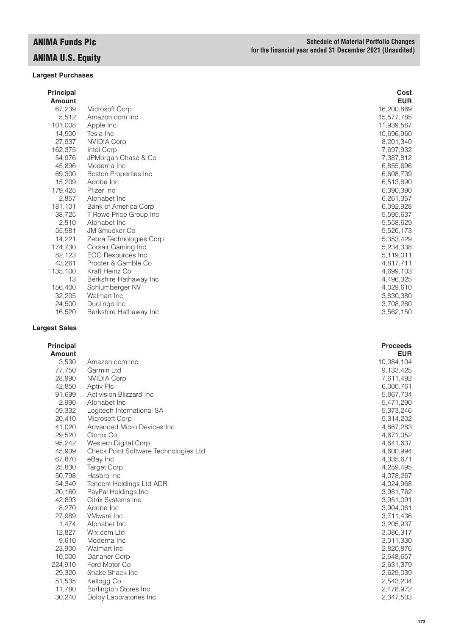| <b>Principal</b><br><b>Amount</b> |                           | Cost<br><b>EUR</b> |
|-----------------------------------|---------------------------|--------------------|
| 67,239                            | Microsoft Corp            | 16,200,869         |
| 5.512                             | Amazon.com Inc            | 15,577,785         |
| 101,008                           | Apple Inc                 | 11,939,567         |
| 14,500                            | Tesla Inc                 | 10,696,960         |
| 27,937                            | <b>NVIDIA Corp</b>        | 8,201,340          |
| 162,375                           | Intel Corp                | 7,697,932          |
| 54,976                            | JPMorgan Chase & Co       | 7,387,812          |
| 45,896                            | Moderna Inc               | 6,855,696          |
| 69,300                            | Boston Properties Inc     | 6,608,739          |
| 15,209                            | Adobe Inc                 | 6,513,890          |
| 179,425                           | Pfizer Inc                | 6,390,390          |
| 2,857                             | Alphabet Inc              | 6,261,357          |
| 181,101                           | Bank of America Corp      | 6,092,928          |
| 38,725                            | T Rowe Price Group Inc    | 5,595,637          |
| 2,510                             | Alphabet Inc              | 5,558,629          |
| 55,581                            | <b>JM Smucker Co</b>      | 5,526,173          |
| 14,221                            | Zebra Technologies Corp   | 5,353,429          |
| 174,730                           | Corsair Gaming Inc        | 5,234,338          |
| 82,123                            | <b>EOG Resources Inc.</b> | 5,119,011          |
| 43.261                            | Procter & Gamble Co       | 4,817,711          |
| 135,100                           | Kraft Heinz Co            | 4,699,103          |
| 13                                | Berkshire Hathaway Inc    | 4,496,325          |
| 156,400                           | Schlumberger NV           | 4,029,610          |
| 32,205                            | Walmart Inc               | 3,830,380          |
| 24,500                            | Duolingo Inc              | 3,708,280          |
| 16,520                            | Berkshire Hathaway Inc    | 3,562,150          |

| <b>Principal</b> |                                       | <b>Proceeds</b> |
|------------------|---------------------------------------|-----------------|
| <b>Amount</b>    |                                       | <b>EUR</b>      |
| 3,530            | Amazon.com Inc                        | 10,084,104      |
| 77,750           | Garmin Ltd                            | 9,133,425       |
| 28,990           | <b>NVIDIA Corp</b>                    | 7,611,492       |
| 42,850           | Aptiv Plc                             | 6,000,761       |
| 91,699           | Activision Blizzard Inc               | 5,867,734       |
| 2,990            | Alphabet Inc                          | 5,471,290       |
| 59,332           | Logitech International SA             | 5,373,246       |
| 20,410           | Microsoft Corp                        | 5,314,202       |
| 41,020           | Advanced Micro Devices Inc            | 4,867,283       |
| 29,520           | Clorox Co                             | 4,671,052       |
| 95,242           | Western Digital Corp                  | 4,641,637       |
| 45,939           | Check Point Software Technologies Ltd | 4,600,994       |
| 67,870           | eBay Inc                              | 4,335,671       |
| 25,830           | <b>Target Corp</b>                    | 4,259,495       |
| 50,798           | Hasbro Inc                            | 4,078,267       |
| 54,340           | Tencent Holdings Ltd ADR              | 4,024,968       |
| 20,160           | PayPal Holdings Inc                   | 3,981,762       |
| 42,893           | Citrix Systems Inc                    | 3,951,091       |
| 8,270            | Adobe Inc                             | 3,904,061       |
| 27,989           | VMware Inc                            | 3,711,436       |
| 1,474            | Alphabet Inc                          | 3,205,937       |
| 12,827           | Wix.com Ltd                           | 3,086,317       |
| 9,610            | Moderna Inc                           | 3,011,330       |
| 23,900           | Walmart Inc                           | 2,820,876       |
| 10.000           | Danaher Corp                          | 2,648,657       |
| 224,910          | Ford Motor Co                         | 2,631,379       |
| 29,320           | Shake Shack Inc                       | 2,629,039       |
| 51,535           | Kellogg Co                            | 2,543,204       |
| 11,780           | <b>Burlington Stores Inc</b>          | 2,478,972       |
| 30,240           | Dolby Laboratories Inc                | 2,347,503       |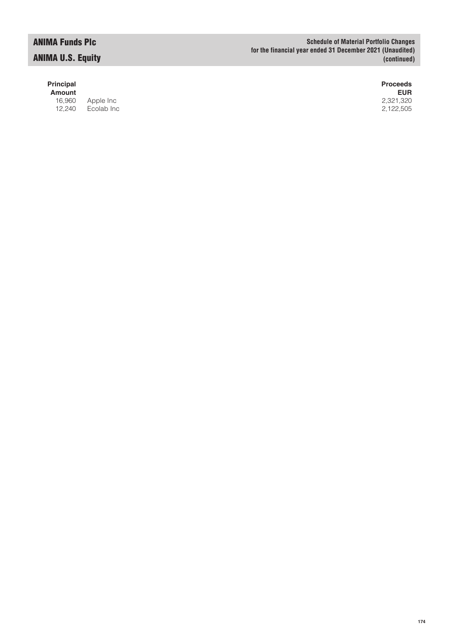## **Principal**

**Amount** 16,960 Apple Inc 2,321,320 12,240 Ecolab Inc 2,122,505

### **Proceeds**

**EUR**<br>2,321,320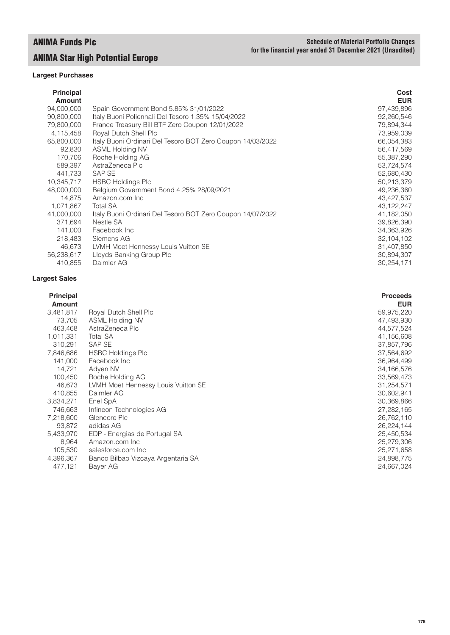# **ANIMA Funds Plc ANIMA Star High Potential Europe**

### **Largest Purchases**

| <b>Principal</b><br>Amount |                                                            | Cost<br><b>EUR</b> |
|----------------------------|------------------------------------------------------------|--------------------|
| 94,000,000                 | Spain Government Bond 5.85% 31/01/2022                     | 97,439,896         |
| 90,800,000                 | Italy Buoni Poliennali Del Tesoro 1.35% 15/04/2022         | 92,260,546         |
| 79,800,000                 | France Treasury Bill BTF Zero Coupon 12/01/2022            | 79,894,344         |
| 4,115,458                  | Royal Dutch Shell Plc                                      | 73,959,039         |
| 65,800,000                 | Italy Buoni Ordinari Del Tesoro BOT Zero Coupon 14/03/2022 | 66,054,383         |
| 92,830                     | <b>ASML Holding NV</b>                                     | 56,417,569         |
| 170,706                    | Roche Holding AG                                           | 55,387,290         |
| 589.397                    | AstraZeneca Plc                                            | 53,724,574         |
| 441,733                    | SAP SE                                                     | 52,680,430         |
| 10,345,717                 | <b>HSBC Holdings Plc</b>                                   | 50,213,379         |
| 48,000,000                 | Belgium Government Bond 4.25% 28/09/2021                   | 49,236,360         |
| 14.875                     | Amazon.com Inc                                             | 43,427,537         |
| 1,071,867                  | <b>Total SA</b>                                            | 43,122,247         |
| 41,000,000                 | Italy Buoni Ordinari Del Tesoro BOT Zero Coupon 14/07/2022 | 41,182,050         |
| 371,694                    | Nestle SA                                                  | 39,826,390         |
| 141,000                    | Facebook Inc                                               | 34,363,926         |
| 218,483                    | Siemens AG                                                 | 32, 104, 102       |
| 46,673                     | LVMH Moet Hennessy Louis Vuitton SE                        | 31,407,850         |
| 56,238,617                 | Lloyds Banking Group Plc                                   | 30,894,307         |
| 410,855                    | Daimler AG                                                 | 30,254,171         |

| <b>Principal</b><br>Amount |                                     | <b>Proceeds</b><br><b>EUR</b> |
|----------------------------|-------------------------------------|-------------------------------|
| 3,481,817                  | Royal Dutch Shell Plc               | 59,975,220                    |
| 73,705                     | <b>ASML Holding NV</b>              | 47,493,930                    |
| 463,468                    | AstraZeneca Plc                     | 44,577,524                    |
| 1,011,331                  | <b>Total SA</b>                     | 41,156,608                    |
| 310,291                    | <b>SAP SE</b>                       | 37,857,796                    |
| 7,846,686                  | <b>HSBC Holdings Plc</b>            | 37,564,692                    |
| 141,000                    | Facebook Inc                        | 36,964,499                    |
| 14,721                     | Adven NV                            | 34, 166, 576                  |
| 100,450                    | Roche Holding AG                    | 33,569,473                    |
| 46,673                     | LVMH Moet Hennessy Louis Vuitton SE | 31,254,571                    |
| 410,855                    | Daimler AG                          | 30,602,941                    |
| 3,834,271                  | Enel SpA                            | 30,369,866                    |
| 746,663                    | Infineon Technologies AG            | 27,282,165                    |
| 7,218,600                  | Glencore Plc                        | 26,762,110                    |
| 93,872                     | adidas AG                           | 26,224,144                    |
| 5,433,970                  | EDP - Energias de Portugal SA       | 25,450,534                    |
| 8,964                      | Amazon.com Inc                      | 25,279,306                    |
| 105,530                    | salesforce.com Inc                  | 25,271,658                    |
| 4,396,367                  | Banco Bilbao Vizcaya Argentaria SA  | 24,898,775                    |
| 477,121                    | Bayer AG                            | 24,667,024                    |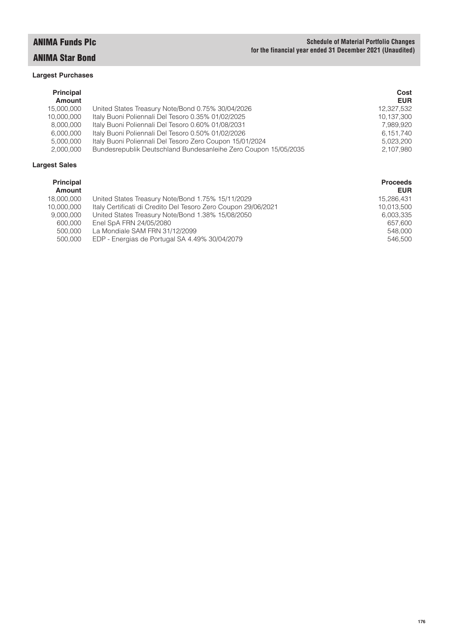| <b>Principal</b><br>Amount |                                                                 | Cost<br><b>EUR</b> |
|----------------------------|-----------------------------------------------------------------|--------------------|
| 15,000,000                 | United States Treasury Note/Bond 0.75% 30/04/2026               | 12,327,532         |
| 10,000,000                 | Italy Buoni Poliennali Del Tesoro 0.35% 01/02/2025              | 10,137,300         |
| 8.000.000                  | Italy Buoni Poliennali Del Tesoro 0.60% 01/08/2031              | 7,989,920          |
| 6,000,000                  | Italy Buoni Poliennali Del Tesoro 0.50% 01/02/2026              | 6,151,740          |
| 5,000,000                  | Italy Buoni Poliennali Del Tesoro Zero Coupon 15/01/2024        | 5,023,200          |
| 2.000.000                  | Bundesrepublik Deutschland Bundesanleihe Zero Coupon 15/05/2035 | 2.107.980          |
| raant Calaa                |                                                                 |                    |

| <b>Principal</b> |                                                                | <b>Proceeds</b> |
|------------------|----------------------------------------------------------------|-----------------|
| Amount           |                                                                | <b>EUR</b>      |
| 18,000,000       | United States Treasury Note/Bond 1.75% 15/11/2029              | 15.286.431      |
| 10,000,000       | Italy Certificati di Credito Del Tesoro Zero Coupon 29/06/2021 | 10.013.500      |
| 9,000,000        | United States Treasury Note/Bond 1.38% 15/08/2050              | 6,003,335       |
| 600,000          | Enel SpA FRN 24/05/2080                                        | 657.600         |
| 500,000          | La Mondiale SAM FRN 31/12/2099                                 | 548,000         |
| 500,000          | EDP - Energias de Portugal SA 4.49% 30/04/2079                 | 546,500         |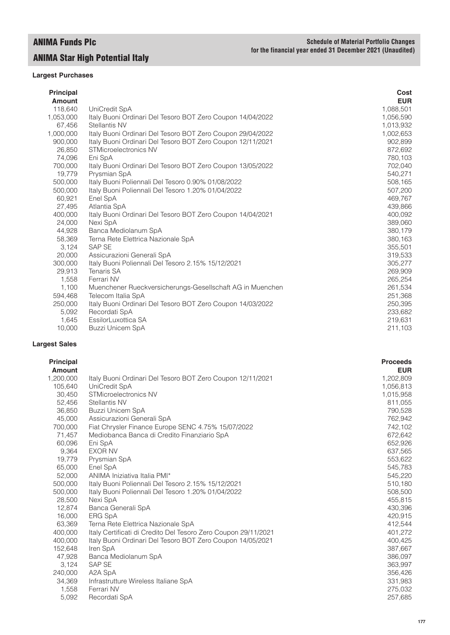# **ANIMA Funds Plc ANIMA Star High Potential Italy**

### **Largest Purchases**

| <b>Principal</b> |                                                            | Cost       |
|------------------|------------------------------------------------------------|------------|
| Amount           |                                                            | <b>EUR</b> |
| 118,640          | UniCredit SpA                                              | 1,088,501  |
| 1,053,000        | Italy Buoni Ordinari Del Tesoro BOT Zero Coupon 14/04/2022 | 1,056,590  |
| 67,456           | Stellantis NV                                              | 1,013,932  |
| 1,000,000        | Italy Buoni Ordinari Del Tesoro BOT Zero Coupon 29/04/2022 | 1,002,653  |
| 900,000          | Italy Buoni Ordinari Del Tesoro BOT Zero Coupon 12/11/2021 | 902,899    |
| 26,850           | STMicroelectronics NV                                      | 872,692    |
| 74,096           | Eni SpA                                                    | 780,103    |
| 700.000          | Italy Buoni Ordinari Del Tesoro BOT Zero Coupon 13/05/2022 | 702,040    |
| 19,779           | Prysmian SpA                                               | 540,271    |
| 500,000          | Italy Buoni Poliennali Del Tesoro 0.90% 01/08/2022         | 508,165    |
| 500.000          | Italy Buoni Poliennali Del Tesoro 1.20% 01/04/2022         | 507,200    |
| 60,921           | Enel SpA                                                   | 469,767    |
| 27,495           | Atlantia SpA                                               | 439,866    |
| 400,000          | Italy Buoni Ordinari Del Tesoro BOT Zero Coupon 14/04/2021 | 400,092    |
| 24,000           | Nexi SpA                                                   | 389,060    |
| 44,928           | Banca Mediolanum SpA                                       | 380,179    |
| 58,369           | Terna Rete Elettrica Nazionale SpA                         | 380,163    |
| 3,124            | <b>SAP SE</b>                                              | 355,501    |
| 20,000           | Assicurazioni Generali SpA                                 | 319,533    |
| 300,000          | Italy Buoni Poliennali Del Tesoro 2.15% 15/12/2021         | 305,277    |
| 29,913           | <b>Tenaris SA</b>                                          | 269,909    |
| 1,558            | Ferrari NV                                                 | 265,254    |
| 1,100            | Muenchener Rueckversicherungs-Gesellschaft AG in Muenchen  | 261,534    |
| 594.468          | Telecom Italia SpA                                         | 251,368    |
| 250,000          | Italy Buoni Ordinari Del Tesoro BOT Zero Coupon 14/03/2022 | 250,395    |
| 5,092            | Recordati SpA                                              | 233,682    |
| 1,645            | EssilorLuxottica SA                                        | 219,631    |
| 10,000           | Buzzi Unicem SpA                                           | 211,103    |

| <b>Principal</b> |                                                                | <b>Proceeds</b> |
|------------------|----------------------------------------------------------------|-----------------|
| Amount           |                                                                | <b>EUR</b>      |
| 1,200,000        | Italy Buoni Ordinari Del Tesoro BOT Zero Coupon 12/11/2021     | 1,202,809       |
| 105,640          | UniCredit SpA                                                  | 1,056,813       |
| 30,450           | STMicroelectronics NV                                          | 1,015,958       |
| 52,456           | Stellantis NV                                                  | 811,055         |
| 36,850           | Buzzi Unicem SpA                                               | 790,528         |
| 45,000           | Assicurazioni Generali SpA                                     | 762,942         |
| 700,000          | Fiat Chrysler Finance Europe SENC 4.75% 15/07/2022             | 742,102         |
| 71,457           | Mediobanca Banca di Credito Finanziario SpA                    | 672,642         |
| 60,096           | Eni SpA                                                        | 652,926         |
| 9,364            | <b>EXOR NV</b>                                                 | 637,565         |
| 19,779           | Prysmian SpA                                                   | 553,622         |
| 65,000           | Enel SpA                                                       | 545,783         |
| 52,000           | ANIMA Iniziativa Italia PMI*                                   | 545,220         |
| 500,000          | Italy Buoni Poliennali Del Tesoro 2.15% 15/12/2021             | 510,180         |
| 500,000          | Italy Buoni Poliennali Del Tesoro 1.20% 01/04/2022             | 508,500         |
| 28,500           | Nexi SpA                                                       | 455,815         |
| 12,874           | Banca Generali SpA                                             | 430,396         |
| 16,000           | <b>ERG SpA</b>                                                 | 420,915         |
| 63,369           | Terna Rete Elettrica Nazionale SpA                             | 412,544         |
| 400,000          | Italy Certificati di Credito Del Tesoro Zero Coupon 29/11/2021 | 401,272         |
| 400,000          | Italy Buoni Ordinari Del Tesoro BOT Zero Coupon 14/05/2021     | 400,425         |
| 152,648          | Iren SpA                                                       | 387,667         |
| 47,928           | Banca Mediolanum SpA                                           | 386,097         |
| 3,124            | <b>SAP SE</b>                                                  | 363,997         |
| 240,000          | A2A SpA                                                        | 356,426         |
| 34,369           | Infrastrutture Wireless Italiane SpA                           | 331,983         |
| 1,558            | Ferrari NV                                                     | 275,032         |
| 5,092            | Recordati SpA                                                  | 257,685         |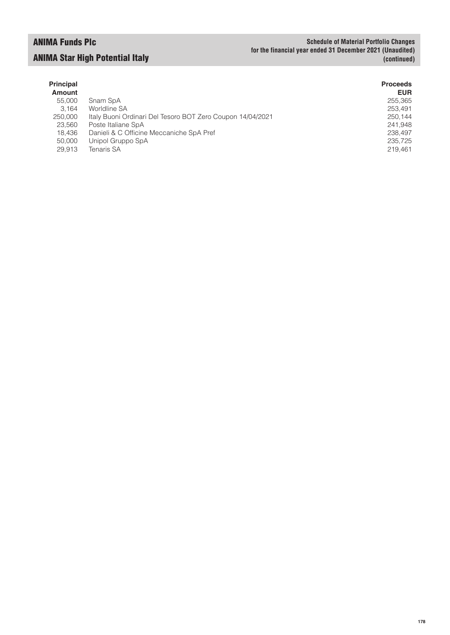# **ANIMA Funds Plc ANIMA Star High Potential Italy**

| <b>Principal</b> |                                                            | <b>Proceeds</b> |
|------------------|------------------------------------------------------------|-----------------|
| <b>Amount</b>    |                                                            | <b>EUR</b>      |
| 55,000           | Snam SpA                                                   | 255.365         |
| 3.164            | Worldline SA                                               | 253.491         |
| 250,000          | Italy Buoni Ordinari Del Tesoro BOT Zero Coupon 14/04/2021 | 250.144         |
| 23.560           | Poste Italiane SpA                                         | 241.948         |
| 18,436           | Danieli & C Officine Meccaniche SpA Pref                   | 238.497         |
| 50.000           | Unipol Gruppo SpA                                          | 235.725         |
| 29.913           | <b>Tenaris SA</b>                                          | 219.461         |
|                  |                                                            |                 |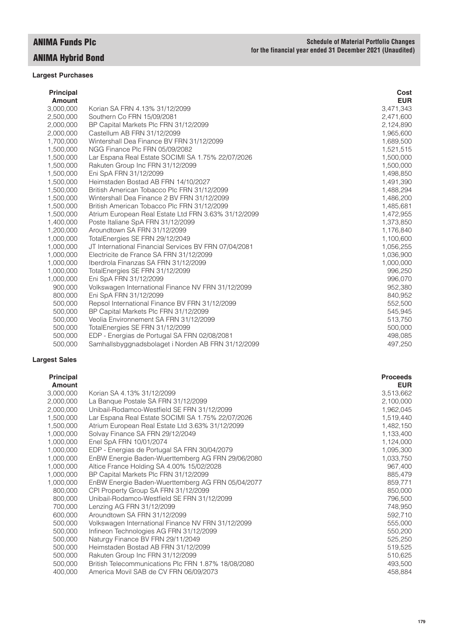| <b>Principal</b>       |                                                            | Cost                   |
|------------------------|------------------------------------------------------------|------------------------|
| Amount                 |                                                            | <b>EUR</b>             |
| 3,000,000              | Korian SA FRN 4.13% 31/12/2099                             | 3,471,343              |
| 2,500,000              | Southern Co FRN 15/09/2081                                 | 2,471,600              |
| 2,000,000              | BP Capital Markets Plc FRN 31/12/2099                      | 2,124,890              |
| 2,000,000              | Castellum AB FRN 31/12/2099                                | 1,965,600              |
| 1,700,000              | Wintershall Dea Finance BV FRN 31/12/2099                  | 1,689,500              |
| 1,500,000              | NGG Finance Plc FRN 05/09/2082                             | 1,521,515              |
| 1,500,000              | Lar Espana Real Estate SOCIMI SA 1.75% 22/07/2026          | 1,500,000              |
| 1,500,000<br>1,500,000 | Rakuten Group Inc FRN 31/12/2099<br>Eni SpA FRN 31/12/2099 | 1,500,000<br>1,498,850 |
| 1.500.000              | Heimstaden Bostad AB FRN 14/10/2027                        | 1,491,390              |
| 1,500,000              | British American Tobacco Plc FRN 31/12/2099                | 1,488,294              |
| 1,500,000              | Wintershall Dea Finance 2 BV FRN 31/12/2099                | 1,486,200              |
| 1,500,000              | British American Tobacco Plc FRN 31/12/2099                | 1,485,681              |
| 1,500,000              | Atrium European Real Estate Ltd FRN 3.63% 31/12/2099       | 1,472,955              |
| 1,400,000              | Poste Italiane SpA FRN 31/12/2099                          | 1,373,850              |
| 1,200,000              | Aroundtown SA FRN 31/12/2099                               | 1,176,840              |
| 1,000,000              | TotalEnergies SE FRN 29/12/2049                            | 1,100,600              |
| 1,000,000              | JT International Financial Services BV FRN 07/04/2081      | 1,056,255              |
| 1,000,000              | Electricite de France SA FRN 31/12/2099                    | 1,036,900              |
| 1,000,000              | Iberdrola Finanzas SA FRN 31/12/2099                       | 1,000,000              |
| 1,000,000              | TotalEnergies SE FRN 31/12/2099                            | 996,250                |
| 1,000,000              | Eni SpA FRN 31/12/2099                                     | 996,070                |
| 900,000                | Volkswagen International Finance NV FRN 31/12/2099         | 952,380                |
| 800,000                | Eni SpA FRN 31/12/2099                                     | 840,952                |
| 500,000                | Repsol International Finance BV FRN 31/12/2099             | 552,500                |
| 500,000                | BP Capital Markets Plc FRN 31/12/2099                      | 545,945                |
| 500,000                | Veolia Environnement SA FRN 31/12/2099                     | 513,750                |
| 500,000                | TotalEnergies SE FRN 31/12/2099                            | 500,000                |
| 500,000                | EDP - Energias de Portugal SA FRN 02/08/2081               | 498,085                |
| 500,000                | Samhallsbyggnadsbolaget i Norden AB FRN 31/12/2099         | 497,250                |

| <b>Principal</b> |                                                     | <b>Proceeds</b> |
|------------------|-----------------------------------------------------|-----------------|
| <b>Amount</b>    |                                                     | <b>EUR</b>      |
| 3,000,000        | Korian SA 4.13% 31/12/2099                          | 3,513,662       |
| 2,000,000        | La Banque Postale SA FRN 31/12/2099                 | 2,100,000       |
| 2,000,000        | Unibail-Rodamco-Westfield SE FRN 31/12/2099         | 1,962,045       |
| 1,500,000        | Lar Espana Real Estate SOCIMI SA 1.75% 22/07/2026   | 1,519,440       |
| 1,500,000        | Atrium European Real Estate Ltd 3.63% 31/12/2099    | 1,482,150       |
| 1,000,000        | Solvay Finance SA FRN 29/12/2049                    | 1,133,400       |
| 1,000,000        | Enel SpA FRN 10/01/2074                             | 1,124,000       |
| 1,000,000        | EDP - Energias de Portugal SA FRN 30/04/2079        | 1,095,300       |
| 1,000,000        | EnBW Energie Baden-Wuerttemberg AG FRN 29/06/2080   | 1,033,750       |
| 1,000,000        | Altice France Holding SA 4.00% 15/02/2028           | 967,400         |
| 1,000,000        | BP Capital Markets Plc FRN 31/12/2099               | 885,479         |
| 1,000,000        | EnBW Energie Baden-Wuerttemberg AG FRN 05/04/2077   | 859,771         |
| 800,000          | CPI Property Group SA FRN 31/12/2099                | 850,000         |
| 800,000          | Unibail-Rodamco-Westfield SE FRN 31/12/2099         | 796,500         |
| 700,000          | Lenzing AG FRN 31/12/2099                           | 748,950         |
| 600,000          | Aroundtown SA FRN 31/12/2099                        | 592,710         |
| 500,000          | Volkswagen International Finance NV FRN 31/12/2099  | 555,000         |
| 500,000          | Infineon Technologies AG FRN 31/12/2099             | 550,200         |
| 500,000          | Naturgy Finance BV FRN 29/11/2049                   | 525,250         |
| 500,000          | Heimstaden Bostad AB FRN 31/12/2099                 | 519,525         |
| 500,000          | Rakuten Group Inc FRN 31/12/2099                    | 510,625         |
| 500,000          | British Telecommunications Plc FRN 1.87% 18/08/2080 | 493,500         |
| 400,000          | America Movil SAB de CV FRN 06/09/2073              | 458,884         |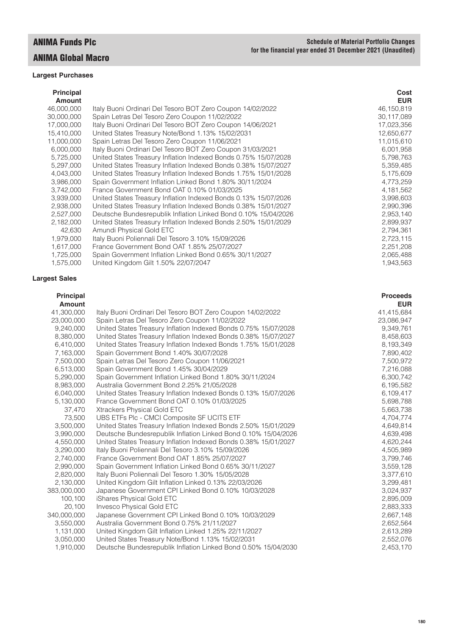# **Largest Purchases**

| <b>Principal</b> |                                                                 | Cost       |
|------------------|-----------------------------------------------------------------|------------|
| <b>Amount</b>    |                                                                 | <b>EUR</b> |
| 46,000,000       | Italy Buoni Ordinari Del Tesoro BOT Zero Coupon 14/02/2022      | 46,150,819 |
| 30,000,000       | Spain Letras Del Tesoro Zero Coupon 11/02/2022                  | 30,117,089 |
| 17,000,000       | Italy Buoni Ordinari Del Tesoro BOT Zero Coupon 14/06/2021      | 17,023,356 |
| 15,410,000       | United States Treasury Note/Bond 1.13% 15/02/2031               | 12,650,677 |
| 11,000,000       | Spain Letras Del Tesoro Zero Coupon 11/06/2021                  | 11,015,610 |
| 6,000,000        | Italy Buoni Ordinari Del Tesoro BOT Zero Coupon 31/03/2021      | 6,001,958  |
| 5,725,000        | United States Treasury Inflation Indexed Bonds 0.75% 15/07/2028 | 5,798,763  |
| 5,297,000        | United States Treasury Inflation Indexed Bonds 0.38% 15/07/2027 | 5,359,485  |
| 4,043,000        | United States Treasury Inflation Indexed Bonds 1.75% 15/01/2028 | 5,175,609  |
| 3,986,000        | Spain Government Inflation Linked Bond 1.80% 30/11/2024         | 4,773,259  |
| 3,742,000        | France Government Bond OAT 0.10% 01/03/2025                     | 4,181,562  |
| 3,939,000        | United States Treasury Inflation Indexed Bonds 0.13% 15/07/2026 | 3,998,603  |
| 2,938,000        | United States Treasury Inflation Indexed Bonds 0.38% 15/01/2027 | 2,990,396  |
| 2,527,000        | Deutsche Bundesrepublik Inflation Linked Bond 0.10% 15/04/2026  | 2,953,140  |
| 2,182,000        | United States Treasury Inflation Indexed Bonds 2.50% 15/01/2029 | 2,899,937  |
| 42,630           | Amundi Physical Gold ETC                                        | 2,794,361  |
| 1,979,000        | Italy Buoni Poliennali Del Tesoro 3.10% 15/09/2026              | 2,723,115  |
| 1,617,000        | France Government Bond OAT 1.85% 25/07/2027                     | 2,251,208  |
| 1,725,000        | Spain Government Inflation Linked Bond 0.65% 30/11/2027         | 2,065,488  |
| 1,575,000        | United Kingdom Gilt 1.50% 22/07/2047                            | 1,943,563  |
|                  |                                                                 |            |

# **Largest Sales**

| <b>Principal</b> |                                                                 | <b>Proceeds</b> |
|------------------|-----------------------------------------------------------------|-----------------|
| <b>Amount</b>    |                                                                 | <b>EUR</b>      |
| 41,300,000       | Italy Buoni Ordinari Del Tesoro BOT Zero Coupon 14/02/2022      | 41,415,684      |
| 23,000,000       | Spain Letras Del Tesoro Zero Coupon 11/02/2022                  | 23,086,947      |
| 9,240,000        | United States Treasury Inflation Indexed Bonds 0.75% 15/07/2028 | 9,349,761       |
| 8,380,000        | United States Treasury Inflation Indexed Bonds 0.38% 15/07/2027 | 8,458,603       |
| 6,410,000        | United States Treasury Inflation Indexed Bonds 1.75% 15/01/2028 | 8,193,349       |
| 7,163,000        | Spain Government Bond 1.40% 30/07/2028                          | 7,890,402       |
| 7,500,000        | Spain Letras Del Tesoro Zero Coupon 11/06/2021                  | 7,500,972       |
| 6,513,000        | Spain Government Bond 1.45% 30/04/2029                          | 7,216,088       |
| 5,290,000        | Spain Government Inflation Linked Bond 1.80% 30/11/2024         | 6,300,742       |
| 8,983,000        | Australia Government Bond 2.25% 21/05/2028                      | 6,195,582       |
| 6,040,000        | United States Treasury Inflation Indexed Bonds 0.13% 15/07/2026 | 6,109,417       |
| 5,130,000        | France Government Bond OAT 0.10% 01/03/2025                     | 5,698,788       |
| 37,470           | Xtrackers Physical Gold ETC                                     | 5,663,738       |
| 73,500           | UBS ETFs Plc - CMCI Composite SF UCITS ETF                      | 4,704,774       |
| 3,500,000        | United States Treasury Inflation Indexed Bonds 2.50% 15/01/2029 | 4,649,814       |
| 3,990,000        | Deutsche Bundesrepublik Inflation Linked Bond 0.10% 15/04/2026  | 4,639,498       |
| 4,550,000        | United States Treasury Inflation Indexed Bonds 0.38% 15/01/2027 | 4,620,244       |
| 3,290,000        | Italy Buoni Poliennali Del Tesoro 3.10% 15/09/2026              | 4,505,989       |
| 2,740,000        | France Government Bond OAT 1.85% 25/07/2027                     | 3,799,746       |
| 2,990,000        | Spain Government Inflation Linked Bond 0.65% 30/11/2027         | 3,559,128       |
| 2,820,000        | Italy Buoni Poliennali Del Tesoro 1.30% 15/05/2028              | 3,377,610       |
| 2,130,000        | United Kingdom Gilt Inflation Linked 0.13% 22/03/2026           | 3,299,481       |
| 383,000,000      | Japanese Government CPI Linked Bond 0.10% 10/03/2028            | 3,024,937       |
| 100,100          | iShares Physical Gold ETC                                       | 2,895,009       |
| 20,100           | <b>Invesco Physical Gold ETC</b>                                | 2,883,333       |
| 340,000,000      | Japanese Government CPI Linked Bond 0.10% 10/03/2029            | 2,667,148       |
| 3,550,000        | Australia Government Bond 0.75% 21/11/2027                      | 2,652,564       |
| 1,131,000        | United Kingdom Gilt Inflation Linked 1.25% 22/11/2027           | 2,613,289       |
| 3,050,000        | United States Treasury Note/Bond 1.13% 15/02/2031               | 2,552,076       |
| 1,910,000        | Deutsche Bundesrepublik Inflation Linked Bond 0.50% 15/04/2030  | 2,453,170       |
|                  |                                                                 |                 |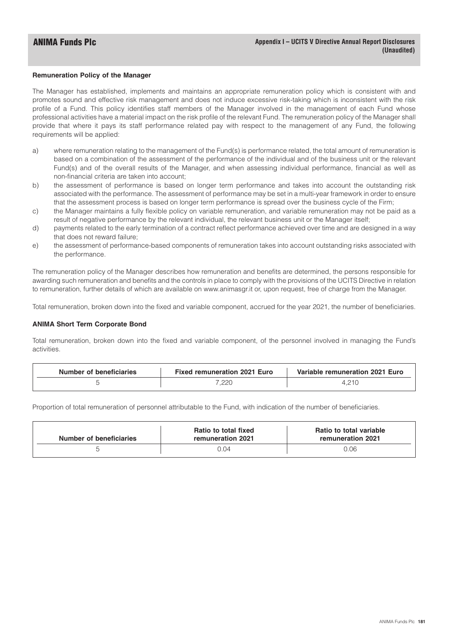# **Remuneration Policy of the Manager**

The Manager has established, implements and maintains an appropriate remuneration policy which is consistent with and promotes sound and effective risk management and does not induce excessive risk-taking which is inconsistent with the risk profile of a Fund. This policy identifies staff members of the Manager involved in the management of each Fund whose professional activities have a material impact on the risk profile of the relevant Fund. The remuneration policy of the Manager shall provide that where it pays its staff performance related pay with respect to the management of any Fund, the following requirements will be applied:

- a) where remuneration relating to the management of the Fund(s) is performance related, the total amount of remuneration is based on a combination of the assessment of the performance of the individual and of the business unit or the relevant Fund(s) and of the overall results of the Manager, and when assessing individual performance, financial as well as non-financial criteria are taken into account;
- b) the assessment of performance is based on longer term performance and takes into account the outstanding risk associated with the performance. The assessment of performance may be set in a multi-year framework in order to ensure that the assessment process is based on longer term performance is spread over the business cycle of the Firm;
- c) the Manager maintains a fully flexible policy on variable remuneration, and variable remuneration may not be paid as a result of negative performance by the relevant individual, the relevant business unit or the Manager itself;
- d) payments related to the early termination of a contract reflect performance achieved over time and are designed in a way that does not reward failure;
- e) the assessment of performance-based components of remuneration takes into account outstanding risks associated with the performance.

The remuneration policy of the Manager describes how remuneration and benefits are determined, the persons responsible for awarding such remuneration and benefits and the controls in place to comply with the provisions of the UCITS Directive in relation to remuneration, further details of which are available on www.animasgr.it or, upon request, free of charge from the Manager.

Total remuneration, broken down into the fixed and variable component, accrued for the year 2021, the number of beneficiaries.

## **ANIMA Short Term Corporate Bond**

Total remuneration, broken down into the fixed and variable component, of the personnel involved in managing the Fund's activities.

| Number of beneficiaries | <b>Fixed remuneration 2021 Euro</b> | Variable remuneration 2021 Euro |
|-------------------------|-------------------------------------|---------------------------------|
|                         | 7.220                               |                                 |

| Number of beneficiaries | Ratio to total fixed<br>remuneration 2021 | Ratio to total variable<br>remuneration 2021 |
|-------------------------|-------------------------------------------|----------------------------------------------|
|                         | 0.04                                      | 0.06                                         |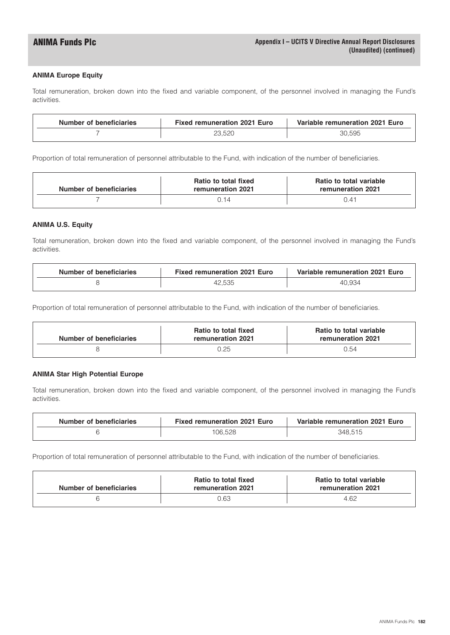# **ANIMA Europe Equity**

Total remuneration, broken down into the fixed and variable component, of the personnel involved in managing the Fund's activities.

| <b>Number of beneficiaries</b> | <b>Fixed remuneration 2021 Euro</b> | Variable remuneration 2021 Euro |
|--------------------------------|-------------------------------------|---------------------------------|
|                                | 23.520                              | 30.595                          |

Proportion of total remuneration of personnel attributable to the Fund, with indication of the number of beneficiaries.

| Number of beneficiaries | Ratio to total fixed<br>remuneration 2021 | Ratio to total variable<br>remuneration 2021 |
|-------------------------|-------------------------------------------|----------------------------------------------|
|                         | J. 14                                     | 0.41                                         |

# **ANIMA U.S. Equity**

Total remuneration, broken down into the fixed and variable component, of the personnel involved in managing the Fund's activities.

| Number of beneficiaries | <b>Fixed remuneration 2021 Euro</b> | Variable remuneration 2021 Euro |
|-------------------------|-------------------------------------|---------------------------------|
|                         |                                     | 40.934                          |

Proportion of total remuneration of personnel attributable to the Fund, with indication of the number of beneficiaries.

| <b>Number of beneficiaries</b> | Ratio to total fixed<br>remuneration 2021 | Ratio to total variable<br>remuneration 2021 |
|--------------------------------|-------------------------------------------|----------------------------------------------|
|                                | ).25                                      | 0.54                                         |

# **ANIMA Star High Potential Europe**

Total remuneration, broken down into the fixed and variable component, of the personnel involved in managing the Fund's activities.

| Number of beneficiaries | <b>Fixed remuneration 2021 Euro</b> | Variable remuneration 2021 Euro |
|-------------------------|-------------------------------------|---------------------------------|
|                         | 06.528                              | 348.515                         |

| Number of beneficiaries | <b>Ratio to total fixed</b><br>remuneration 2021 | Ratio to total variable<br>remuneration 2021 |
|-------------------------|--------------------------------------------------|----------------------------------------------|
|                         | 0.63                                             | 4.62                                         |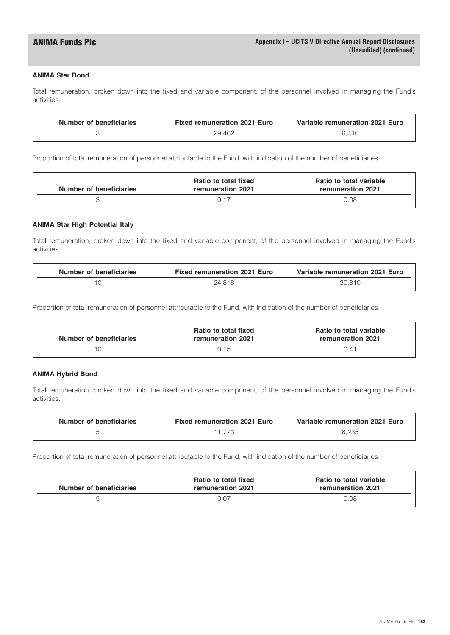# **ANIMA Star Bond**

Total remuneration, broken down into the fixed and variable component, of the personnel involved in managing the Fund's activities.

| Number of beneficiaries | <b>Fixed remuneration 2021 Euro</b> | Variable remuneration 2021 Euro |
|-------------------------|-------------------------------------|---------------------------------|
|                         | 29.462                              | 6.410                           |

Proportion of total remuneration of personnel attributable to the Fund, with indication of the number of beneficiaries.

| Number of beneficiaries | <b>Ratio to total fixed</b><br>remuneration 2021 | <b>Ratio to total variable</b><br>remuneration 2021 |
|-------------------------|--------------------------------------------------|-----------------------------------------------------|
|                         |                                                  | 0.08                                                |

# **ANIMA Star High Potential Italy**

Total remuneration, broken down into the fixed and variable component, of the personnel involved in managing the Fund's activities.

| Number of beneficiaries | <b>Fixed remuneration 2021 Euro</b> | Variable remuneration 2021 Euro |
|-------------------------|-------------------------------------|---------------------------------|
|                         | 24.818                              | 30.810                          |

Proportion of total remuneration of personnel attributable to the Fund, with indication of the number of beneficiaries.

| <b>Number of beneficiaries</b> | <b>Ratio to total fixed</b><br>remuneration 2021 | Ratio to total variable<br>remuneration 2021 |
|--------------------------------|--------------------------------------------------|----------------------------------------------|
|                                | ).15                                             | N 41                                         |

# **ANIMA Hybrid Bond**

Total remuneration, broken down into the fixed and variable component, of the personnel involved in managing the Fund's activities.

| Number of beneficiaries | <b>Fixed remuneration 2021 Euro</b> | Variable remuneration 2021 Euro |
|-------------------------|-------------------------------------|---------------------------------|
|                         |                                     | 6.235                           |

| Number of beneficiaries | <b>Ratio to total fixed</b><br>remuneration 2021 | Ratio to total variable<br>remuneration 2021 |  |
|-------------------------|--------------------------------------------------|----------------------------------------------|--|
|                         | J.O7                                             | 0.08                                         |  |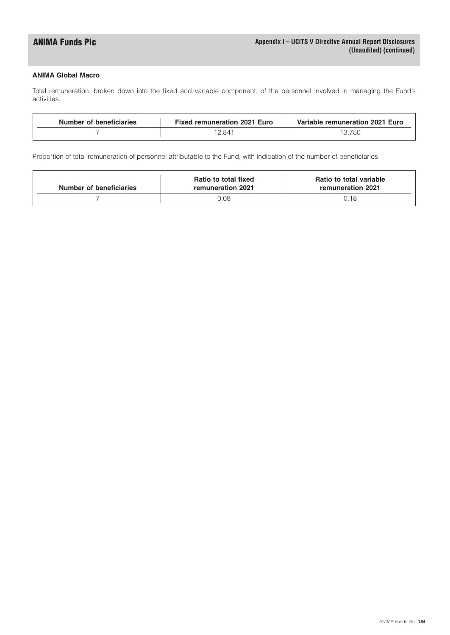# **ANIMA Global Macro**

Total remuneration, broken down into the fixed and variable component, of the personnel involved in managing the Fund's activities.

| <b>Number of beneficiaries</b> | <b>Fixed remuneration 2021 Euro</b> | Variable remuneration 2021 Euro |
|--------------------------------|-------------------------------------|---------------------------------|
|                                | 12.841                              | 13.750                          |

| <b>Number of beneficiaries</b> | <b>Ratio to total fixed</b><br>remuneration 2021 | Ratio to total variable<br>remuneration 2021 |
|--------------------------------|--------------------------------------------------|----------------------------------------------|
|                                | 0.08                                             | D. 18                                        |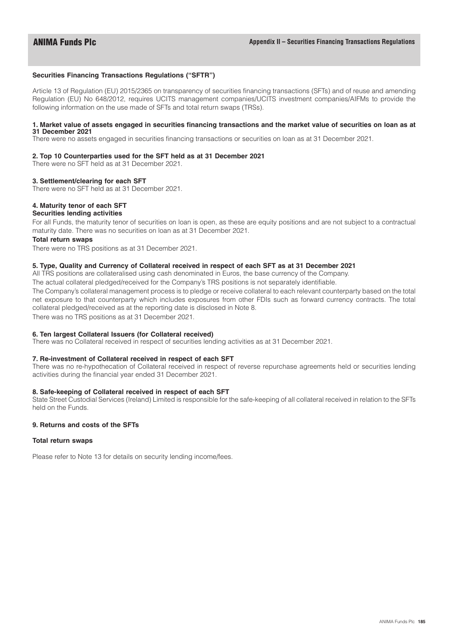# **Securities Financing Transactions Regulations ("SFTR")**

Article 13 of Regulation (EU) 2015/2365 on transparency of securities financing transactions (SFTs) and of reuse and amending Regulation (EU) No 648/2012, requires UCITS management companies/UCITS investment companies/AIFMs to provide the following information on the use made of SFTs and total return swaps (TRSs).

### **1. Market value of assets engaged in securities financing transactions and the market value of securities on loan as at 31 December 2021**

There were no assets engaged in securities financing transactions or securities on loan as at 31 December 2021.

## **2. Top 10 Counterparties used for the SFT held as at 31 December 2021**

There were no SFT held as at 31 December 2021.

# **3. Settlement/clearing for each SFT**

There were no SFT held as at 31 December 2021.

# **4. Maturity tenor of each SFT**

# **Securities lending activities**

For all Funds, the maturity tenor of securities on loan is open, as these are equity positions and are not subject to a contractual maturity date. There was no securities on loan as at 31 December 2021.

## **Total return swaps**

There were no TRS positions as at 31 December 2021.

## **5. Type, Quality and Currency of Collateral received in respect of each SFT as at 31 December 2021**

All TRS positions are collateralised using cash denominated in Euros, the base currency of the Company.

The actual collateral pledged/received for the Company's TRS positions is not separately identifiable.

The Company's collateral management process is to pledge or receive collateral to each relevant counterparty based on the total net exposure to that counterparty which includes exposures from other FDIs such as forward currency contracts. The total collateral pledged/received as at the reporting date is disclosed in Note 8.

There was no TRS positions as at 31 December 2021.

## **6. Ten largest Collateral Issuers (for Collateral received)**

There was no Collateral received in respect of securities lending activities as at 31 December 2021.

### **7. Re-investment of Collateral received in respect of each SFT**

There was no re-hypothecation of Collateral received in respect of reverse repurchase agreements held or securities lending activities during the financial year ended 31 December 2021.

## **8. Safe-keeping of Collateral received in respect of each SFT**

State Street Custodial Services (Ireland) Limited is responsible for the safe-keeping of all collateral received in relation to the SFTs held on the Funds.

# **9. Returns and costs of the SFTs**

## **Total return swaps**

Please refer to Note 13 for details on security lending income/fees.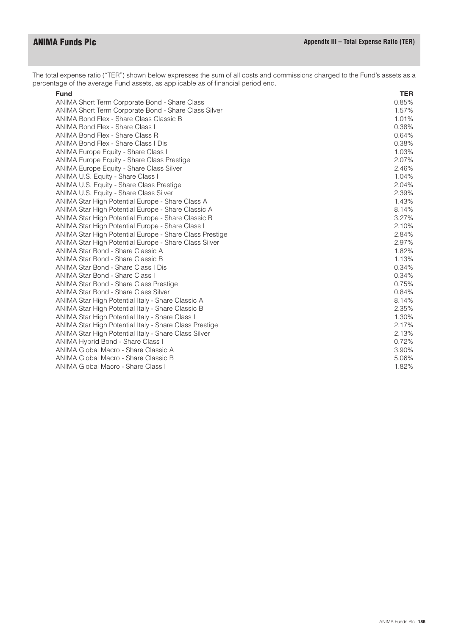The total expense ratio ("TER") shown below expresses the sum of all costs and commissions charged to the Fund's assets as a percentage of the average Fund assets, as applicable as of financial period end.

| . .<br>× | ×<br>. . |
|----------|----------|

| <b>Fund</b>                                             | <b>TER</b> |
|---------------------------------------------------------|------------|
| ANIMA Short Term Corporate Bond - Share Class I         | 0.85%      |
| ANIMA Short Term Corporate Bond - Share Class Silver    | 1.57%      |
| ANIMA Bond Flex - Share Class Classic B                 | 1.01%      |
| <b>ANIMA Bond Flex - Share Class I</b>                  | 0.38%      |
| <b>ANIMA Bond Flex - Share Class R</b>                  | 0.64%      |
| <b>ANIMA Bond Flex - Share Class I Dis</b>              | 0.38%      |
| <b>ANIMA Europe Equity - Share Class I</b>              | 1.03%      |
| <b>ANIMA Europe Equity - Share Class Prestige</b>       | 2.07%      |
| ANIMA Europe Equity - Share Class Silver                | 2.46%      |
| ANIMA U.S. Equity - Share Class I                       | 1.04%      |
| ANIMA U.S. Equity - Share Class Prestige                | 2.04%      |
| ANIMA U.S. Equity - Share Class Silver                  | 2.39%      |
| ANIMA Star High Potential Europe - Share Class A        | 1.43%      |
| ANIMA Star High Potential Europe - Share Classic A      | 8.14%      |
| ANIMA Star High Potential Europe - Share Classic B      | 3.27%      |
| <b>ANIMA Star High Potential Europe - Share Class I</b> | 2.10%      |
| ANIMA Star High Potential Europe - Share Class Prestige | 2.84%      |
| ANIMA Star High Potential Europe - Share Class Silver   | 2.97%      |
| ANIMA Star Bond - Share Classic A                       | 1.82%      |
| <b>ANIMA Star Bond - Share Classic B</b>                | 1.13%      |
| <b>ANIMA Star Bond - Share Class I Dis</b>              | 0.34%      |
| <b>ANIMA Star Bond - Share Class I</b>                  | 0.34%      |
| ANIMA Star Bond - Share Class Prestige                  | 0.75%      |
| <b>ANIMA Star Bond - Share Class Silver</b>             | 0.84%      |
| ANIMA Star High Potential Italy - Share Classic A       | 8.14%      |
| ANIMA Star High Potential Italy - Share Classic B       | 2.35%      |
| ANIMA Star High Potential Italy - Share Class I         | 1.30%      |
| ANIMA Star High Potential Italy - Share Class Prestige  | 2.17%      |
| ANIMA Star High Potential Italy - Share Class Silver    | 2.13%      |
| <b>ANIMA Hybrid Bond - Share Class I</b>                | 0.72%      |
| ANIMA Global Macro - Share Classic A                    | 3.90%      |
| ANIMA Global Macro - Share Classic B                    | 5.06%      |
| <b>ANIMA Global Macro - Share Class I</b>               | 1.82%      |